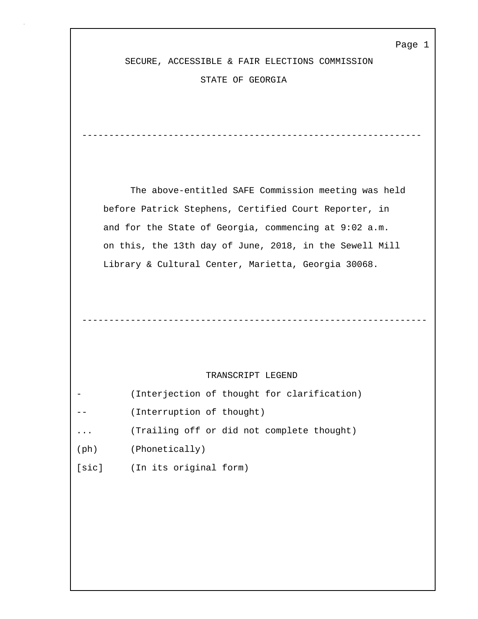SECURE, ACCESSIBLE & FAIR ELECTIONS COMMISSION

---------------------------------------------------------------

----------------------------------------------------------------

STATE OF GEORGIA

 The above-entitled SAFE Commission meeting was held before Patrick Stephens, Certified Court Reporter, in and for the State of Georgia, commencing at 9:02 a.m. on this, the 13th day of June, 2018, in the Sewell Mill Library & Cultural Center, Marietta, Georgia 30068.

## TRANSCRIPT LEGEND

| $\overline{\phantom{0}}$ |                           |  | (Interjection of thought for clarification) |
|--------------------------|---------------------------|--|---------------------------------------------|
| $- -$                    | (Interruption of thought) |  |                                             |

- ... (Trailing off or did not complete thought)
- (ph) (Phonetically)
- [sic] (In its original form)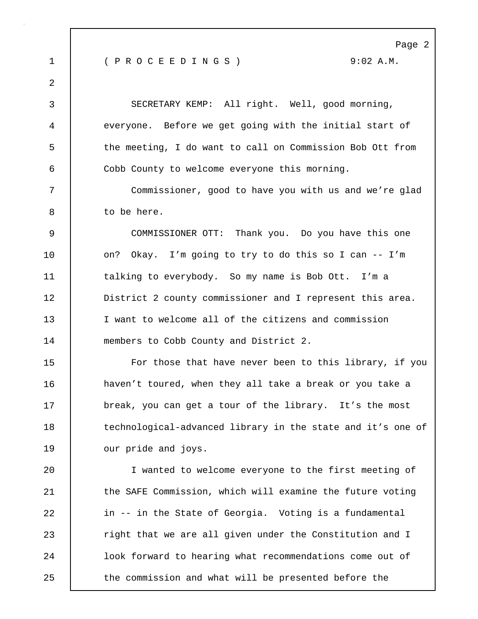Page 2 1 ( P R O C E E D I N G S ) 9:02 A.M. 2 3 SECRETARY KEMP: All right. Well, good morning, 4 everyone. Before we get going with the initial start of 5 the meeting, I do want to call on Commission Bob Ott from 6 Cobb County to welcome everyone this morning. 7 Commissioner, good to have you with us and we're glad 8 to be here. 9 COMMISSIONER OTT: Thank you. Do you have this one 10 | on? Okay. I'm going to try to do this so I can -- I'm 11 | talking to everybody. So my name is Bob Ott. I'm a 12 **District** 2 county commissioner and I represent this area. 13 I want to welcome all of the citizens and commission 14 members to Cobb County and District 2. 15 For those that have never been to this library, if you 16 **haven't toured, when they all take a break or you take a** 17 break, you can get a tour of the library. It's the most 18 technological-advanced library in the state and it's one of 19 | our pride and joys. 20 I wanted to welcome everyone to the first meeting of 21 | the SAFE Commission, which will examine the future voting 22 | in -- in the State of Georgia. Voting is a fundamental 23 **Fight that we are all given under the Constitution and I** 24 look forward to hearing what recommendations come out of 25 the commission and what will be presented before the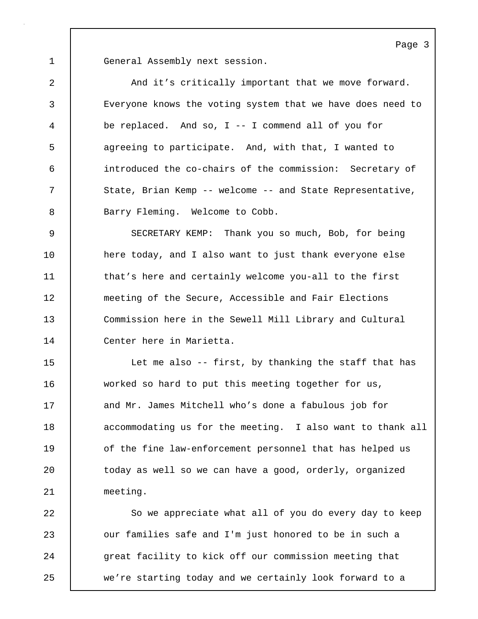1 General Assembly next session.

2 And it's critically important that we move forward. 3 Everyone knows the voting system that we have does need to 4 be replaced. And so, I -- I commend all of you for 5 agreeing to participate. And, with that, I wanted to 6 introduced the co-chairs of the commission: Secretary of 7 State, Brian Kemp -- welcome -- and State Representative, 8 | Barry Fleming. Welcome to Cobb.

9 SECRETARY KEMP: Thank you so much, Bob, for being 10 | here today, and I also want to just thank everyone else 11 that's here and certainly welcome you-all to the first 12 meeting of the Secure, Accessible and Fair Elections 13 Commission here in the Sewell Mill Library and Cultural 14 Center here in Marietta.

15 Let me also -- first, by thanking the staff that has 16 worked so hard to put this meeting together for us, 17 and Mr. James Mitchell who's done a fabulous job for 18 accommodating us for the meeting. I also want to thank all 19 of the fine law-enforcement personnel that has helped us 20 | today as well so we can have a good, orderly, organized 21 meeting.

22 So we appreciate what all of you do every day to keep 23 **Julie** our families safe and I'm just honored to be in such a 24 great facility to kick off our commission meeting that 25 we're starting today and we certainly look forward to a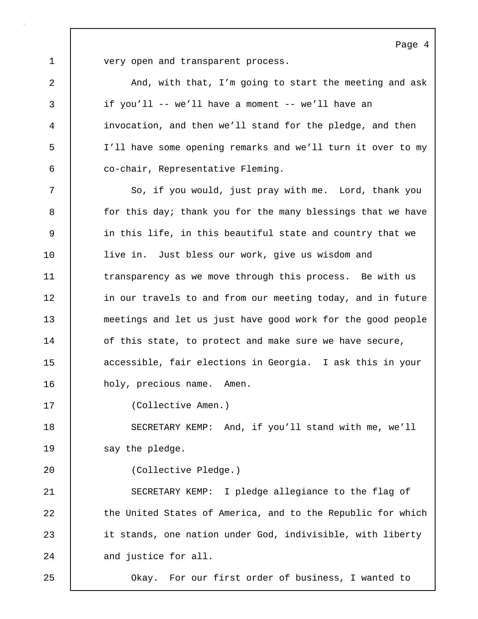1 very open and transparent process.

2 And, with that, I'm going to start the meeting and ask 3 if you'll -- we'll have a moment -- we'll have an 4 invocation, and then we'll stand for the pledge, and then 5 I'll have some opening remarks and we'll turn it over to my 6 co-chair, Representative Fleming.

7 | So, if you would, just pray with me. Lord, thank you 8 for this day; thank you for the many blessings that we have 9 in this life, in this beautiful state and country that we 10 live in. Just bless our work, give us wisdom and 11 transparency as we move through this process. Be with us 12 in our travels to and from our meeting today, and in future 13 meetings and let us just have good work for the good people 14 of this state, to protect and make sure we have secure, 15 **decessible, fair elections in Georgia.** I ask this in your 16 | holy, precious name. Amen.

17 (Collective Amen.)

18 SECRETARY KEMP: And, if you'll stand with me, we'll 19 say the pledge.

20 (Collective Pledge.)

21 SECRETARY KEMP: I pledge allegiance to the flag of 22 the United States of America, and to the Republic for which 23 it stands, one nation under God, indivisible, with liberty 24 and justice for all.

25 Okay. For our first order of business, I wanted to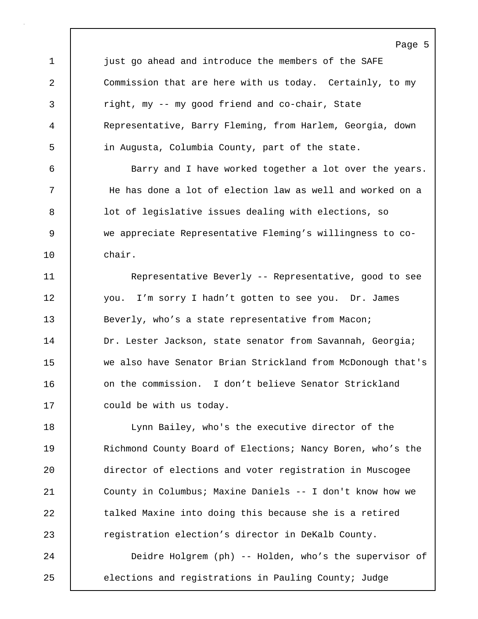Page 5 1 just go ahead and introduce the members of the SAFE 2 Commission that are here with us today. Certainly, to my 3 right, my -- my good friend and co-chair, State 4 Representative, Barry Fleming, from Harlem, Georgia, down 5 in Augusta, Columbia County, part of the state. 6 Barry and I have worked together a lot over the years. 7 He has done a lot of election law as well and worked on a 8 | lot of legislative issues dealing with elections, so 9 we appreciate Representative Fleming's willingness to co-10 chair. 11 | Representative Beverly -- Representative, good to see 12 you. I'm sorry I hadn't gotten to see you. Dr. James 13 Beverly, who's a state representative from Macon; 14 | Dr. Lester Jackson, state senator from Savannah, Georgia; 15 we also have Senator Brian Strickland from McDonough that's 16 0 on the commission. I don't believe Senator Strickland 17 | could be with us today. 18 Lynn Bailey, who's the executive director of the 19 | Richmond County Board of Elections; Nancy Boren, who's the 20 director of elections and voter registration in Muscogee 21 County in Columbus; Maxine Daniels -- I don't know how we 22 talked Maxine into doing this because she is a retired

24 Deidre Holgrem (ph) -- Holden, who's the supervisor of

23 **Property** registration election's director in DeKalb County.

25 elections and registrations in Pauling County; Judge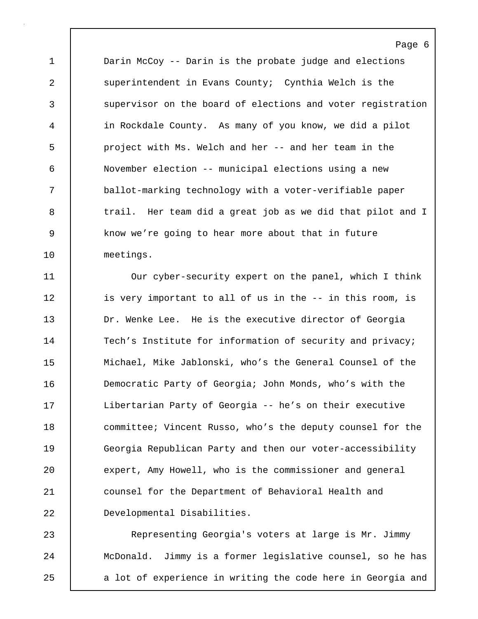1 Darin McCoy -- Darin is the probate judge and elections 2 superintendent in Evans County; Cynthia Welch is the 3 supervisor on the board of elections and voter registration 4 in Rockdale County. As many of you know, we did a pilot 5 project with Ms. Welch and her -- and her team in the 6 November election -- municipal elections using a new 7 ballot-marking technology with a voter-verifiable paper 8 trail. Her team did a great job as we did that pilot and I 9 know we're going to hear more about that in future 10 meetings.

Page 6

11 Our cyber-security expert on the panel, which I think 12 | is very important to all of us in the -- in this room, is 13 Dr. Wenke Lee. He is the executive director of Georgia 14 Tech's Institute for information of security and privacy; 15 Michael, Mike Jablonski, who's the General Counsel of the 16 **Democratic Party of Georgia; John Monds, who's with the** 17 | Libertarian Party of Georgia -- he's on their executive 18 committee; Vincent Russo, who's the deputy counsel for the 19 Georgia Republican Party and then our voter-accessibility 20 expert, Amy Howell, who is the commissioner and general 21 counsel for the Department of Behavioral Health and 22 Developmental Disabilities.

23 Representing Georgia's voters at large is Mr. Jimmy 24 McDonald. Jimmy is a former legislative counsel, so he has 25 a lot of experience in writing the code here in Georgia and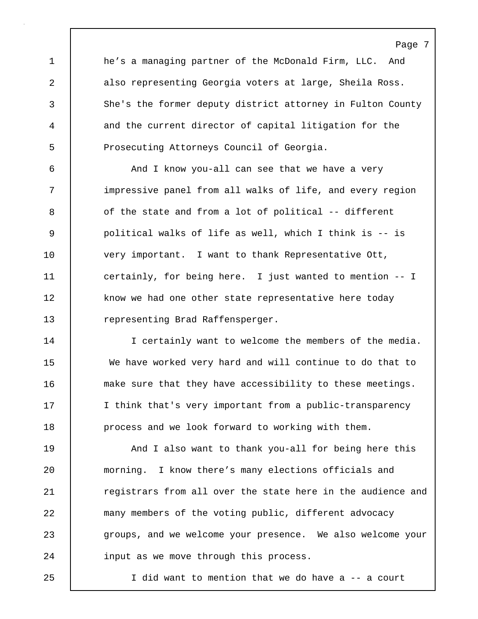1 he's a managing partner of the McDonald Firm, LLC. And 2 also representing Georgia voters at large, Sheila Ross. 3 She's the former deputy district attorney in Fulton County 4 and the current director of capital litigation for the 5 Prosecuting Attorneys Council of Georgia.

6 And I know you-all can see that we have a very 7 | impressive panel from all walks of life, and every region 8 of the state and from a lot of political -- different 9 political walks of life as well, which I think is -- is 10 very important. I want to thank Representative Ott, 11 certainly, for being here. I just wanted to mention -- I 12 know we had one other state representative here today 13 representing Brad Raffensperger.

14 I certainly want to welcome the members of the media. 15 We have worked very hard and will continue to do that to 16 make sure that they have accessibility to these meetings. 17 I think that's very important from a public-transparency 18 | process and we look forward to working with them.

19 | And I also want to thank you-all for being here this 20 morning. I know there's many elections officials and 21 **Property** registrars from all over the state here in the audience and 22 many members of the voting public, different advocacy 23 groups, and we welcome your presence. We also welcome your 24 | input as we move through this process.

25 I did want to mention that we do have a -- a court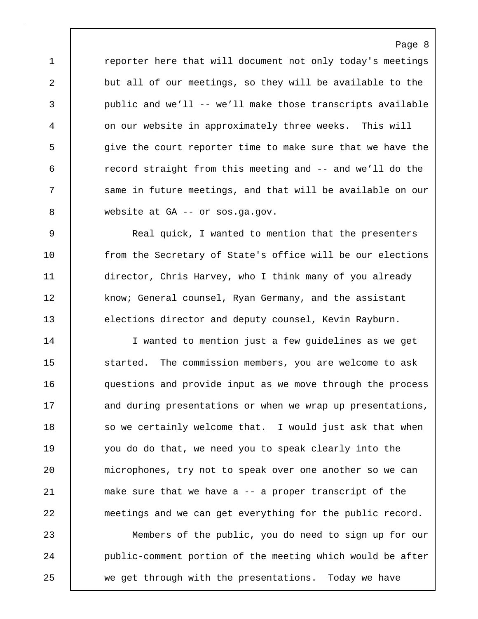1 **c** reporter here that will document not only today's meetings 2 | but all of our meetings, so they will be available to the 3 public and we'll -- we'll make those transcripts available 4 on our website in approximately three weeks. This will 5 give the court reporter time to make sure that we have the 6 record straight from this meeting and -- and we'll do the 7 Same in future meetings, and that will be available on our 8 website at GA -- or sos.ga.gov.

9 Real quick, I wanted to mention that the presenters 10 from the Secretary of State's office will be our elections 11 director, Chris Harvey, who I think many of you already 12 | know; General counsel, Ryan Germany, and the assistant 13 elections director and deputy counsel, Kevin Rayburn.

14 I wanted to mention just a few guidelines as we get 15 started. The commission members, you are welcome to ask 16 questions and provide input as we move through the process 17 and during presentations or when we wrap up presentations, 18 so we certainly welcome that. I would just ask that when 19 you do do that, we need you to speak clearly into the 20 microphones, try not to speak over one another so we can 21 make sure that we have a -- a proper transcript of the 22 meetings and we can get everything for the public record.

23 Members of the public, you do need to sign up for our 24 **public-comment portion of the meeting which would be after** 25 we get through with the presentations. Today we have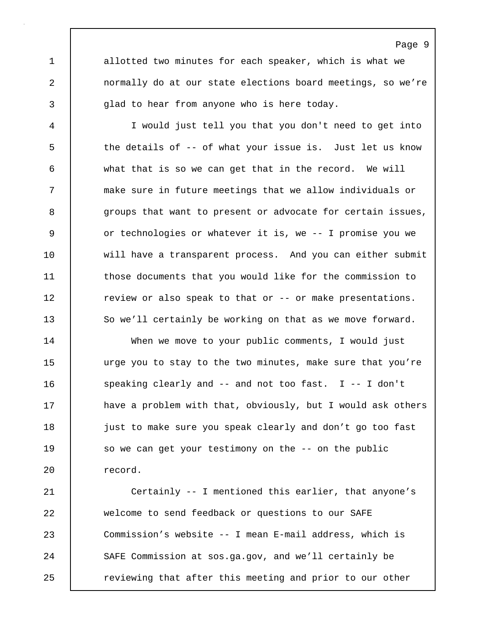1 allotted two minutes for each speaker, which is what we 2 normally do at our state elections board meetings, so we're 3 | qlad to hear from anyone who is here today.

4 I would just tell you that you don't need to get into 5 the details of -- of what your issue is. Just let us know 6 what that is so we can get that in the record. We will 7 make sure in future meetings that we allow individuals or 8 groups that want to present or advocate for certain issues, 9 or technologies or whatever it is, we -- I promise you we 10 will have a transparent process. And you can either submit 11 those documents that you would like for the commission to 12 Teview or also speak to that or -- or make presentations. 13 So we'll certainly be working on that as we move forward.

14 When we move to your public comments, I would just 15 | urge you to stay to the two minutes, make sure that you're 16 Speaking clearly and -- and not too fast. I -- I don't 17 have a problem with that, obviously, but I would ask others 18 just to make sure you speak clearly and don't go too fast 19 so we can get your testimony on the -- on the public 20 record.

21 Certainly -- I mentioned this earlier, that anyone's 22 welcome to send feedback or questions to our SAFE 23 Commission's website -- I mean E-mail address, which is 24 SAFE Commission at sos.ga.gov, and we'll certainly be 25 **cancer 1** reviewing that after this meeting and prior to our other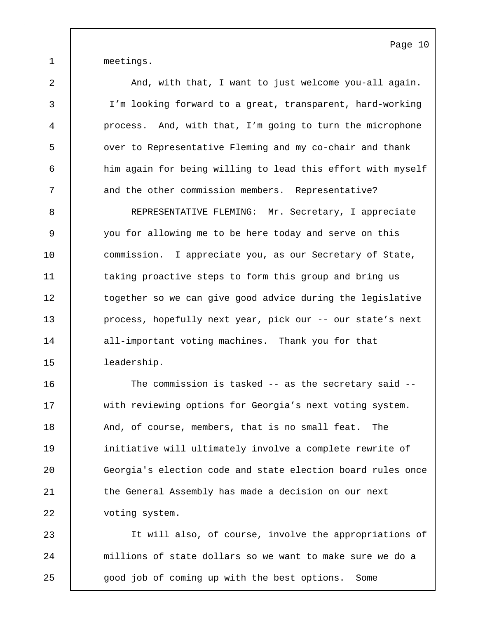1 meetings.

2 And, with that, I want to just welcome you-all again. 3 I'm looking forward to a great, transparent, hard-working 4 process. And, with that, I'm going to turn the microphone 5 over to Representative Fleming and my co-chair and thank 6 him again for being willing to lead this effort with myself 7 and the other commission members. Representative? 8 REPRESENTATIVE FLEMING: Mr. Secretary, I appreciate

9 you for allowing me to be here today and serve on this 10 commission. I appreciate you, as our Secretary of State, 11 taking proactive steps to form this group and bring us 12 | together so we can give good advice during the legislative 13 **process, hopefully next year, pick our -- our state's next** 14 all-important voting machines. Thank you for that 15 leadership.

16 The commission is tasked -- as the secretary said --17 with reviewing options for Georgia's next voting system. 18 And, of course, members, that is no small feat. The 19 initiative will ultimately involve a complete rewrite of 20 Georgia's election code and state election board rules once 21 the General Assembly has made a decision on our next 22 | voting system.

23 It will also, of course, involve the appropriations of 24 | millions of state dollars so we want to make sure we do a 25 good job of coming up with the best options. Some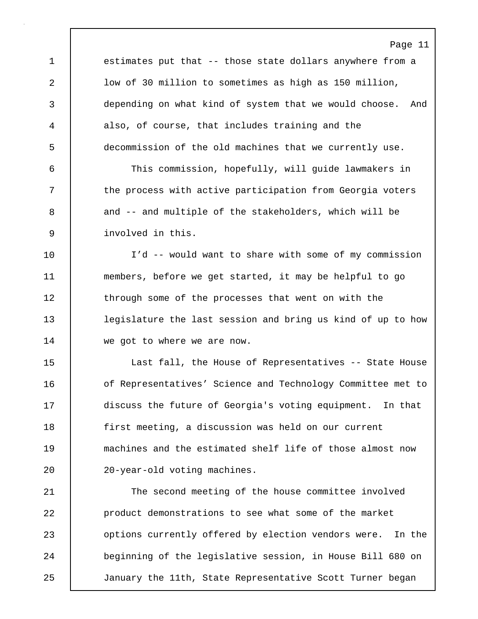Page 11 1 estimates put that -- those state dollars anywhere from a 2 low of 30 million to sometimes as high as 150 million, 3 depending on what kind of system that we would choose. And 4 also, of course, that includes training and the 5 decommission of the old machines that we currently use. 6 This commission, hopefully, will guide lawmakers in 7 T the process with active participation from Georgia voters 8 and -- and multiple of the stakeholders, which will be 9 involved in this. 10 I'd -- would want to share with some of my commission 11 members, before we get started, it may be helpful to go 12 through some of the processes that went on with the 13 legislature the last session and bring us kind of up to how 14 we got to where we are now. 15 Last fall, the House of Representatives -- State House 16 **o**f Representatives' Science and Technology Committee met to 17 discuss the future of Georgia's voting equipment. In that 18 first meeting, a discussion was held on our current 19 machines and the estimated shelf life of those almost now 20 | 20-year-old voting machines. 21 The second meeting of the house committee involved 22 product demonstrations to see what some of the market 23 **options currently offered by election vendors were.** In the 24 beginning of the legislative session, in House Bill 680 on 25 January the 11th, State Representative Scott Turner began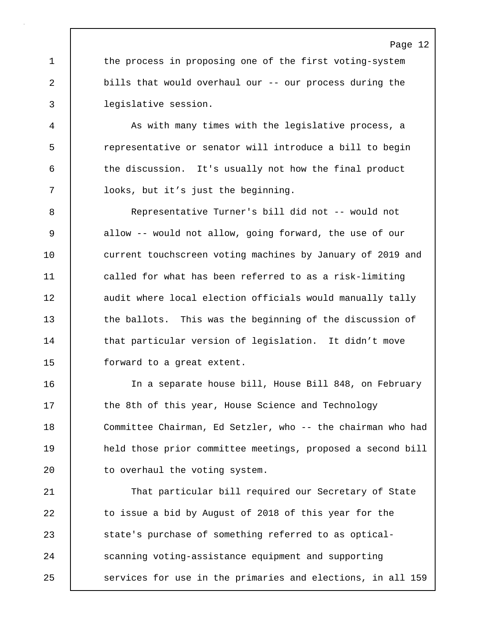1 the process in proposing one of the first voting-system 2 bills that would overhaul our -- our process during the 3 legislative session.

4 As with many times with the legislative process, a 5 representative or senator will introduce a bill to begin 6 the discussion. It's usually not how the final product 7 looks, but it's just the beginning.

8 Representative Turner's bill did not -- would not 9 allow -- would not allow, going forward, the use of our 10 current touchscreen voting machines by January of 2019 and 11 called for what has been referred to as a risk-limiting 12 | audit where local election officials would manually tally 13 the ballots. This was the beginning of the discussion of 14 that particular version of legislation. It didn't move 15 | forward to a great extent.

16 | The separate house bill, House Bill 848, on February 17 the 8th of this year, House Science and Technology 18 Committee Chairman, Ed Setzler, who -- the chairman who had 19 held those prior committee meetings, proposed a second bill 20 to overhaul the voting system.

21 | That particular bill required our Secretary of State 22 to issue a bid by August of 2018 of this year for the 23 state's purchase of something referred to as optical-24 Scanning voting-assistance equipment and supporting 25 | services for use in the primaries and elections, in all 159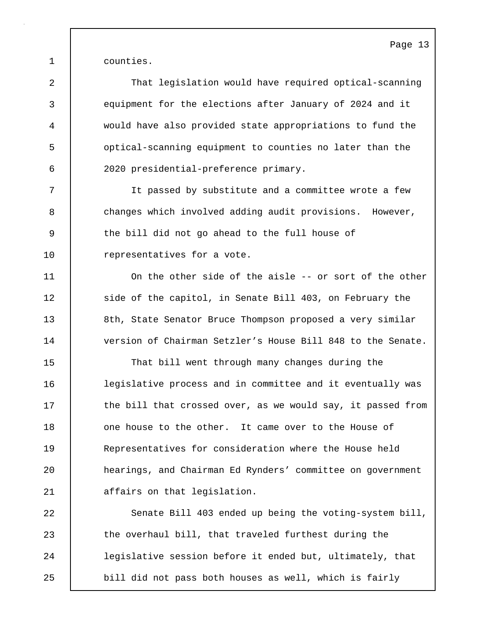1 counties.

2 That legislation would have required optical-scanning 3 equipment for the elections after January of 2024 and it 4 would have also provided state appropriations to fund the 5 optical-scanning equipment to counties no later than the 6 2020 presidential-preference primary. 7 It passed by substitute and a committee wrote a few

8 changes which involved adding audit provisions. However, 9 the bill did not go ahead to the full house of 10 | representatives for a vote.

11 On the other side of the aisle -- or sort of the other 12 | side of the capitol, in Senate Bill 403, on February the 13 8th, State Senator Bruce Thompson proposed a very similar 14 version of Chairman Setzler's House Bill 848 to the Senate.

15 | That bill went through many changes during the 16 legislative process and in committee and it eventually was 17 | the bill that crossed over, as we would say, it passed from 18 one house to the other. It came over to the House of 19 Representatives for consideration where the House held 20 hearings, and Chairman Ed Rynders' committee on government 21 | affairs on that legislation.

22 Senate Bill 403 ended up being the voting-system bill, 23 the overhaul bill, that traveled furthest during the 24 | legislative session before it ended but, ultimately, that 25 | bill did not pass both houses as well, which is fairly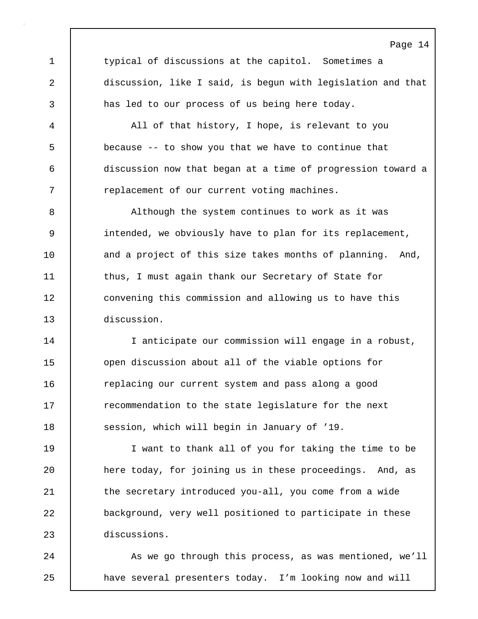1 typical of discussions at the capitol. Sometimes a 2 discussion, like I said, is begun with legislation and that 3 has led to our process of us being here today.

4 All of that history, I hope, is relevant to you 5 because -- to show you that we have to continue that 6 discussion now that began at a time of progression toward a 7 Teplacement of our current voting machines.

8 Although the system continues to work as it was 9 intended, we obviously have to plan for its replacement, 10 and a project of this size takes months of planning. And, 11 thus, I must again thank our Secretary of State for 12 convening this commission and allowing us to have this 13 discussion.

14 | I anticipate our commission will engage in a robust, 15 open discussion about all of the viable options for 16 **c** replacing our current system and pass along a good 17 The recommendation to the state legislature for the next 18 Session, which will begin in January of '19.

19 I want to thank all of you for taking the time to be 20 **here today, for joining us in these proceedings.** And, as 21 | the secretary introduced you-all, you come from a wide 22 background, very well positioned to participate in these 23 discussions.

24 As we go through this process, as was mentioned, we'll 25 **have several presenters today.** I'm looking now and will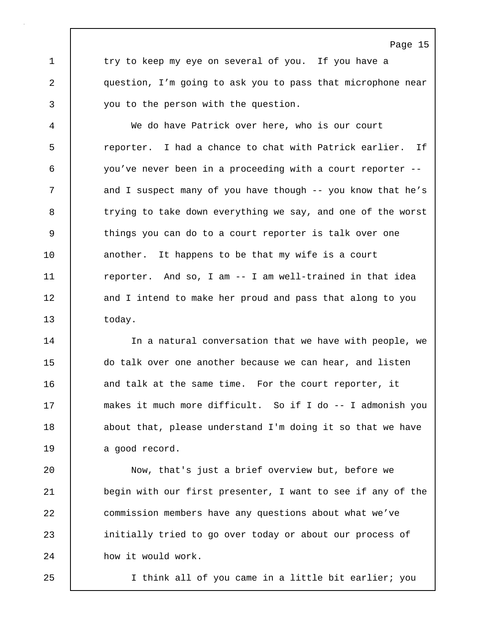1 try to keep my eye on several of you. If you have a 2 question, I'm going to ask you to pass that microphone near 3 you to the person with the question.

Page 15

4 We do have Patrick over here, who is our court 5 reporter. I had a chance to chat with Patrick earlier. If 6 you've never been in a proceeding with a court reporter -- 7 and I suspect many of you have though -- you know that he's 8 trying to take down everything we say, and one of the worst 9 things you can do to a court reporter is talk over one 10 another. It happens to be that my wife is a court 11 | reporter. And so, I am -- I am well-trained in that idea 12 and I intend to make her proud and pass that along to you 13 today.

14 | In a natural conversation that we have with people, we 15 do talk over one another because we can hear, and listen 16 and talk at the same time. For the court reporter, it 17 makes it much more difficult. So if I do -- I admonish you 18 | about that, please understand I'm doing it so that we have 19 a good record.

20 Now, that's just a brief overview but, before we 21 begin with our first presenter, I want to see if any of the 22 commission members have any questions about what we've 23 initially tried to go over today or about our process of 24 how it would work.

25 I think all of you came in a little bit earlier; you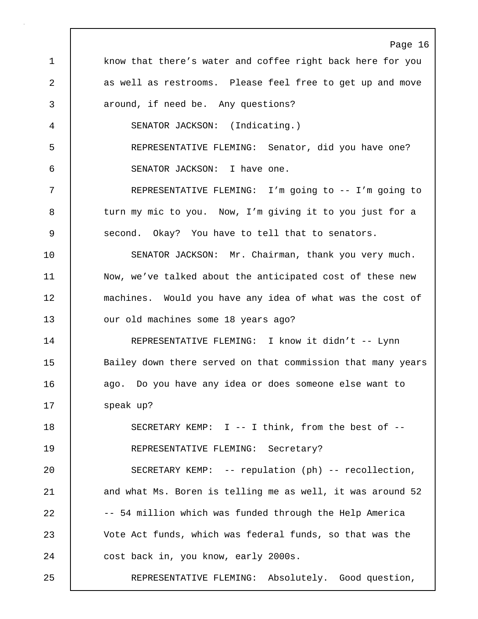Page 16 1 know that there's water and coffee right back here for you 2 as well as restrooms. Please feel free to get up and move 3 **deciasion** 3 around, if need be. Any questions? 4 SENATOR JACKSON: (Indicating.) 5 REPRESENTATIVE FLEMING: Senator, did you have one? 6 SENATOR JACKSON: I have one. 7 REPRESENTATIVE FLEMING: I'm going to -- I'm going to 8 turn my mic to you. Now, I'm giving it to you just for a 9 Second. Okay? You have to tell that to senators. 10 SENATOR JACKSON: Mr. Chairman, thank you very much. 11 | Now, we've talked about the anticipated cost of these new 12 machines. Would you have any idea of what was the cost of 13 **July 2018** our old machines some 18 years ago? 14 REPRESENTATIVE FLEMING: I know it didn't -- Lynn 15 | Bailey down there served on that commission that many years 16 | ago. Do you have any idea or does someone else want to 17 | speak up? 18 SECRETARY KEMP: I -- I think, from the best of -- 19 REPRESENTATIVE FLEMING: Secretary? 20 SECRETARY KEMP: -- repulation (ph) -- recollection, 21 and what Ms. Boren is telling me as well, it was around 52 22 -- 54 million which was funded through the Help America 23 Vote Act funds, which was federal funds, so that was the 24 cost back in, you know, early 2000s. 25 REPRESENTATIVE FLEMING: Absolutely. Good question,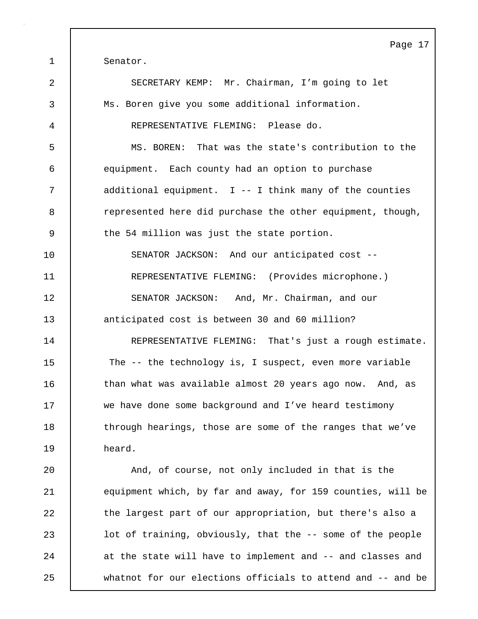Page 17 1 | Senator. 2 SECRETARY KEMP: Mr. Chairman, I'm going to let 3 Ms. Boren give you some additional information. 4 REPRESENTATIVE FLEMING: Please do. 5 MS. BOREN: That was the state's contribution to the 6 equipment. Each county had an option to purchase 7 additional equipment. I -- I think many of the counties 8 e represented here did purchase the other equipment, though, 9 the 54 million was just the state portion. 10 SENATOR JACKSON: And our anticipated cost -- 11 REPRESENTATIVE FLEMING: (Provides microphone.) 12 SENATOR JACKSON: And, Mr. Chairman, and our 13 anticipated cost is between 30 and 60 million? 14 REPRESENTATIVE FLEMING: That's just a rough estimate. 15 The -- the technology is, I suspect, even more variable 16 | than what was available almost 20 years ago now. And, as 17 we have done some background and I've heard testimony 18 | through hearings, those are some of the ranges that we've 19 heard. 20 And, of course, not only included in that is the 21 equipment which, by far and away, for 159 counties, will be 22 | the largest part of our appropriation, but there's also a 23 **let** lot of training, obviously, that the -- some of the people 24 at the state will have to implement and -- and classes and 25 whatnot for our elections officials to attend and -- and be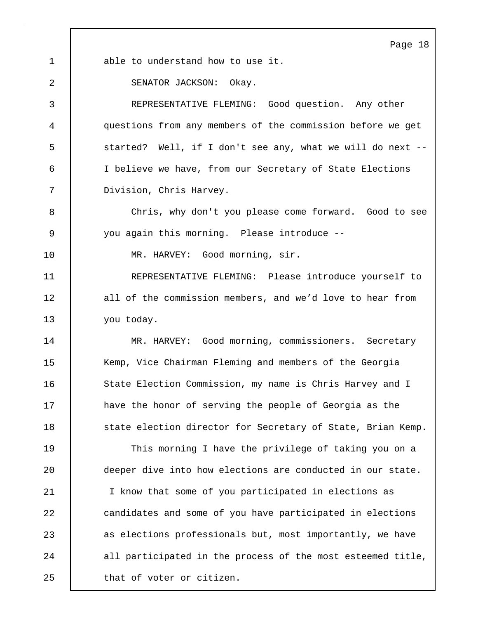Page 18 1 able to understand how to use it. 2 SENATOR JACKSON: Okay. 3 REPRESENTATIVE FLEMING: Good question. Any other 4 questions from any members of the commission before we get 5 Started? Well, if I don't see any, what we will do next --6 I believe we have, from our Secretary of State Elections 7 Division, Chris Harvey. 8 Chris, why don't you please come forward. Good to see 9 you again this morning. Please introduce -- 10 | MR. HARVEY: Good morning, sir. 11 REPRESENTATIVE FLEMING: Please introduce yourself to 12 all of the commission members, and we'd love to hear from 13 vou today. 14 MR. HARVEY: Good morning, commissioners. Secretary 15 Kemp, Vice Chairman Fleming and members of the Georgia 16 State Election Commission, my name is Chris Harvey and I 17 have the honor of serving the people of Georgia as the 18 State election director for Secretary of State, Brian Kemp. 19 This morning I have the privilege of taking you on a 20 deeper dive into how elections are conducted in our state. 21 I know that some of you participated in elections as 22 **candidates and some of you have participated in elections** 23 as elections professionals but, most importantly, we have 24 all participated in the process of the most esteemed title,

25 | that of voter or citizen.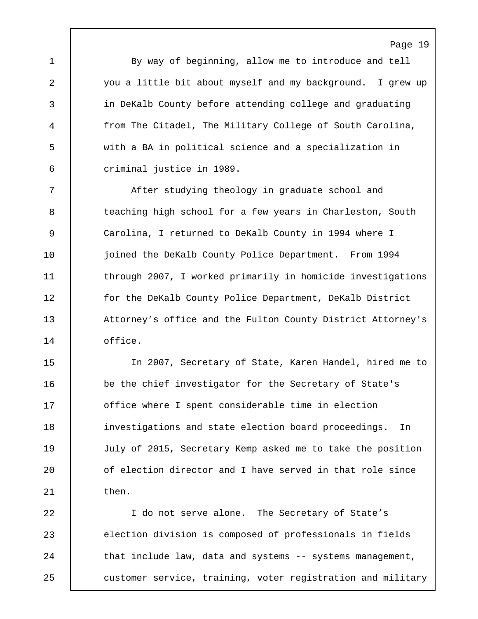1 By way of beginning, allow me to introduce and tell 2 you a little bit about myself and my background. I grew up 3 in DeKalb County before attending college and graduating 4 from The Citadel, The Military College of South Carolina, 5 with a BA in political science and a specialization in 6 criminal justice in 1989.

Page 19

7 | After studying theology in graduate school and 8 teaching high school for a few years in Charleston, South 9 Carolina, I returned to DeKalb County in 1994 where I 10 | joined the DeKalb County Police Department. From 1994 11 | through 2007, I worked primarily in homicide investigations 12 **for the DeKalb County Police Department, DeKalb District** 13 Attorney's office and the Fulton County District Attorney's 14 office.

15 In 2007, Secretary of State, Karen Handel, hired me to 16 be the chief investigator for the Secretary of State's 17 **office where I spent considerable time in election** 18 investigations and state election board proceedings. In 19 July of 2015, Secretary Kemp asked me to take the position 20 **o**f election director and I have served in that role since  $21$  then.

22 I do not serve alone. The Secretary of State's 23 election division is composed of professionals in fields 24 That include law, data and systems -- systems management, 25 | customer service, training, voter registration and military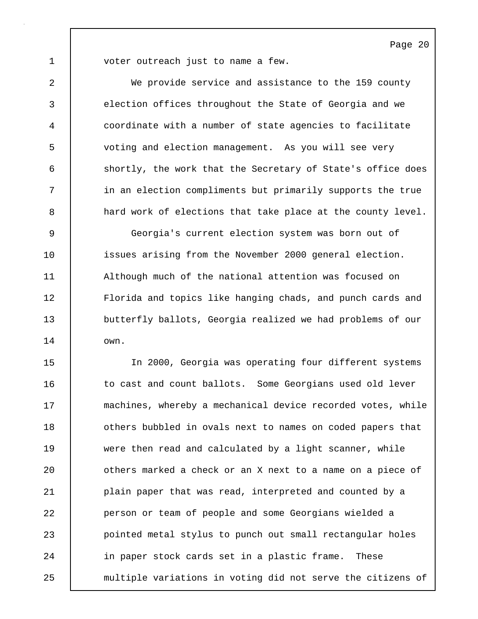1 voter outreach just to name a few.

2 We provide service and assistance to the 159 county 3 election offices throughout the State of Georgia and we 4 coordinate with a number of state agencies to facilitate 5 voting and election management. As you will see very 6 shortly, the work that the Secretary of State's office does 7 | in an election compliments but primarily supports the true 8 a hard work of elections that take place at the county level. 9 Georgia's current election system was born out of 10 issues arising from the November 2000 general election. 11 Although much of the national attention was focused on 12 Florida and topics like hanging chads, and punch cards and 13 butterfly ballots, Georgia realized we had problems of our 14 own. 15 In 2000, Georgia was operating four different systems 16 to cast and count ballots. Some Georgians used old lever 17 machines, whereby a mechanical device recorded votes, while 18 **decisy 1** others bubbled in ovals next to names on coded papers that

19 were then read and calculated by a light scanner, while 20 **dia all 1** others marked a check or an X next to a name on a piece of 21 | plain paper that was read, interpreted and counted by a 22 person or team of people and some Georgians wielded a 23 pointed metal stylus to punch out small rectangular holes 24 | in paper stock cards set in a plastic frame. These 25 multiple variations in voting did not serve the citizens of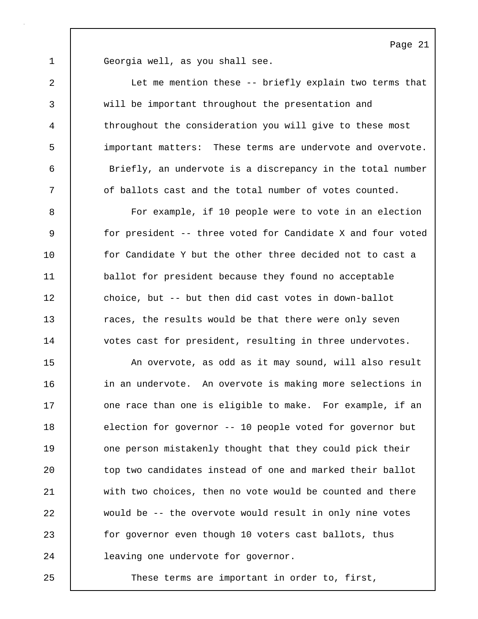1 Georgia well, as you shall see.

2 Let me mention these -- briefly explain two terms that 3 will be important throughout the presentation and 4 throughout the consideration you will give to these most 5 important matters: These terms are undervote and overvote. 6 Briefly, an undervote is a discrepancy in the total number 7 | of ballots cast and the total number of votes counted. 8 For example, if 10 people were to vote in an election 9 for president -- three voted for Candidate X and four voted 10 **for Candidate Y but the other three decided not to cast a** 11 ballot for president because they found no acceptable 12 choice, but -- but then did cast votes in down-ballot 13 Taces, the results would be that there were only seven 14 votes cast for president, resulting in three undervotes. 15 An overvote, as odd as it may sound, will also result 16 | in an undervote. An overvote is making more selections in 17 | one race than one is eligible to make. For example, if an 18 election for governor -- 10 people voted for governor but 19 one person mistakenly thought that they could pick their 20 top two candidates instead of one and marked their ballot 21 with two choices, then no vote would be counted and there 22 would be -- the overvote would result in only nine votes 23 for governor even though 10 voters cast ballots, thus 24 **leaving one undervote for governor.** 

25 These terms are important in order to, first,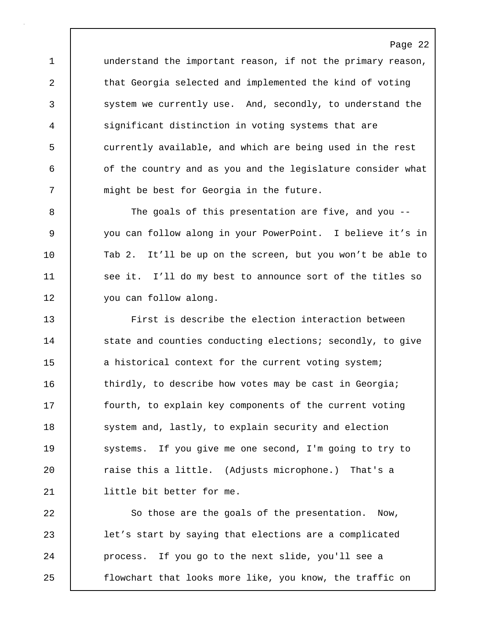1 understand the important reason, if not the primary reason, 2 that Georgia selected and implemented the kind of voting 3 system we currently use. And, secondly, to understand the 4 significant distinction in voting systems that are 5 currently available, and which are being used in the rest 6 **6** of the country and as you and the legislature consider what 7 | might be best for Georgia in the future.

8 | The goals of this presentation are five, and you --9 you can follow along in your PowerPoint. I believe it's in 10 Tab 2. It'll be up on the screen, but you won't be able to 11 | see it. I'll do my best to announce sort of the titles so 12 you can follow along.

13 First is describe the election interaction between 14 | state and counties conducting elections; secondly, to give 15 a historical context for the current voting system; 16 thirdly, to describe how votes may be cast in Georgia; 17 | fourth, to explain key components of the current voting 18 system and, lastly, to explain security and election 19 Systems. If you give me one second, I'm going to try to 20 **Theor** raise this a little. (Adjusts microphone.) That's a 21 | little bit better for me.

22 | So those are the goals of the presentation. Now, 23 let's start by saying that elections are a complicated 24 | process. If you go to the next slide, you'll see a 25 flowchart that looks more like, you know, the traffic on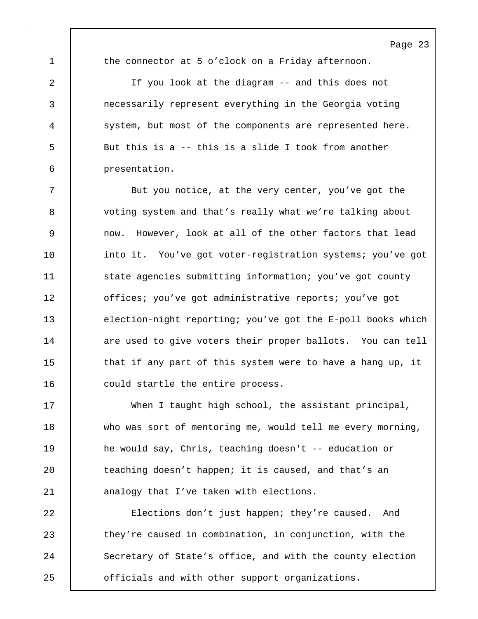1 the connector at 5 o'clock on a Friday afternoon.

2 If you look at the diagram -- and this does not 3 necessarily represent everything in the Georgia voting 4 system, but most of the components are represented here. 5 But this is a -- this is a slide I took from another 6 presentation.

7 | But you notice, at the very center, you've got the 8 voting system and that's really what we're talking about 9 now. However, look at all of the other factors that lead 10 into it. You've got voter-registration systems; you've got 11 **State agencies submitting information;** you've got county 12 | offices; you've got administrative reports; you've got 13 election-night reporting; you've got the E-poll books which 14 are used to give voters their proper ballots. You can tell 15 that if any part of this system were to have a hang up, it 16 could startle the entire process.

17 When I taught high school, the assistant principal, 18 who was sort of mentoring me, would tell me every morning, 19 he would say, Chris, teaching doesn't -- education or 20 **teaching doesn't happen; it is caused, and that's an** 21 **analogy that I've taken with elections.** 

22 Elections don't just happen; they're caused. And 23 they're caused in combination, in conjunction, with the 24 Secretary of State's office, and with the county election 25 officials and with other support organizations.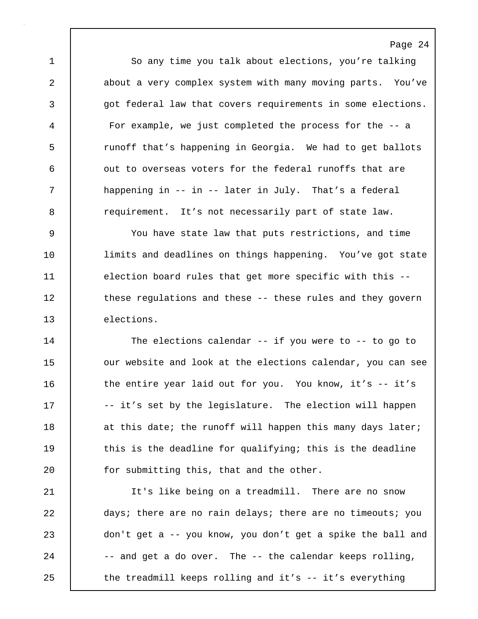1 So any time you talk about elections, you're talking 2 about a very complex system with many moving parts. You've 3 got federal law that covers requirements in some elections. 4 For example, we just completed the process for the -- a 5 The runoff that's happening in Georgia. We had to get ballots 6 | out to overseas voters for the federal runoffs that are 7 | happening in -- in -- later in July. That's a federal 8 extemal requirement. It's not necessarily part of state law.

Page 24

9 You have state law that puts restrictions, and time 10 **limits and deadlines on things happening.** You've got state 11 election board rules that get more specific with this --12 | these regulations and these -- these rules and they govern 13 elections.

14 The elections calendar -- if you were to -- to go to 15 **July 15** our website and look at the elections calendar, you can see 16 | the entire year laid out for you. You know, it's -- it's 17 | -- it's set by the legislature. The election will happen 18 at this date; the runoff will happen this many days later; 19 | this is the deadline for qualifying; this is the deadline 20 **for submitting this, that and the other.** 

21 It's like being on a treadmill. There are no snow 22 days; there are no rain delays; there are no timeouts; you 23 don't get a -- you know, you don't get a spike the ball and  $24$   $-$  and get a do over. The  $-$  the calendar keeps rolling, 25 | the treadmill keeps rolling and it's -- it's everything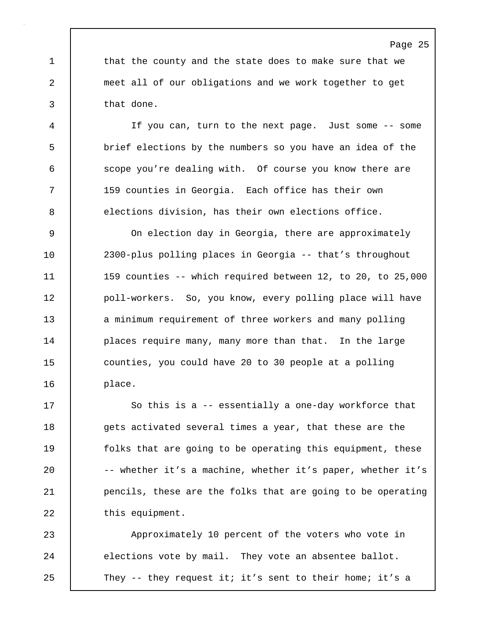1 that the county and the state does to make sure that we 2 meet all of our obligations and we work together to get 3 that done.

4 If you can, turn to the next page. Just some -- some 5 brief elections by the numbers so you have an idea of the 6 scope you're dealing with. Of course you know there are 7 159 counties in Georgia. Each office has their own 8 elections division, has their own elections office.

9 On election day in Georgia, there are approximately 10 2300-plus polling places in Georgia -- that's throughout 11 159 counties -- which required between 12, to 20, to 25,000 12 | poll-workers. So, you know, every polling place will have 13 a minimum requirement of three workers and many polling 14 | places require many, many more than that. In the large 15 counties, you could have 20 to 30 people at a polling 16 place.

17 So this is a -- essentially a one-day workforce that 18 gets activated several times a year, that these are the 19 **folks** that are going to be operating this equipment, these 20 -- whether it's a machine, whether it's paper, whether it's 21 **pencils, these are the folks that are going to be operating** 22 | this equipment.

23 Approximately 10 percent of the voters who vote in 24 elections vote by mail. They vote an absentee ballot. 25 They -- they request it; it's sent to their home; it's a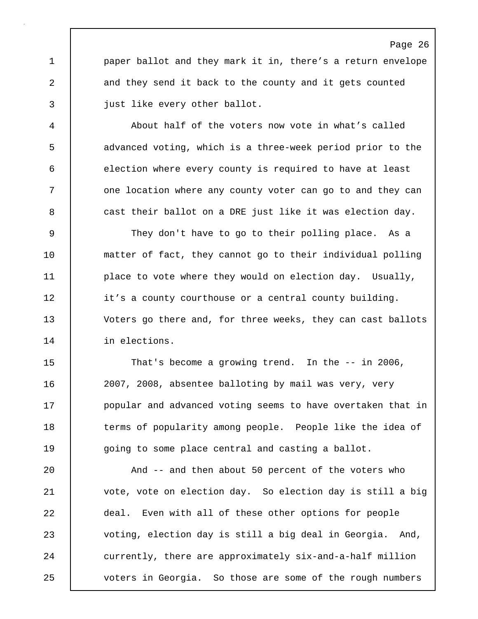1 **paper ballot and they mark it in, there's a return envelope** 2 and they send it back to the county and it gets counted 3 just like every other ballot.

4 About half of the voters now vote in what's called 5 advanced voting, which is a three-week period prior to the 6 election where every county is required to have at least 7 | one location where any county voter can go to and they can 8 **cast their ballot on a DRE just like it was election day.** 

9 They don't have to go to their polling place. As a 10 | matter of fact, they cannot go to their individual polling 11 | place to vote where they would on election day. Usually, 12 it's a county courthouse or a central county building. 13 Voters go there and, for three weeks, they can cast ballots 14 in elections.

15 That's become a growing trend. In the -- in 2006, 16 2007, 2008, absentee balloting by mail was very, very 17 **popular and advanced voting seems to have overtaken that in** 18 terms of popularity among people. People like the idea of 19 going to some place central and casting a ballot.

20 | And -- and then about 50 percent of the voters who 21 vote, vote on election day. So election day is still a big 22 deal. Even with all of these other options for people 23 voting, election day is still a big deal in Georgia. And, 24 currently, there are approximately six-and-a-half million 25 voters in Georgia. So those are some of the rough numbers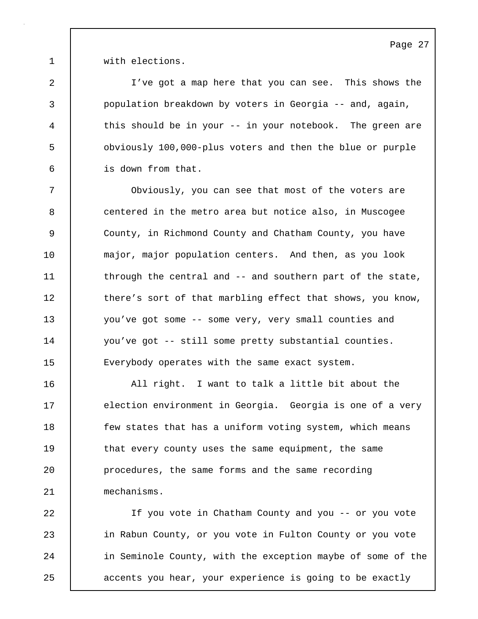1 **with elections.** 

2 I've got a map here that you can see. This shows the 3 population breakdown by voters in Georgia -- and, again, 4 this should be in your -- in your notebook. The green are 5 obviously 100,000-plus voters and then the blue or purple 6 is down from that.

7 Obviously, you can see that most of the voters are 8 centered in the metro area but notice also, in Muscogee 9 County, in Richmond County and Chatham County, you have 10 major, major population centers. And then, as you look 11 through the central and -- and southern part of the state, 12 there's sort of that marbling effect that shows, you know, 13 you've got some -- some very, very small counties and 14 you've got -- still some pretty substantial counties. 15 Everybody operates with the same exact system.

16 All right. I want to talk a little bit about the 17 | election environment in Georgia. Georgia is one of a very 18 **few states that has a uniform voting system, which means** 19 that every county uses the same equipment, the same 20 procedures, the same forms and the same recording 21 mechanisms.

22 If you vote in Chatham County and you -- or you vote 23 in Rabun County, or you vote in Fulton County or you vote 24 in Seminole County, with the exception maybe of some of the 25 accents you hear, your experience is going to be exactly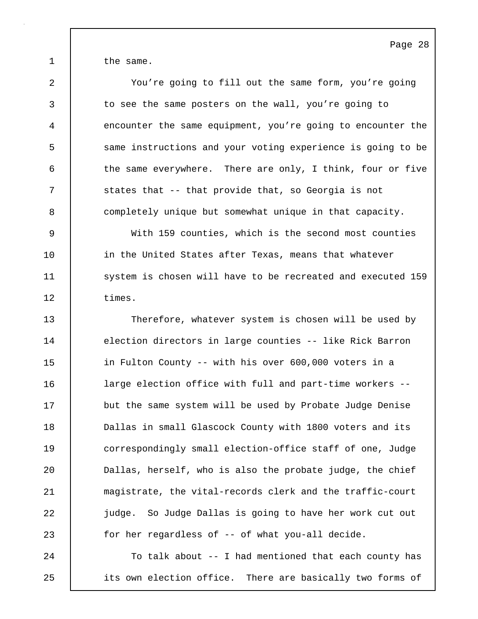1 the same.

2 You're going to fill out the same form, you're going 3 to see the same posters on the wall, you're going to 4 encounter the same equipment, you're going to encounter the 5 Same instructions and your voting experience is going to be 6 the same everywhere. There are only, I think, four or five 7 | states that -- that provide that, so Georgia is not 8 completely unique but somewhat unique in that capacity. 9 With 159 counties, which is the second most counties

10 in the United States after Texas, means that whatever 11 System is chosen will have to be recreated and executed 159 12 times.

13 Therefore, whatever system is chosen will be used by 14 election directors in large counties -- like Rick Barron 15 in Fulton County -- with his over 600,000 voters in a 16 large election office with full and part-time workers -- 17 but the same system will be used by Probate Judge Denise 18 **Dallas in small Glascock County with 1800 voters and its** 19 correspondingly small election-office staff of one, Judge 20 Dallas, herself, who is also the probate judge, the chief 21 magistrate, the vital-records clerk and the traffic-court 22 **judge.** So Judge Dallas is going to have her work cut out 23 for her regardless of -- of what you-all decide.

24 To talk about -- I had mentioned that each county has 25 its own election office. There are basically two forms of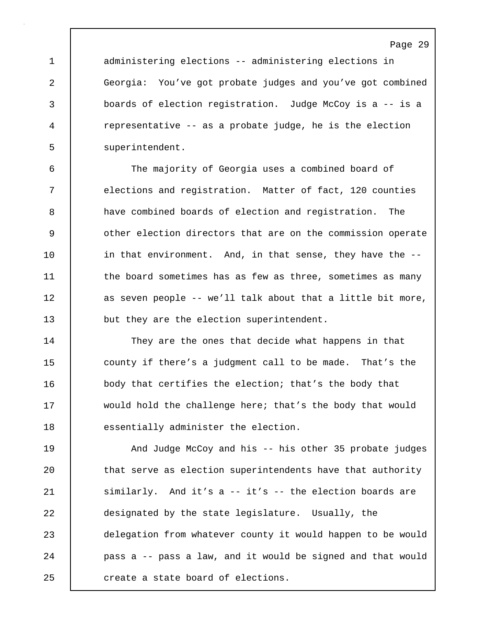1 administering elections -- administering elections in 2 Georgia: You've got probate judges and you've got combined 3 boards of election registration. Judge McCoy is a -- is a 4 representative -- as a probate judge, he is the election 5 superintendent.

6 The majority of Georgia uses a combined board of 7 elections and registration. Matter of fact, 120 counties 8 a have combined boards of election and registration. The 9 **b** other election directors that are on the commission operate 10 in that environment. And, in that sense, they have the --11 the board sometimes has as few as three, sometimes as many 12 | as seven people -- we'll talk about that a little bit more, 13 **but they are the election superintendent.** 

14 | They are the ones that decide what happens in that 15 county if there's a judgment call to be made. That's the 16 body that certifies the election; that's the body that 17 would hold the challenge here; that's the body that would 18 essentially administer the election.

19 And Judge McCoy and his -- his other 35 probate judges 20 that serve as election superintendents have that authority 21 similarly. And it's a -- it's -- the election boards are 22 designated by the state legislature. Usually, the 23 delegation from whatever county it would happen to be would 24 pass a -- pass a law, and it would be signed and that would 25 create a state board of elections.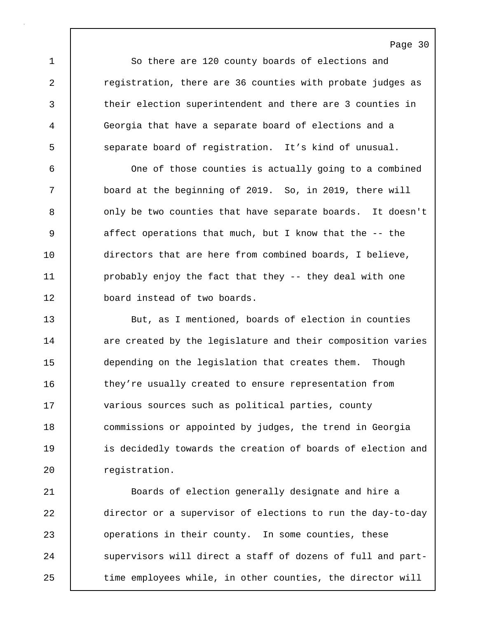1 So there are 120 county boards of elections and 2 **c** registration, there are 36 counties with probate judges as 3 their election superintendent and there are 3 counties in 4 Georgia that have a separate board of elections and a 5 separate board of registration. It's kind of unusual.

Page 30

6 One of those counties is actually going to a combined 7 board at the beginning of 2019. So, in 2019, there will 8 | only be two counties that have separate boards. It doesn't 9 affect operations that much, but I know that the -- the 10 directors that are here from combined boards, I believe, 11 | probably enjoy the fact that they -- they deal with one 12 **board** instead of two boards.

13 But, as I mentioned, boards of election in counties 14 are created by the legislature and their composition varies 15 depending on the legislation that creates them. Though 16 they're usually created to ensure representation from 17 | various sources such as political parties, county 18 | commissions or appointed by judges, the trend in Georgia 19 | is decidedly towards the creation of boards of election and 20 | reqistration.

21 Boards of election generally designate and hire a 22 director or a supervisor of elections to run the day-to-day 23 | operations in their county. In some counties, these 24 Supervisors will direct a staff of dozens of full and part-25 time employees while, in other counties, the director will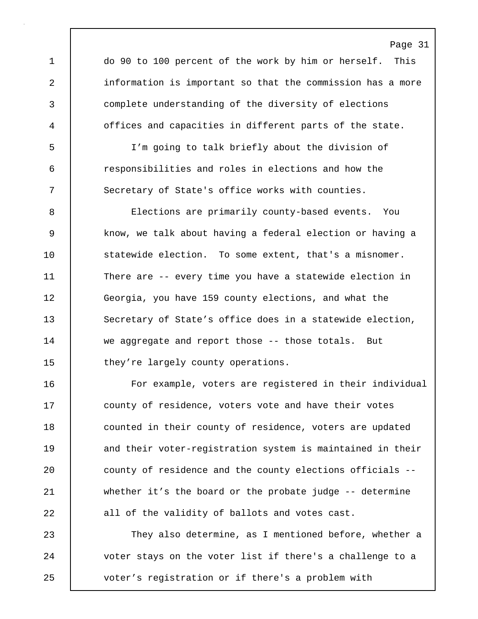1 do 90 to 100 percent of the work by him or herself. This 2 information is important so that the commission has a more 3 complete understanding of the diversity of elections 4 offices and capacities in different parts of the state.

5 I'm going to talk briefly about the division of 6 responsibilities and roles in elections and how the 7 Secretary of State's office works with counties.

8 Elections are primarily county-based events. You 9 know, we talk about having a federal election or having a 10 Statewide election. To some extent, that's a misnomer. 11 There are -- every time you have a statewide election in 12 Georgia, you have 159 county elections, and what the 13 Secretary of State's office does in a statewide election, 14 we aggregate and report those -- those totals. But 15 they're largely county operations.

16 For example, voters are registered in their individual 17 county of residence, voters vote and have their votes 18 **counted in their county of residence, voters are updated** 19 and their voter-registration system is maintained in their 20 **county of residence and the county elections officials** --21 whether it's the board or the probate judge -- determine 22 all of the validity of ballots and votes cast.

23 They also determine, as I mentioned before, whether a 24 voter stays on the voter list if there's a challenge to a 25 voter's registration or if there's a problem with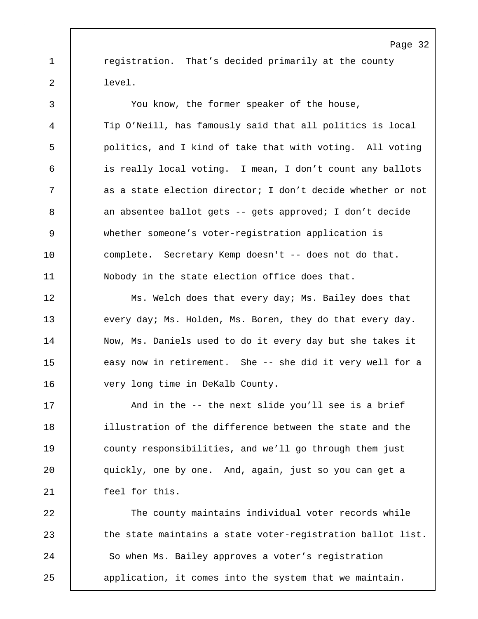1 **c**requistration. That's decided primarily at the county 2 level.

3 You know, the former speaker of the house, 4 Tip O'Neill, has famously said that all politics is local 5 politics, and I kind of take that with voting. All voting 6 is really local voting. I mean, I don't count any ballots 7 | as a state election director; I don't decide whether or not 8 an absentee ballot gets -- gets approved; I don't decide 9 whether someone's voter-registration application is 10 complete. Secretary Kemp doesn't -- does not do that. 11 Nobody in the state election office does that.

12 Ms. Welch does that every day; Ms. Bailey does that 13 every day; Ms. Holden, Ms. Boren, they do that every day. 14 | Now, Ms. Daniels used to do it every day but she takes it 15 easy now in retirement. She -- she did it very well for a 16 very long time in DeKalb County.

17 | And in the -- the next slide you'll see is a brief 18 illustration of the difference between the state and the 19 county responsibilities, and we'll go through them just 20 quickly, one by one. And, again, just so you can get a 21 feel for this.

22 The county maintains individual voter records while 23 the state maintains a state voter-registration ballot list. 24 So when Ms. Bailey approves a voter's registration 25 application, it comes into the system that we maintain.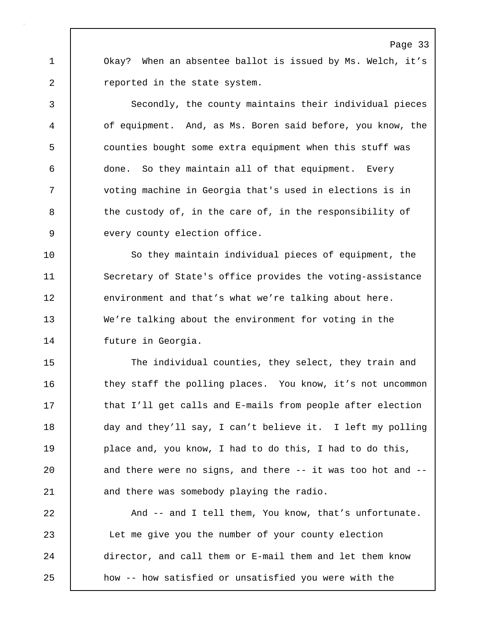1 Okay? When an absentee ballot is issued by Ms. Welch, it's 2 **Preported** in the state system.

3 Secondly, the county maintains their individual pieces 4 of equipment. And, as Ms. Boren said before, you know, the 5 counties bought some extra equipment when this stuff was 6 done. So they maintain all of that equipment. Every 7 voting machine in Georgia that's used in elections is in 8 the custody of, in the care of, in the responsibility of 9 every county election office.

10 So they maintain individual pieces of equipment, the 11 Secretary of State's office provides the voting-assistance 12 environment and that's what we're talking about here. 13 We're talking about the environment for voting in the 14 | future in Georgia.

15 | The individual counties, they select, they train and 16 they staff the polling places. You know, it's not uncommon 17 that I'll get calls and E-mails from people after election 18 day and they'll say, I can't believe it. I left my polling 19 **place and, you know, I had to do this, I had to do this,** 20 and there were no signs, and there -- it was too hot and --21 and there was somebody playing the radio.

22 And -- and I tell them, You know, that's unfortunate. 23 Let me give you the number of your county election 24 director, and call them or E-mail them and let them know 25 how -- how satisfied or unsatisfied you were with the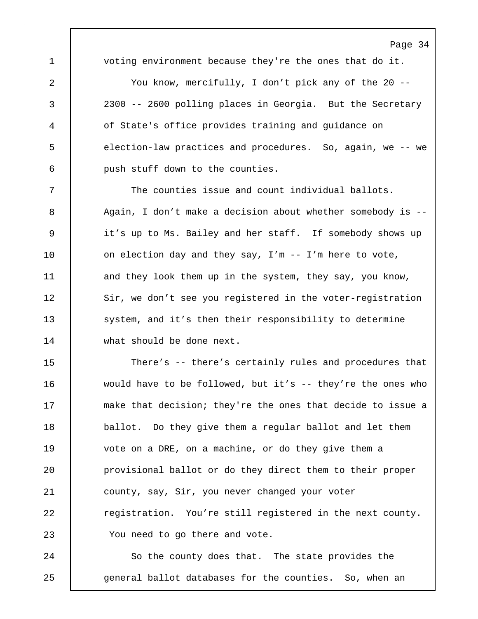1 voting environment because they're the ones that do it.

2 You know, mercifully, I don't pick any of the 20 -- 3 2300 -- 2600 polling places in Georgia. But the Secretary 4 of State's office provides training and guidance on 5 election-law practices and procedures. So, again, we -- we 6 push stuff down to the counties.

7 The counties issue and count individual ballots. 8 Again, I don't make a decision about whether somebody is --9 it's up to Ms. Bailey and her staff. If somebody shows up 10 | on election day and they say, I'm -- I'm here to vote, 11 and they look them up in the system, they say, you know, 12 Sir, we don't see you registered in the voter-registration 13 system, and it's then their responsibility to determine 14 what should be done next.

15 There's -- there's certainly rules and procedures that 16 would have to be followed, but it's -- they're the ones who 17 **make that decision; they're the ones that decide to issue a** 18 ballot. Do they give them a regular ballot and let them 19 vote on a DRE, on a machine, or do they give them a 20 provisional ballot or do they direct them to their proper 21 county, say, Sir, you never changed your voter 22 **registration.** You're still registered in the next county. 23 | You need to go there and vote.

24 So the county does that. The state provides the 25 general ballot databases for the counties. So, when an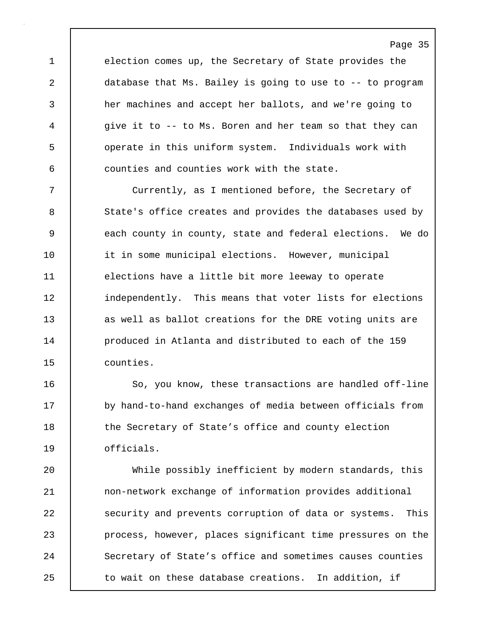1 election comes up, the Secretary of State provides the 2 database that Ms. Bailey is going to use to -- to program 3 her machines and accept her ballots, and we're going to 4 give it to -- to Ms. Boren and her team so that they can 5 operate in this uniform system. Individuals work with 6 counties and counties work with the state.

7 Currently, as I mentioned before, the Secretary of 8 State's office creates and provides the databases used by 9 each county in county, state and federal elections. We do 10 it in some municipal elections. However, municipal 11 elections have a little bit more leeway to operate 12 independently. This means that voter lists for elections 13 **deg as well as ballot creations for the DRE voting units are** 14 **produced in Atlanta and distributed to each of the 159** 15 counties.

16 | So, you know, these transactions are handled off-line 17 by hand-to-hand exchanges of media between officials from 18 | the Secretary of State's office and county election 19 officials.

20 While possibly inefficient by modern standards, this 21 non-network exchange of information provides additional 22 Security and prevents corruption of data or systems. This 23 process, however, places significant time pressures on the 24 Secretary of State's office and sometimes causes counties 25 to wait on these database creations. In addition, if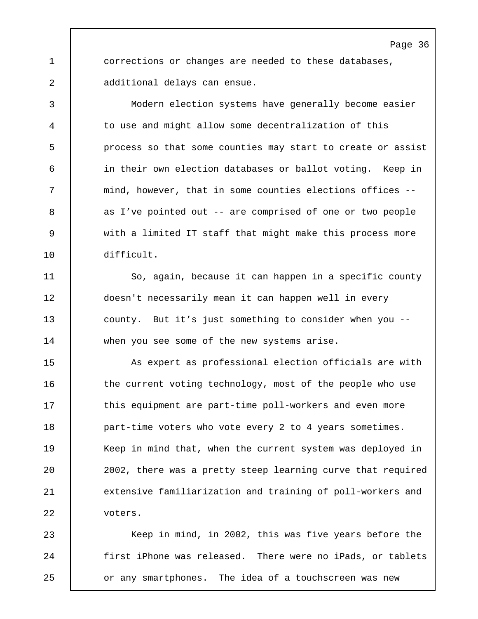1 corrections or changes are needed to these databases, 2 additional delays can ensue.

3 Modern election systems have generally become easier 4 to use and might allow some decentralization of this 5 | process so that some counties may start to create or assist 6 in their own election databases or ballot voting. Keep in 7 mind, however, that in some counties elections offices -- 8 as I've pointed out -- are comprised of one or two people 9 with a limited IT staff that might make this process more 10 difficult.

11 | So, again, because it can happen in a specific county 12 doesn't necessarily mean it can happen well in every 13 county. But it's just something to consider when you --14 when you see some of the new systems arise.

15 As expert as professional election officials are with 16 the current voting technology, most of the people who use 17 | this equipment are part-time poll-workers and even more 18 **part-time voters who vote every 2 to 4 years sometimes.** 19 Keep in mind that, when the current system was deployed in 20 2002, there was a pretty steep learning curve that required 21 extensive familiarization and training of poll-workers and 22 | voters.

23 | Keep in mind, in 2002, this was five years before the 24 first iPhone was released. There were no iPads, or tablets 25 **or any smartphones.** The idea of a touchscreen was new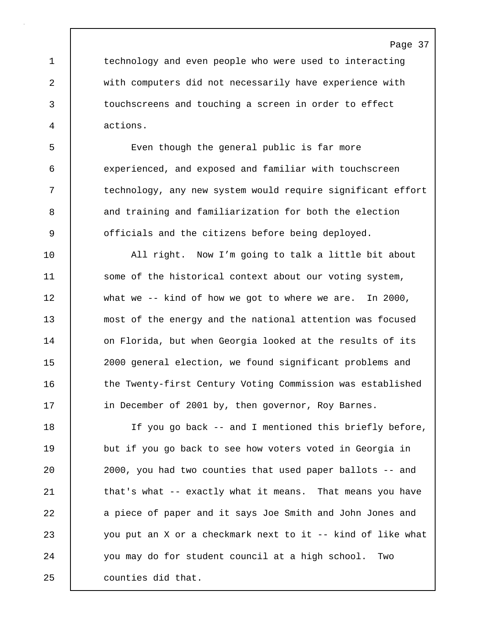1 technology and even people who were used to interacting 2 with computers did not necessarily have experience with 3 touchscreens and touching a screen in order to effect 4 actions.

5 Even though the general public is far more 6 experienced, and exposed and familiar with touchscreen 7 | technology, any new system would require significant effort 8 and training and familiarization for both the election 9 officials and the citizens before being deployed.

10 All right. Now I'm going to talk a little bit about 11 Some of the historical context about our voting system, 12 what we -- kind of how we got to where we are. In 2000, 13 most of the energy and the national attention was focused 14 on Florida, but when Georgia looked at the results of its 15 2000 general election, we found significant problems and 16 | the Twenty-first Century Voting Commission was established 17 | in December of 2001 by, then governor, Roy Barnes.

18 If you go back -- and I mentioned this briefly before, 19 but if you go back to see how voters voted in Georgia in 20 2000, you had two counties that used paper ballots -- and 21 | that's what -- exactly what it means. That means you have 22 a piece of paper and it says Joe Smith and John Jones and 23 you put an X or a checkmark next to it -- kind of like what 24 you may do for student council at a high school. Two 25 counties did that.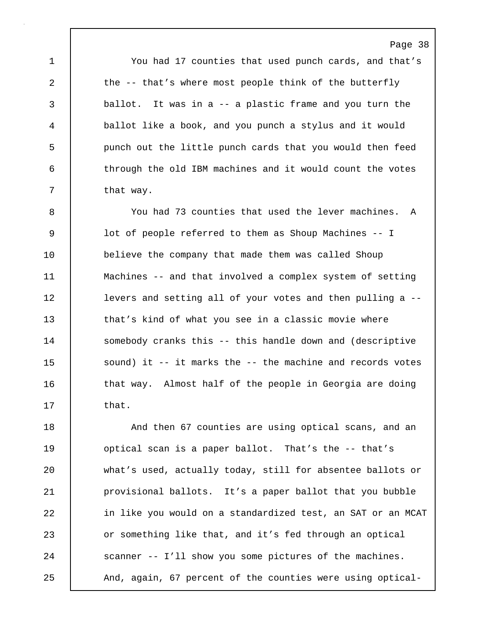1 You had 17 counties that used punch cards, and that's 2 the -- that's where most people think of the butterfly 3 ballot. It was in a -- a plastic frame and you turn the 4 ballot like a book, and you punch a stylus and it would 5 punch out the little punch cards that you would then feed 6 through the old IBM machines and it would count the votes 7 | that way.

8 You had 73 counties that used the lever machines. A 9 lot of people referred to them as Shoup Machines -- I 10 believe the company that made them was called Shoup 11 Machines -- and that involved a complex system of setting 12 **levers and setting all of your votes and then pulling a --**13 | that's kind of what you see in a classic movie where 14 Somebody cranks this -- this handle down and (descriptive 15 | sound) it -- it marks the -- the machine and records votes 16 | that way. Almost half of the people in Georgia are doing 17 **that**.

18 | And then 67 counties are using optical scans, and an 19 optical scan is a paper ballot. That's the -- that's 20 | what's used, actually today, still for absentee ballots or 21 provisional ballots. It's a paper ballot that you bubble 22 in like you would on a standardized test, an SAT or an MCAT 23 or something like that, and it's fed through an optical 24 Scanner -- I'll show you some pictures of the machines. 25 And, again, 67 percent of the counties were using optical-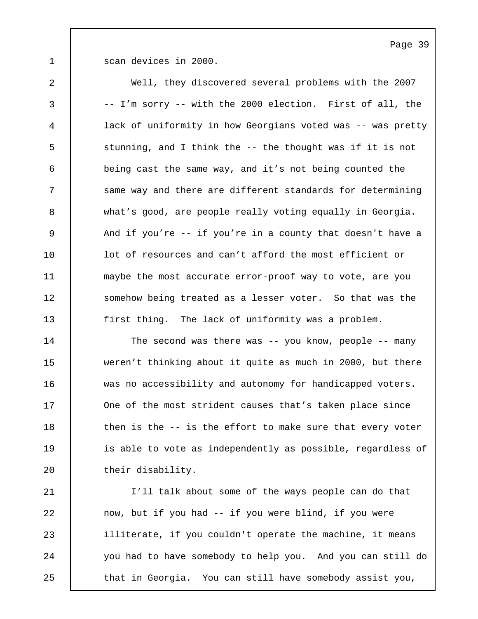1 | scan devices in 2000.

2 Well, they discovered several problems with the 2007 3 -- I'm sorry -- with the 2000 election. First of all, the 4 lack of uniformity in how Georgians voted was -- was pretty 5 Stunning, and I think the -- the thought was if it is not 6 being cast the same way, and it's not being counted the 7 Same way and there are different standards for determining 8 what's good, are people really voting equally in Georgia. 9 And if you're -- if you're in a county that doesn't have a 10 **lack** lot of resources and can't afford the most efficient or 11 **maybe the most accurate error-proof way to vote, are you** 12 Somehow being treated as a lesser voter. So that was the 13 first thing. The lack of uniformity was a problem.

14 The second was there was -- you know, people -- many 15 weren't thinking about it quite as much in 2000, but there 16 was no accessibility and autonomy for handicapped voters. 17 One of the most strident causes that's taken place since 18 then is the -- is the effort to make sure that every voter 19 **is able to vote as independently as possible, regardless of** 20 their disability.

21 I'll talk about some of the ways people can do that 22 now, but if you had -- if you were blind, if you were 23 illiterate, if you couldn't operate the machine, it means 24 you had to have somebody to help you. And you can still do 25 | that in Georgia. You can still have somebody assist you,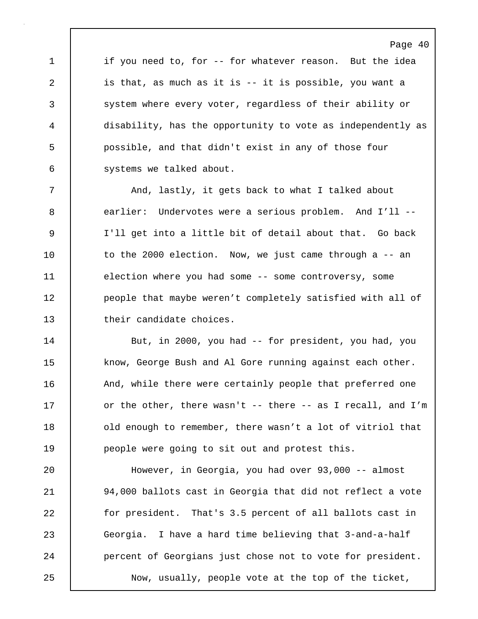1 if you need to, for -- for whatever reason. But the idea 2 is that, as much as it is -- it is possible, you want a 3 system where every voter, regardless of their ability or 4 disability, has the opportunity to vote as independently as 5 possible, and that didn't exist in any of those four 6 systems we talked about.

Page 40

7 | And, lastly, it gets back to what I talked about 8 earlier: Undervotes were a serious problem. And I'll -- 9 I'll get into a little bit of detail about that. Go back 10 to the 2000 election. Now, we just came through a -- an 11 election where you had some -- some controversy, some 12 | people that maybe weren't completely satisfied with all of 13 their candidate choices.

14 But, in 2000, you had -- for president, you had, you 15 know, George Bush and Al Gore running against each other. 16 | And, while there were certainly people that preferred one 17 cor the other, there wasn't -- there -- as I recall, and I'm 18 **duarf 1** old enough to remember, there wasn't a lot of vitriol that 19 **people were going to sit out and protest this.** 

20 However, in Georgia, you had over 93,000 -- almost 21 94,000 ballots cast in Georgia that did not reflect a vote 22 for president. That's 3.5 percent of all ballots cast in 23 Georgia. I have a hard time believing that 3-and-a-half 24 **percent of Georgians just chose not to vote for president.** 25 Now, usually, people vote at the top of the ticket,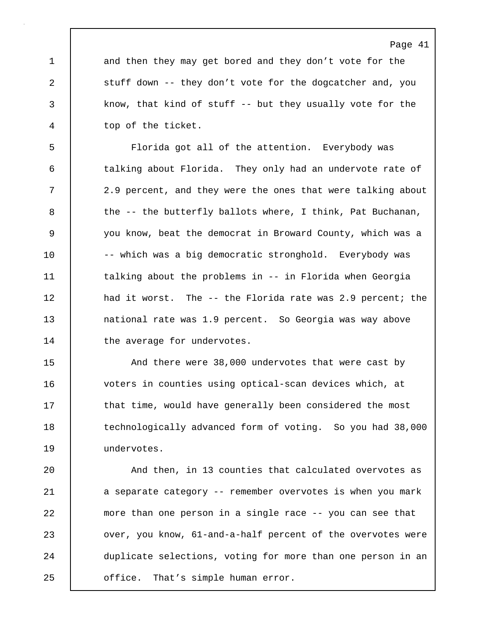1 and then they may get bored and they don't vote for the 2 stuff down -- they don't vote for the dogcatcher and, you 3 know, that kind of stuff -- but they usually vote for the 4 top of the ticket.

5 Florida got all of the attention. Everybody was 6 talking about Florida. They only had an undervote rate of 7 2.9 percent, and they were the ones that were talking about  $8$  the -- the butterfly ballots where, I think, Pat Buchanan, 9 you know, beat the democrat in Broward County, which was a 10 | -- which was a big democratic stronghold. Everybody was 11 talking about the problems in -- in Florida when Georgia 12 had it worst. The -- the Florida rate was 2.9 percent; the 13 national rate was 1.9 percent. So Georgia was way above 14 | the average for undervotes.

15 And there were 38,000 undervotes that were cast by 16 voters in counties using optical-scan devices which, at 17 | that time, would have generally been considered the most 18 technologically advanced form of voting. So you had 38,000 19 undervotes.

20 | And then, in 13 counties that calculated overvotes as 21 a separate category -- remember overvotes is when you mark 22 more than one person in a single race -- you can see that 23 ver, you know, 61-and-a-half percent of the overvotes were 24 duplicate selections, voting for more than one person in an 25 **office.** That's simple human error.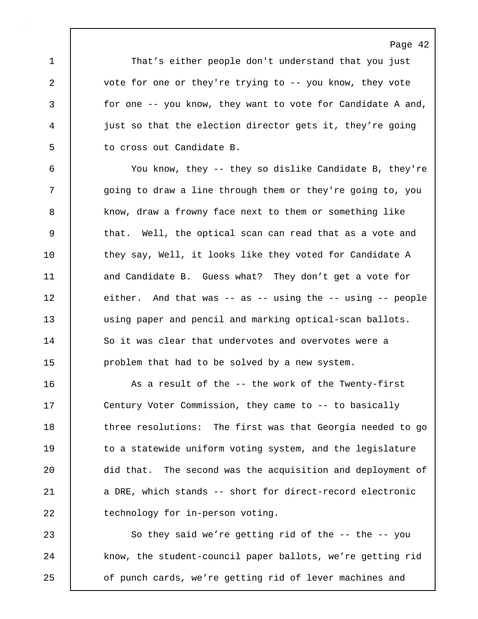1 That's either people don't understand that you just 2 | vote for one or they're trying to -- you know, they vote 3 for one -- you know, they want to vote for Candidate A and, 4 just so that the election director gets it, they're going 5 to cross out Candidate B.

6 You know, they -- they so dislike Candidate B, they're 7 | going to draw a line through them or they're going to, you 8 know, draw a frowny face next to them or something like 9 that. Well, the optical scan can read that as a vote and 10 they say, Well, it looks like they voted for Candidate A 11 and Candidate B. Guess what? They don't get a vote for 12 either. And that was -- as -- using the -- using -- people 13 using paper and pencil and marking optical-scan ballots. 14 So it was clear that undervotes and overvotes were a 15 problem that had to be solved by a new system.

16 | As a result of the -- the work of the Twenty-first 17 Century Voter Commission, they came to -- to basically 18 three resolutions: The first was that Georgia needed to go 19 to a statewide uniform voting system, and the legislature 20 did that. The second was the acquisition and deployment of 21 a DRE, which stands -- short for direct-record electronic 22 technology for in-person voting.

23 So they said we're getting rid of the -- the -- you 24 | know, the student-council paper ballots, we're getting rid 25 **o**f punch cards, we're getting rid of lever machines and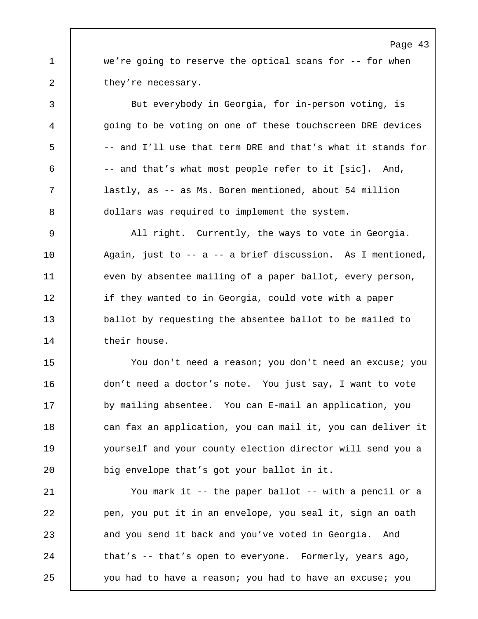1 we're going to reserve the optical scans for -- for when 2 they're necessary.

3 But everybody in Georgia, for in-person voting, is 4 going to be voting on one of these touchscreen DRE devices 5 -- and I'll use that term DRE and that's what it stands for 6 -- and that's what most people refer to it [sic]. And, 7 lastly, as -- as Ms. Boren mentioned, about 54 million 8 | dollars was required to implement the system.

9 All right. Currently, the ways to vote in Georgia. 10 Again, just to -- a -- a brief discussion. As I mentioned, 11 even by absentee mailing of a paper ballot, every person, 12 if they wanted to in Georgia, could vote with a paper 13 ballot by requesting the absentee ballot to be mailed to 14 their house.

15 You don't need a reason; you don't need an excuse; you 16 don't need a doctor's note. You just say, I want to vote 17 by mailing absentee. You can E-mail an application, you 18 can fax an application, you can mail it, you can deliver it 19 yourself and your county election director will send you a 20 **big envelope that's got your ballot in it.** 

21 You mark it -- the paper ballot -- with a pencil or a 22 pen, you put it in an envelope, you seal it, sign an oath 23 and you send it back and you've voted in Georgia. And 24 that's -- that's open to everyone. Formerly, years ago, 25 you had to have a reason; you had to have an excuse; you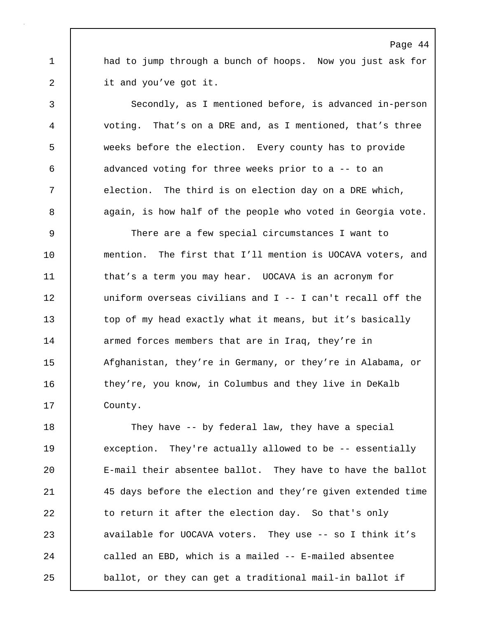1 had to jump through a bunch of hoops. Now you just ask for 2 it and you've got it.

3 Secondly, as I mentioned before, is advanced in-person 4 voting. That's on a DRE and, as I mentioned, that's three 5 weeks before the election. Every county has to provide 6 advanced voting for three weeks prior to a -- to an 7 election. The third is on election day on a DRE which, 8 again, is how half of the people who voted in Georgia vote.

9 There are a few special circumstances I want to 10 mention. The first that I'll mention is UOCAVA voters, and 11 that's a term you may hear. UOCAVA is an acronym for 12 uniform overseas civilians and I -- I can't recall off the 13 top of my head exactly what it means, but it's basically 14 armed forces members that are in Iraq, they're in 15 | Afghanistan, they're in Germany, or they're in Alabama, or 16 they're, you know, in Columbus and they live in DeKalb 17 | County.

18 They have -- by federal law, they have a special 19 exception. They're actually allowed to be -- essentially 20 E-mail their absentee ballot. They have to have the ballot 21 45 days before the election and they're given extended time 22 to return it after the election day. So that's only 23 available for UOCAVA voters. They use -- so I think it's 24 called an EBD, which is a mailed -- E-mailed absentee 25 **ballot, or they can get a traditional mail-in ballot if**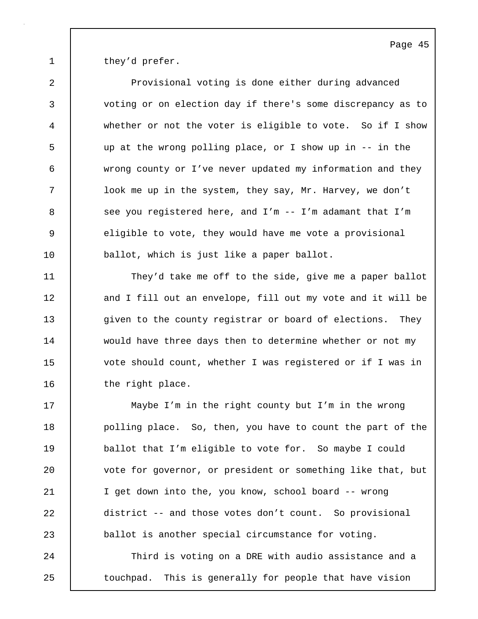1 | they'd prefer.

2 Provisional voting is done either during advanced 3 voting or on election day if there's some discrepancy as to 4 whether or not the voter is eligible to vote. So if I show 5 up at the wrong polling place, or I show up in -- in the 6 wrong county or I've never updated my information and they 7 look me up in the system, they say, Mr. Harvey, we don't 8 see you registered here, and I'm -- I'm adamant that I'm 9 eligible to vote, they would have me vote a provisional 10 **ballot**, which is just like a paper ballot.

11 They'd take me off to the side, give me a paper ballot 12 and I fill out an envelope, fill out my vote and it will be 13 given to the county registrar or board of elections. They 14 would have three days then to determine whether or not my 15 | vote should count, whether I was registered or if I was in 16 the right place.

17 Maybe I'm in the right county but I'm in the wrong 18 **polling place.** So, then, you have to count the part of the 19 ballot that I'm eligible to vote for. So maybe I could 20 vote for governor, or president or something like that, but 21 I get down into the, you know, school board -- wrong 22 district -- and those votes don't count. So provisional 23 ballot is another special circumstance for voting.

24 Third is voting on a DRE with audio assistance and a 25 | touchpad. This is generally for people that have vision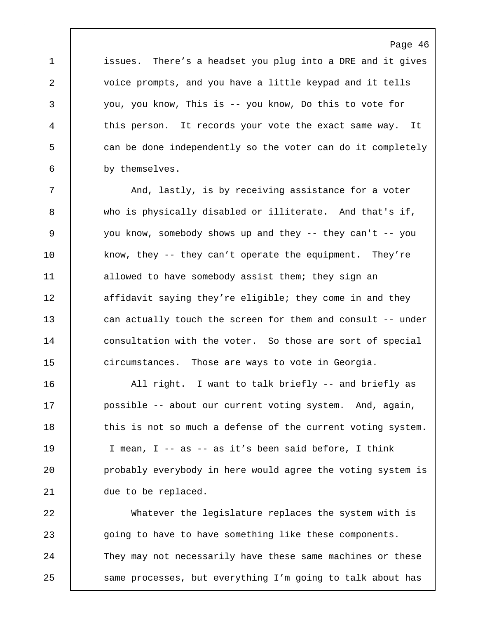1 issues. There's a headset you plug into a DRE and it gives 2 voice prompts, and you have a little keypad and it tells 3 you, you know, This is -- you know, Do this to vote for 4 this person. It records your vote the exact same way. It 5 can be done independently so the voter can do it completely 6 by themselves.

Page 46

7 | And, lastly, is by receiving assistance for a voter 8 who is physically disabled or illiterate. And that's if, 9 you know, somebody shows up and they -- they can't -- you 10 know, they -- they can't operate the equipment. They're 11 allowed to have somebody assist them; they sign an 12 affidavit saying they're eligible; they come in and they 13 can actually touch the screen for them and consult -- under 14 consultation with the voter. So those are sort of special 15 circumstances. Those are ways to vote in Georgia.

16 | All right. I want to talk briefly -- and briefly as 17 | possible -- about our current voting system. And, again, 18 this is not so much a defense of the current voting system. 19 I mean, I -- as -- as it's been said before, I think 20 **probably everybody in here would agree the voting system is** 21 due to be replaced.

22 Whatever the legislature replaces the system with is 23 going to have to have something like these components. 24 They may not necessarily have these same machines or these 25 | same processes, but everything I'm going to talk about has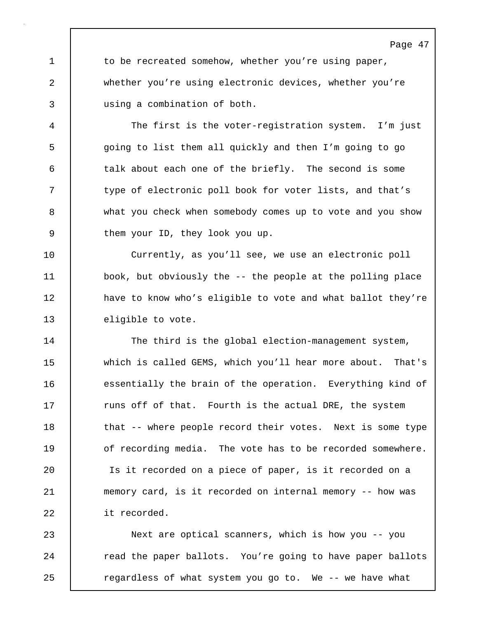1 to be recreated somehow, whether you're using paper, 2 whether you're using electronic devices, whether you're 3 using a combination of both.

4 The first is the voter-registration system. I'm just 5 going to list them all quickly and then I'm going to go 6 talk about each one of the briefly. The second is some 7 type of electronic poll book for voter lists, and that's 8 what you check when somebody comes up to vote and you show 9 them your ID, they look you up.

10 | Currently, as you'll see, we use an electronic poll 11 book, but obviously the -- the people at the polling place 12 have to know who's eligible to vote and what ballot they're 13 eligible to vote.

14 The third is the global election-management system, 15 which is called GEMS, which you'll hear more about. That's 16 essentially the brain of the operation. Everything kind of 17 Tuns off of that. Fourth is the actual DRE, the system 18 that -- where people record their votes. Next is some type 19 | of recording media. The vote has to be recorded somewhere. 20 Is it recorded on a piece of paper, is it recorded on a 21 memory card, is it recorded on internal memory -- how was 22 it recorded.

23 Next are optical scanners, which is how you -- you 24 Tead the paper ballots. You're going to have paper ballots 25 | regardless of what system you go to. We -- we have what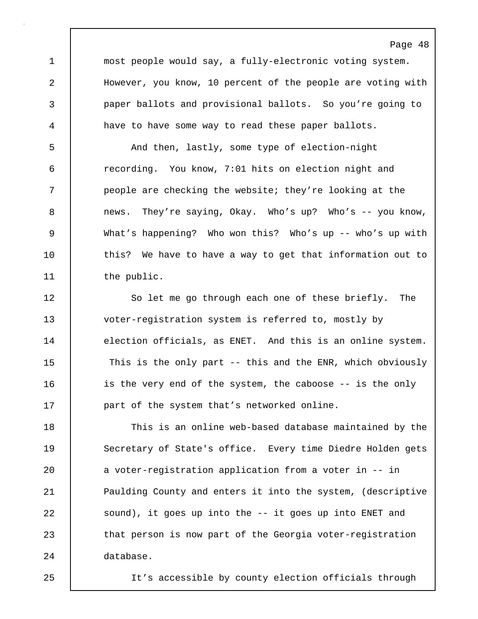1 most people would say, a fully-electronic voting system. 2 However, you know, 10 percent of the people are voting with 3 paper ballots and provisional ballots. So you're going to 4 have to have some way to read these paper ballots.

Page 48

5 And then, lastly, some type of election-night 6 recording. You know, 7:01 hits on election night and 7 people are checking the website; they're looking at the 8 news. They're saying, Okay. Who's up? Who's -- you know, 9 What's happening? Who won this? Who's up -- who's up with 10 this? We have to have a way to get that information out to 11 the public.

12 So let me go through each one of these briefly. The 13 voter-registration system is referred to, mostly by 14 election officials, as ENET. And this is an online system. 15 | This is the only part -- this and the ENR, which obviously 16 is the very end of the system, the caboose -- is the only 17 **part of the system that's networked online.** 

18 This is an online web-based database maintained by the 19 Secretary of State's office. Every time Diedre Holden gets 20 a voter-reqistration application from a voter in -- in 21 Paulding County and enters it into the system, (descriptive 22 sound), it goes up into the -- it goes up into ENET and 23 that person is now part of the Georgia voter-registration 24 database.

25 It's accessible by county election officials through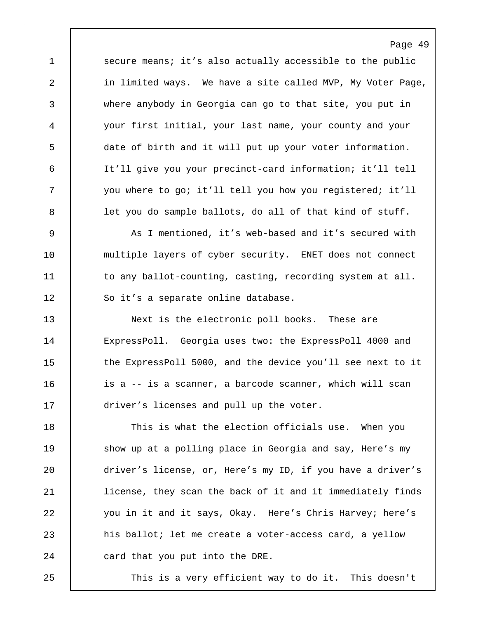1 secure means; it's also actually accessible to the public 2 in limited ways. We have a site called MVP, My Voter Page, 3 where anybody in Georgia can go to that site, you put in 4 your first initial, your last name, your county and your 5 date of birth and it will put up your voter information. 6 It'll give you your precinct-card information; it'll tell 7 you where to go; it'll tell you how you registered; it'll 8 **let you do sample ballots, do all of that kind of stuff.** 

Page 49

9 As I mentioned, it's web-based and it's secured with 10 multiple layers of cyber security. ENET does not connect 11 to any ballot-counting, casting, recording system at all. 12 So it's a separate online database.

13 Next is the electronic poll books. These are 14 ExpressPoll. Georgia uses two: the ExpressPoll 4000 and 15 the ExpressPoll 5000, and the device you'll see next to it 16 **ignor** is a -- is a scanner, a barcode scanner, which will scan 17 **driver's licenses and pull up the voter.** 

18 This is what the election officials use. When you 19 Show up at a polling place in Georgia and say, Here's my 20 driver's license, or, Here's my ID, if you have a driver's 21 | license, they scan the back of it and it immediately finds 22 you in it and it says, Okay. Here's Chris Harvey; here's 23 his ballot; let me create a voter-access card, a yellow 24 card that you put into the DRE.

25 | This is a very efficient way to do it. This doesn't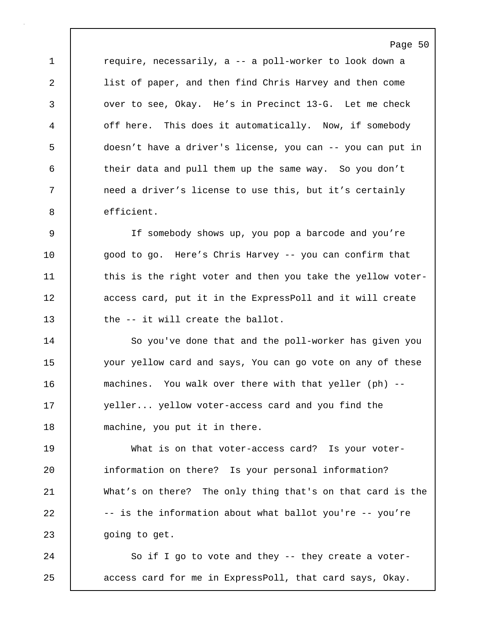1 **c** require, necessarily, a -- a poll-worker to look down a 2 list of paper, and then find Chris Harvey and then come 3 over to see, Okay. He's in Precinct 13-G. Let me check 4 off here. This does it automatically. Now, if somebody 5 doesn't have a driver's license, you can -- you can put in 6 their data and pull them up the same way. So you don't 7 | need a driver's license to use this, but it's certainly 8 efficient.

9 If somebody shows up, you pop a barcode and you're 10 | good to go. Here's Chris Harvey -- you can confirm that 11 this is the right voter and then you take the yellow voter-12 | access card, put it in the ExpressPoll and it will create 13 the -- it will create the ballot.

14 | So you've done that and the poll-worker has given you 15 | your yellow card and says, You can go vote on any of these 16 machines. You walk over there with that yeller (ph) -- 17 | yeller... yellow voter-access card and you find the 18 machine, you put it in there.

19 What is on that voter-access card? Is your voter-20 information on there? Is your personal information? 21 What's on there? The only thing that's on that card is the  $22$  -- is the information about what ballot you're -- you're 23 | qoing to get.

24 So if I go to vote and they -- they create a voter-25 access card for me in ExpressPoll, that card says, Okay.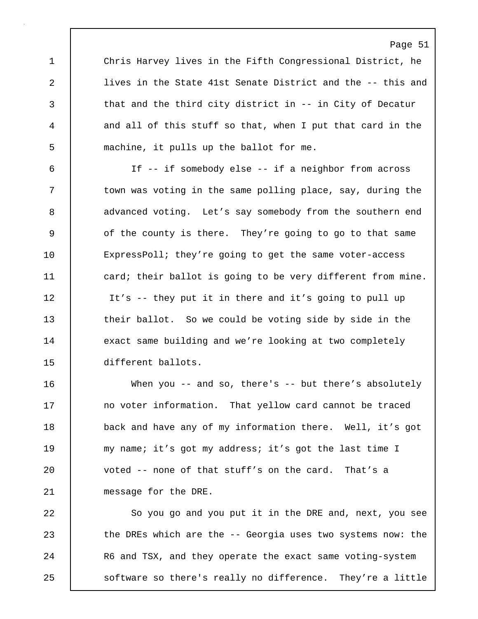1 Chris Harvey lives in the Fifth Congressional District, he 2 lives in the State 41st Senate District and the -- this and 3 that and the third city district in -- in City of Decatur 4 and all of this stuff so that, when I put that card in the 5 machine, it pulls up the ballot for me.

6 If -- if somebody else -- if a neighbor from across 7 | town was voting in the same polling place, say, during the 8 advanced voting. Let's say somebody from the southern end 9 of the county is there. They're going to go to that same 10 ExpressPoll; they're going to get the same voter-access 11 card; their ballot is going to be very different from mine. 12 It's -- they put it in there and it's going to pull up 13 their ballot. So we could be voting side by side in the 14 exact same building and we're looking at two completely 15 different ballots.

16 When you -- and so, there's -- but there's absolutely 17 no voter information. That yellow card cannot be traced 18 **back** and have any of my information there. Well, it's got 19 my name; it's got my address; it's got the last time I 20 voted -- none of that stuff's on the card. That's a 21 | message for the DRE.

22 So you go and you put it in the DRE and, next, you see 23 the DREs which are the -- Georgia uses two systems now: the 24 R6 and TSX, and they operate the exact same voting-system 25 | software so there's really no difference. They're a little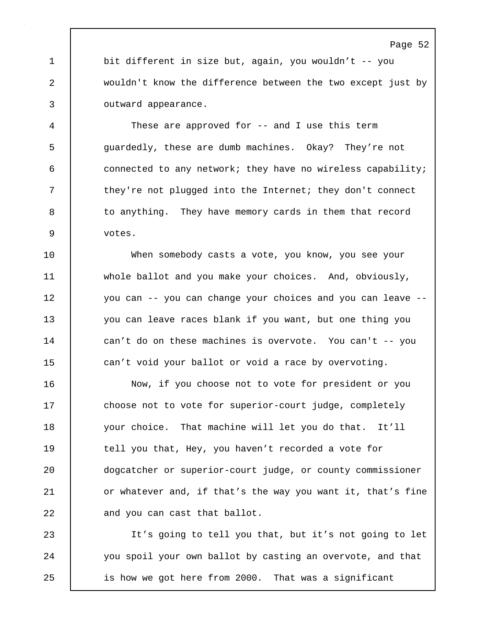1 bit different in size but, again, you wouldn't -- you 2 wouldn't know the difference between the two except just by 3 outward appearance.

4 These are approved for -- and I use this term 5 guardedly, these are dumb machines. Okay? They're not 6 connected to any network; they have no wireless capability; 7 they're not plugged into the Internet; they don't connect 8 to anything. They have memory cards in them that record 9 votes.

10 When somebody casts a vote, you know, you see your 11 whole ballot and you make your choices. And, obviously, 12 you can -- you can change your choices and you can leave -- 13 you can leave races blank if you want, but one thing you 14 can't do on these machines is overvote. You can't -- you 15 can't void your ballot or void a race by overvoting.

16 Now, if you choose not to vote for president or you 17 choose not to vote for superior-court judge, completely 18 your choice. That machine will let you do that. It'll 19 tell you that, Hey, you haven't recorded a vote for 20 dogcatcher or superior-court judge, or county commissioner 21 | or whatever and, if that's the way you want it, that's fine 22 and you can cast that ballot.

23 It's going to tell you that, but it's not going to let 24 you spoil your own ballot by casting an overvote, and that 25 is how we got here from 2000. That was a significant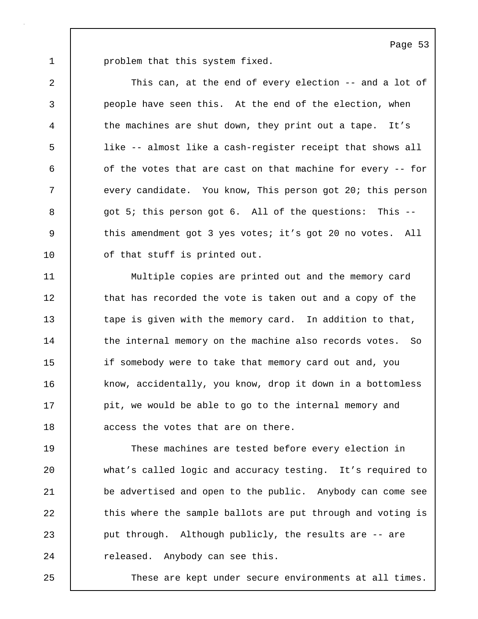1 | problem that this system fixed.

2 This can, at the end of every election -- and a lot of 3 people have seen this. At the end of the election, when 4 the machines are shut down, they print out a tape. It's 5 like -- almost like a cash-register receipt that shows all 6 of the votes that are cast on that machine for every -- for 7 every candidate. You know, This person got 20; this person 8 | got 5; this person got 6. All of the questions: This --9 | this amendment got 3 yes votes; it's got 20 no votes. All 10 | of that stuff is printed out.

11 Multiple copies are printed out and the memory card 12 | that has recorded the vote is taken out and a copy of the 13 tape is given with the memory card. In addition to that, 14 the internal memory on the machine also records votes. So 15 if somebody were to take that memory card out and, you 16 know, accidentally, you know, drop it down in a bottomless 17 | pit, we would be able to go to the internal memory and 18 | access the votes that are on there.

19 These machines are tested before every election in 20 what's called logic and accuracy testing. It's required to 21 be advertised and open to the public. Anybody can come see 22 this where the sample ballots are put through and voting is 23 put through. Although publicly, the results are -- are 24 released. Anybody can see this.

25 These are kept under secure environments at all times.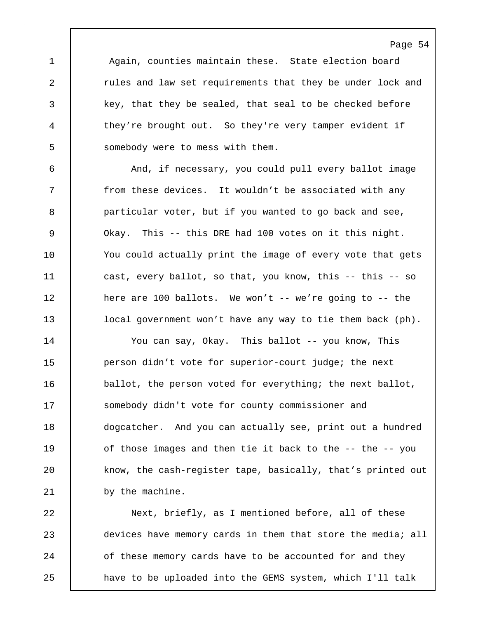1 | Again, counties maintain these. State election board 2 xules and law set requirements that they be under lock and 3 key, that they be sealed, that seal to be checked before 4 | they're brought out. So they're very tamper evident if 5 | somebody were to mess with them.

6 And, if necessary, you could pull every ballot image 7 | from these devices. It wouldn't be associated with any 8 **particular voter, but if you wanted to go back and see,** 9 Okay. This -- this DRE had 100 votes on it this night. 10 You could actually print the image of every vote that gets 11 | cast, every ballot, so that, you know, this -- this -- so 12 here are 100 ballots. We won't -- we're going to -- the 13 | local government won't have any way to tie them back (ph).

14 You can say, Okay. This ballot -- you know, This 15 person didn't vote for superior-court judge; the next 16 ballot, the person voted for everything; the next ballot, 17 Somebody didn't vote for county commissioner and 18 dogcatcher. And you can actually see, print out a hundred 19 of those images and then tie it back to the -- the -- you 20 know, the cash-register tape, basically, that's printed out 21 by the machine.

22 Next, briefly, as I mentioned before, all of these 23 devices have memory cards in them that store the media; all 24 of these memory cards have to be accounted for and they 25 have to be uploaded into the GEMS system, which I'll talk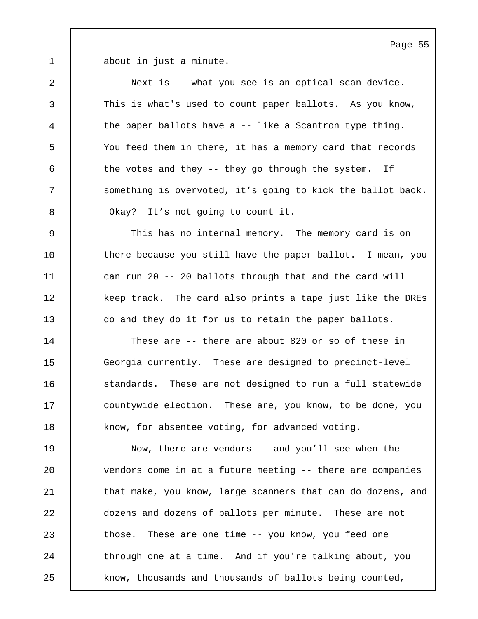1 about in just a minute.

2 Next is -- what you see is an optical-scan device. 3 This is what's used to count paper ballots. As you know, 4 the paper ballots have a -- like a Scantron type thing. 5 You feed them in there, it has a memory card that records  $6$  the votes and they -- they go through the system. If 7 Something is overvoted, it's going to kick the ballot back. 8 **Okay?** It's not going to count it.

9 This has no internal memory. The memory card is on 10 there because you still have the paper ballot. I mean, you 11 can run 20 -- 20 ballots through that and the card will 12 keep track. The card also prints a tape just like the DREs 13 do and they do it for us to retain the paper ballots.

14 These are -- there are about 820 or so of these in 15 Georgia currently. These are designed to precinct-level 16 **Standards.** These are not designed to run a full statewide 17 **countywide election.** These are, you know, to be done, you 18 know, for absentee voting, for advanced voting.

19 Now, there are vendors -- and you'll see when the 20 vendors come in at a future meeting -- there are companies 21 | that make, you know, large scanners that can do dozens, and 22 dozens and dozens of ballots per minute. These are not 23 those. These are one time -- you know, you feed one 24 through one at a time. And if you're talking about, you 25 know, thousands and thousands of ballots being counted,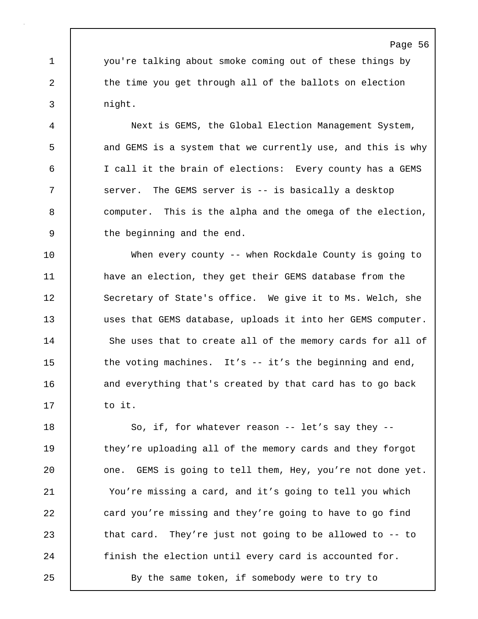1 you're talking about smoke coming out of these things by 2 the time you get through all of the ballots on election 3 night.

4 Next is GEMS, the Global Election Management System, 5 and GEMS is a system that we currently use, and this is why 6 I call it the brain of elections: Every county has a GEMS 7 Server. The GEMS server is -- is basically a desktop 8 computer. This is the alpha and the omega of the election, 9 the beginning and the end.

10 When every county -- when Rockdale County is going to 11 | have an election, they get their GEMS database from the 12 | Secretary of State's office. We give it to Ms. Welch, she 13 uses that GEMS database, uploads it into her GEMS computer. 14 She uses that to create all of the memory cards for all of 15 the voting machines. It's -- it's the beginning and end, 16 and everything that's created by that card has to go back  $17$  to it.

18 | So, if, for whatever reason -- let's say they --19 they're uploading all of the memory cards and they forgot 20 **canabilisat** one. GEMS is going to tell them, Hey, you're not done yet. 21 You're missing a card, and it's going to tell you which 22 card you're missing and they're going to have to go find 23 that card. They're just not going to be allowed to -- to 24 | finish the election until every card is accounted for.

25 | By the same token, if somebody were to try to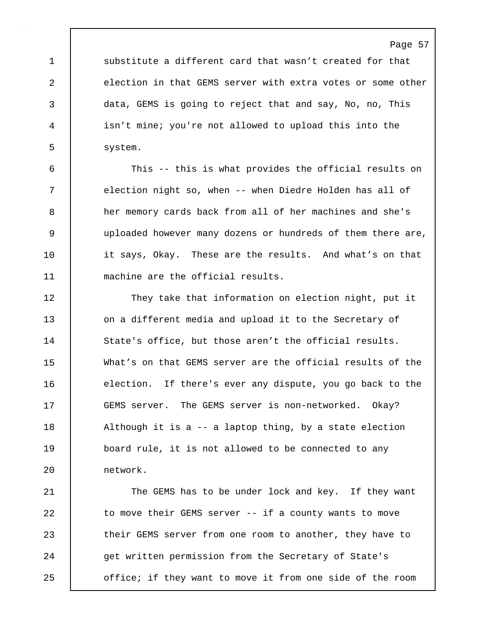1 substitute a different card that wasn't created for that 2 election in that GEMS server with extra votes or some other 3 data, GEMS is going to reject that and say, No, no, This 4 isn't mine; you're not allowed to upload this into the 5 | system.

6 This -- this is what provides the official results on 7 election night so, when -- when Diedre Holden has all of 8 her memory cards back from all of her machines and she's 9 uploaded however many dozens or hundreds of them there are, 10 it says, Okay. These are the results. And what's on that 11 | machine are the official results.

12 | They take that information on election night, put it 13 on a different media and upload it to the Secretary of 14 State's office, but those aren't the official results. 15 What's on that GEMS server are the official results of the 16 election. If there's ever any dispute, you go back to the 17 GEMS server. The GEMS server is non-networked. Okay? 18 | Although it is a -- a laptop thing, by a state election 19 board rule, it is not allowed to be connected to any 20 network.

21 The GEMS has to be under lock and key. If they want 22 | to move their GEMS server -- if a county wants to move 23 their GEMS server from one room to another, they have to 24 get written permission from the Secretary of State's 25 office; if they want to move it from one side of the room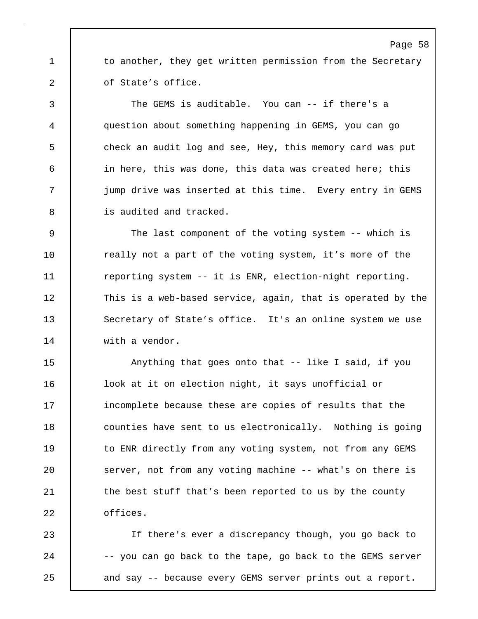1 to another, they get written permission from the Secretary 2 of State's office.

3 The GEMS is auditable. You can -- if there's a 4 question about something happening in GEMS, you can go 5 check an audit log and see, Hey, this memory card was put 6 in here, this was done, this data was created here; this 7 jump drive was inserted at this time. Every entry in GEMS 8 is audited and tracked.

9 The last component of the voting system -- which is 10 Teally not a part of the voting system, it's more of the 11 **reporting system -- it is ENR, election-night reporting.** 12 This is a web-based service, again, that is operated by the 13 Secretary of State's office. It's an online system we use 14 with a vendor.

15 Anything that goes onto that -- like I said, if you 16 | look at it on election night, it says unofficial or 17 incomplete because these are copies of results that the 18 **counties have sent to us electronically.** Nothing is going 19 to ENR directly from any voting system, not from any GEMS 20 | server, not from any voting machine -- what's on there is 21 | the best stuff that's been reported to us by the county 22 | offices.

23 If there's ever a discrepancy though, you go back to 24 | -- you can go back to the tape, go back to the GEMS server 25 **and say -- because every GEMS server prints out a report.**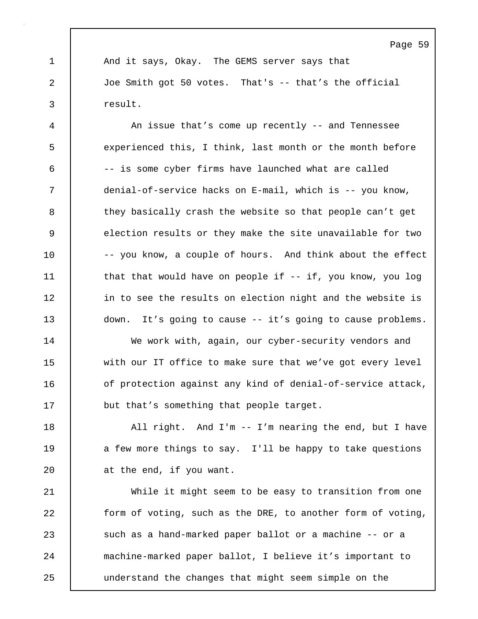1 And it says, Okay. The GEMS server says that 2 Joe Smith got 50 votes. That's -- that's the official 3 result.

4 An issue that's come up recently -- and Tennessee 5 experienced this, I think, last month or the month before 6 -- is some cyber firms have launched what are called 7 denial-of-service hacks on E-mail, which is -- you know, 8 they basically crash the website so that people can't get 9 election results or they make the site unavailable for two 10 -- you know, a couple of hours. And think about the effect 11 | that that would have on people if -- if, you know, you log 12 | in to see the results on election night and the website is 13 | down. It's going to cause -- it's going to cause problems.

14 We work with, again, our cyber-security vendors and 15 with our IT office to make sure that we've got every level 16 of protection against any kind of denial-of-service attack, 17 but that's something that people target.

18 | All right. And I'm -- I'm nearing the end, but I have 19 a few more things to say. I'll be happy to take questions 20 **d** at the end, if you want.

21 While it might seem to be easy to transition from one 22 form of voting, such as the DRE, to another form of voting, 23 such as a hand-marked paper ballot or a machine -- or a 24 machine-marked paper ballot, I believe it's important to 25 understand the changes that might seem simple on the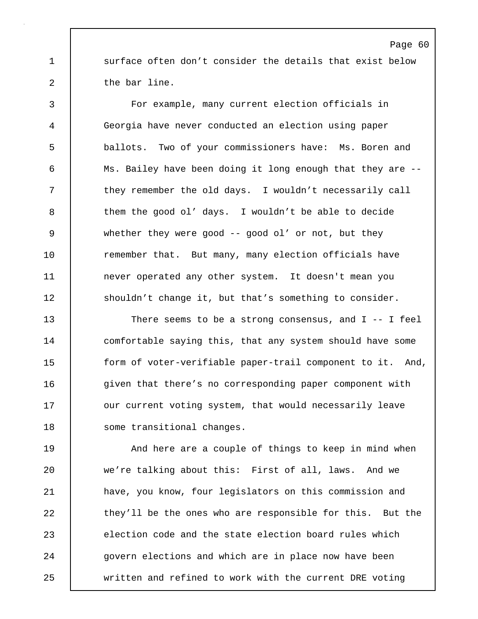1 surface often don't consider the details that exist below 2 | the bar line.

3 For example, many current election officials in 4 Georgia have never conducted an election using paper 5 ballots. Two of your commissioners have: Ms. Boren and 6 Ms. Bailey have been doing it long enough that they are -- 7 they remember the old days. I wouldn't necessarily call 8 them the good ol' days. I wouldn't be able to decide 9 whether they were good -- good ol' or not, but they 10 Temember that. But many, many election officials have 11 never operated any other system. It doesn't mean you 12 shouldn't change it, but that's something to consider.

13 There seems to be a strong consensus, and I -- I feel 14 comfortable saying this, that any system should have some 15 form of voter-verifiable paper-trail component to it. And, 16 **given that there's no corresponding paper component with** 17 | our current voting system, that would necessarily leave 18 | some transitional changes.

19 **And here are a couple of things to keep in mind when** 20 we're talking about this: First of all, laws. And we 21 have, you know, four legislators on this commission and 22 they'll be the ones who are responsible for this. But the 23 election code and the state election board rules which 24 **govern elections and which are in place now have been** 25 written and refined to work with the current DRE voting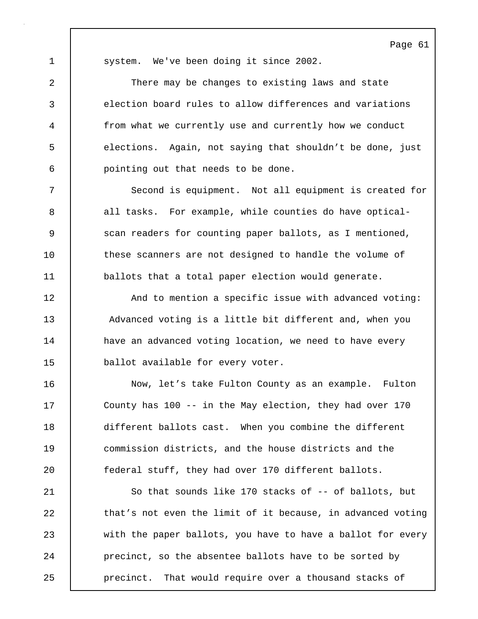1 | system. We've been doing it since 2002.

2 There may be changes to existing laws and state 3 election board rules to allow differences and variations 4 from what we currently use and currently how we conduct 5 elections. Again, not saying that shouldn't be done, just 6 pointing out that needs to be done.

7 Second is equipment. Not all equipment is created for 8 all tasks. For example, while counties do have optical-9 Scan readers for counting paper ballots, as I mentioned, 10 these scanners are not designed to handle the volume of 11 ballots that a total paper election would generate.

12 | And to mention a specific issue with advanced voting: 13 Advanced voting is a little bit different and, when you 14 | have an advanced voting location, we need to have every 15 ballot available for every voter.

16 | Now, let's take Fulton County as an example. Fulton 17 County has 100 -- in the May election, they had over 170 18 different ballots cast. When you combine the different 19 commission districts, and the house districts and the 20 federal stuff, they had over 170 different ballots.

21 So that sounds like 170 stacks of -- of ballots, but 22 that's not even the limit of it because, in advanced voting 23 with the paper ballots, you have to have a ballot for every 24 precinct, so the absentee ballots have to be sorted by 25 **precinct.** That would require over a thousand stacks of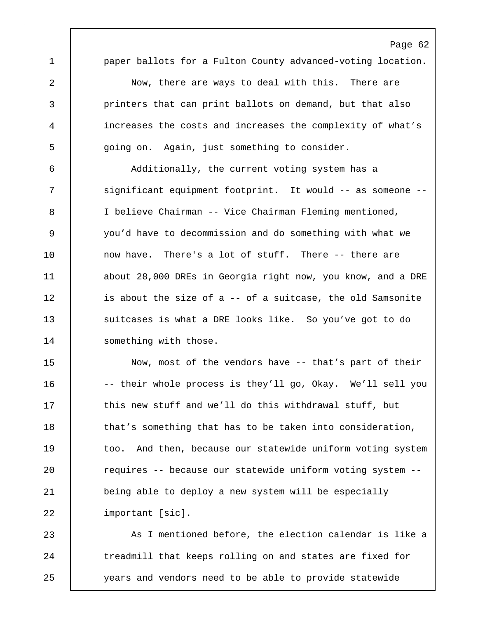1 **paper ballots for a Fulton County advanced-voting location.** 

Page 62

2 Now, there are ways to deal with this. There are 3 printers that can print ballots on demand, but that also 4 increases the costs and increases the complexity of what's 5 going on. Again, just something to consider.

6 Additionally, the current voting system has a 7 significant equipment footprint. It would -- as someone -- 8 I believe Chairman -- Vice Chairman Fleming mentioned, 9 you'd have to decommission and do something with what we 10 | now have. There's a lot of stuff. There -- there are 11 about 28,000 DREs in Georgia right now, you know, and a DRE 12 is about the size of a -- of a suitcase, the old Samsonite 13 **Suitcases is what a DRE looks like.** So you've got to do 14 Something with those.

15 Now, most of the vendors have -- that's part of their 16 -- their whole process is they'll go, Okay. We'll sell you 17 this new stuff and we'll do this withdrawal stuff, but 18 that's something that has to be taken into consideration, 19 too. And then, because our statewide uniform voting system 20 **c** requires -- because our statewide uniform voting system --21 being able to deploy a new system will be especially 22 | important [sic].

23 As I mentioned before, the election calendar is like a 24 The treadmill that keeps rolling on and states are fixed for 25 years and vendors need to be able to provide statewide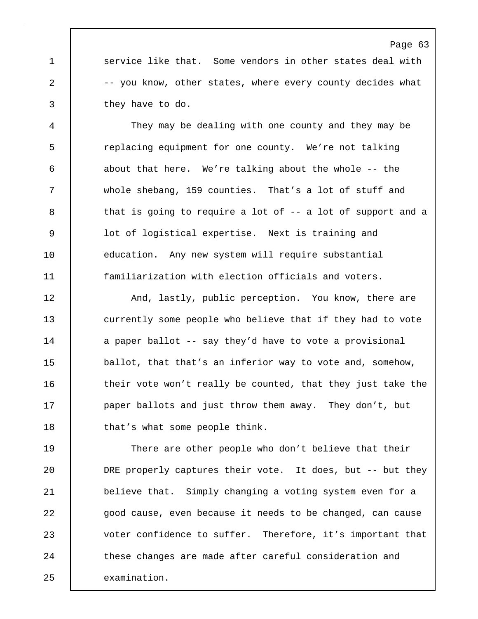1 Service like that. Some vendors in other states deal with 2 -- you know, other states, where every county decides what 3 they have to do.

4 They may be dealing with one county and they may be 5 Feplacing equipment for one county. We're not talking 6 about that here. We're talking about the whole -- the 7 whole shebang, 159 counties. That's a lot of stuff and 8 that is going to require a lot of -- a lot of support and a 9 lot of logistical expertise. Next is training and 10 education. Any new system will require substantial 11 familiarization with election officials and voters.

12 And, lastly, public perception. You know, there are 13 currently some people who believe that if they had to vote 14 a paper ballot -- say they'd have to vote a provisional 15 ballot, that that's an inferior way to vote and, somehow, 16 their vote won't really be counted, that they just take the 17 **paper ballots and just throw them away.** They don't, but 18 that's what some people think.

19 There are other people who don't believe that their 20 DRE properly captures their vote. It does, but -- but they 21 | believe that. Simply changing a voting system even for a 22 good cause, even because it needs to be changed, can cause 23 voter confidence to suffer. Therefore, it's important that 24 these changes are made after careful consideration and 25 examination.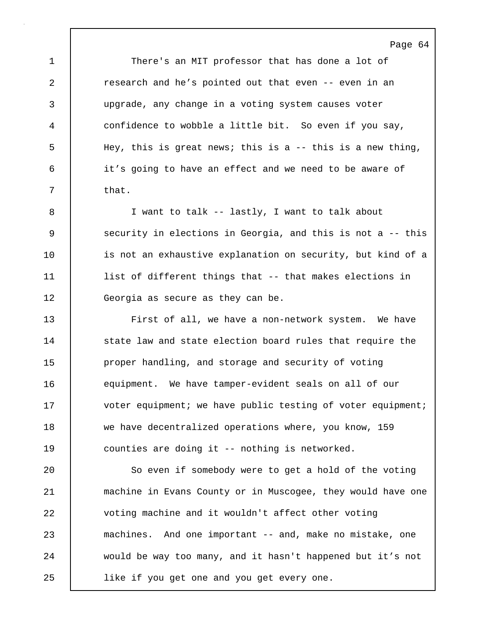1 There's an MIT professor that has done a lot of 2 **c** research and he's pointed out that even -- even in an 3 upgrade, any change in a voting system causes voter 4 confidence to wobble a little bit. So even if you say, 5 Hey, this is great news; this is a -- this is a new thing, 6 it's going to have an effect and we need to be aware of  $7 \quad$  that.

Page 64

8 I want to talk -- lastly, I want to talk about 9 Security in elections in Georgia, and this is not a -- this 10 is not an exhaustive explanation on security, but kind of a 11 list of different things that -- that makes elections in 12 Georgia as secure as they can be.

13 First of all, we have a non-network system. We have 14 State law and state election board rules that require the 15 proper handling, and storage and security of voting 16 equipment. We have tamper-evident seals on all of our 17 voter equipment; we have public testing of voter equipment; 18 we have decentralized operations where, you know, 159 19 counties are doing it -- nothing is networked.

20 | So even if somebody were to get a hold of the voting 21 machine in Evans County or in Muscogee, they would have one 22 voting machine and it wouldn't affect other voting 23 machines. And one important -- and, make no mistake, one 24 would be way too many, and it hasn't happened but it's not 25 like if you get one and you get every one.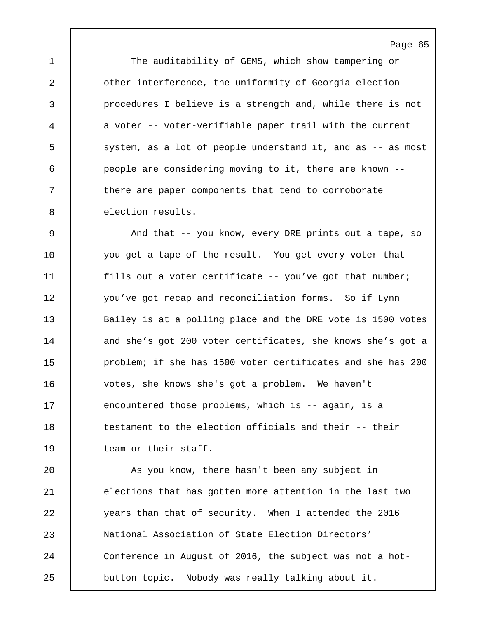1 The auditability of GEMS, which show tampering or 2 **other interference, the uniformity of Georgia election** 3 procedures I believe is a strength and, while there is not 4 a voter -- voter-verifiable paper trail with the current 5 | system, as a lot of people understand it, and as -- as most 6 people are considering moving to it, there are known -- 7 T there are paper components that tend to corroborate 8 election results.

9 | And that -- you know, every DRE prints out a tape, so 10 you get a tape of the result. You get every voter that 11 fills out a voter certificate -- you've got that number; 12 you've got recap and reconciliation forms. So if Lynn 13 Bailey is at a polling place and the DRE vote is 1500 votes 14 and she's got 200 voter certificates, she knows she's got a 15 | problem; if she has 1500 voter certificates and she has 200 16 votes, she knows she's got a problem. We haven't 17 encountered those problems, which is -- again, is a 18 **testament to the election officials and their** -- their 19 | team or their staff.

20 As you know, there hasn't been any subject in 21 elections that has gotten more attention in the last two 22 years than that of security. When I attended the 2016 23 National Association of State Election Directors' 24 Conference in August of 2016, the subject was not a hot-25 button topic. Nobody was really talking about it.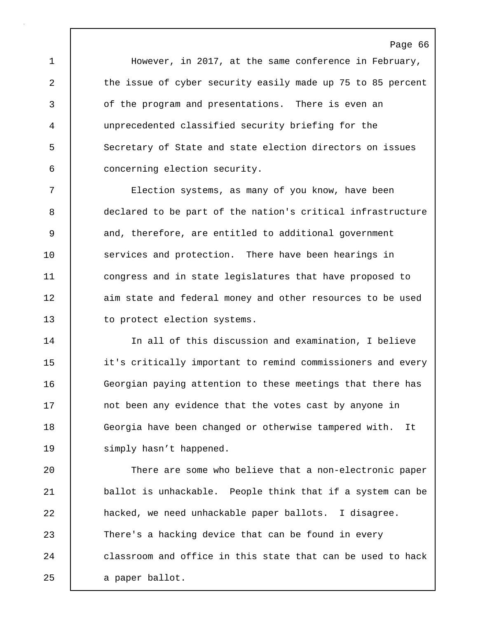1 However, in 2017, at the same conference in February, 2 the issue of cyber security easily made up 75 to 85 percent 3 of the program and presentations. There is even an 4 unprecedented classified security briefing for the 5 Secretary of State and state election directors on issues 6 concerning election security.

7 Election systems, as many of you know, have been 8 declared to be part of the nation's critical infrastructure 9 and, therefore, are entitled to additional government 10 services and protection. There have been hearings in 11 congress and in state legislatures that have proposed to 12 aim state and federal money and other resources to be used 13 to protect election systems.

14 In all of this discussion and examination, I believe 15 **i** it's critically important to remind commissioners and every 16 Georgian paying attention to these meetings that there has 17 not been any evidence that the votes cast by anyone in 18 Georgia have been changed or otherwise tampered with. It 19 | simply hasn't happened.

20 There are some who believe that a non-electronic paper 21 | ballot is unhackable. People think that if a system can be 22 **hacked, we need unhackable paper ballots.** I disagree. 23 There's a hacking device that can be found in every 24 **classroom** and office in this state that can be used to hack 25 a paper ballot.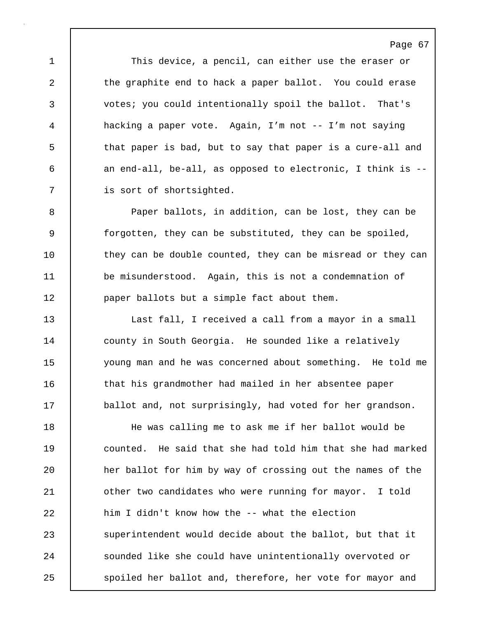1 This device, a pencil, can either use the eraser or 2 the graphite end to hack a paper ballot. You could erase 3 votes; you could intentionally spoil the ballot. That's 4 hacking a paper vote. Again, I'm not -- I'm not saying 5 that paper is bad, but to say that paper is a cure-all and 6 an end-all, be-all, as opposed to electronic, I think is --7 is sort of shortsighted.

8 Paper ballots, in addition, can be lost, they can be 9 forgotten, they can be substituted, they can be spoiled, 10 they can be double counted, they can be misread or they can 11 be misunderstood. Again, this is not a condemnation of 12 **paper ballots but a simple fact about them.** 

13 Last fall, I received a call from a mayor in a small 14 | county in South Georgia. He sounded like a relatively 15 young man and he was concerned about something. He told me 16 that his grandmother had mailed in her absentee paper 17 | ballot and, not surprisingly, had voted for her grandson.

18 He was calling me to ask me if her ballot would be 19 counted. He said that she had told him that she had marked 20 **her ballot for him by way of crossing out the names of the** 21 | other two candidates who were running for mayor. I told 22 **him I didn't know how the -- what the election** 23 superintendent would decide about the ballot, but that it 24 Sounded like she could have unintentionally overvoted or 25 spoiled her ballot and, therefore, her vote for mayor and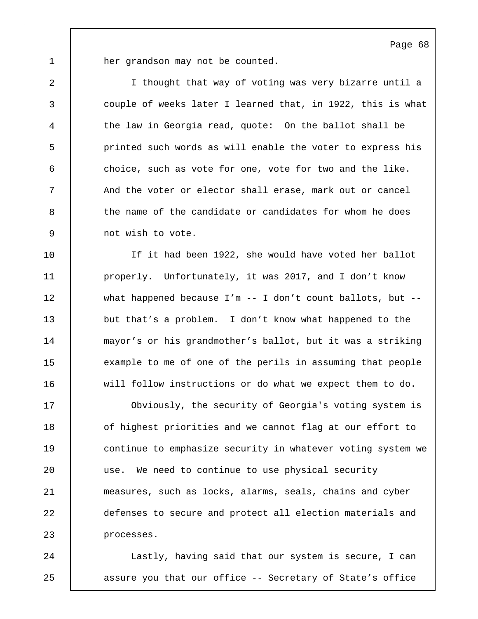1 **her grandson may not be counted.** 

2 I thought that way of voting was very bizarre until a 3 couple of weeks later I learned that, in 1922, this is what 4 the law in Georgia read, quote: On the ballot shall be 5 printed such words as will enable the voter to express his 6 choice, such as vote for one, vote for two and the like. 7 And the voter or elector shall erase, mark out or cancel 8 the name of the candidate or candidates for whom he does 9 not wish to vote.

10 If it had been 1922, she would have voted her ballot 11 | properly. Unfortunately, it was 2017, and I don't know 12 what happened because I'm -- I don't count ballots, but -- 13 but that's a problem. I don't know what happened to the 14 mayor's or his grandmother's ballot, but it was a striking 15 example to me of one of the perils in assuming that people 16 will follow instructions or do what we expect them to do.

17 | Obviously, the security of Georgia's voting system is 18 **o**f highest priorities and we cannot flag at our effort to 19 **continue to emphasize security in whatever voting system we** 20 | use. We need to continue to use physical security 21 measures, such as locks, alarms, seals, chains and cyber 22 defenses to secure and protect all election materials and 23 processes.

24 | Lastly, having said that our system is secure, I can 25 **a** assure you that our office -- Secretary of State's office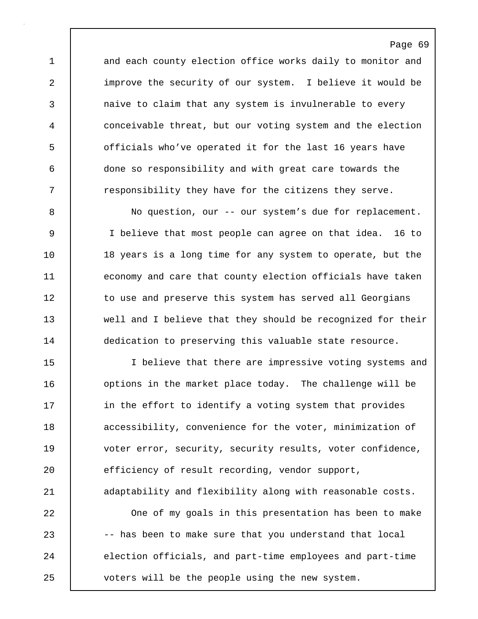1 and each county election office works daily to monitor and 2 improve the security of our system. I believe it would be 3 and invertion that any system is invulnerable to every 4 conceivable threat, but our voting system and the election 5 officials who've operated it for the last 16 years have 6 done so responsibility and with great care towards the 7 T responsibility they have for the citizens they serve.

8 No question, our -- our system's due for replacement. 9 I believe that most people can agree on that idea. 16 to 10 | 18 years is a long time for any system to operate, but the 11 economy and care that county election officials have taken 12 to use and preserve this system has served all Georgians 13 well and I believe that they should be recognized for their 14 dedication to preserving this valuable state resource.

15 I believe that there are impressive voting systems and 16 | options in the market place today. The challenge will be 17 **in** the effort to identify a voting system that provides 18 **accessibility, convenience for the voter, minimization of** 19 | voter error, security, security results, voter confidence, 20 efficiency of result recording, vendor support, 21 | adaptability and flexibility along with reasonable costs.

22 One of my goals in this presentation has been to make 23 -- has been to make sure that you understand that local 24 election officials, and part-time employees and part-time 25 voters will be the people using the new system.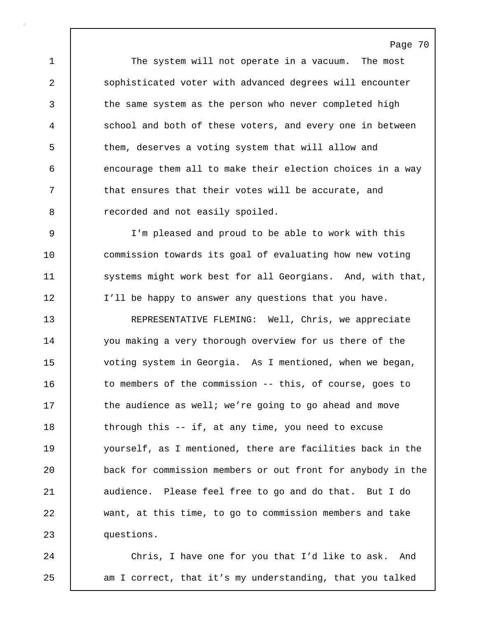1 The system will not operate in a vacuum. The most 2 sophisticated voter with advanced degrees will encounter 3 the same system as the person who never completed high 4 school and both of these voters, and every one in between 5 them, deserves a voting system that will allow and 6 encourage them all to make their election choices in a way 7 **that ensures that their votes will be accurate, and** 8 **8** recorded and not easily spoiled.

9 I'm pleased and proud to be able to work with this 10 commission towards its goal of evaluating how new voting 11 | systems might work best for all Georgians. And, with that, 12 I'll be happy to answer any questions that you have.

13 REPRESENTATIVE FLEMING: Well, Chris, we appreciate 14 | you making a very thorough overview for us there of the 15 voting system in Georgia. As I mentioned, when we began, 16 | to members of the commission -- this, of course, goes to 17 | the audience as well; we're going to go ahead and move 18 through this -- if, at any time, you need to excuse 19 yourself, as I mentioned, there are facilities back in the 20 back for commission members or out front for anybody in the 21 | audience. Please feel free to go and do that. But I do 22 want, at this time, to go to commission members and take 23 questions.

24 Chris, I have one for you that I'd like to ask. And 25 am I correct, that it's my understanding, that you talked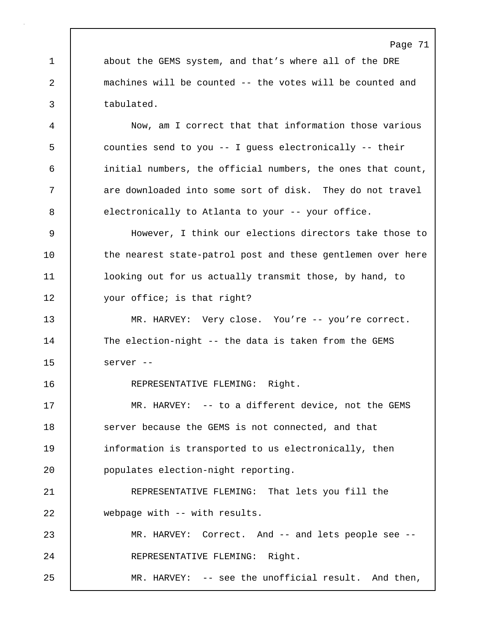1 about the GEMS system, and that's where all of the DRE 2 machines will be counted -- the votes will be counted and 3 tabulated.

4 Now, am I correct that that information those various 5 counties send to you -- I guess electronically -- their 6 initial numbers, the official numbers, the ones that count, 7 | are downloaded into some sort of disk. They do not travel 8 electronically to Atlanta to your -- your office.

9 However, I think our elections directors take those to 10 | the nearest state-patrol post and these gentlemen over here 11 | looking out for us actually transmit those, by hand, to 12 | your office; is that right?

13 | MR. HARVEY: Very close. You're -- you're correct. 14 The election-night -- the data is taken from the GEMS 15 server --

16 | REPRESENTATIVE FLEMING: Right.

17 MR. HARVEY: -- to a different device, not the GEMS 18 Server because the GEMS is not connected, and that 19 information is transported to us electronically, then 20 populates election-night reporting.

21 REPRESENTATIVE FLEMING: That lets you fill the 22 webpage with -- with results.

23 MR. HARVEY: Correct. And -- and lets people see -- 24 REPRESENTATIVE FLEMING: Right.

25 MR. HARVEY: -- see the unofficial result. And then,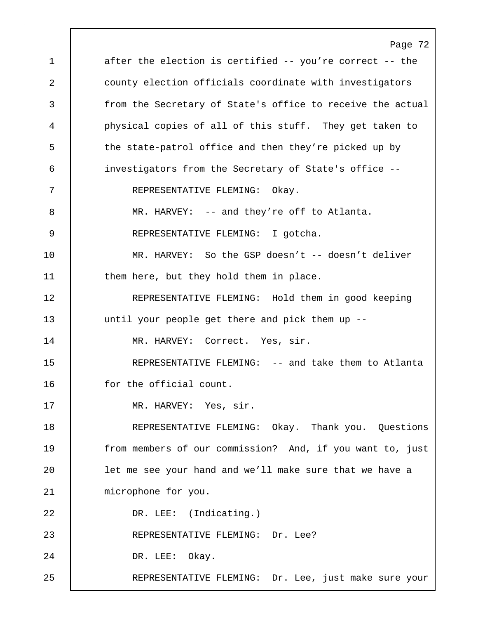Page 72 1 after the election is certified -- you're correct -- the 2 county election officials coordinate with investigators 3 from the Secretary of State's office to receive the actual 4 physical copies of all of this stuff. They get taken to 5 | the state-patrol office and then they're picked up by 6 investigators from the Secretary of State's office -- 7 REPRESENTATIVE FLEMING: Okay. 8 | MR. HARVEY: -- and they're off to Atlanta. 9 REPRESENTATIVE FLEMING: I gotcha. 10 MR. HARVEY: So the GSP doesn't -- doesn't deliver 11 **them here, but they hold them in place.** 12 REPRESENTATIVE FLEMING: Hold them in good keeping 13 | until your people get there and pick them up --14 | MR. HARVEY: Correct. Yes, sir. 15 REPRESENTATIVE FLEMING: -- and take them to Atlanta 16 for the official count. 17 | MR. HARVEY: Yes, sir. 18 REPRESENTATIVE FLEMING: Okay. Thank you. Questions 19 | from members of our commission? And, if you want to, just 20 **let me see your hand and we'll make sure that we have a** 21 | microphone for you. 22 DR. LEE: (Indicating.) 23 REPRESENTATIVE FLEMING: Dr. Lee? 24 DR. LEE: Okay. 25 REPRESENTATIVE FLEMING: Dr. Lee, just make sure your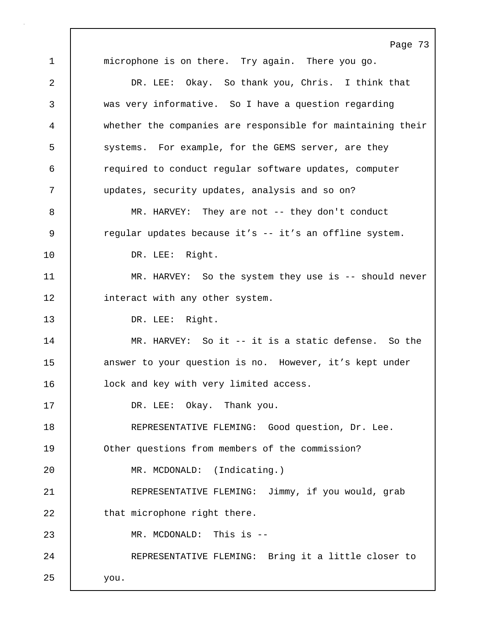Page 73 1 microphone is on there. Try again. There you go. 2 DR. LEE: Okay. So thank you, Chris. I think that 3 was very informative. So I have a question regarding 4 whether the companies are responsible for maintaining their 5 systems. For example, for the GEMS server, are they 6 required to conduct regular software updates, computer 7 updates, security updates, analysis and so on? 8 MR. HARVEY: They are not -- they don't conduct 9 expanding vertex pecause it's -- it's an offline system. 10 DR. LEE: Right. 11 | MR. HARVEY: So the system they use is -- should never 12 **interact with any other system.** 13 DR. LEE: Right. 14 MR. HARVEY: So it -- it is a static defense. So the 15 answer to your question is no. However, it's kept under 16 **lock and key with very limited access.** 17 DR. LEE: Okay. Thank you. 18 | REPRESENTATIVE FLEMING: Good question, Dr. Lee. 19 Other questions from members of the commission? 20 MR. MCDONALD: (Indicating.) 21 REPRESENTATIVE FLEMING: Jimmy, if you would, grab 22 **that microphone right there.** 23 | MR. MCDONALD: This is --24 | REPRESENTATIVE FLEMING: Bring it a little closer to 25 you.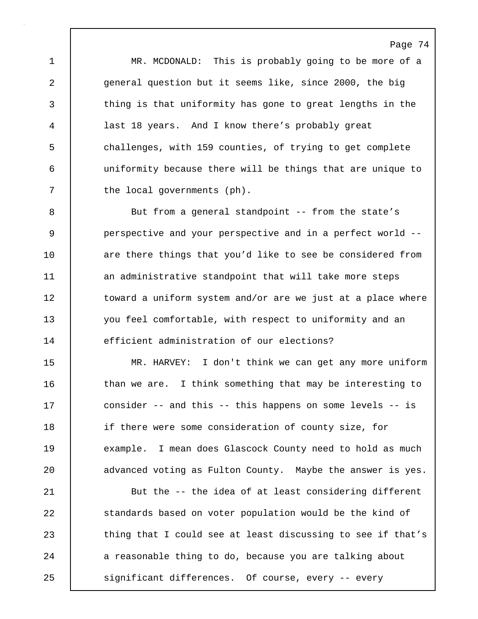1 MR. MCDONALD: This is probably going to be more of a 2 general question but it seems like, since 2000, the big 3 thing is that uniformity has gone to great lengths in the 4 last 18 years. And I know there's probably great 5 challenges, with 159 counties, of trying to get complete 6 uniformity because there will be things that are unique to 7 the local governments (ph).

8 But from a general standpoint -- from the state's 9 **perspective and your perspective and in a perfect world --**10 are there things that you'd like to see be considered from 11 an administrative standpoint that will take more steps 12 toward a uniform system and/or are we just at a place where 13 you feel comfortable, with respect to uniformity and an 14 efficient administration of our elections?

15 MR. HARVEY: I don't think we can get any more uniform 16 | than we are. I think something that may be interesting to 17 consider -- and this -- this happens on some levels -- is 18 if there were some consideration of county size, for 19 example. I mean does Glascock County need to hold as much 20 **dia a**dvanced voting as Fulton County. Maybe the answer is yes.

21 But the -- the idea of at least considering different 22 standards based on voter population would be the kind of 23 thing that I could see at least discussing to see if that's 24 a reasonable thing to do, because you are talking about 25 | significant differences. Of course, every -- every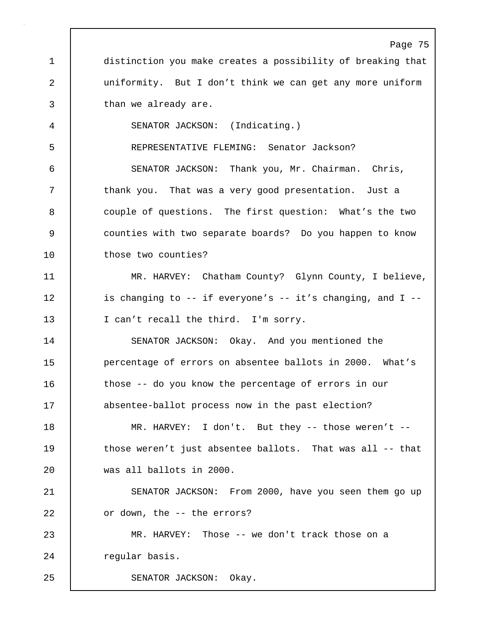Page 75 1 distinction you make creates a possibility of breaking that 2 uniformity. But I don't think we can get any more uniform 3 than we already are. 4 SENATOR JACKSON: (Indicating.) 5 REPRESENTATIVE FLEMING: Senator Jackson? 6 SENATOR JACKSON: Thank you, Mr. Chairman. Chris, 7 | thank you. That was a very good presentation. Just a 8 couple of questions. The first question: What's the two 9 counties with two separate boards? Do you happen to know 10 | those two counties? 11 MR. HARVEY: Chatham County? Glynn County, I believe, 12 | is changing to -- if everyone's -- it's changing, and I --13 I can't recall the third. I'm sorry. 14 SENATOR JACKSON: Okay. And you mentioned the 15 **percentage of errors on absentee ballots in 2000.** What's 16 those -- do you know the percentage of errors in our 17 absentee-ballot process now in the past election? 18 | MR. HARVEY: I don't. But they -- those weren't --19 | those weren't just absentee ballots. That was all -- that 20 was all ballots in 2000. 21 SENATOR JACKSON: From 2000, have you seen them go up 22 | or down, the -- the errors? 23 MR. HARVEY: Those -- we don't track those on a 24 | regular basis. 25 | SENATOR JACKSON: Okay.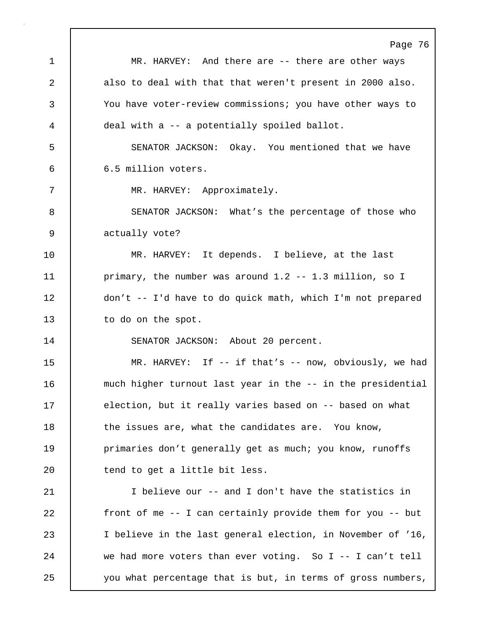|    | Page 76                                                     |
|----|-------------------------------------------------------------|
| 1  | MR. HARVEY: And there are -- there are other ways           |
| 2  | also to deal with that that weren't present in 2000 also.   |
| 3  | You have voter-review commissions; you have other ways to   |
| 4  | deal with a -- a potentially spoiled ballot.                |
| 5  | SENATOR JACKSON: Okay. You mentioned that we have           |
| 6  | 6.5 million voters.                                         |
| 7  | MR. HARVEY: Approximately.                                  |
| 8  | SENATOR JACKSON: What's the percentage of those who         |
| 9  | actually vote?                                              |
| 10 | MR. HARVEY: It depends. I believe, at the last              |
| 11 | primary, the number was around 1.2 -- 1.3 million, so I     |
| 12 | don't -- I'd have to do quick math, which I'm not prepared  |
| 13 | to do on the spot.                                          |
| 14 | SENATOR JACKSON: About 20 percent.                          |
| 15 | MR. HARVEY: If $-$ - if that's $-$ - now, obviously, we had |
| 16 | much higher turnout last year in the -- in the presidential |
| 17 | election, but it really varies based on -- based on what    |
| 18 | the issues are, what the candidates are. You know,          |
| 19 | primaries don't generally get as much; you know, runoffs    |
| 20 | tend to get a little bit less.                              |
| 21 | I believe our -- and I don't have the statistics in         |
| 22 | front of me -- I can certainly provide them for you -- but  |
| 23 | I believe in the last general election, in November of '16, |
| 24 | we had more voters than ever voting. So I -- I can't tell   |
| 25 | you what percentage that is but, in terms of gross numbers, |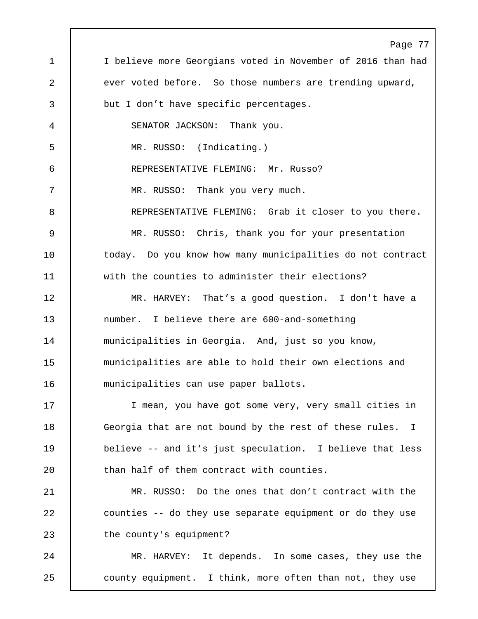Page 77 1 | I believe more Georgians voted in November of 2016 than had 2 ever voted before. So those numbers are trending upward, 3 but I don't have specific percentages. 4 SENATOR JACKSON: Thank you. 5 MR. RUSSO: (Indicating.) 6 REPRESENTATIVE FLEMING: Mr. Russo? 7 | MR. RUSSO: Thank you very much. 8 REPRESENTATIVE FLEMING: Grab it closer to you there. 9 MR. RUSSO: Chris, thank you for your presentation 10 | today. Do you know how many municipalities do not contract 11 with the counties to administer their elections? 12 MR. HARVEY: That's a good question. I don't have a 13 number. I believe there are 600-and-something 14 | municipalities in Georgia. And, just so you know, 15 municipalities are able to hold their own elections and 16 municipalities can use paper ballots. 17 | I mean, you have got some very, very small cities in 18 Georgia that are not bound by the rest of these rules. I 19 believe -- and it's just speculation. I believe that less 20 **than half of them contract with counties.** 21 MR. RUSSO: Do the ones that don't contract with the 22 | counties -- do they use separate equipment or do they use 23 | the county's equipment? 24 | MR. HARVEY: It depends. In some cases, they use the 25 county equipment. I think, more often than not, they use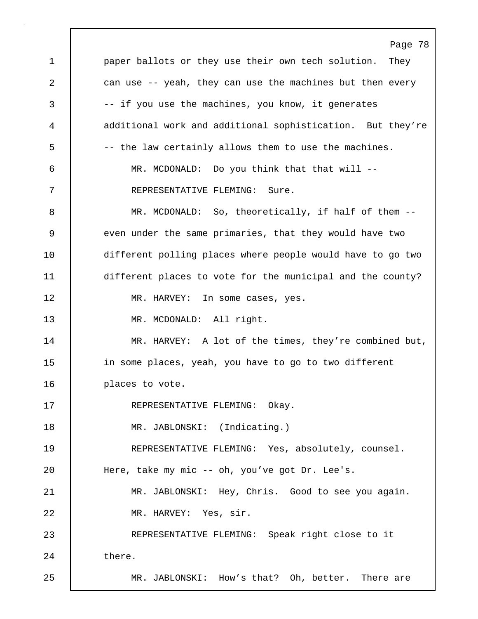Page 78 1 paper ballots or they use their own tech solution. They 2 can use -- yeah, they can use the machines but then every 3 -- if you use the machines, you know, it generates 4 additional work and additional sophistication. But they're 5 -- the law certainly allows them to use the machines. 6 MR. MCDONALD: Do you think that that will -- 7 REPRESENTATIVE FLEMING: Sure. 8 MR. MCDONALD: So, theoretically, if half of them --9 even under the same primaries, that they would have two 10 different polling places where people would have to go two 11 different places to vote for the municipal and the county? 12 | MR. HARVEY: In some cases, yes. 13 MR. MCDONALD: All right. 14 | MR. HARVEY: A lot of the times, they're combined but, 15 in some places, yeah, you have to go to two different 16 | places to vote. 17 REPRESENTATIVE FLEMING: Okay. 18 MR. JABLONSKI: (Indicating.) 19 REPRESENTATIVE FLEMING: Yes, absolutely, counsel. 20 | Here, take my mic -- oh, you've got Dr. Lee's. 21 MR. JABLONSKI: Hey, Chris. Good to see you again. 22 | MR. HARVEY: Yes, sir. 23 REPRESENTATIVE FLEMING: Speak right close to it 24 there. 25 | MR. JABLONSKI: How's that? Oh, better. There are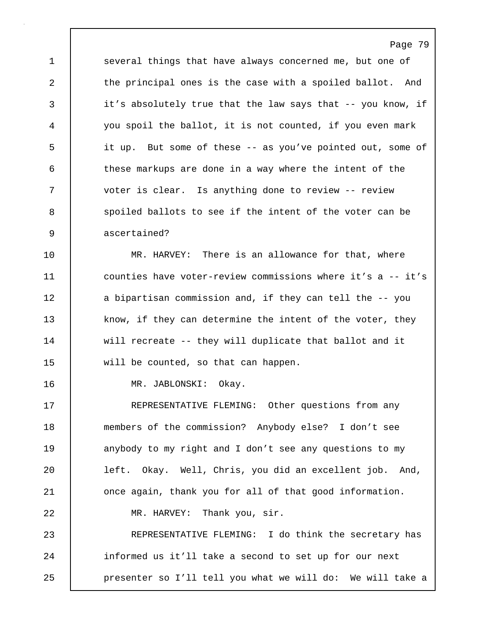1 several things that have always concerned me, but one of 2 the principal ones is the case with a spoiled ballot. And 3 it's absolutely true that the law says that -- you know, if 4 you spoil the ballot, it is not counted, if you even mark 5 it up. But some of these -- as you've pointed out, some of 6 these markups are done in a way where the intent of the 7 voter is clear. Is anything done to review -- review 8 spoiled ballots to see if the intent of the voter can be 9 ascertained?

Page 79

10 MR. HARVEY: There is an allowance for that, where 11 counties have voter-review commissions where it's a -- it's 12 a bipartisan commission and, if they can tell the -- you 13 know, if they can determine the intent of the voter, they 14 will recreate -- they will duplicate that ballot and it 15 will be counted, so that can happen.

16 MR. JABLONSKI: Okay.

17 | REPRESENTATIVE FLEMING: Other questions from any 18 members of the commission? Anybody else? I don't see 19 anybody to my right and I don't see any questions to my 20 left. Okay. Well, Chris, you did an excellent job. And, 21 **once again, thank you for all of that good information.** 22 MR. HARVEY: Thank you, sir.

23 REPRESENTATIVE FLEMING: I do think the secretary has 24 informed us it'll take a second to set up for our next 25 | presenter so I'll tell you what we will do: We will take a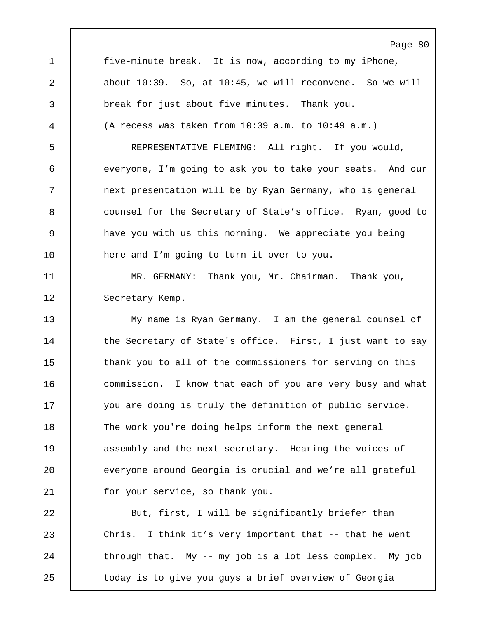Page 80 1 | five-minute break. It is now, according to my iPhone, 2 about 10:39. So, at 10:45, we will reconvene. So we will 3 break for just about five minutes. Thank you. 4 (A recess was taken from 10:39 a.m. to 10:49 a.m.) 5 REPRESENTATIVE FLEMING: All right. If you would, 6 everyone, I'm going to ask you to take your seats. And our 7 next presentation will be by Ryan Germany, who is general 8 **counsel for the Secretary of State's office.** Ryan, good to 9 have you with us this morning. We appreciate you being 10 | here and I'm going to turn it over to you. 11 MR. GERMANY: Thank you, Mr. Chairman. Thank you, 12 | Secretary Kemp. 13 My name is Ryan Germany. I am the general counsel of 14 | the Secretary of State's office. First, I just want to say 15 thank you to all of the commissioners for serving on this 16 commission. I know that each of you are very busy and what 17 | you are doing is truly the definition of public service. 18 The work you're doing helps inform the next general 19 **assembly and the next secretary.** Hearing the voices of 20 everyone around Georgia is crucial and we're all grateful 21 for your service, so thank you. 22 But, first, I will be significantly briefer than 23 Chris. I think it's very important that -- that he went 24  $\vert$  through that. My -- my job is a lot less complex. My job

25 | today is to give you guys a brief overview of Georgia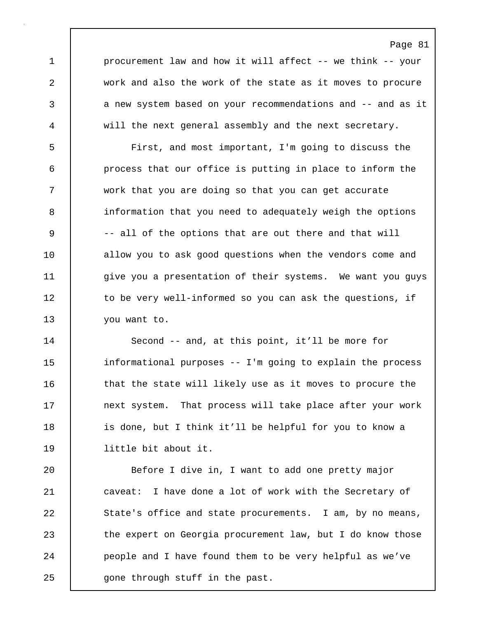1 | procurement law and how it will affect -- we think -- your 2 work and also the work of the state as it moves to procure 3 a new system based on your recommendations and -- and as it 4 will the next general assembly and the next secretary.

5 First, and most important, I'm going to discuss the 6 process that our office is putting in place to inform the 7 work that you are doing so that you can get accurate 8 information that you need to adequately weigh the options 9 |  $-$  all of the options that are out there and that will 10 allow you to ask good questions when the vendors come and 11 | give you a presentation of their systems. We want you guys 12 to be very well-informed so you can ask the questions, if 13 | you want to.

14 | Second -- and, at this point, it'll be more for 15 informational purposes -- I'm going to explain the process 16 | that the state will likely use as it moves to procure the 17 | next system. That process will take place after your work 18 | is done, but I think it'll be helpful for you to know a 19 little bit about it.

20 Before I dive in, I want to add one pretty major 21 caveat: I have done a lot of work with the Secretary of 22 State's office and state procurements. I am, by no means, 23 the expert on Georgia procurement law, but I do know those 24 **people and I have found them to be very helpful as we've** 25 | gone through stuff in the past.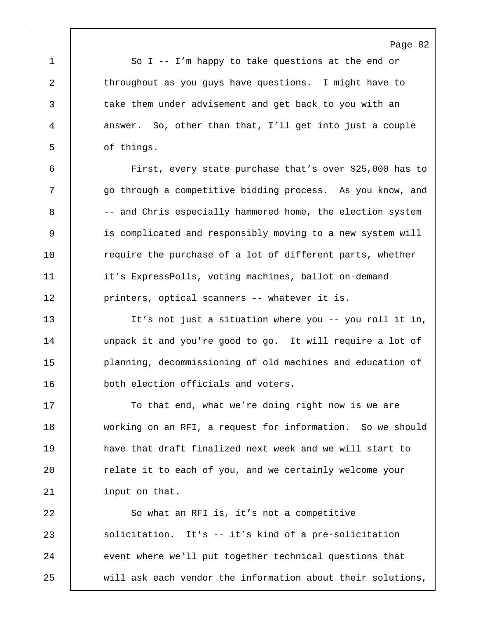1 So I -- I'm happy to take questions at the end or 2 throughout as you guys have questions. I might have to 3 take them under advisement and get back to you with an 4 answer. So, other than that, I'll get into just a couple 5 of things.

6 First, every state purchase that's over \$25,000 has to 7 | go through a competitive bidding process. As you know, and 8 -- and Chris especially hammered home, the election system 9 is complicated and responsibly moving to a new system will 10 Tequire the purchase of a lot of different parts, whether 11 | it's ExpressPolls, voting machines, ballot on-demand 12 | printers, optical scanners -- whatever it is.

13 It's not just a situation where you -- you roll it in, 14 | unpack it and you're good to go. It will require a lot of 15 planning, decommissioning of old machines and education of 16 both election officials and voters.

17 | To that end, what we're doing right now is we are 18 working on an RFI, a request for information. So we should 19 have that draft finalized next week and we will start to 20 | relate it to each of you, and we certainly welcome your 21 | input on that.

22 So what an RFI is, it's not a competitive 23 solicitation. It's -- it's kind of a pre-solicitation 24 | event where we'll put together technical questions that 25 will ask each vendor the information about their solutions,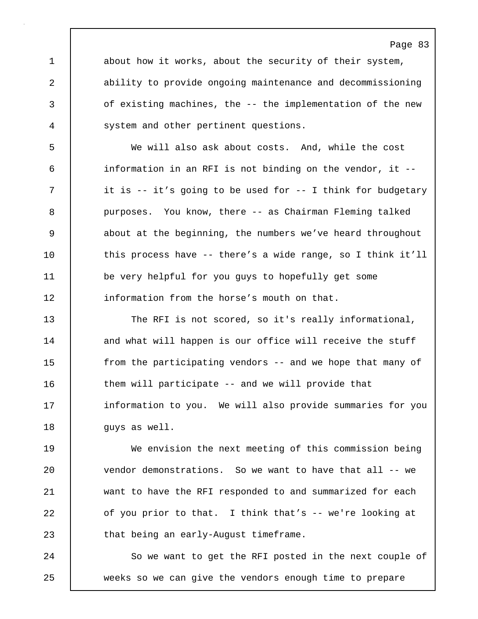1 about how it works, about the security of their system, 2 ability to provide ongoing maintenance and decommissioning 3 of existing machines, the -- the implementation of the new 4 | system and other pertinent questions.

5 We will also ask about costs. And, while the cost 6 information in an RFI is not binding on the vendor, it -- 7 | it is -- it's going to be used for -- I think for budgetary 8 purposes. You know, there -- as Chairman Fleming talked 9 about at the beginning, the numbers we've heard throughout 10 this process have -- there's a wide range, so I think it'll 11 be very helpful for you guys to hopefully get some 12 information from the horse's mouth on that.

13 The RFI is not scored, so it's really informational, 14 and what will happen is our office will receive the stuff 15 **from the participating vendors** -- and we hope that many of 16 them will participate -- and we will provide that 17 **information to you.** We will also provide summaries for you 18 | guys as well.

19 We envision the next meeting of this commission being 20 vendor demonstrations. So we want to have that all -- we 21 want to have the RFI responded to and summarized for each 22 of you prior to that. I think that's -- we're looking at 23 **that being an early-August timeframe.** 

24 | So we want to get the RFI posted in the next couple of 25 weeks so we can give the vendors enough time to prepare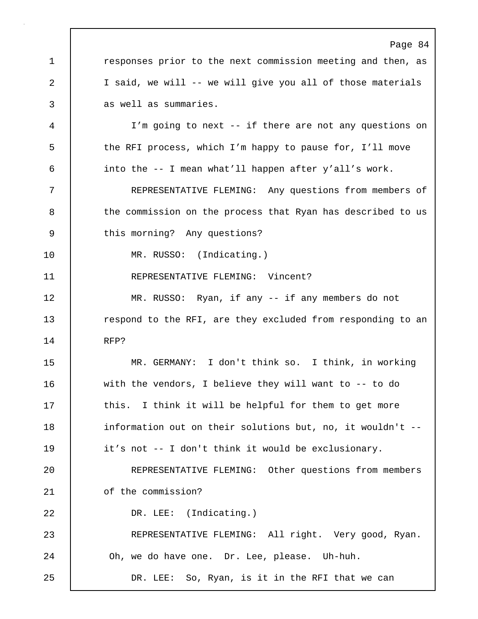Page 84 1 **1** responses prior to the next commission meeting and then, as 2 I said, we will -- we will give you all of those materials 3 as well as summaries. 4 I'm going to next -- if there are not any questions on 5 the RFI process, which I'm happy to pause for, I'll move 6 into the -- I mean what'll happen after y'all's work. 7 REPRESENTATIVE FLEMING: Any questions from members of 8 | the commission on the process that Ryan has described to us 9 this morning? Any questions? 10 MR. RUSSO: (Indicating.) 11 | REPRESENTATIVE FLEMING: Vincent? 12 | MR. RUSSO: Ryan, if any -- if any members do not 13 **respond to the RFI, are they excluded from responding to an** 14 RFP? 15 MR. GERMANY: I don't think so. I think, in working 16 with the vendors, I believe they will want to -- to do 17 | this. I think it will be helpful for them to get more 18 information out on their solutions but, no, it wouldn't --19 it's not -- I don't think it would be exclusionary. 20 REPRESENTATIVE FLEMING: Other questions from members 21 | of the commission? 22 DR. LEE: (Indicating.) 23 REPRESENTATIVE FLEMING: All right. Very good, Ryan. 24 **Oh**, we do have one. Dr. Lee, please. Uh-huh. 25 DR. LEE: So, Ryan, is it in the RFI that we can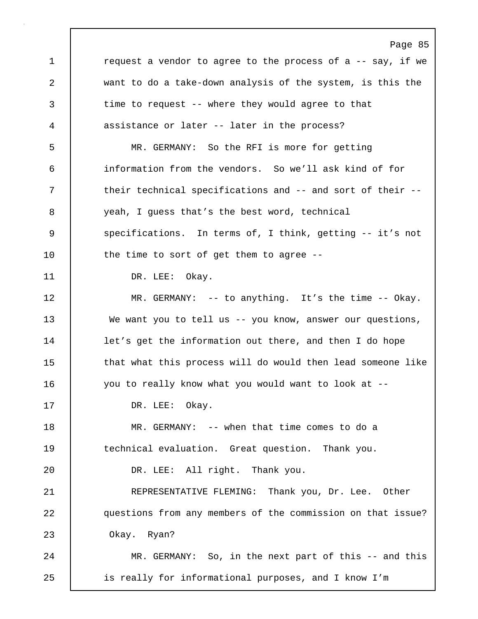Page 85 1 **c** request a vendor to agree to the process of a -- say, if we 2 want to do a take-down analysis of the system, is this the 3 time to request -- where they would agree to that 4 assistance or later -- later in the process? 5 MR. GERMANY: So the RFI is more for getting 6 information from the vendors. So we'll ask kind of for 7 T their technical specifications and -- and sort of their --8 yeah, I guess that's the best word, technical 9 | specifications. In terms of, I think, getting -- it's not 10 | the time to sort of get them to agree --11 | DR. LEE: Okay. 12 MR. GERMANY: -- to anything. It's the time -- Okay. 13 We want you to tell us -- you know, answer our questions, 14 | let's get the information out there, and then I do hope 15 that what this process will do would then lead someone like 16 you to really know what you would want to look at --17 DR. LEE: Okay. 18 MR. GERMANY: -- when that time comes to do a 19 | technical evaluation. Great question. Thank you. 20 DR. LEE: All right. Thank you. 21 REPRESENTATIVE FLEMING: Thank you, Dr. Lee. Other 22 questions from any members of the commission on that issue? 23 Okay. Ryan? 24 MR. GERMANY: So, in the next part of this -- and this 25 is really for informational purposes, and I know I'm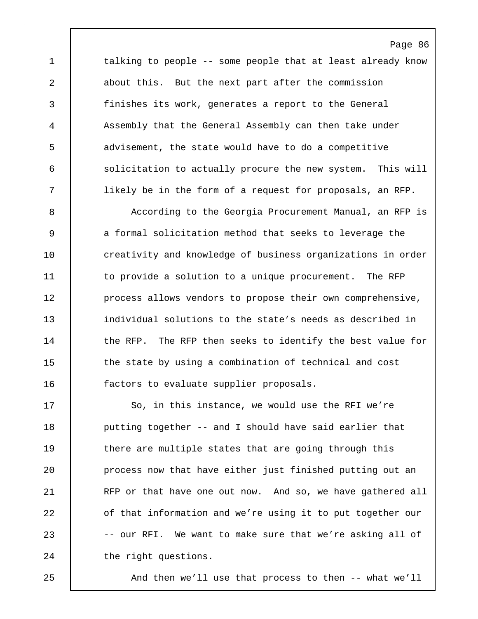1 talking to people -- some people that at least already know 2 about this. But the next part after the commission 3 finishes its work, generates a report to the General 4 Assembly that the General Assembly can then take under 5 advisement, the state would have to do a competitive 6 solicitation to actually procure the new system. This will 7 likely be in the form of a request for proposals, an RFP.

Page 86

8 | According to the Georgia Procurement Manual, an RFP is 9 a formal solicitation method that seeks to leverage the 10 **creativity and knowledge of business organizations in order** 11 | to provide a solution to a unique procurement. The RFP 12 **process allows vendors to propose their own comprehensive,** 13 individual solutions to the state's needs as described in 14 | the RFP. The RFP then seeks to identify the best value for 15 the state by using a combination of technical and cost 16 **factors to evaluate supplier proposals.** 

17 So, in this instance, we would use the RFI we're 18 **putting together -- and I should have said earlier that** 19 there are multiple states that are going through this 20 **process now that have either just finished putting out an** 21 RFP or that have one out now. And so, we have gathered all 22 **o**f that information and we're using it to put together our 23 -- our RFI. We want to make sure that we're asking all of 24 the right questions.

25 And then we'll use that process to then -- what we'll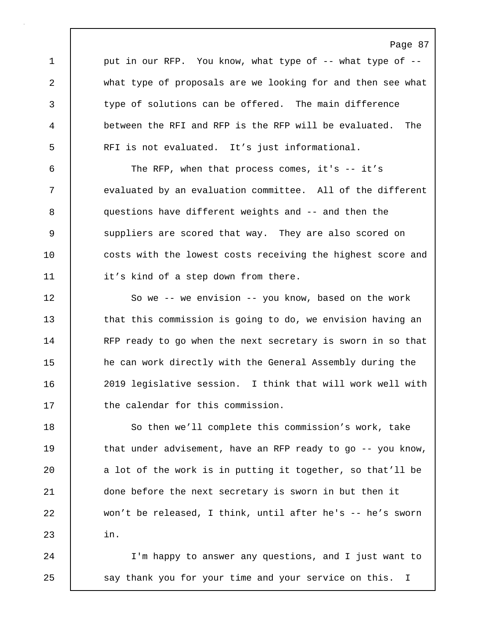1 | put in our RFP. You know, what type of -- what type of --2 what type of proposals are we looking for and then see what 3 type of solutions can be offered. The main difference 4 between the RFI and RFP is the RFP will be evaluated. The 5 RFI is not evaluated. It's just informational.

6 The RFP, when that process comes, it's -- it's 7 evaluated by an evaluation committee. All of the different 8 questions have different weights and -- and then the 9 Suppliers are scored that way. They are also scored on 10 **costs with the lowest costs receiving the highest score and** 11 | it's kind of a step down from there.

12 | So we -- we envision -- you know, based on the work 13 that this commission is going to do, we envision having an 14 RFP ready to go when the next secretary is sworn in so that 15 he can work directly with the General Assembly during the 16 2019 legislative session. I think that will work well with 17 the calendar for this commission.

18 So then we'll complete this commission's work, take 19 that under advisement, have an RFP ready to go -- you know, 20 a lot of the work is in putting it together, so that'll be 21 done before the next secretary is sworn in but then it 22 won't be released, I think, until after he's -- he's sworn  $23$  in.

24 I'm happy to answer any questions, and I just want to 25 | say thank you for your time and your service on this. I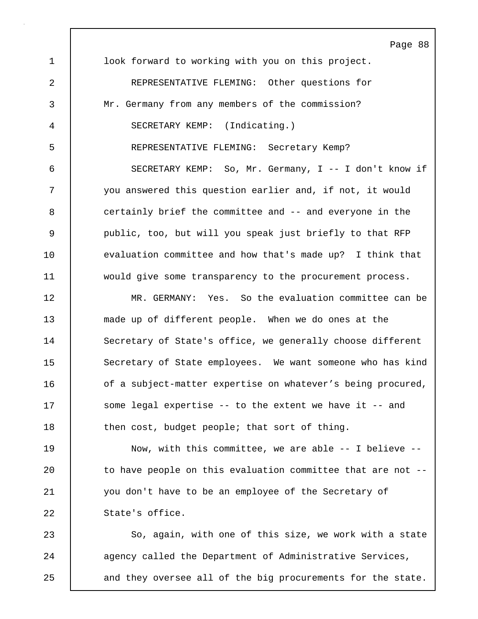Page 88 1 look forward to working with you on this project. 2 | REPRESENTATIVE FLEMING: Other questions for 3 Mr. Germany from any members of the commission? 4 SECRETARY KEMP: (Indicating.) 5 REPRESENTATIVE FLEMING: Secretary Kemp? 6 SECRETARY KEMP: So, Mr. Germany, I -- I don't know if 7 you answered this question earlier and, if not, it would 8 **certainly brief the committee and -- and everyone in the** 9 public, too, but will you speak just briefly to that RFP 10 evaluation committee and how that's made up? I think that 11 would give some transparency to the procurement process. 12 MR. GERMANY: Yes. So the evaluation committee can be 13 made up of different people. When we do ones at the 14 Secretary of State's office, we generally choose different 15 Secretary of State employees. We want someone who has kind 16 of a subject-matter expertise on whatever's being procured, 17 Some legal expertise -- to the extent we have it -- and 18 **then cost, budget people; that sort of thing.** 19 | Now, with this committee, we are able -- I believe --20 to have people on this evaluation committee that are not --21 you don't have to be an employee of the Secretary of 22 | State's office. 23 So, again, with one of this size, we work with a state 24 agency called the Department of Administrative Services,

25 and they oversee all of the big procurements for the state.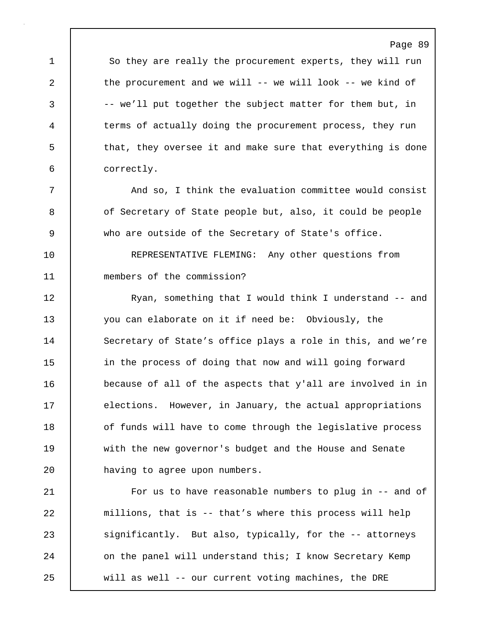Page 89 1 So they are really the procurement experts, they will run 2 the procurement and we will -- we will look -- we kind of 3 -- we'll put together the subject matter for them but, in 4 terms of actually doing the procurement process, they run 5 that, they oversee it and make sure that everything is done 6 correctly.

7 | And so, I think the evaluation committee would consist 8 of Secretary of State people but, also, it could be people 9 who are outside of the Secretary of State's office.

10 REPRESENTATIVE FLEMING: Any other questions from 11 members of the commission?

12 Ryan, something that I would think I understand -- and 13 you can elaborate on it if need be: Obviously, the 14 Secretary of State's office plays a role in this, and we're 15 **in the process of doing that now and will going forward** 16 because of all of the aspects that y'all are involved in in 17 elections. However, in January, the actual appropriations 18 **decive** of funds will have to come through the legislative process 19 with the new governor's budget and the House and Senate 20 **having to agree upon numbers.** 

21 | For us to have reasonable numbers to plug in -- and of 22 millions, that is -- that's where this process will help 23 significantly. But also, typically, for the -- attorneys 24 on the panel will understand this; I know Secretary Kemp 25 will as well -- our current voting machines, the DRE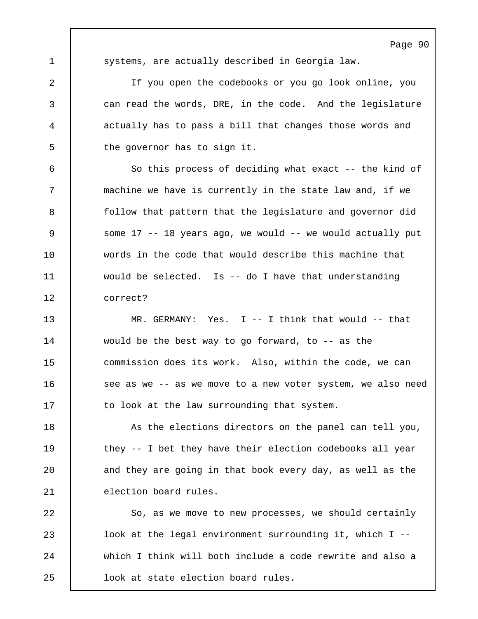1 systems, are actually described in Georgia law.

2 If you open the codebooks or you go look online, you 3 can read the words, DRE, in the code. And the legislature 4 actually has to pass a bill that changes those words and 5 the governor has to sign it.

6 So this process of deciding what exact -- the kind of 7 machine we have is currently in the state law and, if we 8 **follow** that pattern that the legislature and governor did 9 Some 17 -- 18 years ago, we would -- we would actually put 10 words in the code that would describe this machine that 11 would be selected. Is -- do I have that understanding 12 correct?

13 MR. GERMANY: Yes. I -- I think that would -- that 14 would be the best way to go forward, to -- as the 15 commission does its work. Also, within the code, we can 16 | see as we -- as we move to a new voter system, we also need 17 to look at the law surrounding that system.

18 As the elections directors on the panel can tell you, 19 they -- I bet they have their election codebooks all year 20 and they are going in that book every day, as well as the 21 election board rules.

22 So, as we move to new processes, we should certainly 23 **lack** look at the legal environment surrounding it, which I --24 which I think will both include a code rewrite and also a 25 look at state election board rules.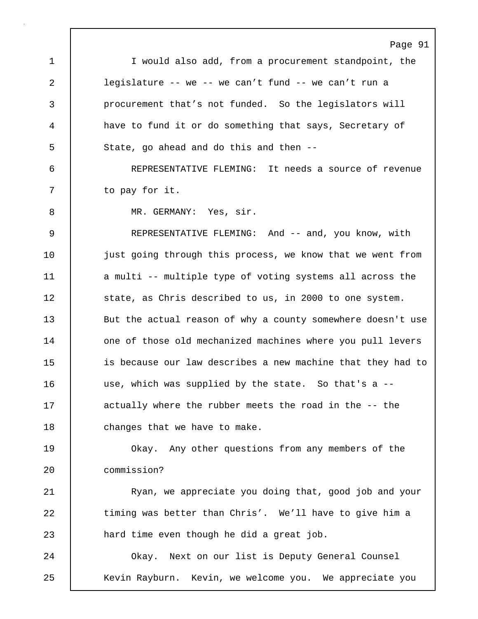Page 91 1 I would also add, from a procurement standpoint, the 2 legislature -- we -- we can't fund -- we can't run a 3 procurement that's not funded. So the legislators will 4 have to fund it or do something that says, Secretary of 5 State, go ahead and do this and then --6 REPRESENTATIVE FLEMING: It needs a source of revenue 7 | to pay for it. 8 | MR. GERMANY: Yes, sir. 9 REPRESENTATIVE FLEMING: And -- and, you know, with 10 | just going through this process, we know that we went from 11 a multi -- multiple type of voting systems all across the 12 | state, as Chris described to us, in 2000 to one system. 13 But the actual reason of why a county somewhere doesn't use 14 one of those old mechanized machines where you pull levers 15 is because our law describes a new machine that they had to 16 use, which was supplied by the state. So that's a -- 17 actually where the rubber meets the road in the -- the 18 | changes that we have to make. 19 | Okay. Any other questions from any members of the 20 commission? 21 | Ryan, we appreciate you doing that, good job and your 22 timing was better than Chris'. We'll have to give him a 23 **hard time even though he did a great job.** 24 Okay. Next on our list is Deputy General Counsel 25 Kevin Rayburn. Kevin, we welcome you. We appreciate you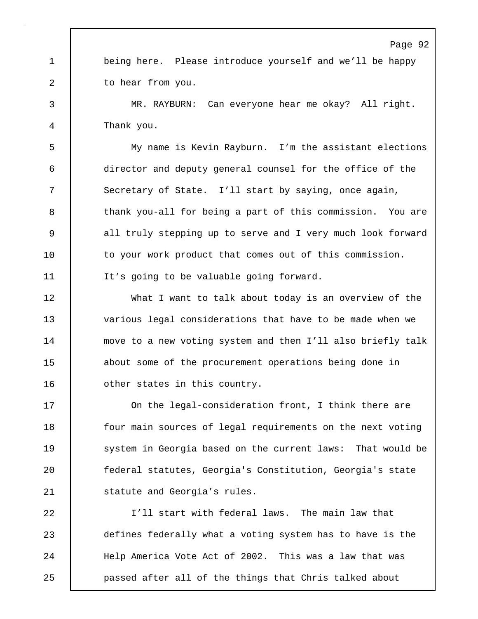1 being here. Please introduce yourself and we'll be happy 2 to hear from you.

3 MR. RAYBURN: Can everyone hear me okay? All right. 4 Thank you.

5 My name is Kevin Rayburn. I'm the assistant elections 6 director and deputy general counsel for the office of the 7 Secretary of State. I'll start by saying, once again, 8 thank you-all for being a part of this commission. You are 9 all truly stepping up to serve and I very much look forward 10 to your work product that comes out of this commission. 11 It's going to be valuable going forward.

12 What I want to talk about today is an overview of the 13 various legal considerations that have to be made when we 14 move to a new voting system and then I'll also briefly talk 15 about some of the procurement operations being done in 16 | other states in this country.

17 On the legal-consideration front, I think there are 18 **four main sources of legal requirements on the next voting** 19 **System in Georgia based on the current laws:** That would be 20 federal statutes, Georgia's Constitution, Georgia's state 21 | statute and Georgia's rules.

22 I'll start with federal laws. The main law that 23 defines federally what a voting system has to have is the 24 | Help America Vote Act of 2002. This was a law that was 25 passed after all of the things that Chris talked about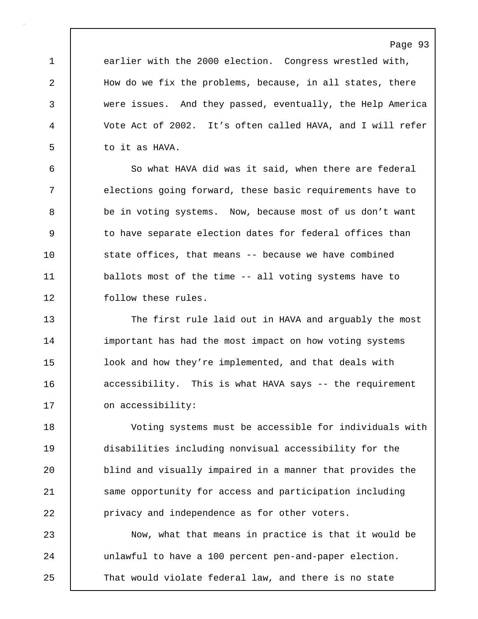1 earlier with the 2000 election. Congress wrestled with, 2 How do we fix the problems, because, in all states, there 3 were issues. And they passed, eventually, the Help America 4 Vote Act of 2002. It's often called HAVA, and I will refer 5 | to it as HAVA.

6 So what HAVA did was it said, when there are federal 7 elections going forward, these basic requirements have to 8 be in voting systems. Now, because most of us don't want 9 to have separate election dates for federal offices than 10 state offices, that means -- because we have combined 11 | ballots most of the time -- all voting systems have to 12 | follow these rules.

13 The first rule laid out in HAVA and arguably the most 14 important has had the most impact on how voting systems 15 look and how they're implemented, and that deals with 16 **decessibility.** This is what HAVA says -- the requirement 17 on accessibility:

18 Voting systems must be accessible for individuals with 19 disabilities including nonvisual accessibility for the 20 blind and visually impaired in a manner that provides the 21 Same opportunity for access and participation including 22 **privacy and independence as for other voters.** 

23 Now, what that means in practice is that it would be 24 unlawful to have a 100 percent pen-and-paper election. 25 That would violate federal law, and there is no state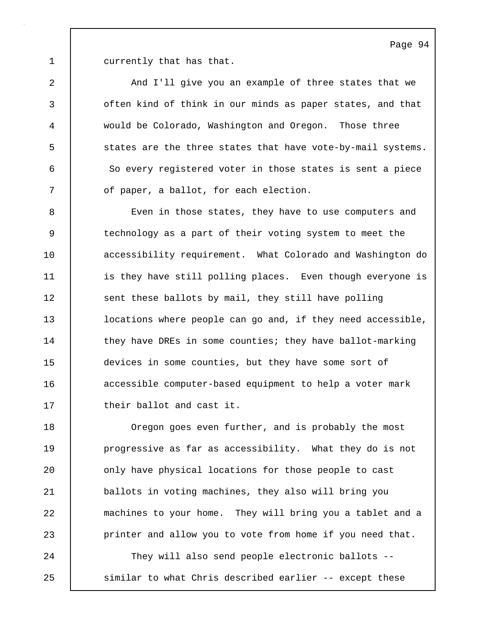1 currently that has that.

2 And I'll give you an example of three states that we 3 **often kind of think in our minds as paper states, and that** 4 would be Colorado, Washington and Oregon. Those three 5 states are the three states that have vote-by-mail systems. 6 So every registered voter in those states is sent a piece 7 | of paper, a ballot, for each election.

8 Even in those states, they have to use computers and 9 technology as a part of their voting system to meet the 10 **accessibility requirement.** What Colorado and Washington do 11 | is they have still polling places. Even though everyone is 12 sent these ballots by mail, they still have polling 13 | locations where people can go and, if they need accessible, 14 they have DREs in some counties; they have ballot-marking 15 devices in some counties, but they have some sort of 16 **accessible computer-based equipment to help a voter mark** 17 | their ballot and cast it.

18 Oregon goes even further, and is probably the most 19 **progressive as far as accessibility.** What they do is not 20 **c** only have physical locations for those people to cast 21 ballots in voting machines, they also will bring you 22 machines to your home. They will bring you a tablet and a 23 **printer and allow you to vote from home if you need that.** 

24 They will also send people electronic ballots -- 25 similar to what Chris described earlier -- except these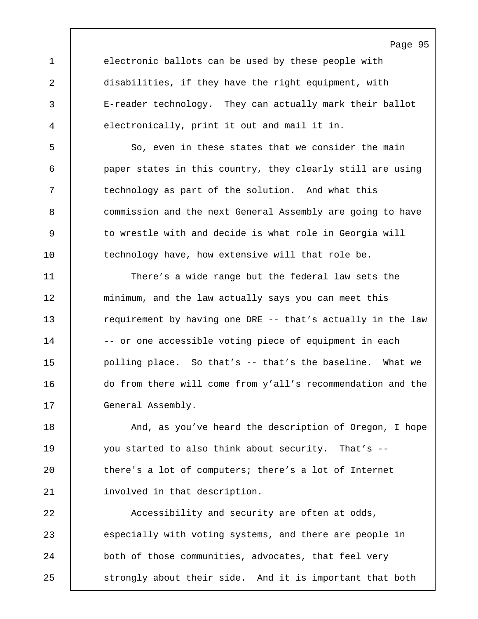1 electronic ballots can be used by these people with 2 disabilities, if they have the right equipment, with 3 E-reader technology. They can actually mark their ballot 4 electronically, print it out and mail it in.

5 So, even in these states that we consider the main 6 paper states in this country, they clearly still are using 7 T is technology as part of the solution. And what this 8 commission and the next General Assembly are going to have 9 to wrestle with and decide is what role in Georgia will 10 technology have, how extensive will that role be.

11 There's a wide range but the federal law sets the 12 minimum, and the law actually says you can meet this 13 **requirement by having one DRE** -- that's actually in the law 14 | -- or one accessible voting piece of equipment in each 15 polling place. So that's -- that's the baseline. What we 16 do from there will come from y'all's recommendation and the 17 General Assembly.

18 **And, as you've heard the description of Oregon, I hope** 19 you started to also think about security. That's -- 20 there's a lot of computers; there's a lot of Internet 21 involved in that description.

22 **Accessibility and security are often at odds,** 23 especially with voting systems, and there are people in 24 both of those communities, advocates, that feel very 25 strongly about their side. And it is important that both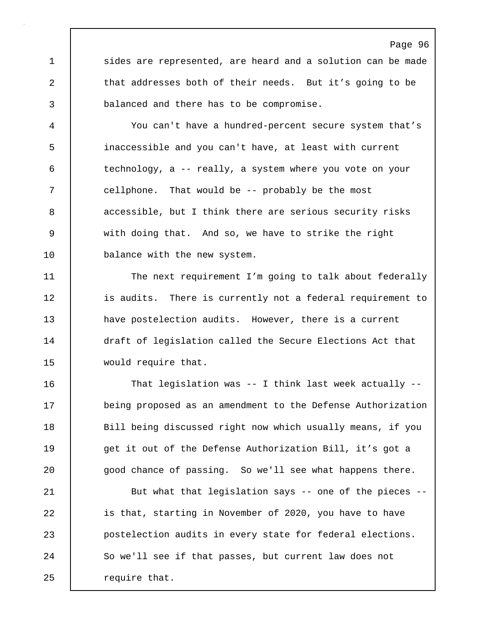1 sides are represented, are heard and a solution can be made 2 that addresses both of their needs. But it's going to be 3 balanced and there has to be compromise.

Page 96

4 You can't have a hundred-percent secure system that's 5 inaccessible and you can't have, at least with current 6 technology, a -- really, a system where you vote on your 7 cellphone. That would be -- probably be the most 8 accessible, but I think there are serious security risks 9 with doing that. And so, we have to strike the right 10 | balance with the new system.

11 The next requirement I'm going to talk about federally 12 | is audits. There is currently not a federal requirement to 13 have postelection audits. However, there is a current 14 draft of legislation called the Secure Elections Act that 15 | would require that.

16 That legislation was -- I think last week actually -- 17 being proposed as an amendment to the Defense Authorization 18 | Bill being discussed right now which usually means, if you 19 get it out of the Defense Authorization Bill, it's got a 20 | good chance of passing. So we'll see what happens there.

21 **But what that legislation says** -- one of the pieces --22 is that, starting in November of 2020, you have to have 23 postelection audits in every state for federal elections. 24 So we'll see if that passes, but current law does not 25 | require that.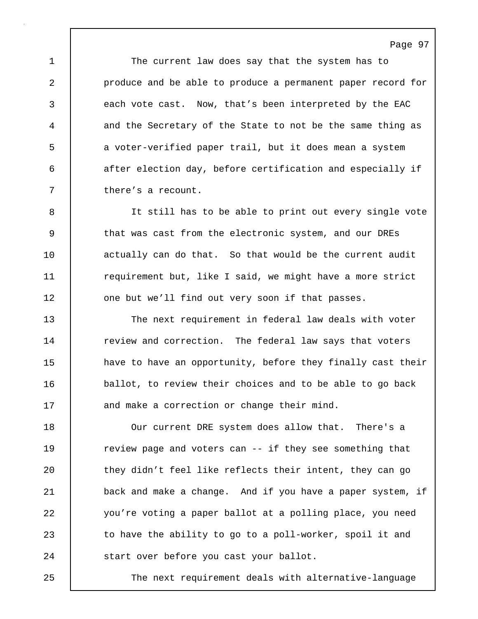1 The current law does say that the system has to 2 **produce and be able to produce a permanent paper record for** 3 each vote cast. Now, that's been interpreted by the EAC 4 and the Secretary of the State to not be the same thing as 5 a voter-verified paper trail, but it does mean a system 6 after election day, before certification and especially if 7 there's a recount.

8 It still has to be able to print out every single vote 9 that was cast from the electronic system, and our DREs 10 actually can do that. So that would be the current audit 11 | requirement but, like I said, we might have a more strict 12 one but we'll find out very soon if that passes.

13 | The next requirement in federal law deals with voter 14 Teview and correction. The federal law says that voters 15 have to have an opportunity, before they finally cast their 16 ballot, to review their choices and to be able to go back 17 and make a correction or change their mind.

18 | Our current DRE system does allow that. There's a 19 **The Value of the Value of the See Something that** 20 they didn't feel like reflects their intent, they can go 21 back and make a change. And if you have a paper system, if 22 you're voting a paper ballot at a polling place, you need 23 to have the ability to go to a poll-worker, spoil it and 24 | start over before you cast your ballot.

25 The next requirement deals with alternative-language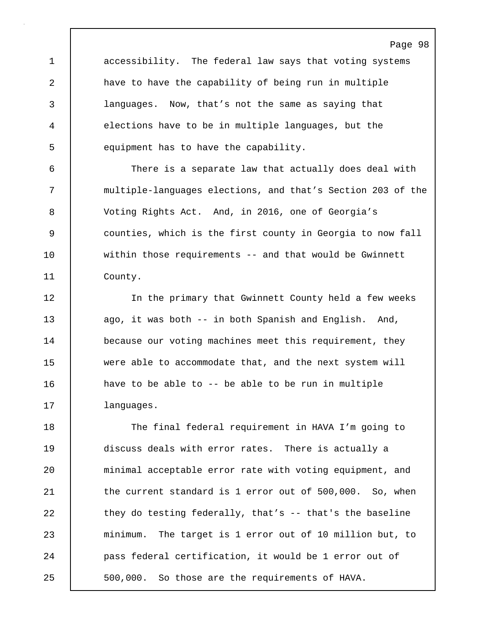1 accessibility. The federal law says that voting systems 2 | have to have the capability of being run in multiple 3 languages. Now, that's not the same as saying that 4 elections have to be in multiple languages, but the 5 equipment has to have the capability.

6 There is a separate law that actually does deal with 7 multiple-languages elections, and that's Section 203 of the 8 Voting Rights Act. And, in 2016, one of Georgia's 9 counties, which is the first county in Georgia to now fall 10 within those requirements -- and that would be Gwinnett 11 County.

12 | The primary that Gwinnett County held a few weeks 13 | ago, it was both -- in both Spanish and English. And, 14 **because our voting machines meet this requirement, they** 15 were able to accommodate that, and the next system will 16 have to be able to -- be able to be run in multiple 17 | languages.

18 The final federal requirement in HAVA I'm going to 19 discuss deals with error rates. There is actually a 20 minimal acceptable error rate with voting equipment, and 21 the current standard is 1 error out of 500,000. So, when 22  $\vert$  they do testing federally, that's  $-$  that's the baseline 23 minimum. The target is 1 error out of 10 million but, to 24 pass federal certification, it would be 1 error out of 25 500,000. So those are the requirements of HAVA.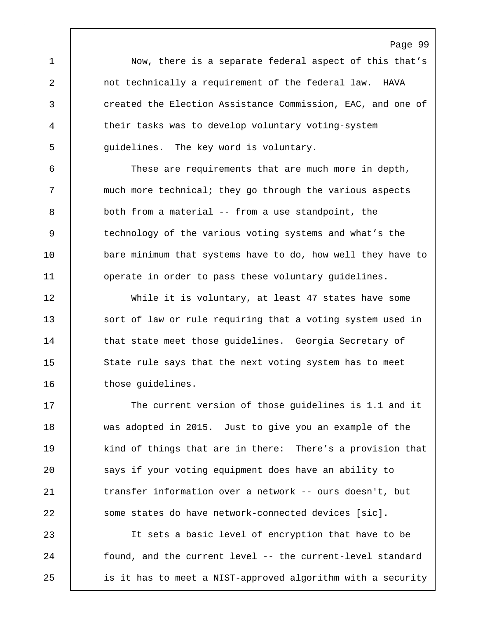1 Now, there is a separate federal aspect of this that's 2 not technically a requirement of the federal law. HAVA 3 created the Election Assistance Commission, EAC, and one of 4 their tasks was to develop voluntary voting-system 5 guidelines. The key word is voluntary.

Page 99

6 These are requirements that are much more in depth, 7 much more technical; they go through the various aspects 8 both from a material -- from a use standpoint, the 9 technology of the various voting systems and what's the 10 bare minimum that systems have to do, how well they have to 11 **operate in order to pass these voluntary quidelines.** 

12 While it is voluntary, at least 47 states have some 13 sort of law or rule requiring that a voting system used in 14 | that state meet those guidelines. Georgia Secretary of 15 State rule says that the next voting system has to meet 16 | those quidelines.

17 The current version of those quidelines is 1.1 and it 18 was adopted in 2015. Just to give you an example of the 19 kind of things that are in there: There's a provision that 20 says if your voting equipment does have an ability to 21 transfer information over a network -- ours doesn't, but 22 some states do have network-connected devices [sic].

23 It sets a basic level of encryption that have to be 24 | found, and the current level -- the current-level standard 25 is it has to meet a NIST-approved algorithm with a security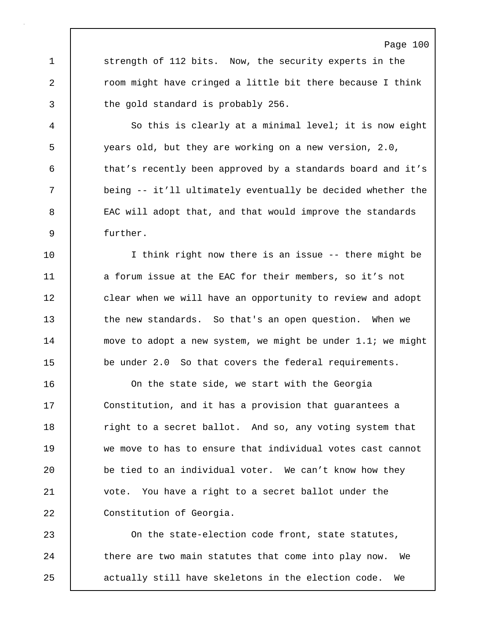1 strength of 112 bits. Now, the security experts in the 2 **c** room might have cringed a little bit there because I think 3 the gold standard is probably 256.

4 So this is clearly at a minimal level; it is now eight 5 years old, but they are working on a new version, 2.0, 6 that's recently been approved by a standards board and it's 7 being -- it'll ultimately eventually be decided whether the 8 EAC will adopt that, and that would improve the standards 9 further.

10 I think right now there is an issue -- there might be 11 a forum issue at the EAC for their members, so it's not 12 clear when we will have an opportunity to review and adopt 13 the new standards. So that's an open question. When we 14 | move to adopt a new system, we might be under 1.1; we might 15 be under 2.0 So that covers the federal requirements.

16 On the state side, we start with the Georgia 17 | Constitution, and it has a provision that guarantees a 18 Tight to a secret ballot. And so, any voting system that 19 we move to has to ensure that individual votes cast cannot 20 be tied to an individual voter. We can't know how they 21 vote. You have a right to a secret ballot under the 22 | Constitution of Georgia.

23 On the state-election code front, state statutes, 24 there are two main statutes that come into play now. We 25 actually still have skeletons in the election code. We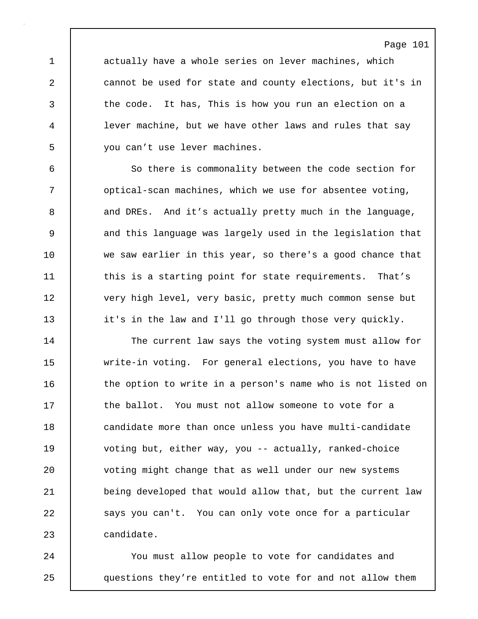1 actually have a whole series on lever machines, which 2 cannot be used for state and county elections, but it's in 3 the code. It has, This is how you run an election on a 4 lever machine, but we have other laws and rules that say 5 you can't use lever machines.

6 So there is commonality between the code section for 7 | optical-scan machines, which we use for absentee voting, 8 and DREs. And it's actually pretty much in the language, 9 and this language was largely used in the legislation that 10 we saw earlier in this year, so there's a good chance that 11 this is a starting point for state requirements. That's 12 very high level, very basic, pretty much common sense but 13 it's in the law and I'll go through those very quickly.

14 The current law says the voting system must allow for 15 write-in voting. For general elections, you have to have 16 the option to write in a person's name who is not listed on 17 the ballot. You must not allow someone to vote for a 18 **candidate more than once unless you have multi-candidate** 19 voting but, either way, you -- actually, ranked-choice 20 voting might change that as well under our new systems 21 **being developed that would allow that, but the current law** 22 | says you can't. You can only vote once for a particular 23 candidate.

24 You must allow people to vote for candidates and 25 questions they're entitled to vote for and not allow them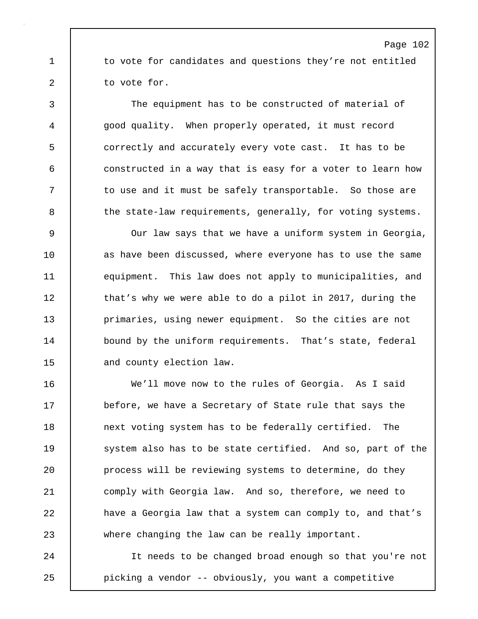1 to vote for candidates and questions they're not entitled 2 | to vote for.

3 The equipment has to be constructed of material of 4 good quality. When properly operated, it must record 5 correctly and accurately every vote cast. It has to be 6 constructed in a way that is easy for a voter to learn how 7 to use and it must be safely transportable. So those are 8 the state-law requirements, generally, for voting systems.

9 Our law says that we have a uniform system in Georgia, 10 as have been discussed, where everyone has to use the same 11 equipment. This law does not apply to municipalities, and 12 | that's why we were able to do a pilot in 2017, during the 13 **primaries, using newer equipment.** So the cities are not 14 bound by the uniform requirements. That's state, federal 15 | and county election law.

16 We'll move now to the rules of Georgia. As I said 17 before, we have a Secretary of State rule that says the 18 next voting system has to be federally certified. The 19 System also has to be state certified. And so, part of the 20 **process will be reviewing systems to determine, do they** 21 comply with Georgia law. And so, therefore, we need to 22 have a Georgia law that a system can comply to, and that's 23 where changing the law can be really important.

24 It needs to be changed broad enough so that you're not 25 picking a vendor -- obviously, you want a competitive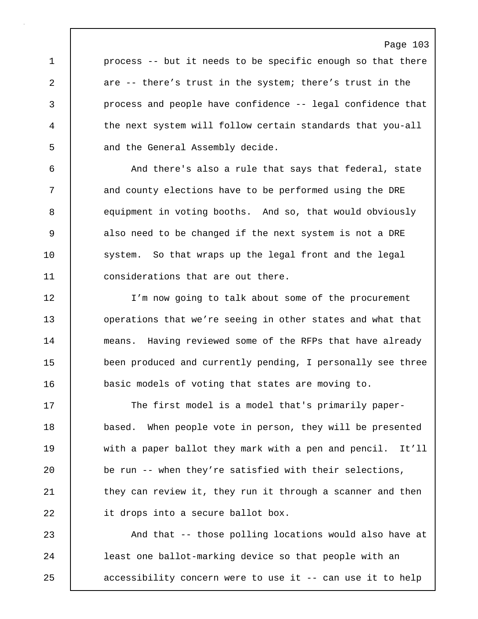1 process -- but it needs to be specific enough so that there 2 are -- there's trust in the system; there's trust in the 3 process and people have confidence -- legal confidence that 4 the next system will follow certain standards that you-all 5 and the General Assembly decide.

6 And there's also a rule that says that federal, state 7 and county elections have to be performed using the DRE 8 equipment in voting booths. And so, that would obviously 9 also need to be changed if the next system is not a DRE 10 system. So that wraps up the legal front and the legal 11 | considerations that are out there.

12 I'm now going to talk about some of the procurement 13 **operations that we're seeing in other states and what that** 14 | means. Having reviewed some of the RFPs that have already 15 been produced and currently pending, I personally see three 16 basic models of voting that states are moving to.

17 The first model is a model that's primarily paper-18 based. When people vote in person, they will be presented 19 with a paper ballot they mark with a pen and pencil. It'll 20 be run -- when they're satisfied with their selections, 21 | they can review it, they run it through a scanner and then 22 **it drops into a secure ballot box.** 

23 And that -- those polling locations would also have at 24 | least one ballot-marking device so that people with an 25 accessibility concern were to use it -- can use it to help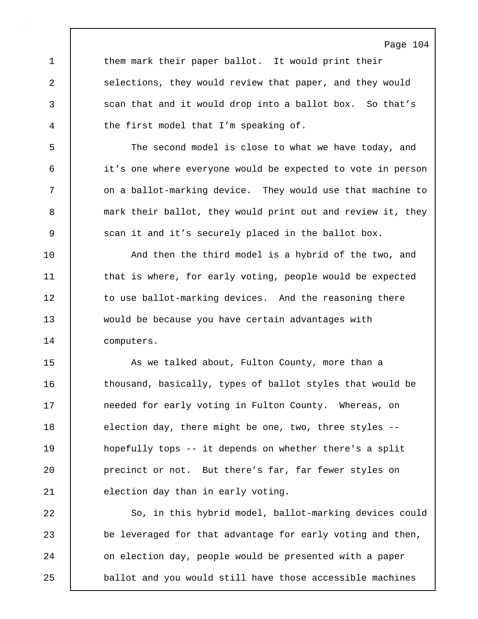1 them mark their paper ballot. It would print their 2 Selections, they would review that paper, and they would 3 scan that and it would drop into a ballot box. So that's 4 the first model that I'm speaking of.

5 The second model is close to what we have today, and 6 it's one where everyone would be expected to vote in person 7 | on a ballot-marking device. They would use that machine to 8 **mark their ballot, they would print out and review it, they** 9 Scan it and it's securely placed in the ballot box.

10 | And then the third model is a hybrid of the two, and 11 | that is where, for early voting, people would be expected 12 to use ballot-marking devices. And the reasoning there 13 would be because you have certain advantages with 14 computers.

15 As we talked about, Fulton County, more than a 16 | thousand, basically, types of ballot styles that would be 17 needed for early voting in Fulton County. Whereas, on 18 election day, there might be one, two, three styles --19 hopefully tops -- it depends on whether there's a split 20 precinct or not. But there's far, far fewer styles on 21 election day than in early voting.

22 So, in this hybrid model, ballot-marking devices could 23 be leveraged for that advantage for early voting and then, 24 | on election day, people would be presented with a paper 25 ballot and you would still have those accessible machines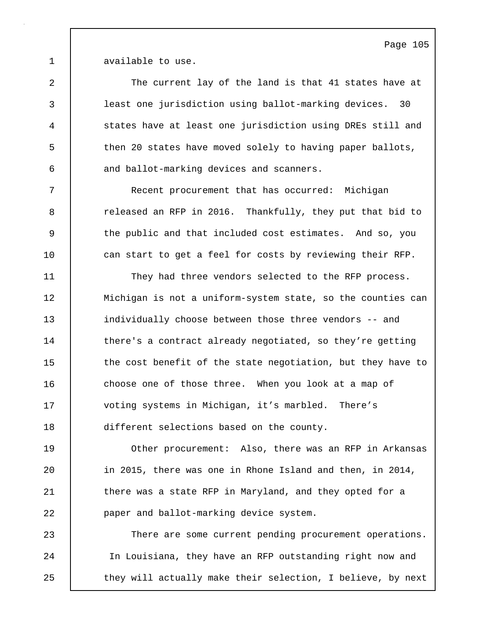1 available to use.

2 The current lay of the land is that 41 states have at 3 least one jurisdiction using ballot-marking devices. 30 4 states have at least one jurisdiction using DREs still and 5 then 20 states have moved solely to having paper ballots, 6 and ballot-marking devices and scanners.

7 Recent procurement that has occurred: Michigan 8 **8** released an RFP in 2016. Thankfully, they put that bid to 9 the public and that included cost estimates. And so, you 10 | can start to get a feel for costs by reviewing their RFP.

11 They had three vendors selected to the RFP process. 12 | Michigan is not a uniform-system state, so the counties can 13 individually choose between those three vendors -- and 14 There's a contract already negotiated, so they're getting 15 the cost benefit of the state negotiation, but they have to 16 choose one of those three. When you look at a map of 17 voting systems in Michigan, it's marbled. There's 18 different selections based on the county.

19 Other procurement: Also, there was an RFP in Arkansas 20 in 2015, there was one in Rhone Island and then, in 2014, 21 | there was a state RFP in Maryland, and they opted for a 22 **paper** and ballot-marking device system.

23 There are some current pending procurement operations. 24 In Louisiana, they have an RFP outstanding right now and 25 | they will actually make their selection, I believe, by next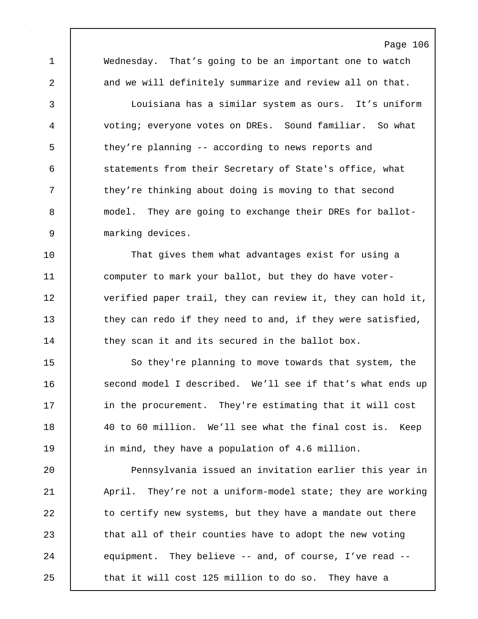1 Wednesday. That's going to be an important one to watch 2 and we will definitely summarize and review all on that.

Page 106

3 Louisiana has a similar system as ours. It's uniform 4 voting; everyone votes on DREs. Sound familiar. So what 5 they're planning -- according to news reports and 6 statements from their Secretary of State's office, what 7 they're thinking about doing is moving to that second 8 model. They are going to exchange their DREs for ballot-9 marking devices.

10 That gives them what advantages exist for using a 11 computer to mark your ballot, but they do have voter-12 | verified paper trail, they can review it, they can hold it, 13 they can redo if they need to and, if they were satisfied, 14 they scan it and its secured in the ballot box.

15 | So they're planning to move towards that system, the 16 second model I described. We'll see if that's what ends up 17 in the procurement. They're estimating that it will cost 18 40 to 60 million. We'll see what the final cost is. Keep 19 in mind, they have a population of 4.6 million.

20 **Pennsylvania issued an invitation earlier this year in** 21 | April. They're not a uniform-model state; they are working 22 to certify new systems, but they have a mandate out there 23 that all of their counties have to adopt the new voting 24 equipment. They believe -- and, of course, I've read --25 **that it will cost 125 million to do so.** They have a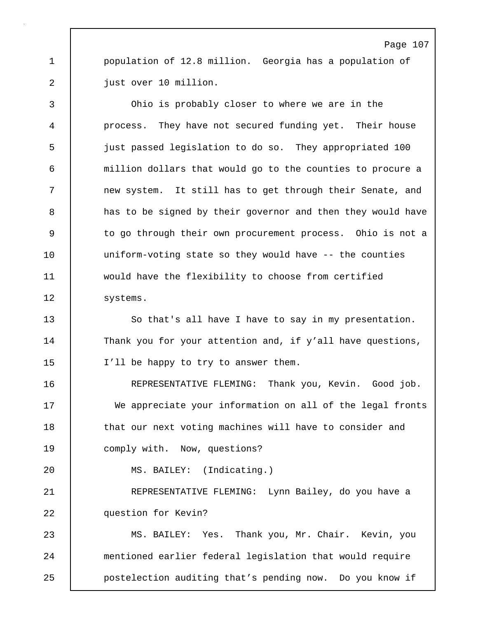1 | population of 12.8 million. Georgia has a population of 2 | just over 10 million.

3 Ohio is probably closer to where we are in the 4 process. They have not secured funding yet. Their house 5 just passed legislation to do so. They appropriated 100 6 million dollars that would go to the counties to procure a 7 new system. It still has to get through their Senate, and 8 a has to be signed by their governor and then they would have 9 to go through their own procurement process. Ohio is not a 10 | uniform-voting state so they would have -- the counties 11 would have the flexibility to choose from certified 12 | systems.

13 So that's all have I have to say in my presentation. 14 Thank you for your attention and, if y'all have questions, 15 I'll be happy to try to answer them.

16 REPRESENTATIVE FLEMING: Thank you, Kevin. Good job. 17 We appreciate your information on all of the legal fronts 18 **that our next voting machines will have to consider and** 19 | comply with. Now, questions?

20 MS. BAILEY: (Indicating.)

21 REPRESENTATIVE FLEMING: Lynn Bailey, do you have a 22 | question for Kevin?

23 MS. BAILEY: Yes. Thank you, Mr. Chair. Kevin, you 24 mentioned earlier federal legislation that would require 25 **postelection auditing that's pending now.** Do you know if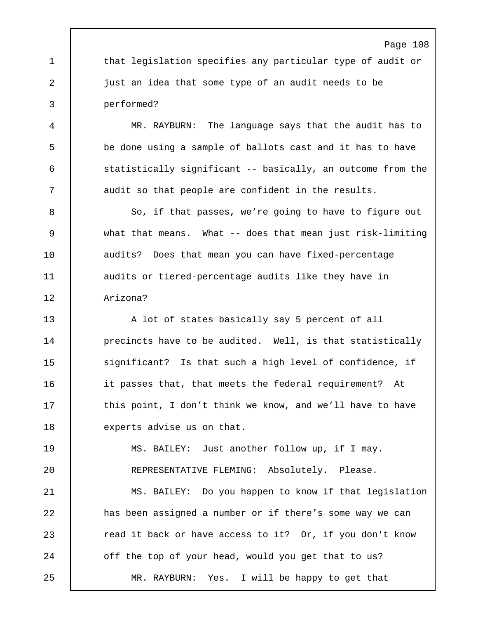1 that legislation specifies any particular type of audit or 2 **just an idea that some type of an audit needs to be** 3 performed?

4 MR. RAYBURN: The language says that the audit has to 5 be done using a sample of ballots cast and it has to have 6 statistically significant -- basically, an outcome from the 7 | audit so that people are confident in the results.

8 | So, if that passes, we're going to have to figure out 9 what that means. What -- does that mean just risk-limiting 10 audits? Does that mean you can have fixed-percentage 11 | audits or tiered-percentage audits like they have in 12 Arizona?

13 A lot of states basically say 5 percent of all 14 | precincts have to be audited. Well, is that statistically 15 significant? Is that such a high level of confidence, if 16 it passes that, that meets the federal requirement? At 17 this point, I don't think we know, and we'll have to have 18 experts advise us on that.

19 MS. BAILEY: Just another follow up, if I may. 20 REPRESENTATIVE FLEMING: Absolutely. Please.

21 MS. BAILEY: Do you happen to know if that legislation 22 has been assigned a number or if there's some way we can 23 **Part 23** read it back or have access to it? Or, if you don't know 24 off the top of your head, would you get that to us? 25 MR. RAYBURN: Yes. I will be happy to get that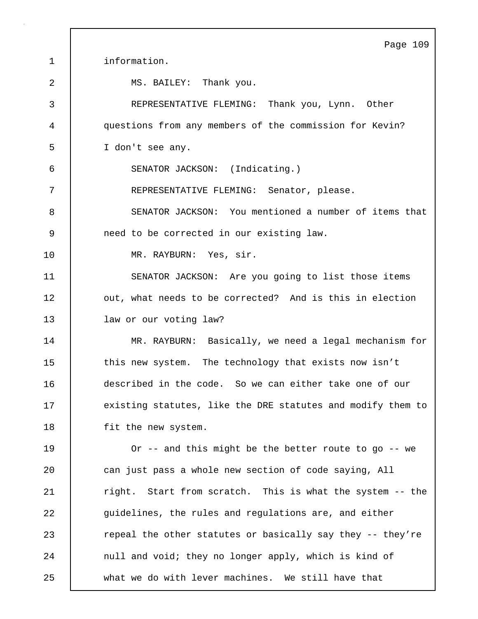Page 109 1 information. 2 MS. BAILEY: Thank you. 3 REPRESENTATIVE FLEMING: Thank you, Lynn. Other 4 questions from any members of the commission for Kevin? 5 I don't see any. 6 SENATOR JACKSON: (Indicating.) 7 REPRESENTATIVE FLEMING: Senator, please. 8 SENATOR JACKSON: You mentioned a number of items that 9 need to be corrected in our existing law. 10 | MR. RAYBURN: Yes, sir. 11 SENATOR JACKSON: Are you going to list those items 12 | out, what needs to be corrected? And is this in election 13 law or our voting law? 14 MR. RAYBURN: Basically, we need a legal mechanism for 15 | this new system. The technology that exists now isn't 16 described in the code. So we can either take one of our 17 | existing statutes, like the DRE statutes and modify them to 18 | fit the new system. 19 Or -- and this might be the better route to go -- we 20 can just pass a whole new section of code saying, All 21 Tight. Start from scratch. This is what the system -- the 22 guidelines, the rules and regulations are, and either 23 **Parame 23** repeal the other statutes or basically say they -- they're 24 | null and void; they no longer apply, which is kind of 25 what we do with lever machines. We still have that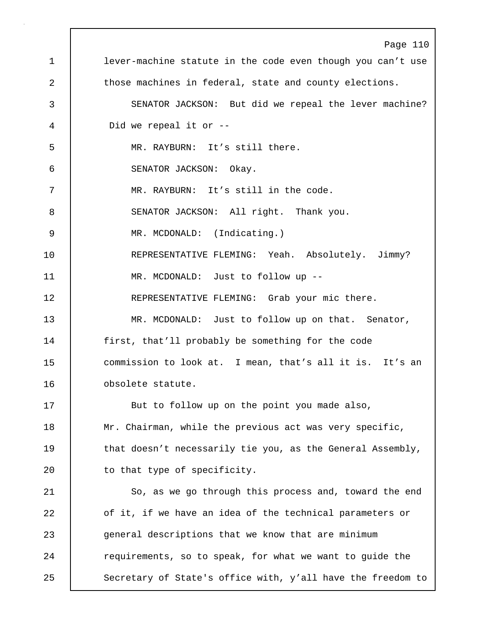Page 110 1 lever-machine statute in the code even though you can't use 2 those machines in federal, state and county elections. 3 SENATOR JACKSON: But did we repeal the lever machine? 4 Did we repeal it or -- 5 MR. RAYBURN: It's still there. 6 SENATOR JACKSON: Okay. 7 MR. RAYBURN: It's still in the code. 8 SENATOR JACKSON: All right. Thank you. 9 MR. MCDONALD: (Indicating.) 10 REPRESENTATIVE FLEMING: Yeah. Absolutely. Jimmy? 11 MR. MCDONALD: Just to follow up -- 12 **REPRESENTATIVE FLEMING:** Grab your mic there. 13 MR. MCDONALD: Just to follow up on that. Senator, 14 | first, that'll probably be something for the code 15 | commission to look at. I mean, that's all it is. It's an 16 obsolete statute. 17 | But to follow up on the point you made also, 18 | Mr. Chairman, while the previous act was very specific, 19 that doesn't necessarily tie you, as the General Assembly, 20 to that type of specificity. 21 | So, as we go through this process and, toward the end 22 of it, if we have an idea of the technical parameters or 23 general descriptions that we know that are minimum 24 **Parage 1** requirements, so to speak, for what we want to guide the 25 Secretary of State's office with, y'all have the freedom to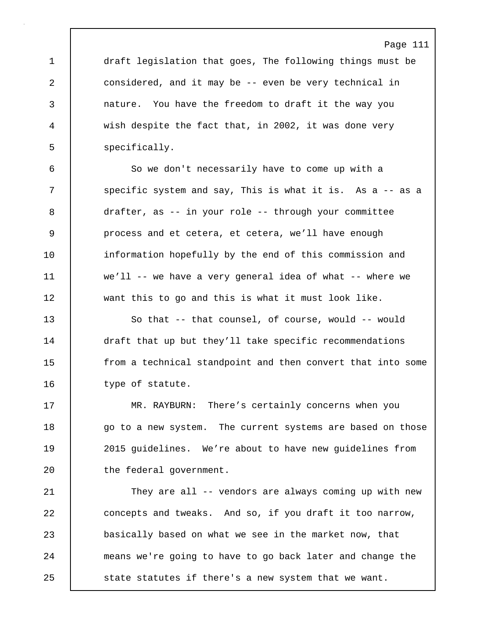1 draft legislation that goes, The following things must be 2 considered, and it may be -- even be very technical in 3 nature. You have the freedom to draft it the way you 4 wish despite the fact that, in 2002, it was done very 5 | specifically.

6 So we don't necessarily have to come up with a 7 | specific system and say, This is what it is. As a -- as a 8 drafter, as -- in your role -- through your committee 9 process and et cetera, et cetera, we'll have enough 10 | information hopefully by the end of this commission and 11 we'll -- we have a very general idea of what -- where we 12 want this to go and this is what it must look like.

13 So that -- that counsel, of course, would -- would 14 draft that up but they'll take specific recommendations 15 from a technical standpoint and then convert that into some 16 | type of statute.

17 MR. RAYBURN: There's certainly concerns when you 18 go to a new system. The current systems are based on those 19 2015 guidelines. We're about to have new guidelines from 20 | the federal government.

21 | They are all -- vendors are always coming up with new 22 concepts and tweaks. And so, if you draft it too narrow, 23 basically based on what we see in the market now, that 24 means we're going to have to go back later and change the 25 **State statutes if there's a new system that we want.**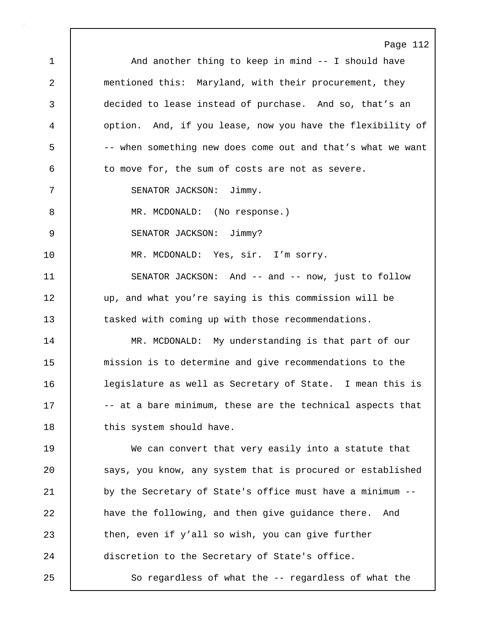Page 112 1 | And another thing to keep in mind -- I should have 2 mentioned this: Maryland, with their procurement, they 3 decided to lease instead of purchase. And so, that's an 4 option. And, if you lease, now you have the flexibility of 5 -- when something new does come out and that's what we want 6 to move for, the sum of costs are not as severe. 7 SENATOR JACKSON: Jimmy. 8 MR. MCDONALD: (No response.) 9 | SENATOR JACKSON: Jimmy? 10 | MR. MCDONALD: Yes, sir. I'm sorry. 11 SENATOR JACKSON: And -- and -- now, just to follow 12 up, and what you're saying is this commission will be 13 tasked with coming up with those recommendations. 14 MR. MCDONALD: My understanding is that part of our 15 mission is to determine and give recommendations to the 16 legislature as well as Secretary of State. I mean this is 17  $\vert$  -- at a bare minimum, these are the technical aspects that 18 | this system should have. 19 We can convert that very easily into a statute that 20 | says, you know, any system that is procured or established 21 by the Secretary of State's office must have a minimum --22 **have the following, and then give guidance there.** And 23 then, even if y'all so wish, you can give further 24 discretion to the Secretary of State's office. 25 | So regardless of what the -- regardless of what the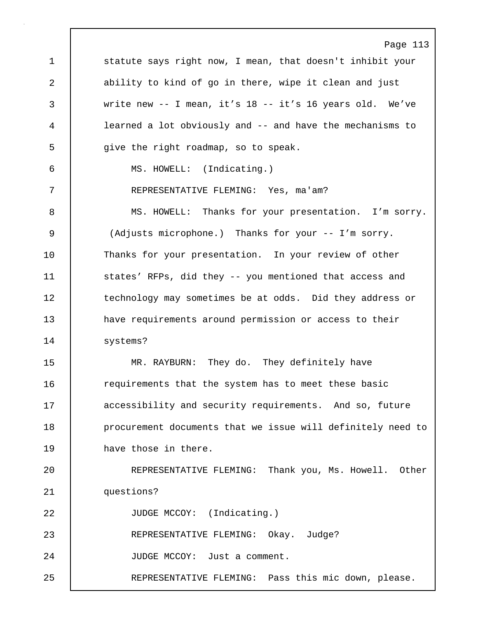Page 113 1 statute says right now, I mean, that doesn't inhibit your 2 ability to kind of go in there, wipe it clean and just 3 write new -- I mean, it's 18 -- it's 16 years old. We've 4 learned a lot obviously and -- and have the mechanisms to 5 give the right roadmap, so to speak. 6 MS. HOWELL: (Indicating.) 7 REPRESENTATIVE FLEMING: Yes, ma'am? 8 MS. HOWELL: Thanks for your presentation. I'm sorry. 9 (Adjusts microphone.) Thanks for your -- I'm sorry. 10 Thanks for your presentation. In your review of other 11 | states' RFPs, did they -- you mentioned that access and 12 | technology may sometimes be at odds. Did they address or 13 have requirements around permission or access to their 14 | systems? 15 | MR. RAYBURN: They do. They definitely have 16 Tequirements that the system has to meet these basic 17 **accessibility and security requirements.** And so, future 18 **procurement documents that we issue will definitely need to** 19 are those in there. 20 REPRESENTATIVE FLEMING: Thank you, Ms. Howell. Other 21 questions? 22 JUDGE MCCOY: (Indicating.) 23 REPRESENTATIVE FLEMING: Okay. Judge? 24 JUDGE MCCOY: Just a comment. 25 REPRESENTATIVE FLEMING: Pass this mic down, please.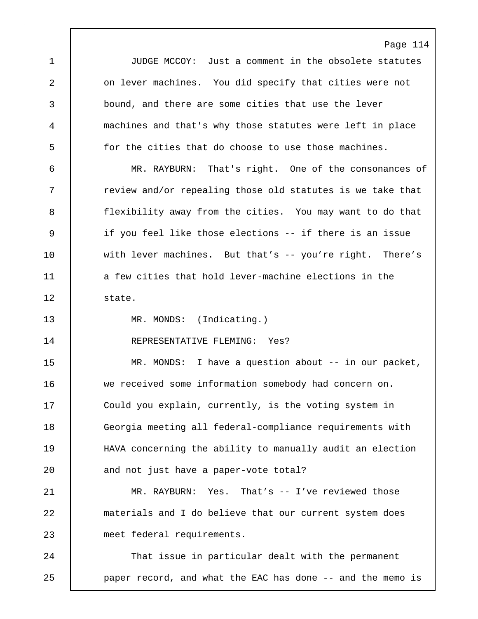Page 114 1 JUDGE MCCOY: Just a comment in the obsolete statutes 2 **0** on lever machines. You did specify that cities were not 3 bound, and there are some cities that use the lever 4 machines and that's why those statutes were left in place 5 for the cities that do choose to use those machines. 6 MR. RAYBURN: That's right. One of the consonances of 7 T review and/or repealing those old statutes is we take that 8 flexibility away from the cities. You may want to do that 9 if you feel like those elections -- if there is an issue 10 with lever machines. But that's -- you're right. There's 11 a few cities that hold lever-machine elections in the 12 state. 13 MR. MONDS: (Indicating.) 14 | REPRESENTATIVE FLEMING: Yes? 15 | MR. MONDS: I have a question about -- in our packet, 16 we received some information somebody had concern on. 17 Could you explain, currently, is the voting system in 18 Georgia meeting all federal-compliance requirements with 19 HAVA concerning the ability to manually audit an election 20 and not just have a paper-vote total? 21 MR. RAYBURN: Yes. That's -- I've reviewed those 22 materials and I do believe that our current system does 23 meet federal requirements. 24 That issue in particular dealt with the permanent 25 paper record, and what the EAC has done -- and the memo is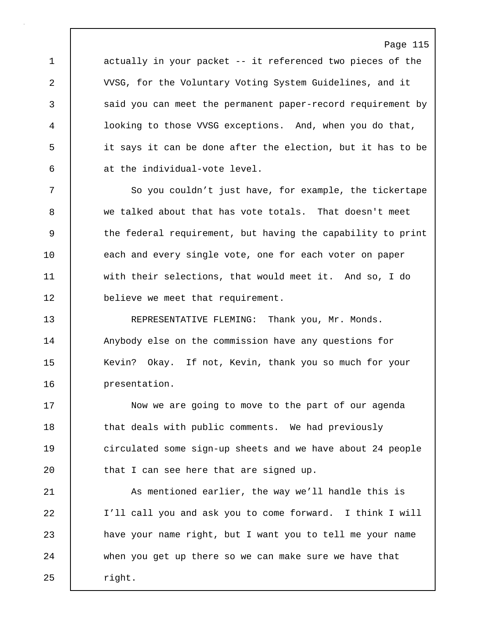1 actually in your packet -- it referenced two pieces of the 2 VVSG, for the Voluntary Voting System Guidelines, and it 3 said you can meet the permanent paper-record requirement by 4 looking to those VVSG exceptions. And, when you do that, 5 it says it can be done after the election, but it has to be 6 at the individual-vote level.

7 So you couldn't just have, for example, the tickertape 8 we talked about that has vote totals. That doesn't meet 9 the federal requirement, but having the capability to print 10 | each and every single vote, one for each voter on paper 11 with their selections, that would meet it. And so, I do 12 believe we meet that requirement.

13 REPRESENTATIVE FLEMING: Thank you, Mr. Monds. 14 | Anybody else on the commission have any questions for 15 | Kevin? Okay. If not, Kevin, thank you so much for your 16 presentation.

17 | Now we are going to move to the part of our agenda 18 | that deals with public comments. We had previously 19 circulated some sign-up sheets and we have about 24 people 20 **that I can see here that are signed up.** 

21 As mentioned earlier, the way we'll handle this is 22 I'll call you and ask you to come forward. I think I will 23 have your name right, but I want you to tell me your name 24 when you get up there so we can make sure we have that 25 | right.

# Page 115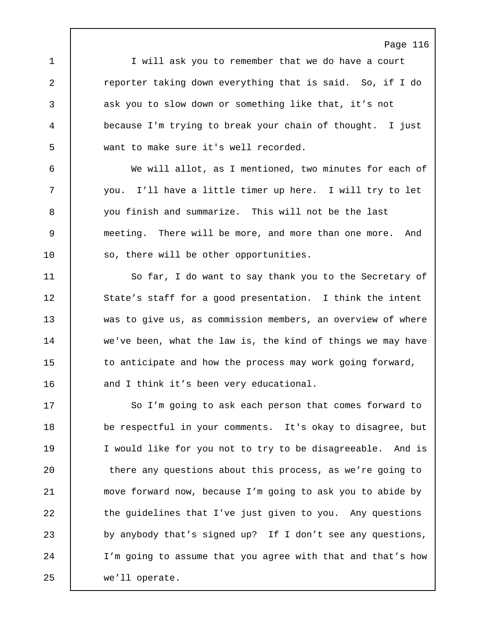1 I will ask you to remember that we do have a court 2 **reporter taking down everything that is said.** So, if I do 3 ask you to slow down or something like that, it's not 4 because I'm trying to break your chain of thought. I just 5 want to make sure it's well recorded.

6 We will allot, as I mentioned, two minutes for each of 7 you. I'll have a little timer up here. I will try to let 8 you finish and summarize. This will not be the last 9 meeting. There will be more, and more than one more. And 10 so, there will be other opportunities.

11 So far, I do want to say thank you to the Secretary of 12 State's staff for a good presentation. I think the intent 13 was to give us, as commission members, an overview of where 14 we've been, what the law is, the kind of things we may have 15 to anticipate and how the process may work going forward, 16 and I think it's been very educational.

17 So I'm going to ask each person that comes forward to 18 be respectful in your comments. It's okay to disagree, but 19 I would like for you not to try to be disagreeable. And is 20 there any questions about this process, as we're going to 21 move forward now, because I'm going to ask you to abide by 22 the guidelines that I've just given to you. Any questions 23 by anybody that's signed up? If I don't see any questions, 24 I'm going to assume that you agree with that and that's how 25 we'll operate.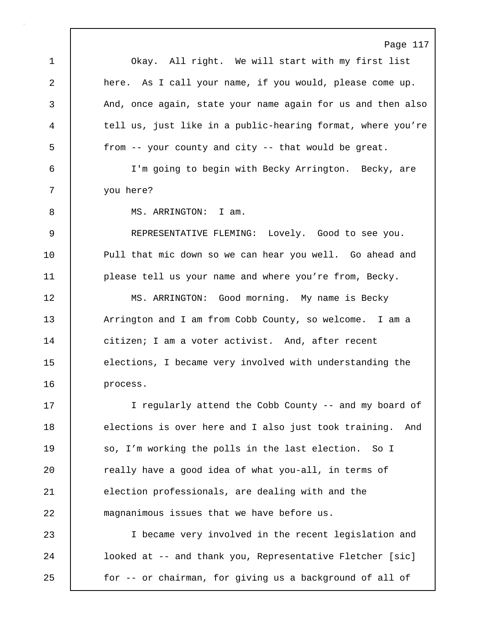Page 117 1 Okay. All right. We will start with my first list 2 here. As I call your name, if you would, please come up. 3 And, once again, state your name again for us and then also 4 tell us, just like in a public-hearing format, where you're 5 from -- your county and city -- that would be great. 6 I'm going to begin with Becky Arrington. Becky, are 7 you here? 8 | MS. ARRINGTON: I am. 9 REPRESENTATIVE FLEMING: Lovely. Good to see you. 10 Pull that mic down so we can hear you well. Go ahead and 11 | please tell us your name and where you're from, Becky. 12 | MS. ARRINGTON: Good morning. My name is Becky 13 Arrington and I am from Cobb County, so welcome. I am a 14 citizen; I am a voter activist. And, after recent 15 elections, I became very involved with understanding the 16 process. 17 | I reqularly attend the Cobb County -- and my board of 18 elections is over here and I also just took training. And 19 So, I'm working the polls in the last election. So I 20 Teally have a good idea of what you-all, in terms of 21 election professionals, are dealing with and the 22 magnanimous issues that we have before us. 23 I became very involved in the recent legislation and 24 **looked at -- and thank you, Representative Fletcher** [sic] 25 for -- or chairman, for giving us a background of all of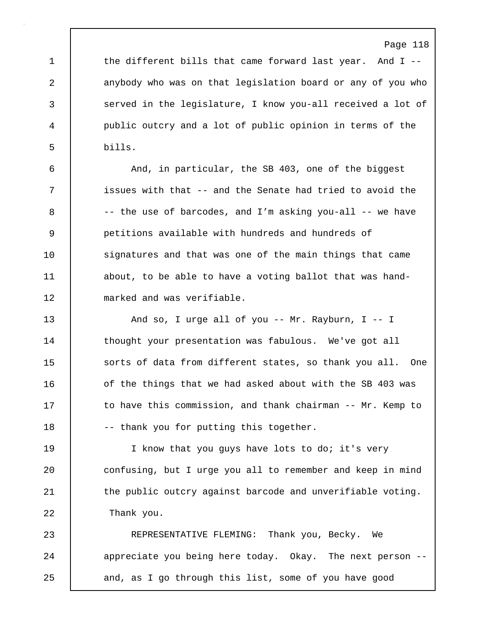1 the different bills that came forward last year. And I --2 anybody who was on that legislation board or any of you who 3 served in the legislature, I know you-all received a lot of 4 public outcry and a lot of public opinion in terms of the 5 bills.

6 And, in particular, the SB 403, one of the biggest 7 issues with that -- and the Senate had tried to avoid the  $8$   $-$  the use of barcodes, and I'm asking you-all  $-$  we have 9 petitions available with hundreds and hundreds of 10 signatures and that was one of the main things that came 11 about, to be able to have a voting ballot that was hand-12 marked and was verifiable.

13 And so, I urge all of you -- Mr. Rayburn, I -- I 14 thought your presentation was fabulous. We've got all 15 Sorts of data from different states, so thank you all. One 16 | of the things that we had asked about with the SB 403 was 17 to have this commission, and thank chairman -- Mr. Kemp to 18 | -- thank you for putting this together.

19 | I know that you guys have lots to do; it's very 20 **confusing, but I urge you all to remember and keep in mind** 21 | the public outcry against barcode and unverifiable voting. 22 Thank you.

23 REPRESENTATIVE FLEMING: Thank you, Becky. We 24 appreciate you being here today. Okay. The next person --25 and, as I go through this list, some of you have good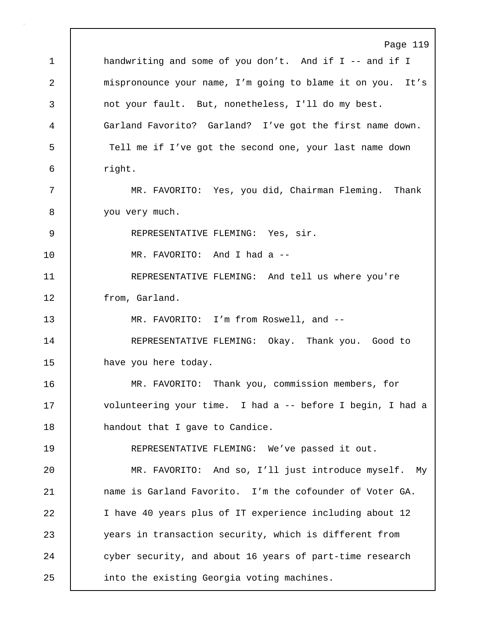Page 119 1 | handwriting and some of you don't. And if I -- and if I 2 mispronounce your name, I'm going to blame it on you. It's 3 not your fault. But, nonetheless, I'll do my best. 4 Garland Favorito? Garland? I've got the first name down. 5 Tell me if I've got the second one, your last name down 6 right. 7 MR. FAVORITO: Yes, you did, Chairman Fleming. Thank 8 | you very much. 9 | REPRESENTATIVE FLEMING: Yes, sir. 10 MR. FAVORITO: And I had a -- 11 REPRESENTATIVE FLEMING: And tell us where you're 12 | from, Garland. 13 | MR. FAVORITO: I'm from Roswell, and --14 REPRESENTATIVE FLEMING: Okay. Thank you. Good to 15 have you here today. 16 MR. FAVORITO: Thank you, commission members, for 17 volunteering your time. I had a -- before I begin, I had a 18 **handout that I gave to Candice.** 19 REPRESENTATIVE FLEMING: We've passed it out. 20 MR. FAVORITO: And so, I'll just introduce myself. My 21 **name is Garland Favorito.** I'm the cofounder of Voter GA. 22 I have 40 years plus of IT experience including about 12 23 years in transaction security, which is different from 24 cyber security, and about 16 years of part-time research 25 | into the existing Georgia voting machines.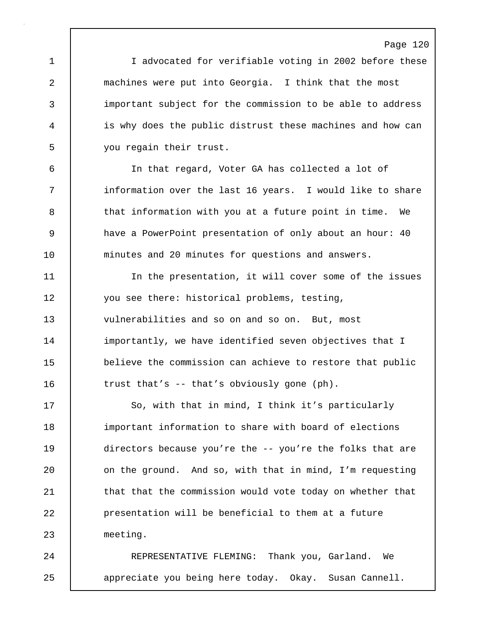1 | I advocated for verifiable voting in 2002 before these 2 machines were put into Georgia. I think that the most 3 important subject for the commission to be able to address 4 is why does the public distrust these machines and how can 5 you regain their trust.

6 In that regard, Voter GA has collected a lot of 7 | information over the last 16 years. I would like to share 8 | that information with you at a future point in time. We 9 have a PowerPoint presentation of only about an hour: 40 10 minutes and 20 minutes for questions and answers.

11 In the presentation, it will cover some of the issues 12 you see there: historical problems, testing, 13 vulnerabilities and so on and so on. But, most 14 importantly, we have identified seven objectives that I 15 believe the commission can achieve to restore that public 16 trust that's -- that's obviously gone (ph).

17 So, with that in mind, I think it's particularly 18 important information to share with board of elections 19 directors because you're the -- you're the folks that are 20 **c** on the ground. And so, with that in mind, I'm requesting 21 **that that the commission would vote today on whether that** 22 presentation will be beneficial to them at a future 23 meeting.

24 REPRESENTATIVE FLEMING: Thank you, Garland. We 25 appreciate you being here today. Okay. Susan Cannell.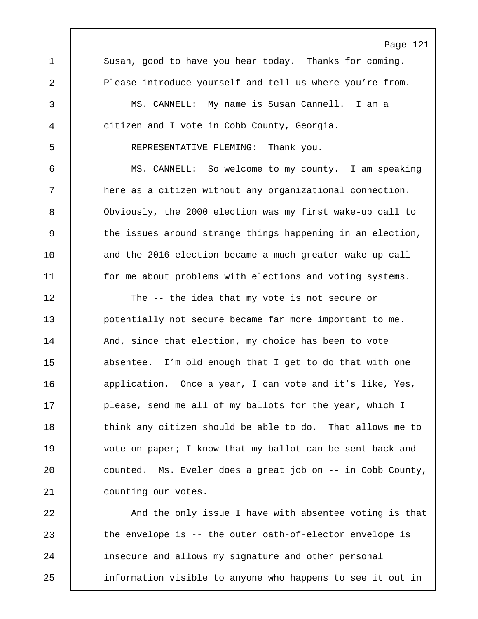Page 121 1 Susan, good to have you hear today. Thanks for coming. 2 Please introduce yourself and tell us where you're from. 3 MS. CANNELL: My name is Susan Cannell. I am a 4 citizen and I vote in Cobb County, Georgia. 5 REPRESENTATIVE FLEMING: Thank you. 6 MS. CANNELL: So welcome to my county. I am speaking 7 | here as a citizen without any organizational connection. 8 Obviously, the 2000 election was my first wake-up call to 9 the issues around strange things happening in an election, 10 and the 2016 election became a much greater wake-up call 11 for me about problems with elections and voting systems. 12 The -- the idea that my vote is not secure or 13 potentially not secure became far more important to me. 14 | And, since that election, my choice has been to vote 15 absentee. I'm old enough that I get to do that with one 16 application. Once a year, I can vote and it's like, Yes, 17 | please, send me all of my ballots for the year, which I 18 **think** any citizen should be able to do. That allows me to 19 vote on paper; I know that my ballot can be sent back and 20 counted. Ms. Eveler does a great job on -- in Cobb County, 21 | counting our votes. 22 And the only issue I have with absentee voting is that 23 the envelope is -- the outer oath-of-elector envelope is

25 information visible to anyone who happens to see it out in

24 | insecure and allows my signature and other personal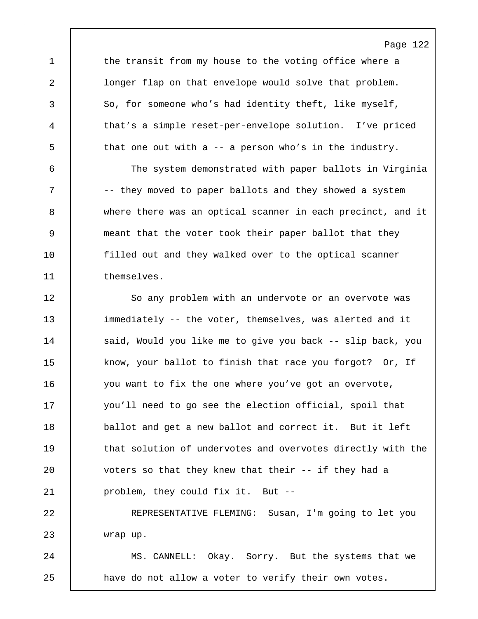1 the transit from my house to the voting office where a 2 longer flap on that envelope would solve that problem. 3 So, for someone who's had identity theft, like myself, 4 that's a simple reset-per-envelope solution. I've priced 5 that one out with a -- a person who's in the industry.

6 The system demonstrated with paper ballots in Virginia 7 |  $-$  they moved to paper ballots and they showed a system 8 where there was an optical scanner in each precinct, and it 9 meant that the voter took their paper ballot that they 10 filled out and they walked over to the optical scanner 11 themselves.

12 So any problem with an undervote or an overvote was 13 immediately -- the voter, themselves, was alerted and it 14 | said, Would you like me to give you back -- slip back, you 15 know, your ballot to finish that race you forgot? Or, If 16 you want to fix the one where you've got an overvote, 17 you'll need to go see the election official, spoil that 18 ballot and get a new ballot and correct it. But it left 19 **that solution of undervotes and overvotes directly with the** 20 voters so that they knew that their -- if they had a 21 problem, they could fix it. But --

22 REPRESENTATIVE FLEMING: Susan, I'm going to let you 23 wrap up.

24 | MS. CANNELL: Okay. Sorry. But the systems that we 25 **have do not allow a voter to verify their own votes.** 

## Page 122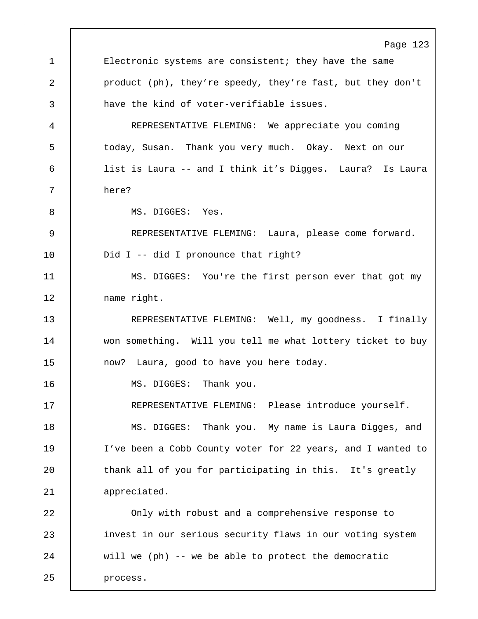Page 123 1 Electronic systems are consistent; they have the same 2 product (ph), they're speedy, they're fast, but they don't 3 have the kind of voter-verifiable issues. 4 REPRESENTATIVE FLEMING: We appreciate you coming 5 | today, Susan. Thank you very much. Okay. Next on our 6 list is Laura -- and I think it's Digges. Laura? Is Laura 7 here? 8 | MS. DIGGES: Yes. 9 REPRESENTATIVE FLEMING: Laura, please come forward. 10 | Did I -- did I pronounce that right? 11 MS. DIGGES: You're the first person ever that got my 12 | name right. 13 REPRESENTATIVE FLEMING: Well, my goodness. I finally 14 won something. Will you tell me what lottery ticket to buy 15 | now? Laura, good to have you here today. 16 | MS. DIGGES: Thank you. 17 REPRESENTATIVE FLEMING: Please introduce yourself. 18 MS. DIGGES: Thank you. My name is Laura Digges, and 19 I've been a Cobb County voter for 22 years, and I wanted to 20 | thank all of you for participating in this. It's greatly 21 appreciated. 22 Only with robust and a comprehensive response to 23 invest in our serious security flaws in our voting system 24 will we (ph) -- we be able to protect the democratic 25 | process.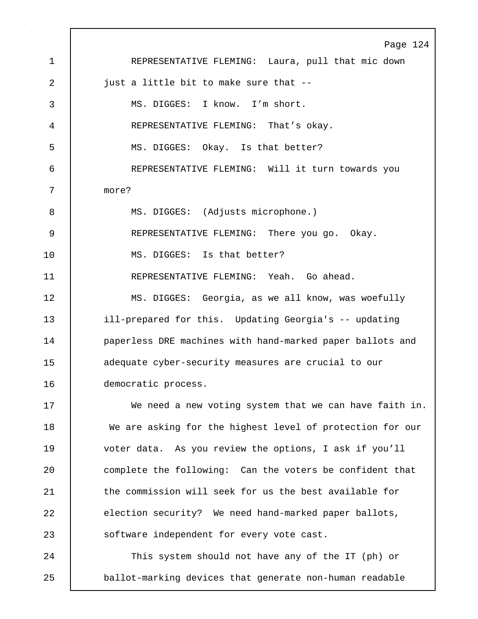Page 124 1 REPRESENTATIVE FLEMING: Laura, pull that mic down 2 | just a little bit to make sure that --3 MS. DIGGES: I know. I'm short. 4 REPRESENTATIVE FLEMING: That's okay. 5 MS. DIGGES: Okay. Is that better? 6 REPRESENTATIVE FLEMING: Will it turn towards you 7 more? 8 | MS. DIGGES: (Adjusts microphone.) 9 REPRESENTATIVE FLEMING: There you go. Okay. 10 MS. DIGGES: Is that better? 11 REPRESENTATIVE FLEMING: Yeah. Go ahead. 12 | MS. DIGGES: Georgia, as we all know, was woefully 13 ill-prepared for this. Updating Georgia's -- updating 14 | paperless DRE machines with hand-marked paper ballots and 15 adequate cyber-security measures are crucial to our 16 democratic process. 17 We need a new voting system that we can have faith in. 18 We are asking for the highest level of protection for our 19 voter data. As you review the options, I ask if you'll 20 complete the following: Can the voters be confident that 21 the commission will seek for us the best available for 22 election security? We need hand-marked paper ballots, 23 | software independent for every vote cast. 24 | This system should not have any of the IT (ph) or 25 ballot-marking devices that generate non-human readable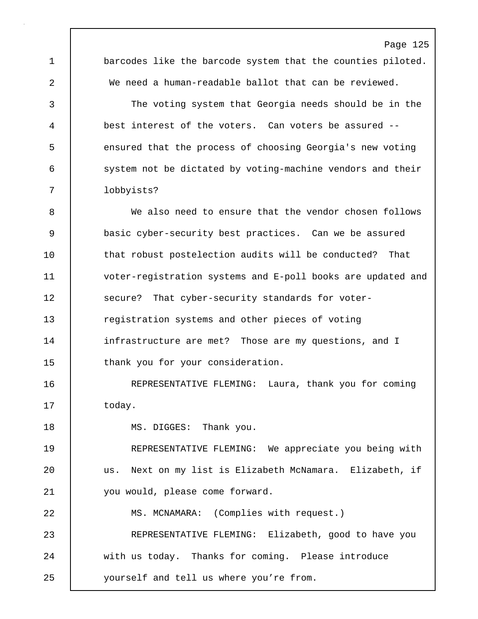1 barcodes like the barcode system that the counties piloted. 2 We need a human-readable ballot that can be reviewed. 3 The voting system that Georgia needs should be in the 4 best interest of the voters. Can voters be assured -- 5 **Example 2** ensured that the process of choosing Georgia's new voting 6 system not be dictated by voting-machine vendors and their

Page 125

7 lobbyists?

8 We also need to ensure that the vendor chosen follows 9 basic cyber-security best practices. Can we be assured 10 | that robust postelection audits will be conducted? That 11 voter-registration systems and E-poll books are updated and 12 Secure? That cyber-security standards for voter-13 **The State State I** registration systems and other pieces of voting 14 | infrastructure are met? Those are my questions, and I 15 thank you for your consideration.

16 | REPRESENTATIVE FLEMING: Laura, thank you for coming 17 | today.

18 | MS. DIGGES: Thank you.

19 REPRESENTATIVE FLEMING: We appreciate you being with 20 us. Next on my list is Elizabeth McNamara. Elizabeth, if 21 you would, please come forward.

22 MS. MCNAMARA: (Complies with request.)

23 REPRESENTATIVE FLEMING: Elizabeth, good to have you 24 with us today. Thanks for coming. Please introduce 25 yourself and tell us where you're from.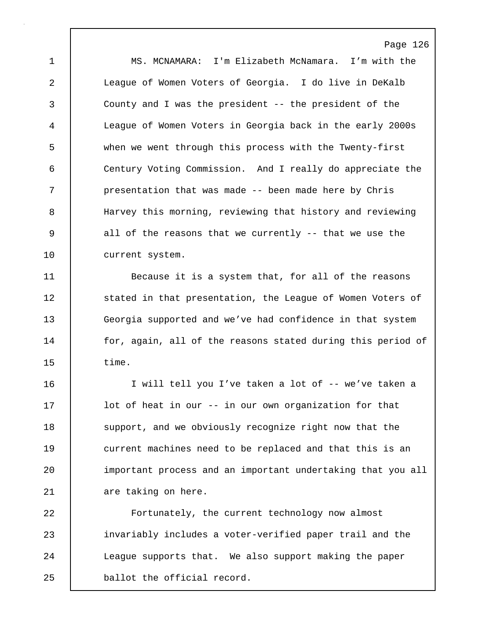Page 126 1 MS. MCNAMARA: I'm Elizabeth McNamara. I'm with the 2 League of Women Voters of Georgia. I do live in DeKalb 3 County and I was the president -- the president of the 4 League of Women Voters in Georgia back in the early 2000s 5 when we went through this process with the Twenty-first 6 Century Voting Commission. And I really do appreciate the 7 | presentation that was made -- been made here by Chris 8 Harvey this morning, reviewing that history and reviewing 9 all of the reasons that we currently -- that we use the 10 current system.

11 **Because it is a system that, for all of the reasons** 12 | stated in that presentation, the League of Women Voters of 13 Georgia supported and we've had confidence in that system 14 for, again, all of the reasons stated during this period of 15 time.

16 I will tell you I've taken a lot of -- we've taken a 17 | lot of heat in our -- in our own organization for that 18 Support, and we obviously recognize right now that the 19 current machines need to be replaced and that this is an 20 important process and an important undertaking that you all 21 are taking on here.

22 Fortunately, the current technology now almost 23 invariably includes a voter-verified paper trail and the 24 | League supports that. We also support making the paper 25 ballot the official record.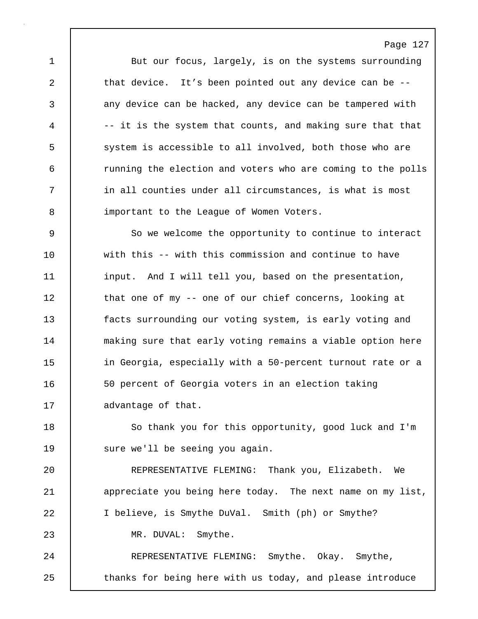1 But our focus, largely, is on the systems surrounding 2 that device. It's been pointed out any device can be --3 any device can be hacked, any device can be tampered with 4 | -- it is the system that counts, and making sure that that 5 system is accessible to all involved, both those who are 6 running the election and voters who are coming to the polls 7 in all counties under all circumstances, is what is most 8 important to the League of Women Voters.

9 So we welcome the opportunity to continue to interact 10 with this -- with this commission and continue to have 11 input. And I will tell you, based on the presentation, 12 | that one of my -- one of our chief concerns, looking at 13 facts surrounding our voting system, is early voting and 14 | making sure that early voting remains a viable option here 15 **in Georgia, especially with a 50-percent turnout rate or a** 16 | 50 percent of Georgia voters in an election taking 17 advantage of that.

18 | So thank you for this opportunity, good luck and I'm 19 | sure we'll be seeing you again.

20 REPRESENTATIVE FLEMING: Thank you, Elizabeth. We 21 | appreciate you being here today. The next name on my list, 22 I believe, is Smythe DuVal. Smith (ph) or Smythe? 23 MR. DUVAL: Smythe. 24 REPRESENTATIVE FLEMING: Smythe. Okay. Smythe,

25 | thanks for being here with us today, and please introduce

## Page 127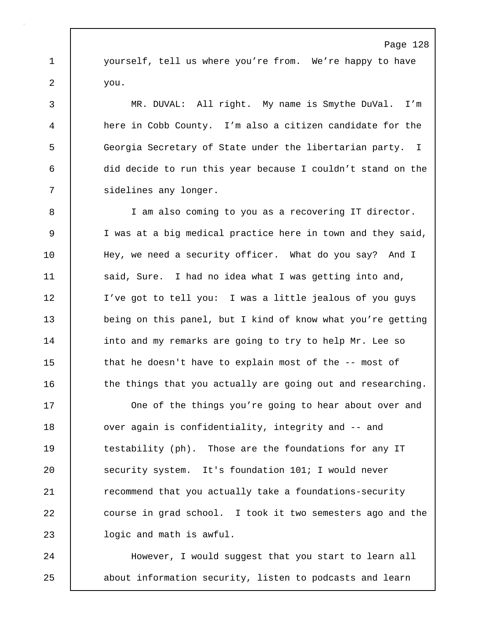1 yourself, tell us where you're from. We're happy to have 2 | you.

3 MR. DUVAL: All right. My name is Smythe DuVal. I'm 4 here in Cobb County. I'm also a citizen candidate for the 5 Georgia Secretary of State under the libertarian party. I 6 did decide to run this year because I couldn't stand on the 7 sidelines any longer.

8 I am also coming to you as a recovering IT director. 9 I was at a big medical practice here in town and they said, 10 | Hey, we need a security officer. What do you say? And I 11 | said, Sure. I had no idea what I was getting into and, 12 I've got to tell you: I was a little jealous of you guys 13 being on this panel, but I kind of know what you're getting 14 | into and my remarks are going to try to help Mr. Lee so 15 that he doesn't have to explain most of the -- most of 16 the things that you actually are going out and researching.

17 | One of the things you're going to hear about over and 18 ver again is confidentiality, integrity and -- and 19 testability (ph). Those are the foundations for any IT 20 Security system. It's foundation 101; I would never 21 | recommend that you actually take a foundations-security 22 course in grad school. I took it two semesters ago and the 23 **J** logic and math is awful.

24 | However, I would suggest that you start to learn all 25 about information security, listen to podcasts and learn

#### Page 128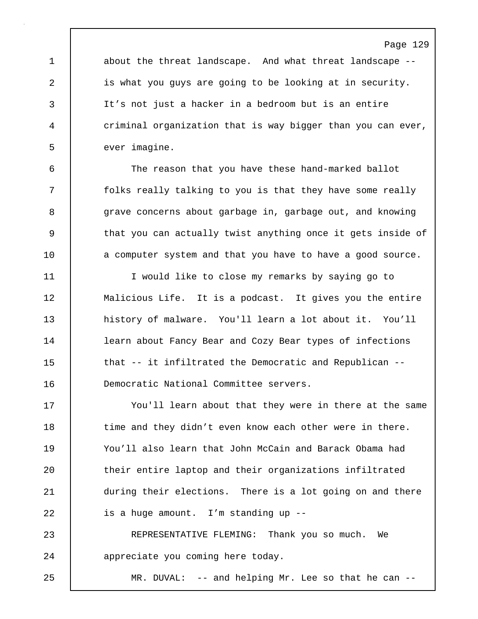1 about the threat landscape. And what threat landscape --2 is what you guys are going to be looking at in security. 3 It's not just a hacker in a bedroom but is an entire 4 criminal organization that is way bigger than you can ever, 5 | ever imagine.

6 The reason that you have these hand-marked ballot 7 folks really talking to you is that they have some really 8 grave concerns about garbage in, garbage out, and knowing 9 that you can actually twist anything once it gets inside of 10 a computer system and that you have to have a good source.

11 I would like to close my remarks by saying go to 12 | Malicious Life. It is a podcast. It gives you the entire 13 history of malware. You'll learn a lot about it. You'll 14 | learn about Fancy Bear and Cozy Bear types of infections 15 | that -- it infiltrated the Democratic and Republican --16 Democratic National Committee servers.

17 You'll learn about that they were in there at the same 18 | time and they didn't even know each other were in there. 19 You'll also learn that John McCain and Barack Obama had 20 | their entire laptop and their organizations infiltrated 21 during their elections. There is a lot going on and there 22 is a huge amount. I'm standing up --

23 REPRESENTATIVE FLEMING: Thank you so much. We 24 appreciate you coming here today.

25 MR. DUVAL: -- and helping Mr. Lee so that he can --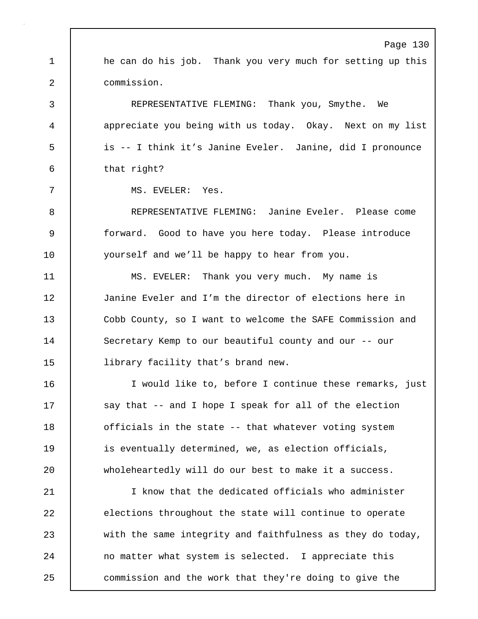Page 130 1 he can do his job. Thank you very much for setting up this 2 commission. 3 REPRESENTATIVE FLEMING: Thank you, Smythe. We 4 appreciate you being with us today. Okay. Next on my list 5 is -- I think it's Janine Eveler. Janine, did I pronounce 6 that right? 7 MS. EVELER: Yes. 8 REPRESENTATIVE FLEMING: Janine Eveler. Please come 9 forward. Good to have you here today. Please introduce 10 | yourself and we'll be happy to hear from you. 11 MS. EVELER: Thank you very much. My name is 12 Janine Eveler and I'm the director of elections here in 13 Cobb County, so I want to welcome the SAFE Commission and 14 Secretary Kemp to our beautiful county and our -- our 15 | library facility that's brand new. 16 I would like to, before I continue these remarks, just 17 | say that -- and I hope I speak for all of the election 18 **officials in the state -- that whatever voting system** 19 **is eventually determined, we, as election officials,** 20 wholeheartedly will do our best to make it a success. 21 I know that the dedicated officials who administer 22 elections throughout the state will continue to operate 23 with the same integrity and faithfulness as they do today, 24 no matter what system is selected. I appreciate this 25 **commission and the work that they're doing to give the**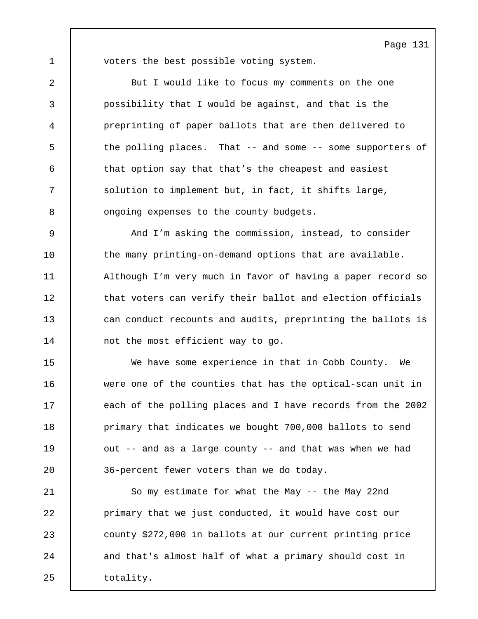1 voters the best possible voting system.

2 | But I would like to focus my comments on the one 3 possibility that I would be against, and that is the 4 preprinting of paper ballots that are then delivered to 5 the polling places. That -- and some -- some supporters of 6 that option say that that's the cheapest and easiest 7 Solution to implement but, in fact, it shifts large, 8 **6** ongoing expenses to the county budgets.

9 And I'm asking the commission, instead, to consider 10 the many printing-on-demand options that are available. 11 | Although I'm very much in favor of having a paper record so 12 that voters can verify their ballot and election officials 13 can conduct recounts and audits, preprinting the ballots is 14 not the most efficient way to go.

15 We have some experience in that in Cobb County. We 16 were one of the counties that has the optical-scan unit in 17 each of the polling places and I have records from the 2002 18 **primary that indicates we bought 700,000 ballots to send** 19 | out -- and as a large county -- and that was when we had 20 **1** 36-percent fewer voters than we do today.

21 | So my estimate for what the May -- the May 22nd 22 **primary that we just conducted, it would have cost our** 23 county \$272,000 in ballots at our current printing price 24 and that's almost half of what a primary should cost in 25 | totality.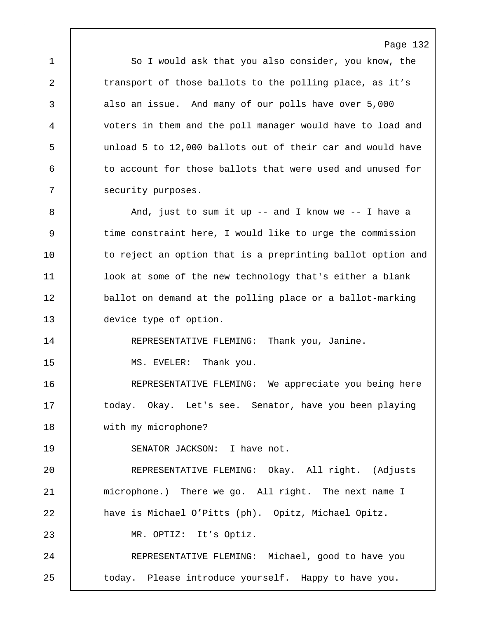1 So I would ask that you also consider, you know, the 2 transport of those ballots to the polling place, as it's 3 also an issue. And many of our polls have over 5,000 4 voters in them and the poll manager would have to load and 5 unload 5 to 12,000 ballots out of their car and would have 6 to account for those ballots that were used and unused for 7 security purposes.

8 And, just to sum it up -- and I know we -- I have a 9 time constraint here, I would like to urge the commission 10 to reject an option that is a preprinting ballot option and 11 look at some of the new technology that's either a blank 12 ballot on demand at the polling place or a ballot-marking 13 device type of option.

14 REPRESENTATIVE FLEMING: Thank you, Janine.

15 | MS. EVELER: Thank you.

16 | REPRESENTATIVE FLEMING: We appreciate you being here 17 | today. Okay. Let's see. Senator, have you been playing 18 with my microphone?

19 | SENATOR JACKSON: I have not.

20 REPRESENTATIVE FLEMING: Okay. All right. (Adjusts 21 | microphone.) There we go. All right. The next name I 22 have is Michael O'Pitts (ph). Opitz, Michael Opitz. 23 MR. OPTIZ: It's Optiz. 24 REPRESENTATIVE FLEMING: Michael, good to have you

25 | today. Please introduce yourself. Happy to have you.

Page 132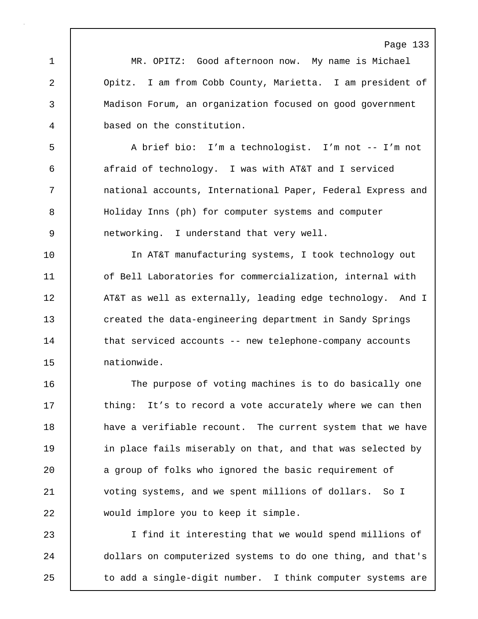Page 133 1 MR. OPITZ: Good afternoon now. My name is Michael 2 Opitz. I am from Cobb County, Marietta. I am president of 3 Madison Forum, an organization focused on good government 4 based on the constitution. 5 A brief bio: I'm a technologist. I'm not -- I'm not 6 afraid of technology. I was with AT&T and I serviced 7 national accounts, International Paper, Federal Express and 8 Holiday Inns (ph) for computer systems and computer 9 networking. I understand that very well. 10 In AT&T manufacturing systems, I took technology out 11 | of Bell Laboratories for commercialization, internal with 12 | AT&T as well as externally, leading edge technology. And I 13 created the data-engineering department in Sandy Springs 14 | that serviced accounts -- new telephone-company accounts 15 nationwide. 16 The purpose of voting machines is to do basically one 17 thing: It's to record a vote accurately where we can then 18 have a verifiable recount. The current system that we have 19 | in place fails miserably on that, and that was selected by 20 a group of folks who ignored the basic requirement of 21 | voting systems, and we spent millions of dollars. So I 22 would implore you to keep it simple. 23 I find it interesting that we would spend millions of 24 dollars on computerized systems to do one thing, and that's 25 to add a single-digit number. I think computer systems are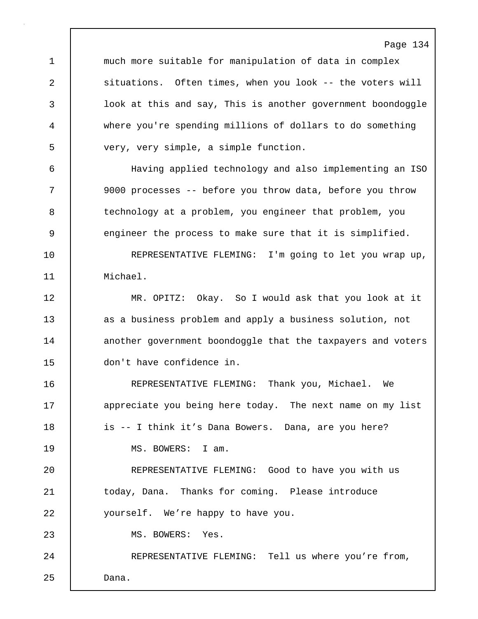Page 134 1 much more suitable for manipulation of data in complex 2 situations. Often times, when you look -- the voters will 3 look at this and say, This is another government boondoggle 4 where you're spending millions of dollars to do something 5 very, very simple, a simple function. 6 Having applied technology and also implementing an ISO 7 9000 processes -- before you throw data, before you throw 8 technology at a problem, you engineer that problem, you 9 engineer the process to make sure that it is simplified. 10 REPRESENTATIVE FLEMING: I'm going to let you wrap up, 11 Michael. 12 MR. OPITZ: Okay. So I would ask that you look at it 13 as a business problem and apply a business solution, not 14 another government boondoggle that the taxpayers and voters 15 don't have confidence in. 16 REPRESENTATIVE FLEMING: Thank you, Michael. We 17 appreciate you being here today. The next name on my list 18 is -- I think it's Dana Bowers. Dana, are you here? 19 | MS. BOWERS: I am. 20 REPRESENTATIVE FLEMING: Good to have you with us 21 today, Dana. Thanks for coming. Please introduce 22 yourself. We're happy to have you. 23 | MS. BOWERS: Yes. 24 REPRESENTATIVE FLEMING: Tell us where you're from, 25 Dana.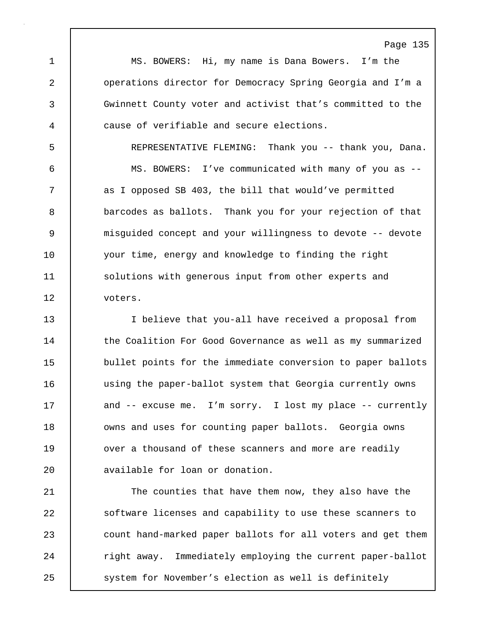1 MS. BOWERS: Hi, my name is Dana Bowers. I'm the 2 operations director for Democracy Spring Georgia and I'm a 3 Gwinnett County voter and activist that's committed to the 4 cause of verifiable and secure elections.

5 REPRESENTATIVE FLEMING: Thank you -- thank you, Dana. 6 MS. BOWERS: I've communicated with many of you as -- 7 as I opposed SB 403, the bill that would've permitted 8 barcodes as ballots. Thank you for your rejection of that 9 misguided concept and your willingness to devote -- devote 10 your time, energy and knowledge to finding the right 11 | solutions with generous input from other experts and 12 voters.

13 I believe that you-all have received a proposal from 14 the Coalition For Good Governance as well as my summarized 15 bullet points for the immediate conversion to paper ballots 16 | using the paper-ballot system that Georgia currently owns 17 | and -- excuse me. I'm sorry. I lost my place -- currently 18 | owns and uses for counting paper ballots. Georgia owns 19 **over a thousand of these scanners and more are readily** 20 | available for loan or donation.

21 The counties that have them now, they also have the 22 Software licenses and capability to use these scanners to 23 count hand-marked paper ballots for all voters and get them 24 Tight away. Immediately employing the current paper-ballot 25 system for November's election as well is definitely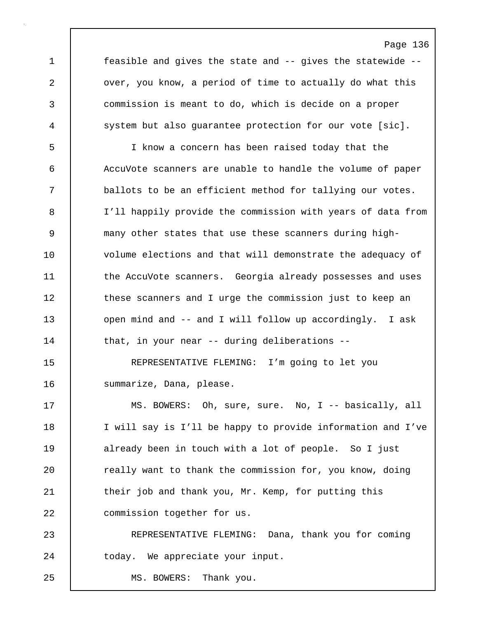1 feasible and gives the state and -- gives the statewide -- 2 | over, you know, a period of time to actually do what this 3 commission is meant to do, which is decide on a proper 4 system but also quarantee protection for our vote [sic].

5 I know a concern has been raised today that the 6 AccuVote scanners are unable to handle the volume of paper 7 ballots to be an efficient method for tallying our votes. 8 I'll happily provide the commission with years of data from 9 many other states that use these scanners during high-10 volume elections and that will demonstrate the adequacy of 11 **the AccuVote scanners.** Georgia already possesses and uses 12 these scanners and I urge the commission just to keep an 13 open mind and -- and I will follow up accordingly. I ask 14 | that, in your near -- during deliberations --

15 REPRESENTATIVE FLEMING: I'm going to let you 16 | summarize, Dana, please.

17 | MS. BOWERS: Oh, sure, sure. No, I -- basically, all 18 I will say is I'll be happy to provide information and I've 19 already been in touch with a lot of people. So I just 20 **c** really want to thank the commission for, you know, doing 21 | their job and thank you, Mr. Kemp, for putting this 22 | commission together for us.

23 REPRESENTATIVE FLEMING: Dana, thank you for coming 24 today. We appreciate your input.

25 | MS. BOWERS: Thank you.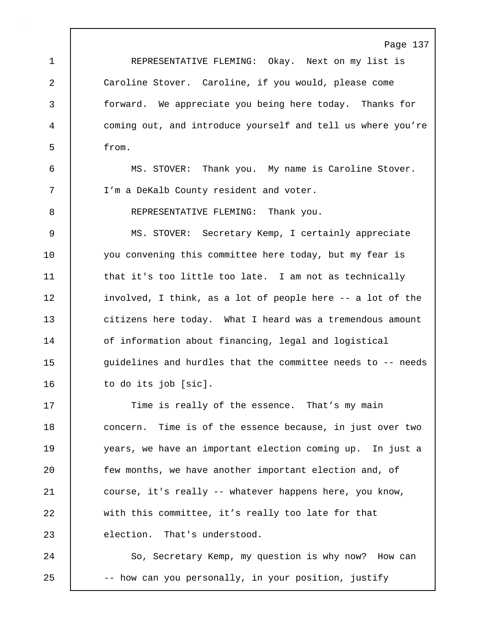1 REPRESENTATIVE FLEMING: Okay. Next on my list is 2 | Caroline Stover. Caroline, if you would, please come 3 forward. We appreciate you being here today. Thanks for 4 coming out, and introduce yourself and tell us where you're 5 from.

6 MS. STOVER: Thank you. My name is Caroline Stover. 7 I'm a DeKalb County resident and voter.

8 REPRESENTATIVE FLEMING: Thank you.

9 MS. STOVER: Secretary Kemp, I certainly appreciate 10 you convening this committee here today, but my fear is 11 | that it's too little too late. I am not as technically 12 | involved, I think, as a lot of people here -- a lot of the 13 citizens here today. What I heard was a tremendous amount 14 | of information about financing, legal and logistical 15  $\vert$  quidelines and hurdles that the committee needs to -- needs 16 | to do its job [sic].

17 Time is really of the essence. That's my main 18 **concern.** Time is of the essence because, in just over two 19 years, we have an important election coming up. In just a 20 **few months, we have another important election and, of** 21 course, it's really -- whatever happens here, you know, 22 with this committee, it's really too late for that 23 election. That's understood.

24 | So, Secretary Kemp, my question is why now? How can 25 -- how can you personally, in your position, justify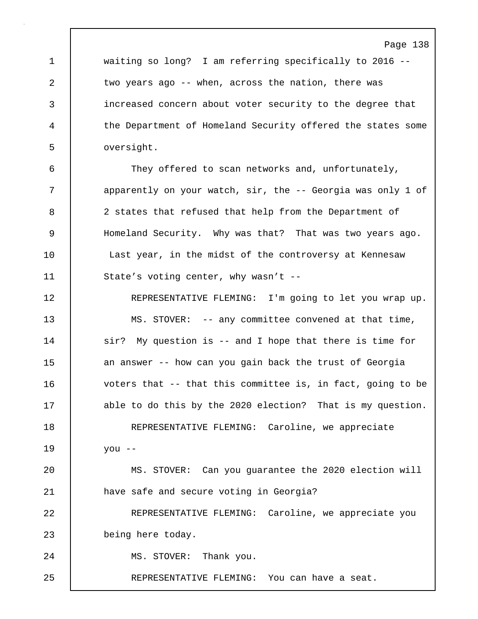1 waiting so long? I am referring specifically to 2016 -- 2 two years ago -- when, across the nation, there was 3 increased concern about voter security to the degree that 4 the Department of Homeland Security offered the states some 5 oversight.

6 They offered to scan networks and, unfortunately, 7 | apparently on your watch, sir, the -- Georgia was only 1 of 8 2 states that refused that help from the Department of 9 Homeland Security. Why was that? That was two years ago. 10 | Last year, in the midst of the controversy at Kennesaw 11 State's voting center, why wasn't --

12 REPRESENTATIVE FLEMING: I'm going to let you wrap up. 13 MS. STOVER: -- any committee convened at that time, 14 | sir? My question is -- and I hope that there is time for 15 an answer -- how can you gain back the trust of Georgia 16 voters that -- that this committee is, in fact, going to be 17 able to do this by the 2020 election? That is my question. 18 REPRESENTATIVE FLEMING: Caroline, we appreciate 19 you -- 20 MS. STOVER: Can you guarantee the 2020 election will 21 have safe and secure voting in Georgia? 22 REPRESENTATIVE FLEMING: Caroline, we appreciate you 23 being here today. 24 | MS. STOVER: Thank you.

25 REPRESENTATIVE FLEMING: You can have a seat.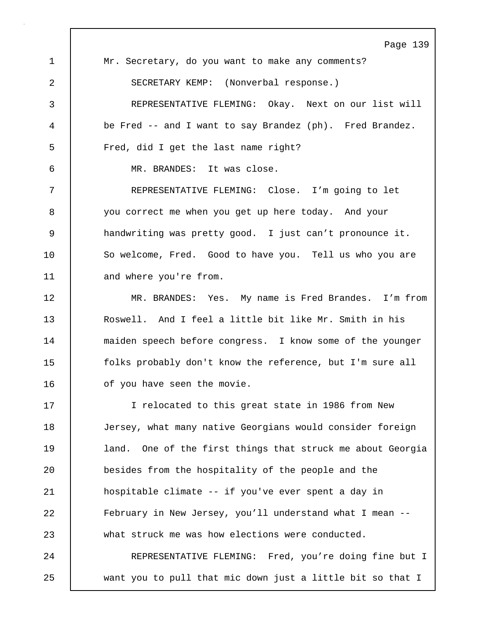Page 139 1 Mr. Secretary, do you want to make any comments? 2 SECRETARY KEMP: (Nonverbal response.) 3 REPRESENTATIVE FLEMING: Okay. Next on our list will 4 be Fred -- and I want to say Brandez (ph). Fred Brandez. 5 Fred, did I get the last name right? 6 MR. BRANDES: It was close. 7 REPRESENTATIVE FLEMING: Close. I'm going to let 8 you correct me when you get up here today. And your 9 handwriting was pretty good. I just can't pronounce it. 10 So welcome, Fred. Good to have you. Tell us who you are 11 | and where you're from. 12 MR. BRANDES: Yes. My name is Fred Brandes. I'm from 13 Roswell. And I feel a little bit like Mr. Smith in his 14 | maiden speech before congress. I know some of the younger 15 folks probably don't know the reference, but I'm sure all 16 | of you have seen the movie. 17 I relocated to this great state in 1986 from New 18 Jersey, what many native Georgians would consider foreign 19 | land. One of the first things that struck me about Georgia 20 besides from the hospitality of the people and the 21 hospitable climate -- if you've ever spent a day in 22 February in New Jersey, you'll understand what I mean -- 23 what struck me was how elections were conducted. 24 | REPRESENTATIVE FLEMING: Fred, you're doing fine but I 25 want you to pull that mic down just a little bit so that I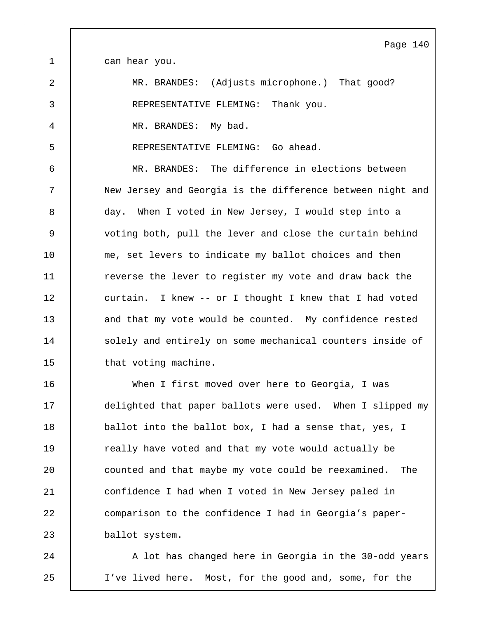Page 140 1 can hear you. 2 MR. BRANDES: (Adjusts microphone.) That good? 3 REPRESENTATIVE FLEMING: Thank you. 4 MR. BRANDES: My bad. 5 REPRESENTATIVE FLEMING: Go ahead. 6 MR. BRANDES: The difference in elections between 7 New Jersey and Georgia is the difference between night and 8 day. When I voted in New Jersey, I would step into a 9 voting both, pull the lever and close the curtain behind 10 me, set levers to indicate my ballot choices and then 11 The verse the lever to register my vote and draw back the 12 curtain. I knew -- or I thought I knew that I had voted 13 and that my vote would be counted. My confidence rested 14 | solely and entirely on some mechanical counters inside of 15 | that voting machine. 16 When I first moved over here to Georgia, I was 17 delighted that paper ballots were used. When I slipped my 18 **ballot into the ballot box, I had a sense that, yes, I** 19 Teally have voted and that my vote would actually be 20 **counted and that maybe my vote could be reexamined.** The 21 | confidence I had when I voted in New Jersey paled in 22 comparison to the confidence I had in Georgia's paper-

23 ballot system.

24 A lot has changed here in Georgia in the 30-odd years 25 I've lived here. Most, for the good and, some, for the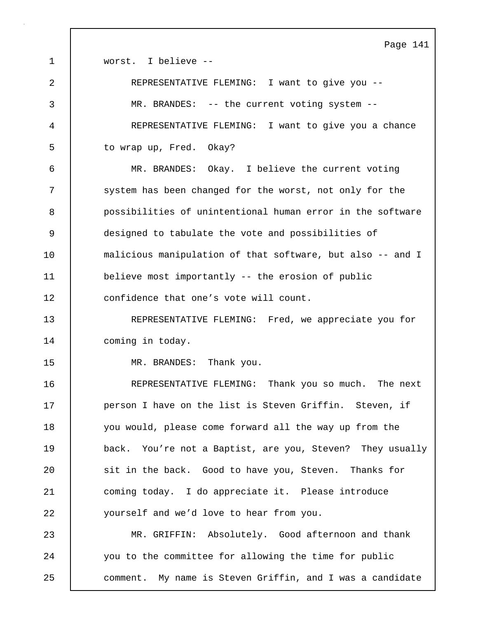Page 141 1 Worst. I believe --2 REPRESENTATIVE FLEMING: I want to give you -- 3 MR. BRANDES: -- the current voting system -- 4 REPRESENTATIVE FLEMING: I want to give you a chance 5 to wrap up, Fred. Okay? 6 MR. BRANDES: Okay. I believe the current voting 7 System has been changed for the worst, not only for the 8 possibilities of unintentional human error in the software 9 designed to tabulate the vote and possibilities of 10 malicious manipulation of that software, but also -- and I 11 believe most importantly -- the erosion of public 12 confidence that one's vote will count. 13 REPRESENTATIVE FLEMING: Fred, we appreciate you for 14 | coming in today. 15 | MR. BRANDES: Thank you. 16 **REPRESENTATIVE FLEMING:** Thank you so much. The next 17 **person I have on the list is Steven Griffin.** Steven, if 18 you would, please come forward all the way up from the 19 back. You're not a Baptist, are you, Steven? They usually 20 sit in the back. Good to have you, Steven. Thanks for 21 coming today. I do appreciate it. Please introduce 22 **yourself and we'd love to hear from you.** 23 MR. GRIFFIN: Absolutely. Good afternoon and thank 24 you to the committee for allowing the time for public 25 comment. My name is Steven Griffin, and I was a candidate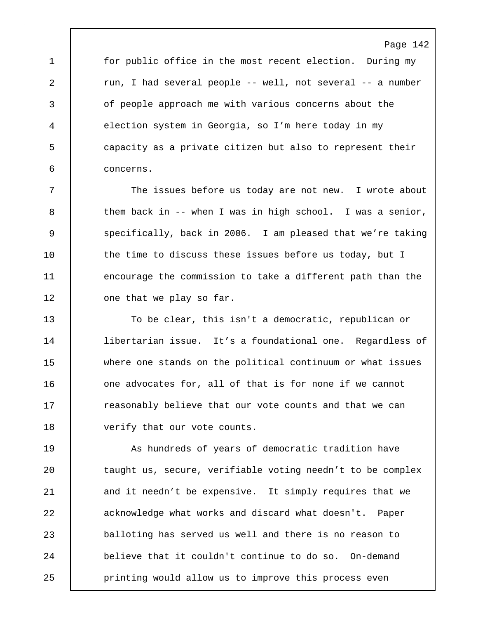1 for public office in the most recent election. During my 2 cun, I had several people -- well, not several -- a number 3 of people approach me with various concerns about the 4 election system in Georgia, so I'm here today in my 5 capacity as a private citizen but also to represent their 6 concerns.

7 The issues before us today are not new. I wrote about  $8$  them back in -- when I was in high school. I was a senior, 9 | specifically, back in 2006. I am pleased that we're taking 10 the time to discuss these issues before us today, but I 11 encourage the commission to take a different path than the 12 | one that we play so far.

13 To be clear, this isn't a democratic, republican or 14 libertarian issue. It's a foundational one. Regardless of 15 where one stands on the political continuum or what issues 16 **decive** one advocates for, all of that is for none if we cannot 17 **F** reasonably believe that our vote counts and that we can 18 | verify that our vote counts.

19 As hundreds of years of democratic tradition have 20 | taught us, secure, verifiable voting needn't to be complex 21 and it needn't be expensive. It simply requires that we 22 acknowledge what works and discard what doesn't. Paper 23 balloting has served us well and there is no reason to 24 believe that it couldn't continue to do so. On-demand 25 printing would allow us to improve this process even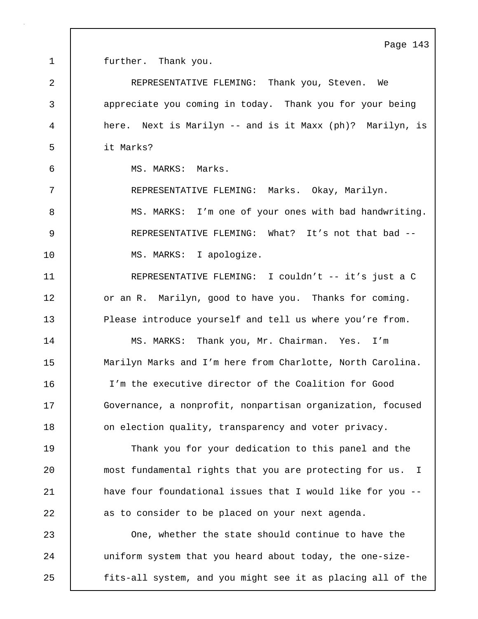1 | further. Thank you.

2 REPRESENTATIVE FLEMING: Thank you, Steven. We 3 appreciate you coming in today. Thank you for your being 4 here. Next is Marilyn -- and is it Maxx (ph)? Marilyn, is 5 it Marks? 6 MS. MARKS: Marks. 7 REPRESENTATIVE FLEMING: Marks. Okay, Marilyn. 8 MS. MARKS: I'm one of your ones with bad handwriting. 9 REPRESENTATIVE FLEMING: What? It's not that bad -- 10 | MS. MARKS: I apologize. 11 REPRESENTATIVE FLEMING: I couldn't -- it's just a C 12 or an R. Marilyn, good to have you. Thanks for coming. 13 Please introduce yourself and tell us where you're from. 14 | MS. MARKS: Thank you, Mr. Chairman. Yes. I'm 15 | Marilyn Marks and I'm here from Charlotte, North Carolina. 16 I'm the executive director of the Coalition for Good 17 Governance, a nonprofit, nonpartisan organization, focused 18 **c** on election quality, transparency and voter privacy. 19 Thank you for your dedication to this panel and the 20 most fundamental rights that you are protecting for us. I 21 | have four foundational issues that I would like for you --22 as to consider to be placed on your next agenda. 23 One, whether the state should continue to have the 24 uniform system that you heard about today, the one-size-25 | fits-all system, and you might see it as placing all of the

Page 143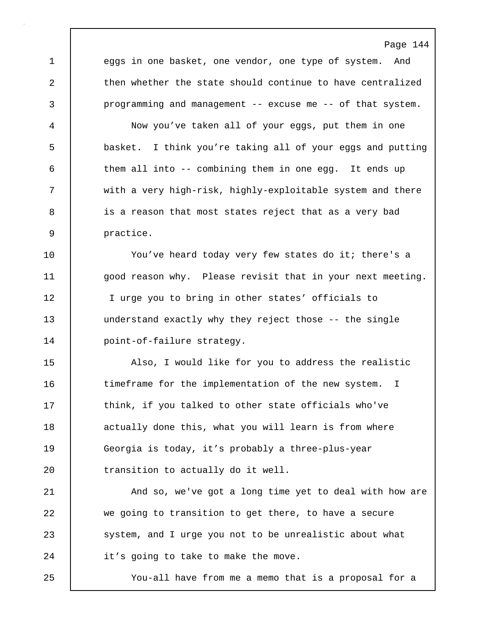Page 144 1 eggs in one basket, one vendor, one type of system. And 2 then whether the state should continue to have centralized 3 programming and management -- excuse me -- of that system. 4 Now you've taken all of your eggs, put them in one 5 basket. I think you're taking all of your eggs and putting 6 them all into -- combining them in one egg. It ends up 7 with a very high-risk, highly-exploitable system and there 8 is a reason that most states reject that as a very bad 9 practice. 10 | You've heard today very few states do it; there's a 11 | good reason why. Please revisit that in your next meeting. 12 | I urge you to bring in other states' officials to 13 understand exactly why they reject those -- the single 14 | point-of-failure strategy. 15 | Also, I would like for you to address the realistic 16 timeframe for the implementation of the new system. I 17 Think, if you talked to other state officials who've 18 actually done this, what you will learn is from where 19 Georgia is today, it's probably a three-plus-year 20 **transition** to actually do it well. 21 | And so, we've got a long time yet to deal with how are 22 we going to transition to get there, to have a secure 23 System, and I urge you not to be unrealistic about what 24 it's going to take to make the move.

25 You-all have from me a memo that is a proposal for a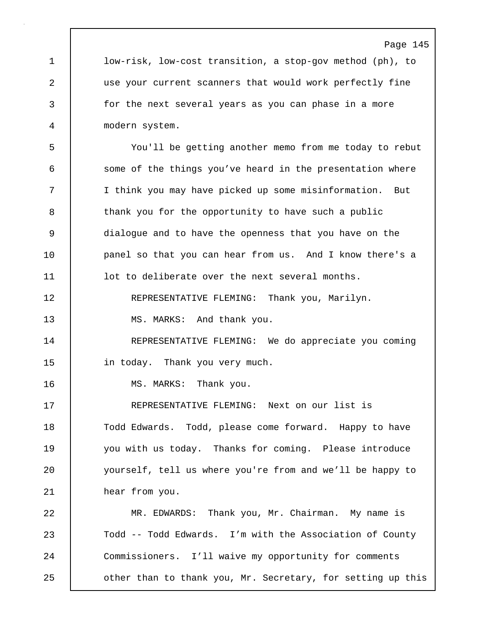1 low-risk, low-cost transition, a stop-gov method (ph), to 2 use your current scanners that would work perfectly fine 3 for the next several years as you can phase in a more 4 modern system.

5 You'll be getting another memo from me today to rebut 6 some of the things you've heard in the presentation where 7 I think you may have picked up some misinformation. But 8 thank you for the opportunity to have such a public 9 dialogue and to have the openness that you have on the 10 | panel so that you can hear from us. And I know there's a 11 | lot to deliberate over the next several months. 12 REPRESENTATIVE FLEMING: Thank you, Marilyn. 13 MS. MARKS: And thank you. 14 | REPRESENTATIVE FLEMING: We do appreciate you coming

15 in today. Thank you very much.

16 | MS. MARKS: Thank you.

17 REPRESENTATIVE FLEMING: Next on our list is 18 | Todd Edwards. Todd, please come forward. Happy to have 19 you with us today. Thanks for coming. Please introduce 20 yourself, tell us where you're from and we'll be happy to 21 **hear from you.** 

22 | MR. EDWARDS: Thank you, Mr. Chairman. My name is 23 Todd -- Todd Edwards. I'm with the Association of County 24 Commissioners. I'll waive my opportunity for comments 25 **deg of than to thank you, Mr. Secretary, for setting up this**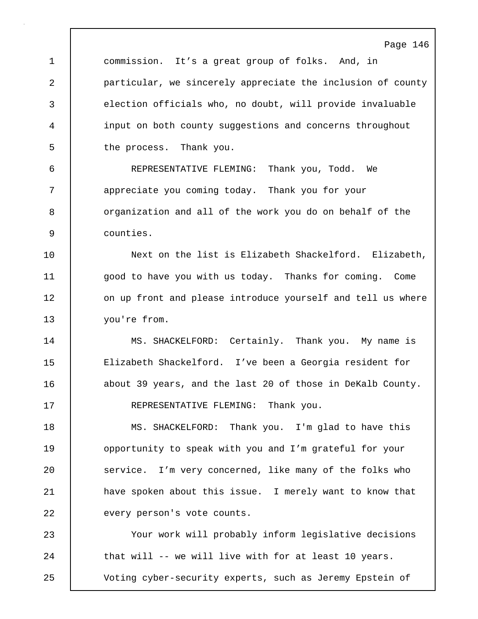1 commission. It's a great group of folks. And, in 2 particular, we sincerely appreciate the inclusion of county 3 election officials who, no doubt, will provide invaluable 4 input on both county suggestions and concerns throughout 5 the process. Thank you.

Page 146

6 REPRESENTATIVE FLEMING: Thank you, Todd. We 7 | appreciate you coming today. Thank you for your 8 | organization and all of the work you do on behalf of the 9 counties.

10 Next on the list is Elizabeth Shackelford. Elizabeth, 11 | good to have you with us today. Thanks for coming. Come 12 on up front and please introduce yourself and tell us where 13 vou're from.

14 | MS. SHACKELFORD: Certainly. Thank you. My name is 15 Elizabeth Shackelford. I've been a Georgia resident for 16 about 39 years, and the last 20 of those in DeKalb County. 17 REPRESENTATIVE FLEMING: Thank you.

18 MS. SHACKELFORD: Thank you. I'm glad to have this 19 **opportunity to speak with you and I'm grateful for your** 20 Service. I'm very concerned, like many of the folks who 21 | have spoken about this issue. I merely want to know that 22 every person's vote counts.

23 Your work will probably inform legislative decisions 24 that will -- we will live with for at least 10 years. 25 Voting cyber-security experts, such as Jeremy Epstein of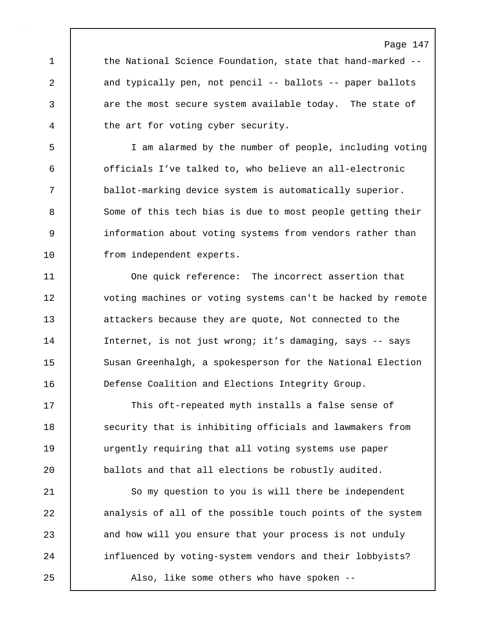1 the National Science Foundation, state that hand-marked --2 and typically pen, not pencil -- ballots -- paper ballots 3 are the most secure system available today. The state of 4 the art for voting cyber security.

5 I am alarmed by the number of people, including voting 6 officials I've talked to, who believe an all-electronic 7 ballot-marking device system is automatically superior. 8 Some of this tech bias is due to most people getting their 9 information about voting systems from vendors rather than 10 | from independent experts.

11 One quick reference: The incorrect assertion that 12 voting machines or voting systems can't be hacked by remote 13 attackers because they are quote, Not connected to the 14 | Internet, is not just wrong; it's damaging, says -- says 15 Susan Greenhalgh, a spokesperson for the National Election 16 Defense Coalition and Elections Integrity Group.

17 This oft-repeated myth installs a false sense of 18 | security that is inhibiting officials and lawmakers from 19 urgently requiring that all voting systems use paper 20 **ballots and that all elections be robustly audited.** 

21 | So my question to you is will there be independent 22 analysis of all of the possible touch points of the system 23 and how will you ensure that your process is not unduly 24 | influenced by voting-system vendors and their lobbyists? 25 Also, like some others who have spoken --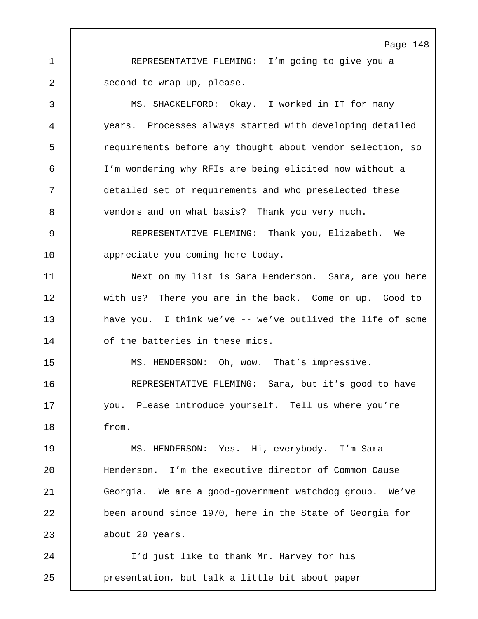1 REPRESENTATIVE FLEMING: I'm going to give you a 2 second to wrap up, please.

3 MS. SHACKELFORD: Okay. I worked in IT for many 4 years. Processes always started with developing detailed 5 requirements before any thought about vendor selection, so 6 I'm wondering why RFIs are being elicited now without a 7 detailed set of requirements and who preselected these 8 vendors and on what basis? Thank you very much.

9 REPRESENTATIVE FLEMING: Thank you, Elizabeth. We 10 **appreciate** you coming here today.

11 Next on my list is Sara Henderson. Sara, are you here 12 with us? There you are in the back. Come on up. Good to 13 have you. I think we've -- we've outlived the life of some 14 | of the batteries in these mics.

15 | MS. HENDERSON: Oh, wow. That's impressive.

16 | REPRESENTATIVE FLEMING: Sara, but it's good to have 17 you. Please introduce yourself. Tell us where you're 18 from.

19 MS. HENDERSON: Yes. Hi, everybody. I'm Sara 20 Henderson. I'm the executive director of Common Cause 21 Georgia. We are a good-government watchdog group. We've 22 been around since 1970, here in the State of Georgia for 23 about 20 years.

24 | I'd just like to thank Mr. Harvey for his 25 presentation, but talk a little bit about paper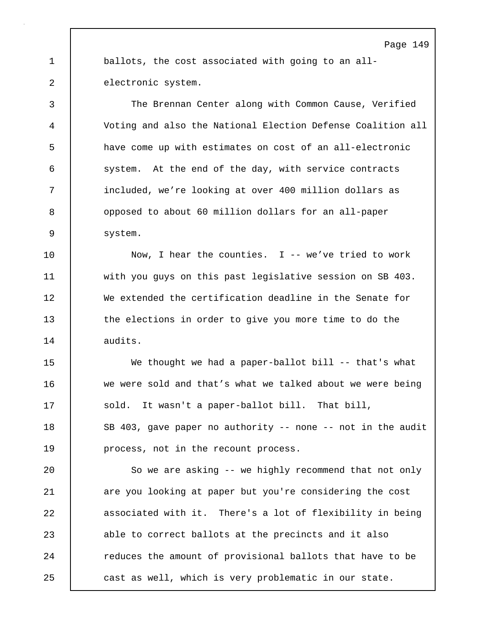1 ballots, the cost associated with going to an all-2 electronic system.

3 The Brennan Center along with Common Cause, Verified 4 Voting and also the National Election Defense Coalition all 5 have come up with estimates on cost of an all-electronic 6 system. At the end of the day, with service contracts 7 included, we're looking at over 400 million dollars as 8 opposed to about 60 million dollars for an all-paper 9 system.

10 Now, I hear the counties. I -- we've tried to work 11 with you guys on this past legislative session on SB 403. 12 We extended the certification deadline in the Senate for 13 the elections in order to give you more time to do the 14 audits.

15 We thought we had a paper-ballot bill -- that's what 16 we were sold and that's what we talked about we were being 17 Sold. It wasn't a paper-ballot bill. That bill, 18 SB 403, gave paper no authority -- none -- not in the audit 19 **process**, not in the recount process.

20 So we are asking -- we highly recommend that not only 21 are you looking at paper but you're considering the cost 22 associated with it. There's a lot of flexibility in being 23 able to correct ballots at the precincts and it also 24 **Property** reduces the amount of provisional ballots that have to be 25 **cast as well, which is very problematic in our state.**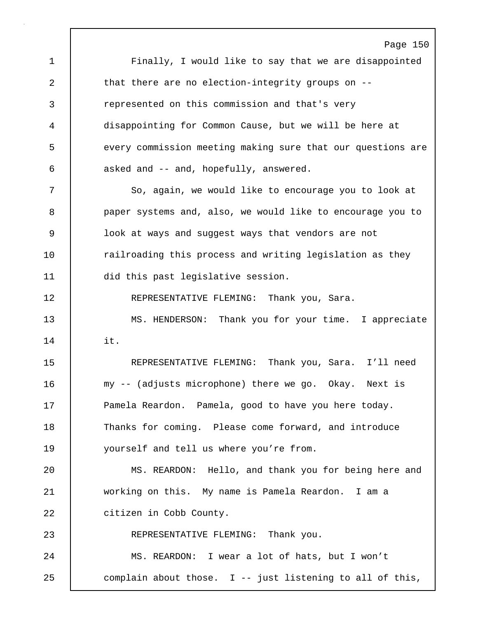Page 150 1 Finally, I would like to say that we are disappointed 2 that there are no election-integrity groups on --3 represented on this commission and that's very 4 disappointing for Common Cause, but we will be here at 5 every commission meeting making sure that our questions are 6 asked and -- and, hopefully, answered. 7 So, again, we would like to encourage you to look at 8 paper systems and, also, we would like to encourage you to 9 look at ways and suggest ways that vendors are not 10 | railroading this process and writing legislation as they 11 did this past legislative session. 12 REPRESENTATIVE FLEMING: Thank you, Sara. 13 MS. HENDERSON: Thank you for your time. I appreciate 14 it. 15 REPRESENTATIVE FLEMING: Thank you, Sara. I'll need 16 my -- (adjusts microphone) there we go. Okay. Next is 17 | Pamela Reardon. Pamela, good to have you here today. 18 | Thanks for coming. Please come forward, and introduce 19 yourself and tell us where you're from. 20 MS. REARDON: Hello, and thank you for being here and 21 working on this. My name is Pamela Reardon. I am a 22 | citizen in Cobb County. 23 | REPRESENTATIVE FLEMING: Thank you. 24 MS. REARDON: I wear a lot of hats, but I won't 25 complain about those. I -- just listening to all of this,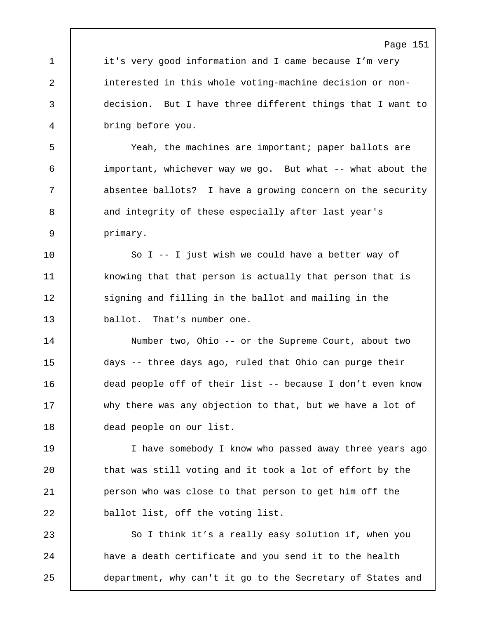1 it's very good information and I came because I'm very 2 interested in this whole voting-machine decision or non-3 decision. But I have three different things that I want to 4 bring before you.

5 Yeah, the machines are important; paper ballots are 6 important, whichever way we go. But what -- what about the 7 absentee ballots? I have a growing concern on the security 8 and integrity of these especially after last year's 9 primary.

10 So I -- I just wish we could have a better way of 11 knowing that that person is actually that person that is 12 | signing and filling in the ballot and mailing in the 13 ballot. That's number one.

14 Number two, Ohio -- or the Supreme Court, about two 15 days -- three days ago, ruled that Ohio can purge their 16 dead people off of their list -- because I don't even know 17 why there was any objection to that, but we have a lot of 18 dead people on our list.

19 I have somebody I know who passed away three years ago 20 that was still voting and it took a lot of effort by the 21 | person who was close to that person to get him off the 22 **ballot list, off the voting list.** 

23 So I think it's a really easy solution if, when you 24 | have a death certificate and you send it to the health 25 department, why can't it go to the Secretary of States and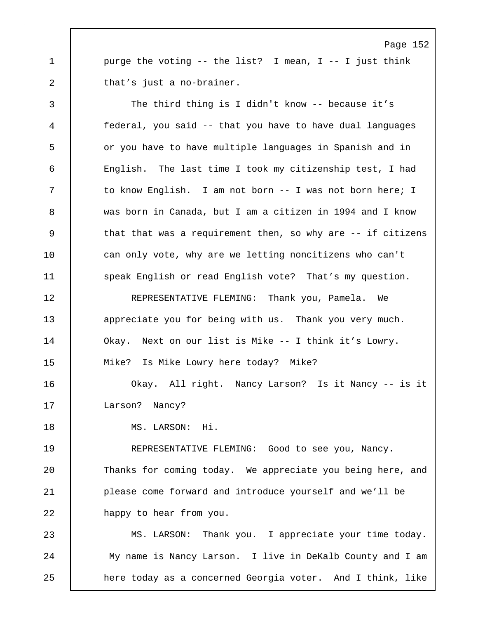1 purge the voting -- the list? I mean, I -- I just think 2 that's just a no-brainer.

3 The third thing is I didn't know -- because it's 4 federal, you said -- that you have to have dual languages 5 **or you have to have multiple languages in Spanish and in** 6 English. The last time I took my citizenship test, I had 7 | to know English. I am not born -- I was not born here; I 8 was born in Canada, but I am a citizen in 1994 and I know 9 | that that was a requirement then, so why are -- if citizens 10 can only vote, why are we letting noncitizens who can't 11 Speak English or read English vote? That's my question. 12 REPRESENTATIVE FLEMING: Thank you, Pamela. We 13 expreciate you for being with us. Thank you very much. 14 Okay. Next on our list is Mike -- I think it's Lowry. 15 Mike? Is Mike Lowry here today? Mike? 16 Okay. All right. Nancy Larson? Is it Nancy -- is it 17 Larson? Nancy? 18 MS. LARSON: Hi. 19 REPRESENTATIVE FLEMING: Good to see you, Nancy. 20 Thanks for coming today. We appreciate you being here, and

22 **happy** to hear from you.

23 MS. LARSON: Thank you. I appreciate your time today. 24 My name is Nancy Larson. I live in DeKalb County and I am 25 **here today as a concerned Georgia voter.** And I think, like

21 please come forward and introduce yourself and we'll be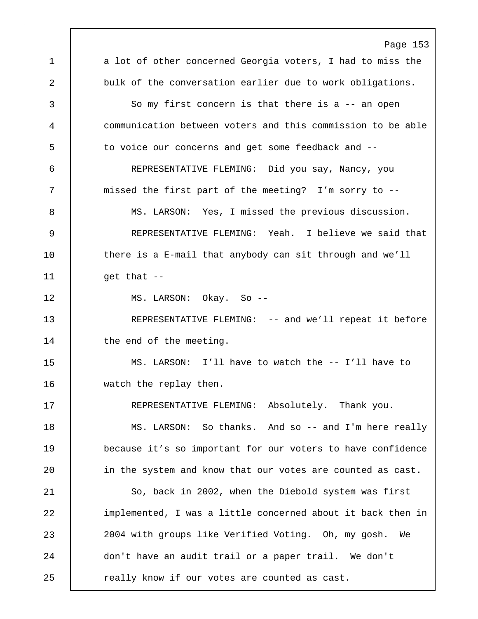Page 153 1 a lot of other concerned Georgia voters, I had to miss the 2 bulk of the conversation earlier due to work obligations. 3 So my first concern is that there is a -- an open 4 communication between voters and this commission to be able 5 to voice our concerns and get some feedback and -- 6 REPRESENTATIVE FLEMING: Did you say, Nancy, you 7 | missed the first part of the meeting? I'm sorry to --8 MS. LARSON: Yes, I missed the previous discussion. 9 REPRESENTATIVE FLEMING: Yeah. I believe we said that 10 there is a E-mail that anybody can sit through and we'll  $11$  get that  $-$ 12 MS. LARSON: Okay. So -- 13 REPRESENTATIVE FLEMING: -- and we'll repeat it before 14 | the end of the meeting. 15 MS. LARSON: I'll have to watch the -- I'll have to 16 watch the replay then. 17 | REPRESENTATIVE FLEMING: Absolutely. Thank you. 18 | MS. LARSON: So thanks. And so -- and I'm here really 19 because it's so important for our voters to have confidence 20 | in the system and know that our votes are counted as cast. 21 | So, back in 2002, when the Diebold system was first 22 implemented, I was a little concerned about it back then in 23 2004 with groups like Verified Voting. Oh, my gosh. We 24 don't have an audit trail or a paper trail. We don't 25 **c** really know if our votes are counted as cast.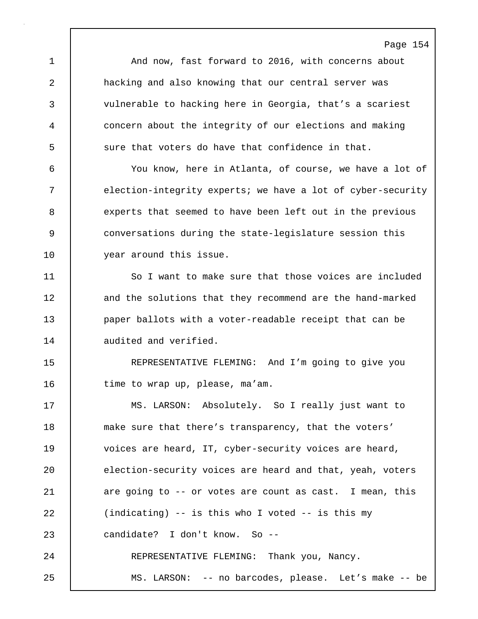Page 154 1 | And now, fast forward to 2016, with concerns about 2 hacking and also knowing that our central server was 3 vulnerable to hacking here in Georgia, that's a scariest 4 concern about the integrity of our elections and making 5 sure that voters do have that confidence in that. 6 You know, here in Atlanta, of course, we have a lot of 7 | election-integrity experts; we have a lot of cyber-security 8 experts that seemed to have been left out in the previous 9 conversations during the state-legislature session this 10 vear around this issue. 11 | So I want to make sure that those voices are included 12 and the solutions that they recommend are the hand-marked 13 **paper ballots with a voter-readable receipt that can be** 14 audited and verified. 15 REPRESENTATIVE FLEMING: And I'm going to give you 16 time to wrap up, please, ma'am. 17 MS. LARSON: Absolutely. So I really just want to 18 make sure that there's transparency, that the voters' 19 voices are heard, IT, cyber-security voices are heard, 20 election-security voices are heard and that, yeah, voters 21 are going to -- or votes are count as cast. I mean, this 22 (indicating) -- is this who I voted -- is this my 23 candidate? I don't know. So -- 24 | REPRESENTATIVE FLEMING: Thank you, Nancy. 25 MS. LARSON: -- no barcodes, please. Let's make -- be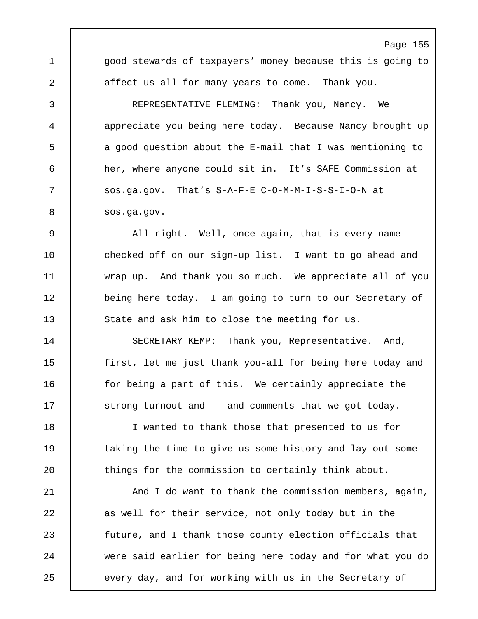1 | good stewards of taxpayers' money because this is going to 2 affect us all for many years to come. Thank you.

Page 155

3 REPRESENTATIVE FLEMING: Thank you, Nancy. We 4 appreciate you being here today. Because Nancy brought up 5 a good question about the E-mail that I was mentioning to 6 her, where anyone could sit in. It's SAFE Commission at 7 Sos.ga.gov. That's S-A-F-E C-O-M-M-I-S-S-I-O-N at 8 | sos.ga.gov.

9 All right. Well, once again, that is every name 10 checked off on our sign-up list. I want to go ahead and 11 wrap up. And thank you so much. We appreciate all of you 12 being here today. I am going to turn to our Secretary of 13 State and ask him to close the meeting for us.

14 | SECRETARY KEMP: Thank you, Representative. And, 15 first, let me just thank you-all for being here today and 16 for being a part of this. We certainly appreciate the 17 | strong turnout and -- and comments that we got today.

18 | I wanted to thank those that presented to us for 19 taking the time to give us some history and lay out some 20 | things for the commission to certainly think about.

21 | And I do want to thank the commission members, again, 22 as well for their service, not only today but in the 23 future, and I thank those county election officials that 24 were said earlier for being here today and for what you do 25 every day, and for working with us in the Secretary of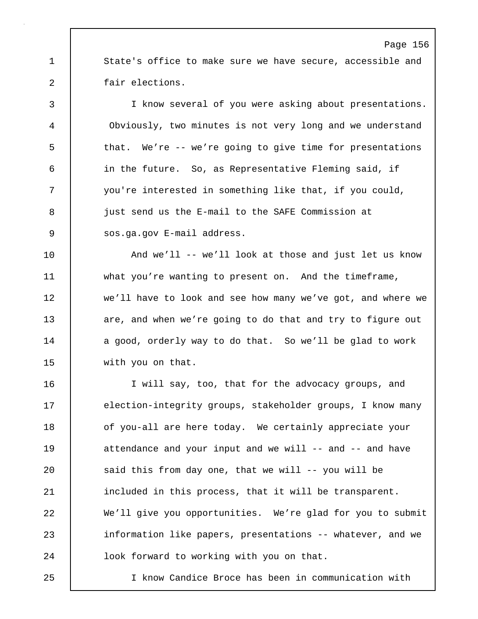1 State's office to make sure we have secure, accessible and 2 fair elections.

Page 156

3 I know several of you were asking about presentations. 4 Obviously, two minutes is not very long and we understand 5 that. We're -- we're going to give time for presentations 6 in the future. So, as Representative Fleming said, if 7 you're interested in something like that, if you could, 8 **just send us the E-mail to the SAFE Commission at** 9 | sos.ga.gov E-mail address.

10 | And we'll -- we'll look at those and just let us know 11 what you're wanting to present on. And the timeframe, 12 we'll have to look and see how many we've got, and where we 13 are, and when we're going to do that and try to figure out 14 | a good, orderly way to do that. So we'll be glad to work 15 with you on that.

16 I will say, too, that for the advocacy groups, and 17 election-integrity groups, stakeholder groups, I know many 18 of you-all are here today. We certainly appreciate your 19 attendance and your input and we will -- and -- and have 20 | said this from day one, that we will -- you will be 21 | included in this process, that it will be transparent. 22 | We'll give you opportunities. We're glad for you to submit 23 information like papers, presentations -- whatever, and we 24 | look forward to working with you on that.

25 I know Candice Broce has been in communication with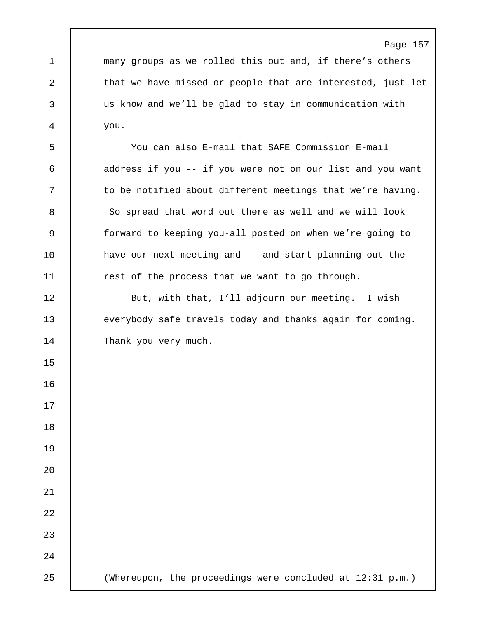1 many groups as we rolled this out and, if there's others 2 that we have missed or people that are interested, just let 3 us know and we'll be glad to stay in communication with 4 you.

5 You can also E-mail that SAFE Commission E-mail 6 address if you -- if you were not on our list and you want 7 | to be notified about different meetings that we're having. 8 So spread that word out there as well and we will look 9 forward to keeping you-all posted on when we're going to 10 have our next meeting and -- and start planning out the 11 | rest of the process that we want to go through.

12 | But, with that, I'll adjourn our meeting. I wish 13 everybody safe travels today and thanks again for coming. 14 Thank you very much.

15

16

17

18

19

20

21

22

23

24

25 (Whereupon, the proceedings were concluded at 12:31 p.m.)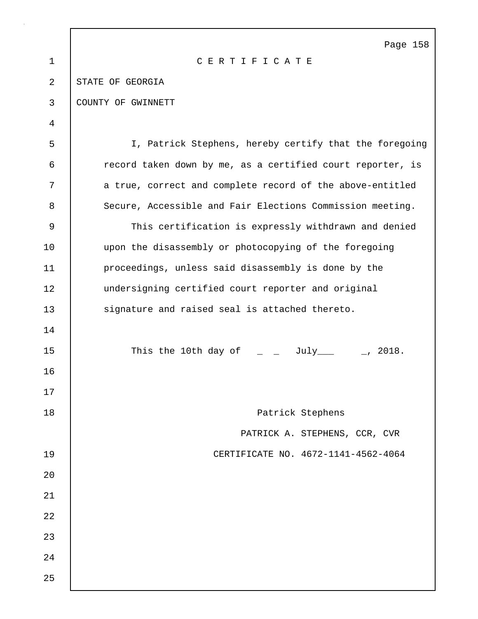|                | Page 158                                                   |
|----------------|------------------------------------------------------------|
| $\mathbf{1}$   | CERTIFICATE                                                |
| $\overline{2}$ | STATE OF GEORGIA                                           |
| 3              | COUNTY OF GWINNETT                                         |
| 4              |                                                            |
| 5              | I, Patrick Stephens, hereby certify that the foregoing     |
| 6              | record taken down by me, as a certified court reporter, is |
| 7              | a true, correct and complete record of the above-entitled  |
| 8              | Secure, Accessible and Fair Elections Commission meeting.  |
| 9              | This certification is expressly withdrawn and denied       |
| 10             | upon the disassembly or photocopying of the foregoing      |
| 11             | proceedings, unless said disassembly is done by the        |
| 12             | undersigning certified court reporter and original         |
| 13             | signature and raised seal is attached thereto.             |
| 14             |                                                            |
| 15             | This the 10th day of $\qquad \qquad$ _ July ___ _, 2018.   |
| 16             |                                                            |
| 17             |                                                            |
| 18             | Patrick Stephens                                           |
|                | PATRICK A. STEPHENS, CCR, CVR                              |
| 19             | CERTIFICATE NO. 4672-1141-4562-4064                        |
| 20             |                                                            |
| 21             |                                                            |
| 22             |                                                            |
| 23             |                                                            |
| 24             |                                                            |
| 25             |                                                            |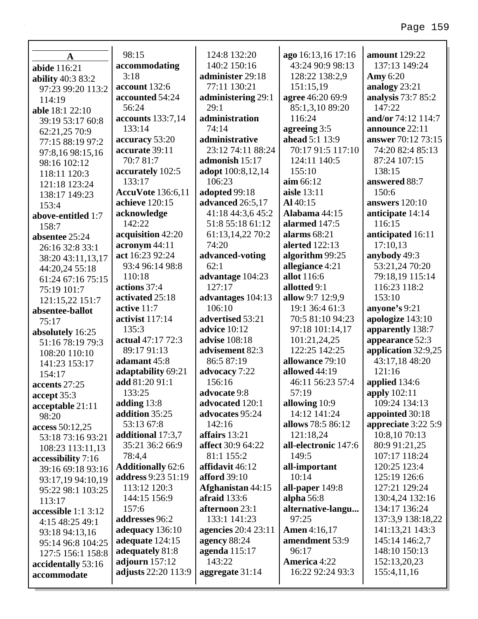|                                   | 98:15                    | 124:8 132:20               | ago 16:13,16 17:16   | <b>amount</b> 129:22  |
|-----------------------------------|--------------------------|----------------------------|----------------------|-----------------------|
| $\mathbf A$                       | accommodating            | 140:2 150:16               | 43:24 90:9 98:13     | 137:13 149:24         |
| abide 116:21                      | 3:18                     | administer 29:18           | 128:22 138:2,9       | <b>Amy</b> 6:20       |
| ability 40:3 83:2                 | account 132:6            | 77:11 130:21               | 151:15,19            | analogy 23:21         |
| 97:23 99:20 113:2                 | accounted 54:24          | administering 29:1         | agree 46:20 69:9     | analysis 73:7 85:2    |
| 114:19                            | 56:24                    | 29:1                       | 85:1,3,10 89:20      | 147:22                |
| <b>able</b> 18:1 22:10            | accounts 133:7,14        | administration             | 116:24               | and/or 74:12 114:7    |
| 39:19 53:17 60:8                  | 133:14                   | 74:14                      | agreeing 3:5         | announce 22:11        |
| 62:21,25 70:9                     | accuracy 53:20           | administrative             | ahead 5:1 13:9       | answer 70:12 73:15    |
| 77:15 88:19 97:2                  | accurate 39:11           | 23:12 74:11 88:24          | 70:17 91:5 117:10    | 74:20 82:4 85:13      |
| 97:8,16 98:15,16                  | 70:7 81:7                | admonish 15:17             | 124:11 140:5         | 87:24 107:15          |
| 98:16 102:12                      | accurately 102:5         | adopt 100:8,12,14          | 155:10               | 138:15                |
| 118:11 120:3                      | 133:17                   | 106:23                     | $\lim 66:12$         | answered 88:7         |
| 121:18 123:24                     | <b>AccuVote</b> 136:6,11 | adopted 99:18              | aisle 13:11          | 150:6                 |
| 138:17 149:23                     | achieve 120:15           | advanced 26:5,17           | Al 40:15             | <b>answers</b> 120:10 |
| 153:4                             | acknowledge              | 41:18 44:3,6 45:2          | Alabama 44:15        | anticipate 14:14      |
| above-entitled 1:7                | 142:22                   | 51:8 55:18 61:12           | alarmed 147:5        | 116:15                |
| 158:7                             | acquisition 42:20        | 61:13,14,22 70:2           | alarms $68:21$       | anticipated 16:11     |
| absentee 25:24                    | acronym 44:11            | 74:20                      | alerted 122:13       | 17:10,13              |
| 26:16 32:8 33:1                   | act 16:23 92:24          | advanced-voting            | algorithm 99:25      | anybody 49:3          |
| 38:20 43:11,13,17                 | 93:4 96:14 98:8          | 62:1                       | allegiance 4:21      | 53:21,24 70:20        |
| 44:20,24 55:18                    | 110:18                   | advantage 104:23           | allot 116:6          | 79:18,19 115:14       |
| 61:24 67:16 75:15                 | actions 37:4             | 127:17                     | allotted 9:1         | 116:23 118:2          |
| 75:19 101:7                       | activated 25:18          | advantages 104:13          | allow 9:7 12:9,9     | 153:10                |
| 121:15,22 151:7                   | active 11:7              | 106:10                     | 19:1 36:4 61:3       | anyone's 9:21         |
| absentee-ballot                   | activist 117:14          | advertised 53:21           | 70:5 81:10 94:23     | apologize 143:10      |
| 75:17                             | 135:3                    | <b>advice</b> 10:12        | 97:18 101:14,17      | apparently 138:7      |
| absolutely 16:25                  | actual 47:17 72:3        | advise 108:18              | 101:21,24,25         | appearance 52:3       |
| 51:16 78:19 79:3<br>108:20 110:10 | 89:17 91:13              | advisement 82:3            | 122:25 142:25        | application 32:9,25   |
| 141:23 153:17                     | adamant 45:8             | 86:5 87:19                 | allowance 79:10      | 43:17,18 48:20        |
| 154:17                            | adaptability 69:21       | advocacy 7:22              | allowed 44:19        | 121:16                |
| accents 27:25                     | add 81:20 91:1           | 156:16                     | 46:11 56:23 57:4     | applied 134:6         |
| accept 35:3                       | 133:25                   | advocate 9:8               | 57:19                | apply 102:11          |
| acceptable 21:11                  | adding $13:8$            | advocated 120:1            | allowing 10:9        | 109:24 134:13         |
| 98:20                             | addition 35:25           | advocates 95:24            | 14:12 141:24         | appointed 30:18       |
| access 50:12,25                   | 53:13 67:8               | 142:16                     | allows 78:5 86:12    | appreciate 3:22 5:9   |
| 53:18 73:16 93:21                 | additional 17:3,7        | affairs 13:21              | 121:18,24            | 10:8,10 70:13         |
| 108:23 113:11,13                  | 35:21 36:2 66:9          | <b>affect</b> 30:9 64:22   | all-electronic 147:6 | 80:9 91:21,25         |
| accessibility 7:16                | 78:4,4                   | 81:1 155:2                 | 149:5                | 107:17 118:24         |
| 39:16 69:18 93:16                 | <b>Additionally 62:6</b> | affidavit 46:12            | all-important        | 120:25 123:4          |
| 93:17,19 94:10,19                 | address 9:23 51:19       | <b>afford</b> 39:10        | 10:14                | 125:19 126:6          |
| 95:22 98:1 103:25                 | 113:12 120:3             | Afghanistan 44:15          | all-paper 149:8      | 127:21 129:24         |
| 113:17                            | 144:15 156:9             | afraid $133:6$             | alpha $56:8$         | 130:4,24 132:16       |
| accessible 1:1 3:12               | 157:6                    | afternoon 23:1             | alternative-langu    | 134:17 136:24         |
| 4:15 48:25 49:1                   | addresses 96:2           | 133:1 141:23               | 97:25                | 137:3,9 138:18,22     |
| 93:18 94:13,16                    | adequacy 136:10          | <b>agencies</b> 20:4 23:11 | <b>Amen</b> 4:16,17  | 141:13,21 143:3       |
| 95:14 96:8 104:25                 | adequate 124:15          | agency 88:24               | amendment 53:9       | 145:14 146:2,7        |
| 127:5 156:1 158:8                 | adequately 81:8          | agenda 115:17              | 96:17                | 148:10 150:13         |
| accidentally 53:16                | adjourn $157:12$         | 143:22                     | <b>America</b> 4:22  | 152:13,20,23          |
| accommodate                       | adjusts 22:20 113:9      | aggregate 31:14            | 16:22 92:24 93:3     | 155:4,11,16           |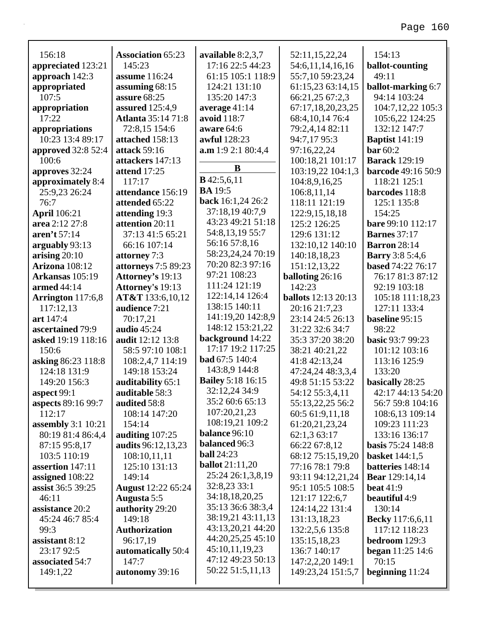| 156:18                            | <b>Association 65:23</b><br>145:23  | available 8:2,3,7          | 52:11,15,22,24               | 154:13                                             |
|-----------------------------------|-------------------------------------|----------------------------|------------------------------|----------------------------------------------------|
| appreciated 123:21                |                                     | 17:16 22:5 44:23           | 54:6,11,14,16,16             | ballot-counting<br>49:11                           |
| approach 142:3                    | assume 116:24                       | 61:15 105:1 118:9          | 55:7,10 59:23,24             |                                                    |
| appropriated                      | assuming 68:15                      | 124:21 131:10              | 61:15,23 63:14,15            | <b>ballot-marking 6:7</b>                          |
| 107:5                             | assure 68:25                        | 135:20 147:3               | 66:21,25 67:2,3              | 94:14 103:24                                       |
| appropriation                     | assured 125:4,9                     | average 41:14              | 67:17,18,20,23,25            | 104:7,12,22 105:3                                  |
| 17:22                             | <b>Atlanta</b> 35:14 71:8           | avoid 118:7                | 68:4, 10, 14 76:4            | 105:6,22 124:25                                    |
| appropriations                    | 72:8,15 154:6                       | aware 64:6<br>awful 128:23 | 79:2,4,14 82:11              | 132:12 147:7                                       |
| 10:23 13:4 89:17                  | attached 158:13<br>attack 59:16     | a.m 1:9 2:1 80:4,4         | 94:7,17 95:3                 | <b>Baptist</b> 141:19<br>bar 60:2                  |
| approved 32:8 52:4                |                                     |                            | 97:16,22,24                  |                                                    |
| 100:6                             | attackers 147:13                    | B                          | 100:18,21 101:17             | <b>Barack</b> 129:19                               |
| approves 32:24                    | attend 17:25                        | <b>B</b> 42:5,6,11         | 103:19,22 104:1,3            | <b>barcode</b> 49:16 50:9                          |
| approximately 8:4                 | 117:17<br>attendance 156:19         | <b>BA</b> 19:5             | 104:8,9,16,25                | 118:21 125:1                                       |
| 25:9,23 26:24                     | attended 65:22                      | back 16:1,24 26:2          | 106:8,11,14                  | barcodes 118:8<br>125:1 135:8                      |
| 76:7<br><b>April</b> 106:21       |                                     | 37:18,19 40:7,9            | 118:11 121:19                | 154:25                                             |
|                                   | attending 19:3                      | 43:23 49:21 51:18          | 122:9,15,18,18               |                                                    |
| area 2:12 27:8<br>aren't $57:14$  | attention 20:11<br>37:13 41:5 65:21 | 54:8,13,19 55:7            | 125:2 126:25<br>129:6 131:12 | bare 99:10 112:17<br><b>Barnes</b> 37:17           |
|                                   | 66:16 107:14                        | 56:16 57:8,16              |                              | <b>Barron</b> 28:14                                |
| arguably 93:13<br>arising $20:10$ |                                     | 58:23,24,24 70:19          | 132:10,12 140:10             |                                                    |
| <b>Arizona</b> 108:12             | attorney 7:3<br>attorneys 7:5 89:23 | 70:20 82:3 97:16           | 140:18,18,23<br>151:12,13,22 | <b>Barry</b> 3:8 5:4,6<br><b>based</b> 74:22 76:17 |
| Arkansas 105:19                   | Attorney's 19:13                    | 97:21 108:23               | balloting 26:16              | 76:17 81:3 87:12                                   |
| armed 44:14                       | <b>Attorney's 19:13</b>             | 111:24 121:19              | 142:23                       | 92:19 103:18                                       |
| Arrington 117:6,8                 | AT&T 133:6,10,12                    | 122:14,14 126:4            | <b>ballots</b> 12:13 20:13   | 105:18 111:18,23                                   |
| 117:12,13                         | audience 7:21                       | 138:15 140:11              | 20:16 21:7,23                | 127:11 133:4                                       |
| art 147:4                         | 70:17,21                            | 141:19,20 142:8,9          | 23:14 24:5 26:13             | baseline 95:15                                     |
| ascertained 79:9                  | <b>audio</b> 45:24                  | 148:12 153:21,22           | 31:22 32:6 34:7              | 98:22                                              |
| asked 19:19 118:16                | audit 12:12 13:8                    | background 14:22           | 35:3 37:20 38:20             | <b>basic 93:7 99:23</b>                            |
| 150:6                             | 58:5 97:10 108:1                    | 17:17 19:2 117:25          | 38:21 40:21,22               | 101:12 103:16                                      |
| asking 86:23 118:8                | 108:2,4,7 114:19                    | <b>bad</b> 67:5 140:4      | 41:8 42:13,24                | 113:16 125:9                                       |
| 124:18 131:9                      | 149:18 153:24                       | 143:8,9 144:8              | 47:24,24 48:3,3,4            | 133:20                                             |
| 149:20 156:3                      | auditability 65:1                   | <b>Bailey 5:18 16:15</b>   | 49:8 51:15 53:22             | basically 28:25                                    |
| aspect 99:1                       | auditable 58:3                      | 32:12,24 34:9              | 54:12 55:3,4,11              | 42:17 44:13 54:20                                  |
| aspects 89:16 99:7                | audited 58:8                        | 35:2 60:6 65:13            | 55:13,22,25 56:2             | 56:7 59:8 104:16                                   |
| 112:17                            | 108:14 147:20                       | 107:20,21,23               | 60:5 61:9,11,18              | 108:6,13 109:14                                    |
| <b>assembly</b> 3:1 10:21         | 154:14                              | 108:19,21 109:2            | 61:20,21,23,24               | 109:23 111:23                                      |
| 80:19 81:4 86:4,4                 | auditing $107:25$                   | balance 96:10              | 62:1,3 63:17                 | 133:16 136:17                                      |
| 87:15 95:8,17                     | audits 96:12,13,23                  | balanced 96:3              | 66:22 67:8,12                | <b>basis</b> 75:24 148:8                           |
| 103:5 110:19                      | 108:10,11,11                        | <b>ball</b> 24:23          | 68:12 75:15,19,20            | <b>basket</b> 144:1,5                              |
| assertion 147:11                  | 125:10 131:13                       | <b>ballot</b> 21:11,20     | 77:16 78:1 79:8              | batteries 148:14                                   |
| assigned 108:22                   | 149:14                              | 25:24 26:1,3,8,19          | 93:11 94:12,21,24            | <b>Bear</b> 129:14,14                              |
| assist 36:5 39:25                 | <b>August</b> 12:22 65:24           | 32:8,23 33:1               | 95:1 105:5 108:5             | <b>beat</b> 41:9                                   |
| 46:11                             | Augusta 5:5                         | 34:18,18,20,25             | 121:17 122:6,7               | <b>beautiful</b> 4:9                               |
| assistance 20:2                   | authority 29:20                     | 35:13 36:6 38:3,4          | 124:14,22 131:4              | 130:14                                             |
| 45:24 46:7 85:4                   | 149:18                              | 38:19,21 43:11,13          | 131:13,18,23                 | <b>Becky</b> 117:6,6,11                            |
| 99:3                              | <b>Authorization</b>                | 43:13,20,21 44:20          | 132:2,5,6 135:8              | 117:12 118:23                                      |
| assistant 8:12                    | 96:17,19                            | 44:20,25,25 45:10          | 135:15,18,23                 | bedroom 129:3                                      |
| 23:17 92:5                        | automatically 50:4                  | 45:10,11,19,23             | 136:7 140:17                 | <b>began</b> 11:25 14:6                            |
| associated 54:7                   | 147:7                               | 47:12 49:23 50:13          | 147:2,2,20 149:1             | 70:15                                              |
| 149:1,22                          | autonomy 39:16                      | 50:22 51:5,11,13           | 149:23,24 151:5,7            | beginning $11:24$                                  |
|                                   |                                     |                            |                              |                                                    |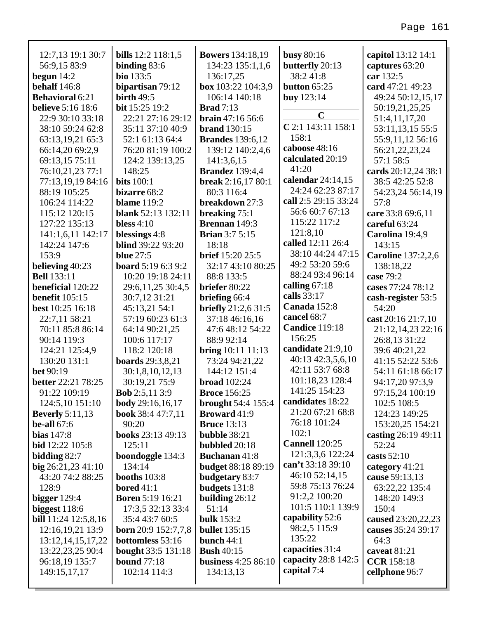#### 12:7,13 19:1 30:7 **bills** 12:2 118:1,5 **Bowers** 134:18,19 **busy 80:16** capitol 13:12 14:1 binding  $83:6$ butterfly 20:13 56:9.15 83:9 134:23 135:1.1.6 captures 63:20 begun  $14:2$ **bio** 133:5 136:17.25 38:241:8 car 132:5 bipartisan 79:12 behalf 146:8 box 103:22 104:3,9 button  $65:25$ card 47:21 49:23 **Behavioral 6:21** birth  $49:5$ 106:14 140:18 **buy**  $123:14$ 49:24 50:12,15,17 **believe** 5:16 18:6 **bit** 15:25 19:2 **Brad** 7:13 50:19,21,25,25  $\mathbf C$ 22:9 30:10 33:18 22:21 27:16 29:12 **brain**  $47:1656:6$ 51:4,11,17,20  $C$  2:1 143:11 158:1 38:10 59:24 62:8 35:11 37:10 40:9 brand  $130:15$ 53:11,13,15 55:5 158:1 63:13,19,21 65:3 52:1 61:13 64:4 **Brandes** 139:6.12 55:9,11,12 56:16 caboose 48:16 66:14,20 69:2,9 76:20 81:19 100:2 139:12 140:2,4,6 56:21,22,23,24 calculated 20:19 69:13.15 75:11 124:2 139:13.25 141:3.6.15 57:1 58:5  $41:20$ 76:10,21,23 77:1 148:25 cards 20:12.24 38:1 **Brandez** 139:4,4 calendar 24:14,15 77:13.19.19 84:16 **bits** 100:1 break  $2:16.1780:1$ 38:5 42:25 52:8 24:24 62:23 87:17 88:19 105:25 bizarre  $68:2$  $80:3$  116:4 54:23,24 56:14,19 call 2:5 29:15 33:24 106:24 114:22 **blame** 119:2 breakdown 27:3  $57:8$ 56:6 60:7 67:13 115:12 120:15 **blank** 52:13 132:11 breaking  $75:1$ care 33:8 69:6,11 115:22 117:2 127:22 135:13 bless  $4:10$ **Brennan** 149:3 careful 63:24 121:8,10 141:1,6,11 142:17 blessings 4:8 **Brian**  $3:75:15$ Carolina 19:4,9 called 12:11 26:4 **blind** 39:22 93:20 142:24 147:6 18:18 143:15 38:10 44:24 47:15 153:9 **blue** 27:5 **brief**  $15:20$   $25:5$ **Caroline** 137:2,2,6 49:2 53:20 59:6 32:17 43:10 80:25 believing 40:23 **board**  $5:196:39:2$ 138:18.22 88:24 93:4 96:14 88:8 133:5 case  $79:2$ **Bell** 133:11 10:20 19:18 24:11 calling  $67:18$ beneficial 120:22 29:6, 11, 25 30:4, 5 briefer 80:22 cases 77:24 78:12 calls 33:17 benefit  $105:15$ 30:7,12 31:21 briefing 66:4 cash-register 53:5 Canada 152:8 best 10:25 16:18 45:13,21 54:1 briefly  $21:2,631:5$ 54:20 cancel 68:7 22:7,11 58:21 57:19 60:23 61:3 37:18 46:16,16 cast 20:16 21:7,10 **Candice 119:18** 70:11 85:8 86:14 64:14 90:21,25 47:6 48:12 54:22 21:12,14,23 22:16 156:25 90:14 119:3 100:6 117:17 88:9 92:14 26:8,13 31:22 candidate 21:9,10 39:6 40:21,22 124:21 125:4.9 118:2 120:18 **bring**  $10:11$   $11:13$ 40:13 42:3,5,6,10 130:20 131:1 **boards** 29:3,8,21 73:24 94:21,22 41:15 52:22 53:6 42:11 53:7 68:8 144:12 151:4  $het 90:19$ 54:11 61:18 66:17  $30:1,8,10,12,13$ 101:18,23 128:4 **better** 22:21 78:25 30:19,21 75:9 broad  $102:24$ 94:17,20 97:3,9 141:25 154:23 91:22 109:19 **Bob** 2:5,11 3:9 **Broce** 156:25 97:15,24 100:19 candidates 18:22 102:5 108:5 124:5,10 151:10 **body**  $29:16,16,17$ **brought**  $54:4$  155:4 21:20 67:21 68:8 **Beverly** 5:11,13 book 38:4 47:7,11 **Broward** 41:9 124:23 149:25 76:18 101:24 be-all  $67:6$ **Bruce** 13:13 153:20,25 154:21 90:20  $102:1$ bias  $147:8$ books 23:13 49:13 bubble 38:21 casting 26:19 49:11 **Cannell** 120:25 **bid** 12:22 105:8  $125:11$ bubbled  $20:18$ 52:24 121:3,3,6 122:24 bidding 82:7 boondoggle 134:3 **Buchanan** 41:8 casts 52:10 can't 33:18 39:10 **budget 88:18 89:19**  $big 26:21,2341:10$  $134:14$ category  $41:21$ 46:10 52:14,15 43:20 74:2 88:25 booths  $103:8$ budgetary 83:7 cause 59:13,13 59:8 75:13 76:24 128:9 bored  $41:1$ budgets 131:8 63:22,22 135:4 91:2,2 100:20 bigger  $129:4$ **Boren 5:19 16:21** building 26:12 148:20 149:3 101:5 110:1 139:9 biggest  $118:6$ 17:3,5 32:13 33:4  $51:14$  $150:4$ capability 52:6 35:4 43:7 60:5 **bulk** 153:2 **bill**  $11:24$   $12:5,8,16$ caused 23:20, 22, 23 98:2,5 115:9 **born** 20:9 152:7.7.8 **bullet** 135:15 causes 35:24 39:17 12:16,19,21 13:9  $135:22$ bottomless 53:16 13:12, 14, 15, 17, 22 bunch  $44:1$ 64:3 capacities 31:4 13:22,23,25 90:4 **bought** 33:5 131:18 **Bush 40:15** caveat  $81:21$ capacity 28:8 142:5 **bound** 77:18 **business** 4:25 86:10 96:18,19 135:7 **CCR** 158:18

134:13,13

149:15,17,17

102:14 114:3

capital 7:4

cellphone 96:7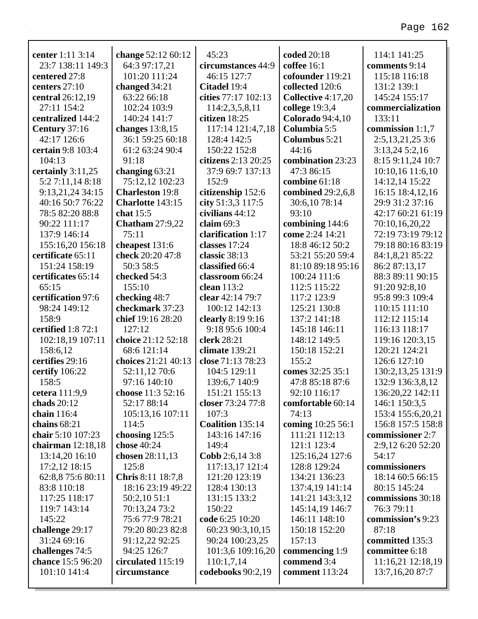| center 1:11 3:14    | change 52:12 60:12      | 45:23                  | coded 20:18             | 114:1 141:25         |
|---------------------|-------------------------|------------------------|-------------------------|----------------------|
| 23:7 138:11 149:3   | 64:3 97:17,21           | circumstances 44:9     | coffee 16:1             | comments 9:14        |
| centered 27:8       | 101:20 111:24           | 46:15 127:7            | cofounder 119:21        | 115:18 116:18        |
| centers 27:10       | changed 34:21           | Citadel 19:4           | collected 120:6         | 131:2 139:1          |
| central 26:12,19    | 63:22 66:18             | cities 77:17 102:13    | Collective 4:17,20      | 145:24 155:17        |
| 27:11 154:2         | 102:24 103:9            | 114:2,3,5,8,11         | college 19:3,4          | commercialization    |
| centralized 144:2   | 140:24 141:7            | citizen 18:25          | <b>Colorado</b> 94:4,10 | 133:11               |
| Century 37:16       | changes $13:8,15$       | 117:14 121:4,7,18      | Columbia 5:5            | commission 1:1,7     |
| 42:17 126:6         | 36:1 59:25 60:18        | 128:4 142:5            | Columbus 5:21           | 2:5, 13, 21, 25 3: 6 |
| certain 9:8 103:4   | 61:2 63:24 90:4         | 150:22 152:8           | 44:16                   | 3:13,245:2,16        |
| 104:13              | 91:18                   | citizens 2:13 20:25    | combination 23:23       | 8:15 9:11,24 10:7    |
| certainly $3:11,25$ | changing $63:21$        | 37:9 69:7 137:13       | 47:3 86:15              | 10:10,16 11:6,10     |
| 5:2 7:11,14 8:18    | 75:12,12 102:23         | 152:9                  | combine 61:18           | 14:12,14 15:22       |
| 9:13,21,24 34:15    | <b>Charleston</b> 19:8  | citizenship 152:6      | combined 29:2,6,8       | 16:15 18:4,12,16     |
| 40:16 50:7 76:22    | <b>Charlotte 143:15</b> | city 51:3,3 117:5      | 30:6,1078:14            | 29:9 31:2 37:16      |
| 78:5 82:20 88:8     | chat $15:5$             | civilians 44:12        | 93:10                   | 42:17 60:21 61:19    |
| 90:22 111:17        | <b>Chatham</b> 27:9,22  | claim $69:3$           | combining 144:6         | 70:10,16,20,22       |
| 137:9 146:14        | 75:11                   | clarification 1:17     | come 2:24 14:21         | 72:19 73:19 79:12    |
| 155:16,20 156:18    | cheapest 131:6          | classes 17:24          | 18:8 46:12 50:2         | 79:18 80:16 83:19    |
| certificate 65:11   | check 20:20 47:8        | classic 38:13          | 53:21 55:20 59:4        | 84:1,8,21 85:22      |
| 151:24 158:19       | 50:3 58:5               | classified 66:4        | 81:10 89:18 95:16       | 86:2 87:13,17        |
| certificates 65:14  | checked 54:3            | classroom 66:24        | 100:24 111:6            | 88:3 89:11 90:15     |
| 65:15               | 155:10                  | clean $113:2$          | 112:5 115:22            | 91:20 92:8,10        |
| certification 97:6  | checking 48:7           | clear 42:14 79:7       | 117:2 123:9             | 95:8 99:3 109:4      |
| 98:24 149:12        | checkmark 37:23         | 100:12 142:13          | 125:21 130:8            | 110:15 111:10        |
| 158:9               | chief 19:16 28:20       | clearly 8:19 9:16      | 137:2 141:18            | 112:12 115:14        |
| certified 1:8 72:1  | 127:12                  | 9:18 95:6 100:4        | 145:18 146:11           | 116:13 118:17        |
| 102:18,19 107:11    | choice 21:12 52:18      | clerk 28:21            | 148:12 149:5            | 119:16 120:3,15      |
| 158:6,12            | 68:6 121:14             | climate 139:21         | 150:18 152:21           | 120:21 124:21        |
| certifies 29:16     | choices 21:21 40:13     | close 71:13 78:23      | 155:2                   | 126:6 127:10         |
| certify 106:22      | 52:11,12 70:6           | 104:5 129:11           | comes 32:25 35:1        | 130:2,13,25 131:9    |
| 158:5               | 97:16 140:10            | 139:6,7 140:9          | 47:8 85:18 87:6         | 132:9 136:3,8,12     |
| cetera 111:9,9      | choose 11:3 52:16       | 151:21 155:13          | 92:10 116:17            | 136:20,22 142:11     |
| chads $20:12$       | 52:17 88:14             | closer 73:24 77:8      | comfortable 60:14       | 146:1 150:3,5        |
| chain 116:4         | 105:13,16 107:11        | 107:3                  | 74:13                   | 153:4 155:6,20,21    |
| chains 68:21        | 114:5                   | Coalition 135:14       | coming 10:25 56:1       | 156:8 157:5 158:8    |
| chair 5:10 107:23   | choosing $125:5$        | 143:16 147:16          | 111:21 112:13           | commissioner 2:7     |
| chairman $12:18,18$ | chose 40:24             | 149:4                  | 121:1 123:4             | 2:9,12 6:20 52:20    |
| 13:14,20 16:10      | chosen $28:11,13$       | <b>Cobb</b> 2:6,14 3:8 | 125:16,24 127:6         | 54:17                |
| 17:2,12 18:15       | 125:8                   | 117:13,17 121:4        | 128:8 129:24            | commissioners        |
| 62:8,8 75:6 80:11   | Chris 8:11 18:7,8       | 121:20 123:19          | 134:21 136:23           | 18:14 60:5 66:15     |
| 83:8 110:18         | 18:16 23:19 49:22       | 128:4 130:13           | 137:4,19 141:14         | 80:15 145:24         |
| 117:25 118:17       | 50:2,10 51:1            | 131:15 133:2           | 141:21 143:3,12         | commissions 30:18    |
| 119:7 143:14        | 70:13,24 73:2           | 150:22                 | 145:14,19 146:7         | 76:3 79:11           |
| 145:22              | 75:6 77:9 78:21         | code 6:25 10:20        | 146:11 148:10           | commission's 9:23    |
| challenge 29:17     | 79:20 80:23 82:8        | 60:23 90:3,10,15       | 150:18 152:20           | 87:18                |
| 31:24 69:16         | 91:12,22 92:25          | 90:24 100:23,25        | 157:13                  | committed 135:3      |
| challenges 74:5     | 94:25 126:7             | 101:3,6 109:16,20      | commencing 1:9          | committee 6:18       |
| chance 15:5 96:20   | circulated 115:19       | 110:1,7,14             | commend 3:4             | 11:16,21 12:18,19    |
| 101:10 141:4        | circumstance            | codebooks 90:2,19      | comment 113:24          | 13:7,16,20 87:7      |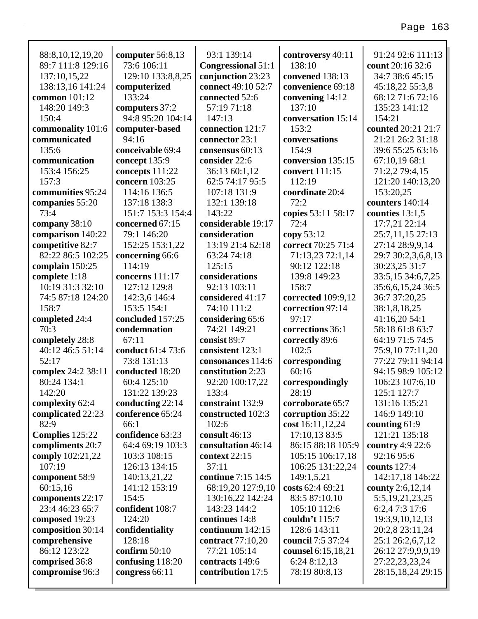| 88:8, 10, 12, 19, 20 | computer 56:8,13   | 93:1 139:14               | controversy 40:11  | 91:24 92:6 111:13  |
|----------------------|--------------------|---------------------------|--------------------|--------------------|
| 89:7 111:8 129:16    | 73:6 106:11        | <b>Congressional 51:1</b> | 138:10             | count 20:16 32:6   |
| 137:10,15,22         | 129:10 133:8,8,25  | conjunction 23:23         | convened 138:13    | 34:7 38:6 45:15    |
| 138:13,16 141:24     | computerized       | connect 49:10 52:7        | convenience 69:18  | 45:18,22 55:3,8    |
| common 101:12        | 133:24             | connected 52:6            | convening 14:12    | 68:12 71:6 72:16   |
| 148:20 149:3         | computers 37:2     | 57:19 71:18               | 137:10             | 135:23 141:12      |
| 150:4                | 94:8 95:20 104:14  | 147:13                    | conversation 15:14 | 154:21             |
| commonality 101:6    | computer-based     | connection 121:7          | 153:2              | counted 20:21 21:7 |
| communicated         | 94:16              | connector 23:1            | conversations      | 21:21 26:2 31:18   |
| 135:6                | conceivable 69:4   | consensus 60:13           | 154:9              | 39:6 55:25 63:16   |
| communication        | concept 135:9      | consider 22:6             | conversion 135:15  | 67:10,19 68:1      |
| 153:4 156:25         | concepts 111:22    | 36:13 60:1,12             | convert 111:15     | 71:2,2 79:4,15     |
| 157:3                | concern 103:25     | 62:5 74:17 95:5           | 112:19             | 121:20 140:13,20   |
| communities 95:24    | 114:16 136:5       | 107:18 131:9              | coordinate 20:4    | 153:20,25          |
| companies 55:20      | 137:18 138:3       | 132:1 139:18              | 72:2               | counters 140:14    |
| 73:4                 | 151:7 153:3 154:4  | 143:22                    | copies 53:11 58:17 | counties $13:1,5$  |
| company 38:10        | concerned 67:15    | considerable 19:17        | 72:4               | 17:7,21 22:14      |
| comparison 140:22    | 79:1 146:20        | consideration             | copy 53:12         | 25:7,11,15 27:13   |
| competitive 82:7     | 152:25 153:1,22    | 13:19 21:4 62:18          | correct 70:25 71:4 | 27:14 28:9,9,14    |
| 82:22 86:5 102:25    | concerning 66:6    | 63:24 74:18               | 71:13,23 72:1,14   | 29:7 30:2,3,6,8,13 |
| complain 150:25      | 114:19             | 125:15                    | 90:12 122:18       | 30:23,25 31:7      |
| complete 1:18        | concerns 111:17    | considerations            | 139:8 149:23       | 33:5,15 34:6,7,25  |
| 10:19 31:3 32:10     | 127:12 129:8       | 92:13 103:11              | 158:7              | 35:6,6,15,24 36:5  |
| 74:5 87:18 124:20    | 142:3,6 146:4      | considered 41:17          | corrected 109:9,12 | 36:7 37:20,25      |
| 158:7                | 153:5 154:1        | 74:10 111:2               | correction 97:14   | 38:1,8,18,25       |
|                      |                    |                           |                    |                    |
| completed 24:4       | concluded 157:25   | considering 65:6          | 97:17              | 41:16,20 54:1      |
| 70:3                 | condemnation       | 74:21 149:21              | corrections 36:1   | 58:18 61:8 63:7    |
| completely 28:8      | 67:11              | consist 89:7              | correctly 89:6     | 64:19 71:5 74:5    |
| 40:12 46:5 51:14     | conduct 61:4 73:6  | consistent 123:1          | 102:5              | 75:9,10 77:11,20   |
| 52:17                | 73:8 131:13        | consonances 114:6         | corresponding      | 77:22 79:11 94:14  |
| complex 24:2 38:11   | conducted 18:20    | constitution 2:23         | 60:16              | 94:15 98:9 105:12  |
| 80:24 134:1          | 60:4 125:10        | 92:20 100:17,22           | correspondingly    | 106:23 107:6,10    |
| 142:20               | 131:22 139:23      | 133:4                     | 28:19              | 125:1 127:7        |
| complexity 62:4      | conducting $22:14$ | constraint 132:9          | corroborate 65:7   | 131:16 135:21      |
| complicated 22:23    | conference 65:24   | constructed 102:3         | corruption 35:22   | 146:9 149:10       |
| 82:9                 | 66:1               | 102:6                     | cost 16:11,12,24   | counting 61:9      |
| Complies 125:22      | confidence 63:23   | consult 46:13             | 17:10,13 83:5      | 121:21 135:18      |
| compliments 20:7     | 64:4 69:19 103:3   | consultation 46:14        | 86:15 88:18 105:9  | country $4:9$ 22:6 |
| comply 102:21,22     | 103:3 108:15       | context 22:15             | 105:15 106:17,18   | 92:16 95:6         |
| 107:19               | 126:13 134:15      | 37:11                     | 106:25 131:22,24   | counts $127:4$     |
| component 58:9       | 140:13,21,22       | continue 7:15 14:5        | 149:1,5,21         | 142:17,18 146:22   |
| 60:15,16             | 141:12 153:19      | 68:19,20 127:9,10         | costs 62:4 69:21   | county 2:6,12,14   |
| components 22:17     | 154:5              | 130:16,22 142:24          | 83:5 87:10,10      | 5:5,19,21,23,25    |
| 23:4 46:23 65:7      | confident 108:7    | 143:23 144:2              | 105:10 112:6       | 6:2,4 7:3 17:6     |
| composed 19:23       | 124:20             | continues 14:8            | couldn't 115:7     | 19:3,9,10,12,13    |
| composition 30:14    | confidentiality    | continuum $142:15$        | 128:6 143:11       | 20:2,8 23:11,24    |
| comprehensive        | 128:18             | contract 77:10,20         | council 7:5 37:24  | 25:1 26:2,6,7,12   |
| 86:12 123:22         | confirm $50:10$    | 77:21 105:14              | counsel 6:15,18,21 | 26:12 27:9,9,9,19  |
| comprised 36:8       | confusing 118:20   | contracts 149:6           | 6:24 8:12,13       | 27:22,23,23,24     |
| compromise 96:3      | congress 66:11     | contribution 17:5         | 78:19 80:8,13      | 28:15,18,24 29:15  |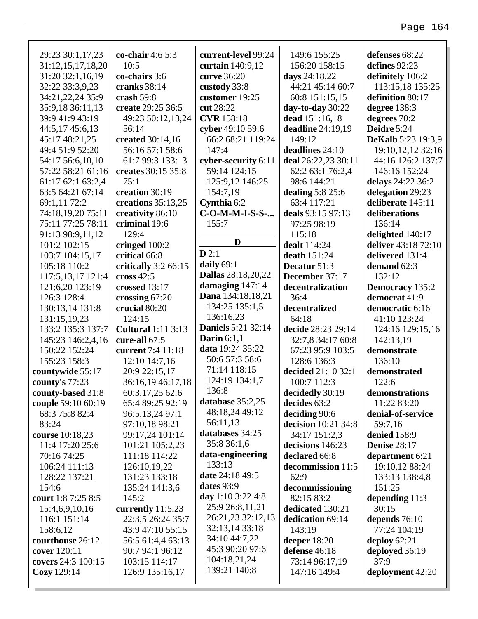| 29:23 30:1,17,23                     | co-chair $4:65:3$                   | current-level 99:24                    | 149:6 155:25                         | defenses 68:22                   |
|--------------------------------------|-------------------------------------|----------------------------------------|--------------------------------------|----------------------------------|
| 31:12,15,17,18,20                    | 10:5                                | curtain 140:9,12                       | 156:20 158:15                        | defines 92:23                    |
| 31:20 32:1,16,19                     | co-chairs 3:6                       | curve 36:20                            | days 24:18,22                        | definitely 106:2                 |
| 32:22 33:3,9,23                      | cranks 38:14                        | custody 33:8                           | 44:21 45:14 60:7                     | 113:15,18 135:25                 |
| 34:21,22,24 35:9                     | crash $59:8$                        | customer 19:25                         | 60:8 151:15,15                       | definition 80:17                 |
| 35:9,18 36:11,13                     | create 29:25 36:5                   | cut 28:22                              | day-to-day 30:22                     | degree 138:3                     |
| 39:9 41:9 43:19                      | 49:23 50:12,13,24                   | <b>CVR</b> 158:18                      | dead 151:16,18                       | degrees 70:2                     |
| 44:5,17 45:6,13                      | 56:14                               | cyber 49:10 59:6                       | deadline 24:19,19                    | Deidre 5:24                      |
| 45:17 48:21,25                       | created 30:14,16                    | 66:2 68:21 119:24                      | 149:12                               | <b>DeKalb</b> 5:23 19:3,9        |
| 49:4 51:9 52:20                      | 56:16 57:1 58:6                     | 147:4                                  | deadlines 24:10                      | 19:10,12,12 32:16                |
| 54:17 56:6,10,10                     | 61:7 99:3 133:13                    | cyber-security 6:11                    | deal 26:22,23 30:11                  | 44:16 126:2 137:7                |
| 57:22 58:21 61:16                    | creates 30:15 35:8                  | 59:14 124:15                           | 62:2 63:1 76:2,4                     | 146:16 152:24                    |
| 61:17 62:1 63:2,4                    | 75:1                                | 125:9,12 146:25                        | 98:6 144:21                          | delays 24:22 36:2                |
| 63:5 64:21 67:14                     | creation 30:19                      | 154:7,19                               | dealing $5:8$ 25:6                   | delegation 29:23                 |
| 69:1,11 72:2                         | creations $35:13,25$                | Cynthia 6:2                            | 63:4 117:21                          | deliberate 145:11                |
| 74:18,19,20 75:11                    | creativity 86:10                    | C-O-M-M-I-S-S-                         | deals 93:15 97:13                    | deliberations                    |
| 75:11 77:25 78:11                    | criminal 19:6                       | 155:7                                  | 97:25 98:19                          | 136:14                           |
| 91:13 98:9,11,12                     | 129:4                               | D                                      | 115:18                               | delighted 140:17                 |
| 101:2 102:15                         | cringed 100:2                       |                                        | dealt 114:24                         | deliver 43:18 72:10              |
| 103:7 104:15,17                      | critical 66:8                       | D2:1                                   | death 151:24                         | delivered 131:4                  |
| 105:18 110:2                         | critically 3:2 66:15                | daily 69:1                             | Decatur 51:3                         | demand 62:3                      |
| 117:5,13,17 121:4                    | cross $42:5$                        | <b>Dallas</b> 28:18,20,22              | December 37:17                       | 132:12                           |
| 121:6,20 123:19                      | crossed 13:17                       | damaging $147:14$                      | decentralization                     | <b>Democracy</b> 135:2           |
| 126:3 128:4                          | crossing 67:20                      | Dana 134:18,18,21                      | 36:4                                 | democrat 41:9                    |
| 130:13,14 131:8                      | crucial 80:20                       | 134:25 135:1,5                         | decentralized                        | democratic 6:16                  |
| 131:15,19,23                         | 124:15                              | 136:16,23<br><b>Daniels</b> 5:21 32:14 | 64:18                                | 41:10 123:24                     |
| 133:2 135:3 137:7                    | <b>Cultural</b> 1:11 3:13           | Darin $6:1,1$                          | decide 28:23 29:14                   | 124:16 129:15,16                 |
| 145:23 146:2,4,16                    | cure-all 67:5                       | data 19:24 35:22                       | 32:7,8 34:17 60:8                    | 142:13,19                        |
| 150:22 152:24                        | current 7:4 11:18                   | 50:6 57:3 58:6                         | 67:23 95:9 103:5                     | demonstrate                      |
| 155:23 158:3                         | 12:10 14:7,16                       | 71:14 118:15                           | 128:6 136:3                          | 136:10                           |
| countywide 55:17                     | 20:9 22:15,17                       | 124:19 134:1,7                         | decided 21:10 32:1                   | demonstrated                     |
| county's 77:23                       | 36:16,19 46:17,18                   | 136:8                                  | 100:7 112:3                          | 122:6                            |
| county-based 31:8                    | 60:3,17,25 62:6<br>65:4 89:25 92:19 | database 35:2,25                       | decidedly 30:19                      | demonstrations                   |
| couple 59:10 60:19<br>68:3 75:8 82:4 |                                     | 48:18,24 49:12                         | decides 63:2                         | 11:22 83:20<br>denial-of-service |
| 83:24                                | 96:5,13,24 97:1<br>97:10,18 98:21   | 56:11,13                               | deciding 90:6<br>decision 10:21 34:8 | 59:7,16                          |
| course 10:18,23                      | 99:17,24 101:14                     | databases 34:25                        | 34:17 151:2,3                        | denied 158:9                     |
| 11:4 17:20 25:6                      | 101:21 105:2,23                     | 35:8 36:1,6                            | decisions 146:23                     | <b>Denise</b> 28:17              |
| 70:16 74:25                          | 111:18 114:22                       | data-engineering                       | declared 66:8                        | department 6:21                  |
| 106:24 111:13                        | 126:10,19,22                        | 133:13                                 | decommission 11:5                    | 19:10,12 88:24                   |
| 128:22 137:21                        | 131:23 133:18                       | date 24:18 49:5                        | 62:9                                 | 133:13 138:4,8                   |
| 154:6                                | 135:24 141:3,6                      | dates 93:9                             | decommissioning                      | 151:25                           |
| court 1:8 7:25 8:5                   | 145:2                               | day 1:10 3:22 4:8                      | 82:15 83:2                           | depending $11:3$                 |
| 15:4,6,9,10,16                       | currently $11:5,23$                 | 25:9 26:8,11,21                        | dedicated 130:21                     | 30:15                            |
| 116:1 151:14                         | 22:3,5 26:24 35:7                   | 26:21,23 32:12,13                      | dedication 69:14                     | depends $76:10$                  |
| 158:6,12                             | 43:9 47:10 55:15                    | 32:13,14 33:18                         | 143:19                               | 77:24 104:19                     |
| courthouse 26:12                     | 56:5 61:4,4 63:13                   | 34:10 44:7,22                          | deeper $18:20$                       | deploy $62:21$                   |
| cover 120:11                         | 90:7 94:1 96:12                     | 45:3 90:20 97:6                        | defense 46:18                        | deployed 36:19                   |
| covers 24:3 100:15                   | 103:15 114:17                       | 104:18,21,24                           | 73:14 96:17,19                       | 37:9                             |
| Cozy 129:14                          | 126:9 135:16,17                     | 139:21 140:8                           | 147:16 149:4                         | deployment 42:20                 |
|                                      |                                     |                                        |                                      |                                  |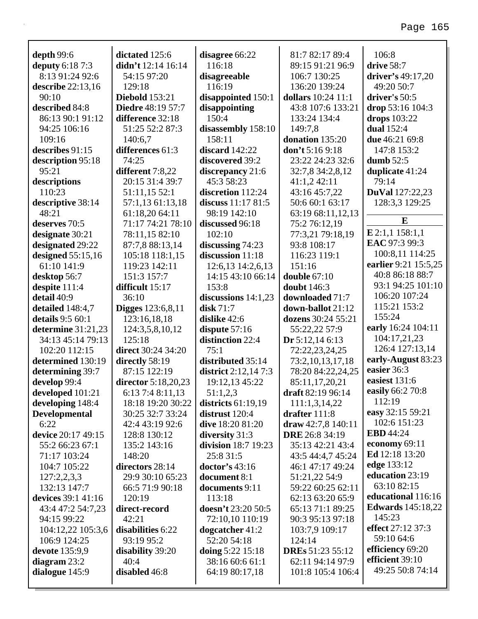| depth $99:6$          | dictated 125:6            | disagree 66:22        | 81:7 82:17 89:4         | 106:8                    |
|-----------------------|---------------------------|-----------------------|-------------------------|--------------------------|
| deputy 6:18 7:3       | didn't $12:14$ $16:14$    | 116:18                | 89:15 91:21 96:9        | drive 58:7               |
| 8:13 91:24 92:6       | 54:15 97:20               | disagreeable          | 106:7 130:25            | driver's 49:17,20        |
| describe $22:13,16$   | 129:18                    | 116:19                | 136:20 139:24           | 49:20 50:7               |
| 90:10                 | <b>Diebold</b> 153:21     | disappointed 150:1    | dollars 10:24 11:1      | driver's 50:5            |
| described 84:8        | <b>Diedre</b> 48:19 57:7  | disappointing         | 43:8 107:6 133:21       | drop 53:16 104:3         |
| 86:13 90:1 91:12      | difference 32:18          | 150:4                 | 133:24 134:4            | drops 103:22             |
| 94:25 106:16          | 51:25 52:2 87:3           | disassembly 158:10    | 149:7,8                 | <b>dual</b> 152:4        |
| 109:16                | 140:6,7                   | 158:11                | donation 135:20         | due 46:21 69:8           |
| describes 91:15       | differences 61:3          | discard $142:22$      | don't 5:16 9:18         | 147:8 153:2              |
| description 95:18     | 74:25                     | discovered 39:2       | 23:22 24:23 32:6        | dumb $52:5$              |
| 95:21                 | different 7:8,22          | discrepancy 21:6      | 32:7,8 34:2,8,12        | duplicate 41:24          |
| descriptions          | 20:15 31:4 39:7           | 45:3 58:23            | 41:1,242:11             | 79:14                    |
| 110:23                | 51:11,15 52:1             | discretion 112:24     | 43:16 45:7,22           | <b>DuVal</b> 127:22,23   |
| descriptive 38:14     | 57:1,13 61:13,18          | discuss $11:1781:5$   | 50:6 60:1 63:17         | 128:3,3 129:25           |
| 48:21                 | 61:18,20 64:11            | 98:19 142:10          | 63:19 68:11,12,13       |                          |
| deserves 70:5         | 71:17 74:21 78:10         | discussed 96:18       | 75:2 76:12,19           | E                        |
| designate 30:21       | 78:11,15 82:10            | 102:10                | 77:3,21 79:18,19        | E 2:1,1 158:1,1          |
| designated 29:22      | 87:7,8 88:13,14           | discussing $74:23$    | 93:8 108:17             | EAC 97:3 99:3            |
| designed $55:15,16$   | 105:18 118:1,15           | discussion 11:18      | 116:23 119:1            | 100:8,11 114:25          |
| 61:10 141:9           | 119:23 142:11             | 12:6,13 14:2,6,13     | 151:16                  | earlier 9:21 15:5,25     |
| desktop 56:7          | 151:3 157:7               | 14:15 43:10 66:14     | double $67:10$          | 40:8 86:18 88:7          |
| despite 111:4         | difficult 15:17           | 153:8                 | <b>doubt</b> 146:3      | 93:1 94:25 101:10        |
| detail 40:9           | 36:10                     | discussions $14:1,23$ | downloaded 71:7         | 106:20 107:24            |
| detailed 148:4,7      | <b>Digges</b> 123:6,8,11  | disk $71:7$           | down-ballot 21:12       | 115:21 153:2             |
| details 9:5 60:1      | 123:16,18,18              | dislike 42:6          | dozens 30:24 55:21      | 155:24                   |
| determine 31:21,23    | 124:3,5,8,10,12           | dispute $57:16$       | 55:22,22 57:9           | early 16:24 104:11       |
| 34:13 45:14 79:13     | 125:18                    | distinction 22:4      | Dr 5:12,14 6:13         | 104:17,21,23             |
| 102:20 112:15         | <b>direct</b> 30:24 34:20 | 75:1                  | 72:22,23,24,25          | 126:4 127:13,14          |
| determined 130:19     | directly 58:19            | distributed 35:14     | 73:2,10,13,17,18        | early-August 83:23       |
| determining 39:7      | 87:15 122:19              | district $2:12,147:3$ | 78:20 84:22,24,25       | easier 36:3              |
| develop 99:4          | director 5:18,20,23       | 19:12,13 45:22        | 85:11,17,20,21          | easiest 131:6            |
| developed 101:21      | 6:13 7:4 8:11,13          | 51:1,2,3              | draft 82:19 96:14       | easily 66:2 70:8         |
| developing 148:4      | 18:18 19:20 30:22         | districts $61:19,19$  | 111:1,3,14,22           | 112:19                   |
| <b>Developmental</b>  | 30:25 32:7 33:24          | distrust $120:4$      | drafter $111:8$         | easy 32:15 59:21         |
| 6:22                  | 42:4 43:19 92:6           | dive 18:20 81:20      | draw $42:7,8$ 140:11    | 102:6 151:23             |
| device 20:17 49:15    | 128:8 130:12              | diversity 31:3        | <b>DRE</b> 26:8 34:19   | <b>EBD</b> 44:24         |
| 55:2 66:23 67:1       | 135:2 143:16              | division 18:7 19:23   | 35:13 42:21 43:4        | economy 69:11            |
| 71:17 103:24          | 148:20                    | 25:8 31:5             | 43:5 44:4,7 45:24       | Ed 12:18 13:20           |
| 104:7 105:22          | directors 28:14           | doctor's 43:16        | 46:1 47:17 49:24        | edge 133:12              |
| 127:2,2,3,3           | 29:9 30:10 65:23          | document 8:1          | 51:21,22 54:9           | education 23:19          |
| 132:13 147:7          | 66:5 71:9 90:18           | documents 9:11        | 59:22 60:25 62:11       | 63:10 82:15              |
| devices 39:1 41:16    | 120:19                    | 113:18                | 62:13 63:20 65:9        | educational 116:16       |
| 43:4 47:2 54:7,23     | direct-record             | doesn't 23:20 50:5    | 65:13 71:1 89:25        | <b>Edwards</b> 145:18,22 |
| 94:15 99:22           | 42:21                     | 72:10,10 110:19       | 90:3 95:13 97:18        | 145:23                   |
| 104:12,22 105:3,6     | disabilities 6:22         | dogcatcher $41:2$     | 103:7,9 109:17          | effect 27:12 37:3        |
| 106:9 124:25          | 93:19 95:2                | 52:20 54:18           | 124:14                  | 59:10 64:6               |
| <b>devote</b> 135:9,9 | disability 39:20          | doing $5:22$ 15:18    | <b>DREs</b> 51:23 55:12 | efficiency 69:20         |
| diagram $23:2$        | 40:4                      | 38:16 60:6 61:1       | 62:11 94:14 97:9        | efficient 39:10          |
| dialogue $145:9$      | disabled 46:8             | 64:19 80:17,18        | 101:8 105:4 106:4       | 49:25 50:8 74:14         |
|                       |                           |                       |                         |                          |

 $\overline{\phantom{a}}$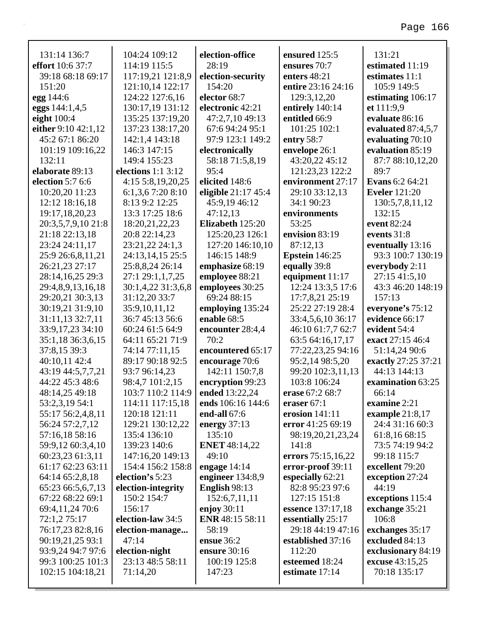| 131:14 136:7            | 104:24 109:12         | election-office        | ensured 125:5         | 131:21                 |
|-------------------------|-----------------------|------------------------|-----------------------|------------------------|
| <b>effort</b> 10:6 37:7 | 114:19 115:5          | 28:19                  | ensures 70:7          | estimated 11:19        |
| 39:18 68:18 69:17       | 117:19,21 121:8,9     | election-security      | enters $48:21$        | estimates 11:1         |
| 151:20                  | 121:10,14 122:17      | 154:20                 | entire 23:16 24:16    | 105:9 149:5            |
| egg 144:6               | 124:22 127:6,16       | elector 68:7           | 129:3,12,20           | estimating 106:17      |
| eggs 144:1,4,5          | 130:17,19 131:12      | electronic 42:21       | entirely 140:14       | et 111:9,9             |
| eight 100:4             | 135:25 137:19,20      | 47:2,7,10 49:13        | entitled 66:9         | evaluate 86:16         |
| either 9:10 42:1,12     | 137:23 138:17,20      | 67:6 94:24 95:1        | 101:25 102:1          | evaluated $87:4,5,7$   |
| 45:2 67:1 86:20         | 142:1,4 143:18        | 97:9 123:1 149:2       | entry 58:7            | evaluating 70:10       |
| 101:19 109:16,22        | 146:3 147:15          | electronically         | envelope 26:1         | evaluation 85:19       |
| 132:11                  | 149:4 155:23          | 58:18 71:5,8,19        | 43:20,22 45:12        | 87:7 88:10,12,20       |
| <b>elaborate</b> 89:13  | elections $1:1\,3:12$ | 95:4                   | 121:23,23 122:2       | 89:7                   |
| election 5:7 6:6        | 4:15 5:8,19,20,25     | elicited 148:6         | environment 27:17     | <b>Evans</b> 6:2 64:21 |
| 10:20,20 11:23          | $6:1,3,6$ 7:20 8:10   | eligible $21:1745:4$   | 29:10 33:12,13        | <b>Eveler</b> 121:20   |
| 12:12 18:16,18          | 8:13 9:2 12:25        | 45:9,19 46:12          | 34:1 90:23            | 130:5,7,8,11,12        |
| 19:17,18,20,23          | 13:3 17:25 18:6       | 47:12,13               | environments          | 132:15                 |
| 20:3,5,7,9,10 21:8      | 18:20,21,22,23        | Elizabeth 125:20       | 53:25                 | event 82:24            |
| 21:18 22:13,18          | 20:8 22:14,23         | 125:20,23 126:1        | envision 83:19        | events 31:8            |
| 23:24 24:11,17          | 23:21,22 24:1,3       | 127:20 146:10,10       | 87:12,13              | eventually 13:16       |
| 25:9 26:6,8,11,21       | 24:13,14,15 25:5      | 146:15 148:9           | <b>Epstein</b> 146:25 | 93:3 100:7 130:19      |
| 26:21,23 27:17          | 25:8,8,24 26:14       | emphasize 68:19        | equally 39:8          | everybody $2:11$       |
| 28:14,16,25 29:3        | 27:1 29:1,1,7,25      | employee 88:21         | equipment 11:17       | 27:15 41:5,10          |
| 29:4,8,9,13,16,18       | 30:1,4,22 31:3,6,8    | employees 30:25        | 12:24 13:3,5 17:6     | 43:3 46:20 148:19      |
| 29:20,21 30:3,13        | 31:12,20 33:7         | 69:24 88:15            | 17:7,8,21 25:19       | 157:13                 |
| 30:19,21 31:9,10        | 35:9,10,11,12         | employing 135:24       | 25:22 27:19 28:4      | everyone's 75:12       |
| 31:11,13 32:7,11        | 36:7 45:13 56:6       | enable 68:5            | 33:4,5,6,10 36:17     | evidence 66:17         |
| 33:9,17,23 34:10        | 60:24 61:5 64:9       | encounter 28:4,4       | 46:10 61:7,7 62:7     | evident 54:4           |
| 35:1,18 36:3,6,15       | 64:11 65:21 71:9      | 70:2                   | 63:5 64:16,17,17      | exact 27:15 46:4       |
| 37:8,15 39:3            | 74:14 77:11,15        | encountered 65:17      | 77:22,23,25 94:16     | 51:14,24 90:6          |
| 40:10,11 42:4           | 89:17 90:18 92:5      | encourage 70:6         | 95:2,14 98:5,20       | exactly 27:25 37:21    |
| 43:19 44:5,7,7,21       | 93:7 96:14,23         | 142:11 150:7,8         | 99:20 102:3,11,13     | 44:13 144:13           |
| 44:22 45:3 48:6         | 98:4,7 101:2,15       | encryption 99:23       | 103:8 106:24          | examination 63:25      |
| 48:14,25 49:18          | 103:7 110:2 114:9     | ended 13:22,24         | erase 67:2 68:7       | 66:14                  |
| 53:2,3,19 54:1          | 114:11 117:15,18      | ends 106:16 144:6      | eraser $67:1$         | examine 2:21           |
| 55:17 56:2,4,8,11       | 120:18 121:11         | end-all 67:6           | erosion 141:11        | example 21:8,17        |
| 56:24 57:2,7,12         | 129:21 130:12,22      | energy $37:13$         | error 41:25 69:19     | 24:4 31:16 60:3        |
| 57:16,18 58:16          | 135:4 136:10          | 135:10                 | 98:19,20,21,23,24     | 61:8,16 68:15          |
| 59:9,12 60:3,4,10       | 139:23 140:6          | <b>ENET</b> 48:14,22   | 141:8                 | 73:5 74:19 94:2        |
| 60:23,23 61:3,11        | 147:16,20 149:13      | 49:10                  | errors 75:15,16,22    | 99:18 115:7            |
| 61:17 62:23 63:11       | 154:4 156:2 158:8     | engage $14:14$         | error-proof 39:11     | excellent 79:20        |
| 64:14 65:2,8,18         | election's 5:23       | engineer $134:8,9$     | especially 62:21      | exception 27:24        |
| 65:23 66:5,6,7,13       | election-integrity    | <b>English 98:13</b>   | 82:8 95:23 97:6       | 44:19                  |
| 67:22 68:22 69:1        | 150:2 154:7           | 152:6,7,11,11          | 127:15 151:8          | exceptions 115:4       |
| 69:4,11,24 70:6         | 156:17                | enjoy $30:11$          | essence 137:17,18     | exchange 35:21         |
| 72:1,2 75:17            | election-law 34:5     | <b>ENR</b> 48:15 58:11 | essentially 25:17     | 106:8                  |
| 76:17,23 82:8,16        | election-manage       | 58:19                  | 29:18 44:19 47:16     | exchanges 35:17        |
| 90:19,21,25 93:1        | 47:14                 | ensue 36:2             | established 37:16     | excluded 84:13         |
| 93:9,24 94:7 97:6       | election-night        | ensure 30:16           | 112:20                | exclusionary 84:19     |
| 99:3 100:25 101:3       | 23:13 48:5 58:11      | 100:19 125:8           | esteemed 18:24        | excuse 43:15,25        |
| 102:15 104:18,21        | 71:14,20              | 147:23                 | estimate 17:14        | 70:18 135:17           |
|                         |                       |                        |                       |                        |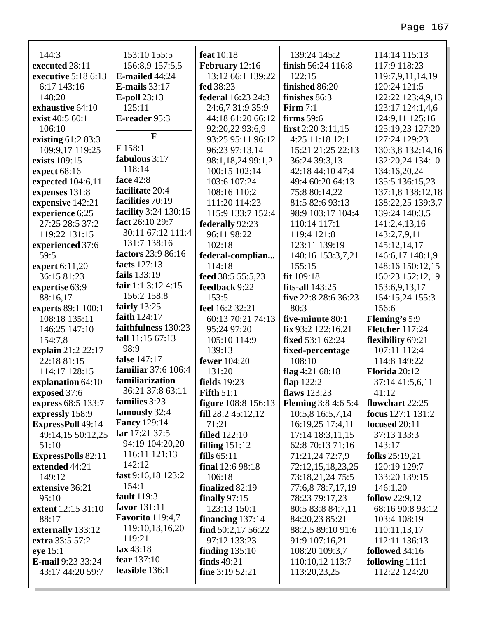| 144:3                      | 153:10 155:5                | feat 10:18                 | 139:24 145:2               | 114:14 115:13          |
|----------------------------|-----------------------------|----------------------------|----------------------------|------------------------|
| executed 28:11             | 156:8,9 157:5,5             | <b>February</b> 12:16      | finish 56:24 116:8         | 117:9 118:23           |
| <b>executive</b> 5:18 6:13 | <b>E-mailed 44:24</b>       | 13:12 66:1 139:22          | 122:15                     | 119:7,9,11,14,19       |
| 6:17 143:16                | <b>E-mails</b> 33:17        | fed 38:23                  | finished 86:20             | 120:24 121:5           |
| 148:20                     | $E$ -poll 23:13             | <b>federal</b> 16:23 24:3  | finishes 86:3              | 122:22 123:4,9,13      |
| <b>exhaustive</b> 64:10    | 125:11                      | 24:6,7 31:9 35:9           | Firm $7:1$                 | 123:17 124:1,4,6       |
| exist 40:5 60:1            | E-reader 95:3               | 44:18 61:20 66:12          | firms $59:6$               | 124:9,11 125:16        |
| 106:10                     |                             | 92:20,22 93:6,9            | first $2:20$ $3:11,15$     | 125:19,23 127:20       |
| existing 61:2 83:3         | F                           | 93:25 95:11 96:12          | 4:25 11:18 12:1            | 127:24 129:23          |
| 109:9,17 119:25            | F158:1                      | 96:23 97:13,14             | 15:21 21:25 22:13          | 130:3,8 132:14,16      |
| exists 109:15              | fabulous 3:17               | 98:1,18,24 99:1,2          | 36:24 39:3,13              | 132:20,24 134:10       |
| expect 68:16               | 118:14                      | 100:15 102:14              | 42:18 44:10 47:4           | 134:16,20,24           |
| expected 104:6,11          | face 42:8                   | 103:6 107:24               | 49:4 60:20 64:13           | 135:5 136:15,23        |
| expenses 131:8             | facilitate 20:4             | 108:16 110:2               | 75:8 80:14,22              | 137:1,8 138:12,18      |
| expensive 142:21           | facilities 70:19            | 111:20 114:23              | 81:5 82:6 93:13            | 138:22,25 139:3,7      |
| experience 6:25            | <b>facility</b> 3:24 130:15 | 115:9 133:7 152:4          | 98:9 103:17 104:4          | 139:24 140:3,5         |
| 27:25 28:5 37:2            | fact 26:10 29:7             | federally 92:23            | 110:14 117:1               | 141:2,4,13,16          |
| 119:22 131:15              | 30:11 67:12 111:4           | 96:11 98:22                | 119:4 121:8                | 143:2,7,9,11           |
| experienced 37:6           | 131:7 138:16                | 102:18                     | 123:11 139:19              | 145:12,14,17           |
| 59:5                       | factors 23:9 86:16          | federal-complian           | 140:16 153:3,7,21          | 146:6,17 148:1,9       |
| expert $6:11,20$           | facts 127:13                | 114:18                     | 155:15                     | 148:16 150:12,15       |
| 36:15 81:23                | fails 133:19                | feed 38:5 55:5,23          | fit 109:18                 | 150:23 152:12,19       |
| expertise 63:9             | fair 1:1 $3:12$ 4:15        | feedback 9:22              | fits-all $143:25$          | 153:6,9,13,17          |
| 88:16,17                   | 156:2 158:8                 | 153:5                      | five 22:8 28:6 36:23       | 154:15,24 155:3        |
| experts 89:1 100:1         | fairly $13:25$              | feel 16:2 32:21            | 80:3                       | 156:6                  |
| 108:18 135:11              | faith 124:17                | 60:13 70:21 74:13          | five-minute 80:1           | <b>Fleming's</b> 5:9   |
| 146:25 147:10              | faithfulness 130:23         | 95:24 97:20                | fix 93:2 122:16,21         | <b>Fletcher</b> 117:24 |
| 154:7,8                    | fall 11:15 67:13            | 105:10 114:9               | <b>fixed</b> 53:1 62:24    | flexibility 69:21      |
| explain 21:2 22:17         | 98:9                        | 139:13                     | fixed-percentage           | 107:11 112:4           |
| 22:18 81:15                | false 147:17                | <b>fewer</b> 104:20        | 108:10                     | 114:8 149:22           |
| 114:17 128:15              | <b>familiar</b> 37:6 106:4  | 131:20                     | flag 4:21 $68:18$          | Florida 20:12          |
| explanation 64:10          | familiarization             | <b>fields</b> 19:23        | flap $122:2$               | 37:14 41:5,6,11        |
| exposed 37:6               | 36:21 37:8 63:11            | <b>Fifth 51:1</b>          | <b>flaws</b> 123:23        | 41:12                  |
| express 68:5 133:7         | families 3:23               | <b>figure</b> 108:8 156:13 | <b>Fleming</b> 3:8 4:6 5:4 | flowchart 22:25        |
| expressly 158:9            | famously 32:4               | fill $28:245:12,12$        | 10:5,8 16:5,7,14           | focus 127:1 131:2      |
| <b>ExpressPoll</b> 49:14   | <b>Fancy 129:14</b>         | 71:21                      | 16:19,25 17:4,11           | focused 20:11          |
| 49:14,15 50:12,25          | far 17:21 37:5              | <b>filled</b> 122:10       | 17:14 18:3,11,15           | 37:13 133:3            |
| 51:10                      | 94:19 104:20,20             | filling $151:12$           | 62:8 70:13 71:16           | 143:17                 |
| <b>ExpressPolls</b> 82:11  | 116:11 121:13               | fills $65:11$              | 71:21,24 72:7,9            | folks 25:19,21         |
| extended 44:21             | 142:12                      | final 12:6 98:18           | 72:12,15,18,23,25          | 120:19 129:7           |
| 149:12                     | fast 9:16,18 123:2          | 106:18                     | 73:18,21,24 75:5           | 133:20 139:15          |
| extensive 36:21            | 154:1                       | finalized 82:19            | 77:6,8 78:7,17,19          | 146:1,20               |
| 95:10                      | <b>fault</b> 119:3          | finally $97:15$            | 78:23 79:17,23             | follow $22:9,12$       |
| extent 12:15 31:10         | favor 131:11                | 123:13 150:1               | 80:5 83:8 84:7,11          | 68:16 90:8 93:12       |
| 88:17                      | <b>Favorito</b> 119:4,7     | financing $137:14$         | 84:20,23 85:21             | 103:4 108:19           |
| externally 133:12          | 119:10,13,16,20             | find $50:2,17\,56:22$      | 88:2,5 89:10 91:6          | 110:11,13,17           |
| extra 33:5 57:2            | 119:21                      | 97:12 133:23               | 91:9 107:16,21             | 112:11 136:13          |
| eye 15:1                   | fax $43:18$                 | finding $135:10$           | 108:20 109:3,7             | followed 34:16         |
| <b>E-mail</b> 9:23 33:24   | fear $137:10$               | finds $49:21$              | 110:10,12 113:7            | following $111:1$      |

**fine** 3:19 52:21

113:20,23,25

112:22 124:20

43:17 44:20 59:7

**feasible** 136:1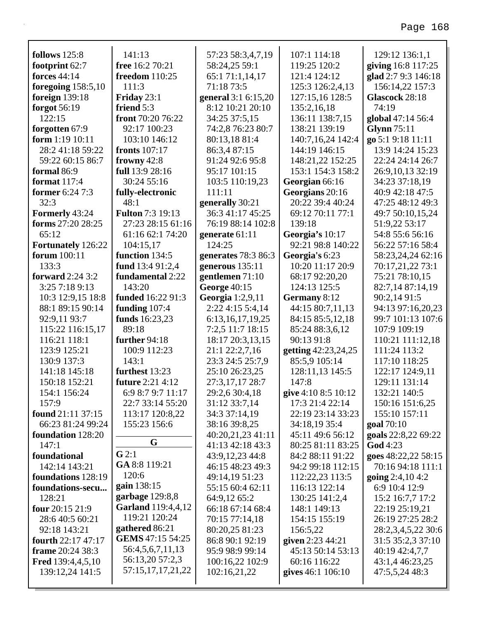| follows 125:8            | 141:13                    | 57:23 58:3,4,7,19    | 107:1 114:18        | 129:12 136:1,1      |
|--------------------------|---------------------------|----------------------|---------------------|---------------------|
| footprint 62:7           | free 16:2 70:21           | 58:24,25 59:1        | 119:25 120:2        | giving 16:8 117:25  |
| <b>forces</b> 44:14      | <b>freedom</b> 110:25     | 65:1 71:1,14,17      | 121:4 124:12        | glad 2:7 9:3 146:18 |
| foregoing $158:5,10$     | 111:3                     | 71:18 73:5           | 125:3 126:2,4,13    | 156:14,22 157:3     |
| foreign 139:18           | Friday 23:1               | general 3:1 6:15,20  | 127:15,16 128:5     | Glascock 28:18      |
| forgot 56:19             | friend 5:3                | 8:12 10:21 20:10     | 135:2,16,18         | 74:19               |
| 122:15                   | front 70:20 76:22         | 34:25 37:5,15        | 136:11 138:7,15     | global 47:14 56:4   |
| forgotten 67:9           | 92:17 100:23              | 74:2,8 76:23 80:7    | 138:21 139:19       | <b>Glynn</b> 75:11  |
| form $1:19$ $10:11$      | 103:10 146:12             | 80:13,18 81:4        | 140:7,16,24 142:4   | go 5:1 9:18 11:11   |
| 28:241:1859:22           | <b>fronts</b> 107:17      | 86:3,4 87:15         | 144:19 146:15       | 13:9 14:24 15:23    |
| 59:22 60:15 86:7         | frowny $42:8$             | 91:24 92:6 95:8      | 148:21,22 152:25    | 22:24 24:14 26:7    |
| formal 86:9              | full 13:9 28:16           | 95:17 101:15         | 153:1 154:3 158:2   | 26:9, 10, 13 32:19  |
| format $117:4$           | 30:24 55:16               | 103:5 110:19,23      | Georgian 66:16      | 34:23 37:18,19      |
| <b>former</b> 6:24 7:3   | fully-electronic          | 111:11               | Georgians 20:16     | 40:9 42:18 47:5     |
| 32:3                     | 48:1                      | generally 30:21      | 20:22 39:4 40:24    | 47:25 48:12 49:3    |
| Formerly 43:24           | <b>Fulton 7:3 19:13</b>   | 36:3 41:17 45:25     | 69:12 70:11 77:1    | 49:7 50:10,15,24    |
| forms 27:20 28:25        | 27:23 28:15 61:16         | 76:19 88:14 102:8    | 139:18              | 51:9,22 53:17       |
| 65:12                    | 61:16 62:1 74:20          | generate 61:11       | Georgia's 10:17     | 54:8 55:6 56:16     |
| Fortunately 126:22       | 104:15,17                 | 124:25               | 92:21 98:8 140:22   | 56:22 57:16 58:4    |
| forum 100:11             | function 134:5            | generates 78:3 86:3  | Georgia's 6:23      | 58:23,24,24 62:16   |
| 133:3                    | fund 13:4 91:2,4          | generous $135:11$    | 10:20 11:17 20:9    | 70:17,21,22 73:1    |
| forward $2:24$ 3:2       | fundamental 2:22          | gentlemen 71:10      | 68:17 92:20,20      | 75:21 78:10,15      |
| 3:25 7:18 9:13           | 143:20                    | <b>George 40:15</b>  | 124:13 125:5        | 82:7,14 87:14,19    |
| 10:3 12:9,15 18:8        | <b>funded</b> 16:22 91:3  | Georgia 1:2,9,11     | Germany 8:12        | 90:2,14 91:5        |
| 88:1 89:15 90:14         | funding $107:4$           | 2:22 4:15 5:4,14     | 44:15 80:7,11,13    | 94:13 97:16,20,23   |
| 92:9,11 93:7             | funds 16:23,23            | 6:13, 16, 17, 19, 25 | 84:15 85:5,12,18    | 99:7 101:13 107:6   |
| 115:22 116:15,17         | 89:18                     | 7:2,5 11:7 18:15     | 85:24 88:3,6,12     | 107:9 109:19        |
| 116:21 118:1             | further $94:18$           | 18:17 20:3,13,15     | 90:13 91:8          | 110:21 111:12,18    |
| 123:9 125:21             | 100:9 112:23              | 21:1 22:2,7,16       | getting 42:23,24,25 | 111:24 113:2        |
| 130:9 137:3              | 143:1                     | 23:3 24:5 25:7,9     | 85:5,9 105:14       | 117:10 118:25       |
| 141:18 145:18            | furthest 13:23            | 25:10 26:23,25       | 128:11,13 145:5     | 122:17 124:9,11     |
| 150:18 152:21            | <b>future</b> 2:21 4:12   | 27:3,17,17 28:7      | 147:8               | 129:11 131:14       |
| 154:1 156:24             | 6:9 8:7 9:7 11:17         | 29:2,6 30:4,18       | give 4:10 8:5 10:12 | 132:21 140:5        |
| 157:9                    | 22:7 33:14 55:20          | 31:12 33:7,14        | 17:3 21:4 22:14     | 150:16 151:6,25     |
| found 21:11 37:15        | 113:17 120:8,22           | 34:3 37:14,19        | 22:19 23:14 33:23   | 155:10 157:11       |
| 66:23 81:24 99:24        | 155:23 156:6              | 38:16 39:8,25        | 34:18,19 35:4       | goal 70:10          |
| foundation 128:20        |                           | 40:20,21,23 41:11    | 45:11 49:6 56:12    | goals 22:8,22 69:22 |
| 147:1                    | G                         | 41:13 42:18 43:3     | 80:25 81:11 83:25   | <b>God</b> 4:23     |
| foundational             | G2:1                      | 43:9,12,23 44:8      | 84:2 88:11 91:22    | goes 48:22,22 58:15 |
| 142:14 143:21            | GA 8:8 119:21             | 46:15 48:23 49:3     | 94:2 99:18 112:15   | 70:16 94:18 111:1   |
| foundations 128:19       | 120:6                     | 49:14,19 51:23       | 112:22,23 113:5     | going $2:4,10,4:2$  |
| foundations-secu         | gain 138:15               | 55:15 60:4 62:11     | 116:13 122:14       | 6:9 10:4 12:9       |
| 128:21                   | garbage 129:8,8           | 64:9,12 65:2         | 130:25 141:2,4      | 15:2 16:7,7 17:2    |
| four $20:1521:9$         | <b>Garland</b> 119:4,4,12 | 66:18 67:14 68:4     | 148:1 149:13        | 22:19 25:19,21      |
| 28:6 40:5 60:21          | 119:21 120:24             | 70:15 77:14,18       | 154:15 155:19       | 26:19 27:25 28:2    |
| 92:18 143:21             | gathered 86:21            | 80:20,25 81:23       | 156:5,22            | 28:2,3,4,5,22 30:6  |
| fourth 22:17 47:17       | <b>GEMS</b> 47:15 54:25   | 86:8 90:1 92:19      | given 2:23 44:21    | 31:5 35:2,3 37:10   |
| frame 20:24 38:3         | 56:4,5,6,7,11,13          | 95:9 98:9 99:14      | 45:13 50:14 53:13   | 40:19 42:4,7,7      |
| <b>Fred</b> 139:4,4,5,10 | 56:13,20 57:2,3           | 100:16,22 102:9      | 60:16 116:22        | 43:1,4 46:23,25     |
| 139:12,24 141:5          | 57:15,17,17,21,22         | 102:16,21,22         | gives 46:1 106:10   | 47:5,5,24 48:3      |
|                          |                           |                      |                     |                     |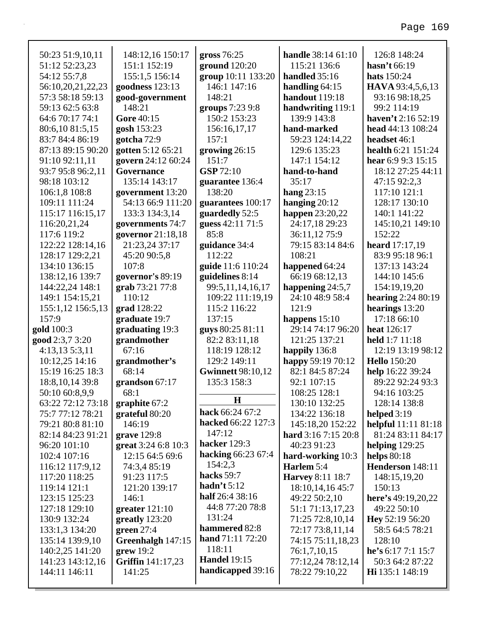| 50:23 51:9,10,11  | 148:12,16 150:17         | gross $76:25$            | handle 38:14 61:10      | 126:8 148:24               |
|-------------------|--------------------------|--------------------------|-------------------------|----------------------------|
| 51:12 52:23,23    | 151:1 152:19             | ground 120:20            | 115:21 136:6            | hasn't 66:19               |
| 54:12 55:7,8      | 155:1,5 156:14           | group 10:11 133:20       | handled 35:16           | <b>hats</b> 150:24         |
| 56:10,20,21,22,23 | goodness $123:13$        | 146:1 147:16             | handling $64:15$        | HAVA 93:4,5,6,13           |
| 57:3 58:18 59:13  | good-government          | 148:21                   | handout 119:18          | 93:16 98:18,25             |
| 59:13 62:5 63:8   | 148:21                   | groups 7:23 9:8          | handwriting 119:1       | 99:2 114:19                |
| 64:6 70:17 74:1   | Gore 40:15               | 150:2 153:23             | 139:9 143:8             | haven't 2:16 52:19         |
| 80:6,10 81:5,15   | gosh 153:23              | 156:16,17,17             | hand-marked             | head 44:13 108:24          |
| 83:7 84:4 86:19   | gotcha 72:9              | 157:1                    | 59:23 124:14,22         | headset 46:1               |
| 87:13 89:15 90:20 | gotten 5:12 65:21        | growing $26:15$          | 129:6 135:23            | health 6:21 151:24         |
| 91:10 92:11,11    | govern 24:12 60:24       | 151:7                    | 147:1 154:12            | hear 6:9 9:3 $15:15$       |
| 93:7 95:8 96:2,11 | Governance               | <b>GSP</b> 72:10         | hand-to-hand            | 18:12 27:25 44:11          |
| 98:18 103:12      | 135:14 143:17            | guarantee 136:4          | 35:17                   | 47:15 92:2,3               |
| 106:1,8 108:8     | government 13:20         | 138:20                   | hang $23:15$            | 117:10 121:1               |
| 109:11 111:24     | 54:13 66:9 111:20        | guarantees 100:17        | hanging $20:12$         | 128:17 130:10              |
| 115:17 116:15,17  | 133:3 134:3,14           | guardedly 52:5           | happen $23:20,22$       | 140:1 141:22               |
| 116:20,21,24      | governments 74:7         | guess 42:11 71:5         | 24:17,18 29:23          | 145:10,21 149:10           |
| 117:6 119:2       | governor 21:18,18        | 85:8                     | 36:11,12 75:9           | 152:22                     |
| 122:22 128:14,16  | 21:23,24 37:17           | guidance 34:4            | 79:15 83:14 84:6        | <b>heard</b> $17:17,19$    |
| 128:17 129:2,21   | 45:20 90:5,8             | 112:22                   | 108:21                  | 83:9 95:18 96:1            |
| 134:10 136:15     | 107:8                    | guide 11:6 110:24        | happened 64:24          | 137:13 143:24              |
| 138:12,16 139:7   | governor's 89:19         | guidelines $8:14$        | 66:19 68:12,13          | 144:10 145:6               |
| 144:22,24 148:1   | grab 73:21 77:8          | 99:5,11,14,16,17         | happening 24:5,7        | 154:19,19,20               |
| 149:1 154:15,21   | 110:12                   | 109:22 111:19,19         | 24:10 48:9 58:4         | <b>hearing</b> $2:2480:19$ |
| 155:1,12 156:5,13 | grad 128:22              | 115:2 116:22             | 121:9                   | hearings 13:20             |
| 157:9             | graduate 19:7            | 137:15                   | happens $15:10$         | 17:18 66:10                |
| gold 100:3        | graduating 19:3          | guys 80:25 81:11         | 29:14 74:17 96:20       | <b>heat</b> 126:17         |
| good 2:3,7 3:20   | grandmother              | 82:2 83:11,18            | 121:25 137:21           | held 1:7 11:18             |
| $4:13,13\ 5:3,11$ | 67:16                    | 118:19 128:12            | happily 136:8           | 12:19 13:19 98:12          |
| 10:12,25 14:16    | grandmother's            | 129:2 149:11             | happy 59:19 70:12       | <b>Hello</b> 150:20        |
| 15:19 16:25 18:3  | 68:14                    | <b>Gwinnett 98:10,12</b> | 82:1 84:5 87:24         | help 16:22 39:24           |
| 18:8, 10, 14 39:8 | grandson $67:17$         | 135:3 158:3              | 92:1 107:15             | 89:22 92:24 93:3           |
| 50:10 60:8,9,9    | 68:1                     |                          | 108:25 128:1            | 94:16 103:25               |
| 63:22 72:12 73:18 | graphite 67:2            | $\bf H$                  | 130:10 132:25           | 128:14 138:8               |
| 75:7 77:12 78:21  | grateful 80:20           | hack 66:24 67:2          | 134:22 136:18           | helped $3:19$              |
| 79:21 80:8 81:10  | 146:19                   | hacked 66:22 127:3       | 145:18,20 152:22        | <b>helpful</b> 11:11 81:18 |
| 82:14 84:23 91:21 | grave $129:8$            | 147:12                   | hard 3:16 7:15 20:8     | 81:24 83:11 84:17          |
| 96:20 101:10      | great 3:24 6:8 10:3      | hacker 129:3             | 40:23 91:23             | helping $129:25$           |
| 102:4 107:16      | 12:15 64:5 69:6          | hacking 66:23 67:4       | hard-working 10:3       | <b>helps</b> 80:18         |
| 116:12 117:9,12   | 74:3,4 85:19             | 154:2,3                  | Harlem 5:4              | Henderson 148:11           |
| 117:20 118:25     | 91:23 117:5              | hacks 59:7               | <b>Harvey 8:11 18:7</b> | 148:15,19,20               |
| 119:14 121:1      | 121:20 139:17            | hadn't $5:12$            | 18:10, 14, 16 45:7      | 150:13                     |
| 123:15 125:23     | 146:1                    | half 26:4 38:16          | 49:22 50:2,10           | here's $49:19,20,22$       |
| 127:18 129:10     | greater $121:10$         | 44:8 77:20 78:8          | 51:1 71:13,17,23        | 49:22 50:10                |
| 130:9 132:24      | greatly 123:20           | 131:24                   | 71:25 72:8,10,14        | Hey $52:19\,56:20$         |
| 133:1,3 134:20    | green 27:4               | hammered 82:8            | 72:17 73:8,11,14        | 58:5 64:5 78:21            |
| 135:14 139:9,10   | Greenhalgh 147:15        | <b>hand</b> 71:11 72:20  | 74:15 75:11,18,23       | 128:10                     |
| 140:2,25 141:20   | $green$ 19:2             | 118:11                   | 76:1,7,10,15            | he's 6:17 7:1 15:7         |
| 141:23 143:12,16  | <b>Griffin</b> 141:17,23 | <b>Handel</b> 19:15      | 77:12,24 78:12,14       | 50:3 64:2 87:22            |

handicapped 39:16

144:11 146:11

141:25

78:22 79:10,22

Hi 135:1 148:19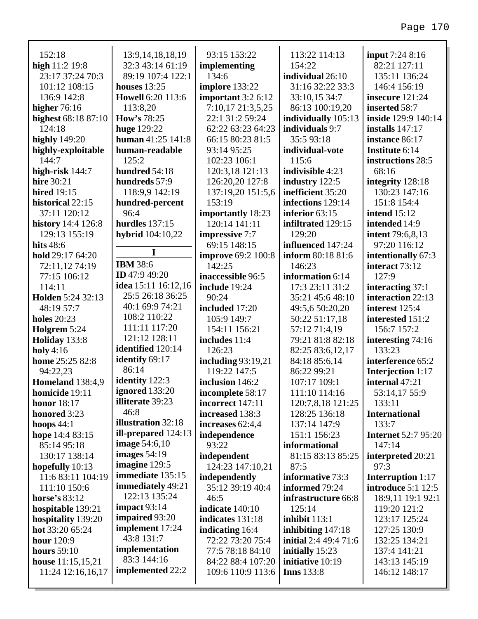| 152:18                        |                                            | 93:15 153:22                          | 113:22 114:13                          |                                     |
|-------------------------------|--------------------------------------------|---------------------------------------|----------------------------------------|-------------------------------------|
|                               | 13:9, 14, 18, 18, 19                       |                                       | 154:22                                 | input 7:24 8:16<br>82:21 127:11     |
| high $11:2$ 19:8              | 32:3 43:14 61:19<br>89:19 107:4 122:1      | implementing<br>134:6                 |                                        |                                     |
| 23:17 37:24 70:3              |                                            |                                       | individual 26:10                       | 135:11 136:24<br>146:4 156:19       |
| 101:12 108:15                 | houses $13:25$<br><b>Howell 6:20 113:6</b> | implore 133:22                        | 31:16 32:22 33:3                       |                                     |
| 136:9 142:8                   |                                            | important 3:2 6:12                    | 33:10,15 34:7                          | insecure 121:24                     |
| higher $76:16$                | 113:8,20                                   | 7:10,17 21:3,5,25                     | 86:13 100:19,20                        | inserted 58:7                       |
| highest 68:18 87:10<br>124:18 | How's $78:25$                              | 22:1 31:2 59:24                       | individually 105:13<br>individuals 9:7 | inside 129:9 140:14                 |
|                               | <b>huge</b> 129:22<br>human 41:25 141:8    | 62:22 63:23 64:23<br>66:15 80:23 81:5 | 35:593:18                              | installs $147:17$<br>instance 86:17 |
| <b>highly</b> 149:20          | human-readable                             | 93:14 95:25                           | individual-vote                        | Institute 6:14                      |
| highly-exploitable<br>144:7   | 125:2                                      | 102:23 106:1                          | 115:6                                  | instructions 28:5                   |
| high-risk 144:7               | hundred 54:18                              | 120:3,18 121:13                       | indivisible 4:23                       | 68:16                               |
| <b>hire</b> 30:21             | hundreds 57:9                              | 126:20,20 127:8                       | industry 122:5                         | integrity 128:18                    |
| <b>hired</b> 19:15            | 118:9,9 142:19                             | 137:19,20 151:5,6                     | inefficient 35:20                      | 130:23 147:16                       |
| historical 22:15              | hundred-percent                            | 153:19                                | infections 129:14                      | 151:8 154:4                         |
| 37:11 120:12                  | 96:4                                       | importantly 18:23                     | inferior 63:15                         | <b>intend</b> 15:12                 |
| history 14:4 126:8            | <b>hurdles</b> 137:15                      | 120:14 141:11                         | infiltrated 129:15                     | intended 14:9                       |
| 129:13 155:19                 | <b>hybrid</b> 104:10,22                    | impressive 7:7                        | 129:20                                 | <b>intent</b> 79:6,8,13             |
| hits 48:6                     |                                            | 69:15 148:15                          | influenced 147:24                      | 97:20 116:12                        |
| hold 29:17 64:20              | 1                                          | <b>improve</b> 69:2 100:8             | inform 80:18 81:6                      | intentionally 67:3                  |
| 72:11,12 74:19                | <b>IBM 38:6</b>                            | 142:25                                | 146:23                                 | interact 73:12                      |
| 77:15 106:12                  | <b>ID</b> 47:9 49:20                       | inaccessible 96:5                     | information 6:14                       | 127:9                               |
| 114:11                        | idea 15:11 16:12,16                        | include 19:24                         | 17:3 23:11 31:2                        | interacting 37:1                    |
| Holden 5:24 32:13             | 25:5 26:18 36:25                           | 90:24                                 | 35:21 45:6 48:10                       | interaction 22:13                   |
| 48:19 57:7                    | 40:1 69:9 74:21                            | included 17:20                        | 49:5,6 50:20,20                        | interest 125:4                      |
| <b>holes</b> 20:23            | 108:2 110:22                               | 105:9 149:7                           | 50:22 51:17,18                         | interested 151:2                    |
| Holgrem 5:24                  | 111:11 117:20                              | 154:11 156:21                         | 57:12 71:4,19                          | 156:7 157:2                         |
| Holiday 133:8                 | 121:12 128:11                              | includes 11:4                         | 79:21 81:8 82:18                       | interesting 74:16                   |
| holy $4:16$                   | identified 120:14                          | 126:23                                | 82:25 83:6,12,17                       | 133:23                              |
| home 25:25 82:8               | identify 69:17                             | including $93:19,21$                  | 84:18 85:6,14                          | interference 65:2                   |
| 94:22,23                      | 86:14                                      | 119:22 147:5                          | 86:22 99:21                            | <b>Interjection</b> 1:17            |
| <b>Homeland</b> 138:4,9       | identity 122:3                             | inclusion 146:2                       | 107:17 109:1                           | internal 47:21                      |
| <b>homicide</b> 19:11         | ignored 133:20                             | incomplete 58:17                      | 111:10 114:16                          | 53:14,17 55:9                       |
| <b>honor</b> 18:17            | illiterate 39:23                           | incorrect 147:11                      | 120:7,8,18 121:25                      | 133:11                              |
| honored 3:23                  | 46:8                                       | increased 138:3                       | 128:25 136:18                          | <b>International</b>                |
| hoops $44:1$                  | illustration 32:18                         | increases 62:4,4                      | 137:14 147:9                           | 133:7                               |
| hope 14:4 83:15               | ill-prepared 124:13                        | independence                          | 151:1 156:23                           | <b>Internet 52:7 95:20</b>          |
| 85:14 95:18                   | <b>image</b> $54:6,10$                     | 93:22                                 | informational                          | 147:14                              |
| 130:17 138:14                 | images $54:19$                             | independent                           | 81:15 83:13 85:25                      | interpreted 20:21                   |
| hopefully 10:13               | imagine 129:5                              | 124:23 147:10,21                      | 87:5                                   | 97:3                                |
| 11:6 83:11 104:19             | immediate 135:15                           | independently                         | informative 73:3                       | <b>Interruption</b> 1:17            |
| 111:10 150:6                  | immediately 49:21                          | 35:12 39:19 40:4                      | informed 79:24                         | <b>introduce</b> 5:1 12:5           |
| horse's $83:12$               | 122:13 135:24                              | 46:5                                  | infrastructure 66:8                    | 18:9,11 19:1 92:1                   |
| hospitable 139:21             | impact 93:14                               | indicate $140:10$                     | 125:14                                 | 119:20 121:2                        |
| hospitality 139:20            | <b>impaired</b> 93:20                      | indicates 131:18                      | inhibit 113:1                          | 123:17 125:24                       |
| hot 33:20 65:24               | implement 17:24                            | indicating 16:4                       | inhibiting 147:18                      | 127:25 130:9                        |
| <b>hour</b> 120:9             | 43:8 131:7                                 | 72:22 73:20 75:4                      | <b>initial</b> 2:4 49:4 71:6           | 132:25 134:21                       |
| <b>hours</b> 59:10            | implementation                             | 77:5 78:18 84:10                      | initially 15:23                        | 137:4 141:21                        |
| house $11:15,15,21$           | 83:3 144:16                                | 84:22 88:4 107:20                     | initiative 10:19                       | 143:13 145:19                       |
| 11:24 12:16,16,17             | implemented 22:2                           | 109:6 110:9 113:6                     | <b>Inns</b> 133:8                      | 146:12 148:17                       |
|                               |                                            |                                       |                                        |                                     |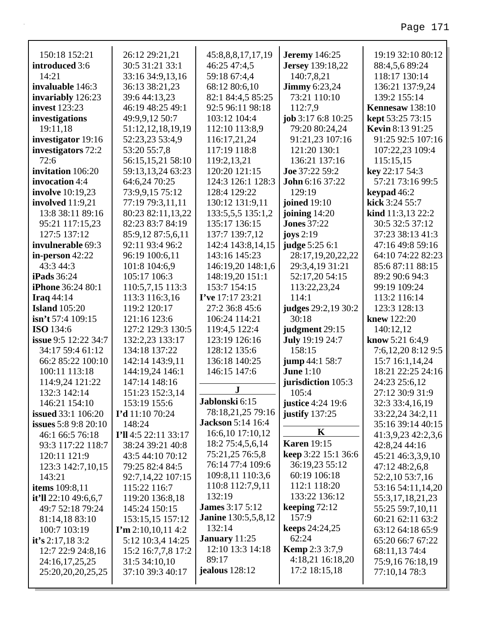| 150:18 152:21               | 26:12 29:21,21            | 45:8,8,8,17,17,19          | <b>Jeremy</b> 146:25    | 19:19 32:10 80:12       |
|-----------------------------|---------------------------|----------------------------|-------------------------|-------------------------|
| introduced 3:6              | 30:5 31:21 33:1           | 46:25 47:4,5               | <b>Jersey</b> 139:18,22 | 88:4,5,6 89:24          |
| 14:21                       | 33:16 34:9,13,16          | 59:18 67:4,4               | 140:7,8,21              | 118:17 130:14           |
| invaluable 146:3            | 36:13 38:21,23            | 68:12 80:6,10              | <b>Jimmy</b> 6:23,24    | 136:21 137:9,24         |
| invariably 126:23           | 39:6 44:13,23             | 82:1 84:4,5 85:25          | 73:21 110:10            | 139:2 155:14            |
| <b>invest</b> 123:23        | 46:19 48:25 49:1          | 92:5 96:11 98:18           | 112:7,9                 | Kennesaw 138:10         |
| investigations              | 49:9,9,12 50:7            | 103:12 104:4               | job 3:17 6:8 10:25      | kept 53:25 73:15        |
| 19:11,18                    | 51:12,12,18,19,19         | 112:10 113:8,9             | 79:20 80:24,24          | <b>Kevin 8:13 91:25</b> |
| investigator 19:16          | 52:23,23 53:4,9           | 116:17,21,24               | 91:21,23 107:16         | 91:25 92:5 107:16       |
| investigators 72:2          | 53:20 55:7,8              | 117:19 118:8               | 121:20 130:1            | 107:22,23 109:4         |
| 72:6                        | 56:15,15,21 58:10         | 119:2,13,21                | 136:21 137:16           | 115:15,15               |
| invitation 106:20           | 59:13,13,24 63:23         | 120:20 121:15              | Joe 37:22 59:2          | key 22:17 54:3          |
| invocation 4:4              | 64:6,24 70:25             | 124:3 126:1 128:3          | <b>John 6:16 37:22</b>  | 57:21 73:16 99:5        |
| <b>involve</b> 10:19,23     | 73:9,9,15 75:12           | 128:4 129:22               | 129:19                  | keypad 46:2             |
| involved 11:9,21            | 77:19 79:3,11,11          | 130:12 131:9,11            | <b>joined</b> 19:10     | kick 3:24 55:7          |
| 13:8 38:11 89:16            | 80:23 82:11,13,22         | 133:5,5,5 135:1,2          | joining $14:20$         | kind 11:3,13 22:2       |
| 95:21 117:15,23             | 82:23 83:7 84:19          | 135:17 136:15              | <b>Jones</b> 37:22      | 30:5 32:5 37:12         |
| 127:5 137:12                | 85:9,12 87:5,6,11         | 137:7 139:7,12             | joys $2:19$             | 37:23 38:13 41:3        |
| invulnerable 69:3           | 92:11 93:4 96:2           | 142:4 143:8,14,15          | judge 5:25 6:1          | 47:16 49:8 59:16        |
| in-person 42:22             | 96:19 100:6,11            | 143:16 145:23              | 28:17,19,20,22,22       | 64:10 74:22 82:23       |
| 43:3 44:3                   | 101:8 104:6,9             | 146:19,20 148:1,6          | 29:3,4,19 31:21         | 85:6 87:11 88:15        |
| <b>iPads</b> 36:24          | 105:17 106:3              | 148:19,20 151:1            | 52:17,20 54:15          | 89:2 90:6 94:3          |
| <b>iPhone</b> 36:24 80:1    | 110:5,7,15 113:3          | 153:7 154:15               | 113:22,23,24            | 99:19 109:24            |
| Iraq $44:14$                | 113:3 116:3,16            | I've 17:17 23:21           | 114:1                   | 113:2 116:14            |
| <b>Island</b> 105:20        | 119:2 120:17              | 27:2 36:8 45:6             | judges 29:2,19 30:2     | 123:3 128:13            |
|                             |                           |                            |                         |                         |
| $\sin$ 't 57:4 109:15       | 121:16 123:6              | 106:24 114:21              | 30:18                   | knew 122:20             |
| <b>ISO</b> 134:6            | 127:2 129:3 130:5         | 119:4,5 122:4              | judgment 29:15          | 140:12,12               |
| <b>issue</b> 9:5 12:22 34:7 | 132:2,23 133:17           | 123:19 126:16              | July 19:19 24:7         | know 5:21 6:4,9         |
| 34:17 59:4 61:12            | 134:18 137:22             | 128:12 135:6               | 158:15                  | 7:6,12,20 8:12 9:5      |
| 66:2 85:22 100:10           | 142:14 143:9,11           | 136:18 140:25              | jump 44:1 58:7          | 15:7 16:1,14,24         |
| 100:11 113:18               | 144:19,24 146:1           | 146:15 147:6               | <b>June 1:10</b>        | 18:21 22:25 24:16       |
| 114:9,24 121:22             | 147:14 148:16             |                            | jurisdiction 105:3      | 24:23 25:6,12           |
| 132:3 142:14                | 151:23 152:3,14           | ${\bf J}$                  | 105:4                   | 27:12 30:9 31:9         |
| 146:21 154:10               | 153:19 155:6              | Jablonski 6:15             | justice 4:24 19:6       | 32:3 33:4,16,19         |
| <b>issued</b> 33:1 106:20   | <b>I'd</b> 11:10 70:24    | 78:18,21,25 79:16          | justify $137:25$        | 33:22,24 34:2,11        |
| <b>issues</b> 5:8 9:8 20:10 | 148:24                    | <b>Jackson</b> 5:14 16:4   |                         | 35:16 39:14 40:15       |
| 46:1 66:5 76:18             | I'll 4:5 22:11 33:17      | 16:6,10 17:10,12           | K                       | 41:3,9,23 42:2,3,6      |
| 93:3 117:22 118:7           | 38:24 39:21 40:8          | 18:2 75:4,5,6,14           | <b>Karen</b> 19:15      | 42:8,24 44:16           |
| 120:11 121:9                | 43:5 44:10 70:12          | 75:21,25 76:5,8            | keep 3:22 15:1 36:6     | 45:21 46:3,3,9,10       |
| 123:3 142:7,10,15           | 79:25 82:4 84:5           | 76:14 77:4 109:6           | 36:19,23 55:12          | 47:12 48:2,6,8          |
| 143:21                      | 92:7,14,22 107:15         | 109:8,11 110:3,6           | 60:19 106:18            | 52:2,10 53:7,16         |
| items 109:8,11              | 115:22 116:7              | 110:8 112:7,9,11           | 112:1 118:20            | 53:16 54:11,14,20       |
| it'll $22:1049:6,6,7$       | 119:20 136:8,18           | 132:19                     | 133:22 136:12           | 55:3,17,18,21,23        |
| 49:7 52:18 79:24            | 145:24 150:15             | <b>James</b> 3:17 5:12     | keeping $72:12$         | 55:25 59:7,10,11        |
| 81:14,18 83:10              | 153:15,15 157:12          | <b>Janine</b> 130:5,5,8,12 | 157:9                   | 60:21 62:11 63:2        |
| 100:7 103:19                | $\Gamma$ m 2:10,10,11 4:2 | 132:14                     | <b>keeps</b> $24:24,25$ | 63:12 64:18 65:9        |
| it's 2:17,18 3:2            | 5:12 10:3,4 14:25         | <b>January</b> 11:25       | 62:24                   | 65:20 66:7 67:22        |
| 12:7 22:9 24:8,16           | 15:2 16:7,7,8 17:2        | 12:10 13:3 14:18           | <b>Kemp</b> 2:3 3:7,9   | 68:11,13 74:4           |
| 24:16,17,25,25              | 31:5 34:10,10             | 89:17                      | 4:18,21 16:18,20        | 75:9,16 76:18,19        |
| 25:20,20,20,25,25           | 37:10 39:3 40:17          | <b>jealous</b> 128:12      | 17:2 18:15,18           | 77:10,14 78:3           |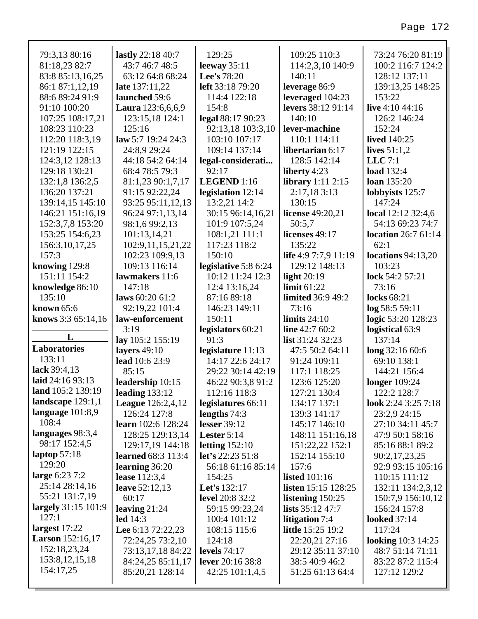| 79:3,13 80:16             | lastly 22:18 40:7         | 129:25               | 109:25 110:3               | 73:24 76:20 81:19          |
|---------------------------|---------------------------|----------------------|----------------------------|----------------------------|
| 81:18,23 82:7             | 43:7 46:7 48:5            | leeway $35:11$       | 114:2,3,10 140:9           | 100:2 116:7 124:2          |
| 83:8 85:13,16,25          | 63:12 64:8 68:24          | Lee's 78:20          | 140:11                     | 128:12 137:11              |
| 86:1 87:1,12,19           | late 137:11,22            | left 33:18 79:20     | leverage 86:9              | 139:13,25 148:25           |
| 88:6 89:24 91:9           | launched 59:6             | 114:4 122:18         | leveraged 104:23           | 153:22                     |
| 91:10 100:20              | Laura 123:6,6,6,9         | 154:8                | levers 38:12 91:14         | live 4:10 44:16            |
| 107:25 108:17,21          | 123:15,18 124:1           | legal 88:17 90:23    | 140:10                     | 126:2 146:24               |
| 108:23 110:23             | 125:16                    | 92:13,18 103:3,10    | lever-machine              | 152:24                     |
| 112:20 118:3,19           | law 5:7 19:24 24:3        | 103:10 107:17        | 110:1 114:11               | <b>lived</b> 140:25        |
| 121:19 122:15             | 24:8,9 29:24              | 109:14 137:14        | libertarian 6:17           | lives $51:1,2$             |
| 124:3,12 128:13           | 44:18 54:2 64:14          | legal-considerati    | 128:5 142:14               | $LLC$ 7:1                  |
| 129:18 130:21             | 68:4 78:5 79:3            | 92:17                | liberty 4:23               | <b>load</b> 132:4          |
| 132:1,8 136:2,5           | 81:1,23 90:1,7,17         | LEGEND 1:16          | <b>library</b> 1:11 2:15   | <b>loan</b> 135:20         |
| 136:20 137:21             | 91:15 92:22,24            | legislation 12:14    | 2:17,18 3:13               | lobbyists 125:7            |
| 139:14,15 145:10          | 93:25 95:11,12,13         | 13:2,21 14:2         | 130:15                     | 147:24                     |
| 146:21 151:16,19          | 96:24 97:1,13,14          | 30:15 96:14,16,21    | license $49:20,21$         | local 12:12 32:4,6         |
| 152:3,7,8 153:20          | 98:1,6 99:2,13            | 101:9 107:5,24       | 50:5,7                     | 54:13 69:23 74:7           |
| 153:25 154:6,23           | 101:13,14,21              | 108:1,21 111:1       | licenses 49:17             | <b>location</b> 26:7 61:14 |
| 156:3, 10, 17, 25         | 102:9,11,15,21,22         | 117:23 118:2         | 135:22                     | 62:1                       |
| 157:3                     | 102:23 109:9,13           | 150:10               | life 4:9 7:7,9 11:19       | locations $94:13,20$       |
| knowing 129:8             | 109:13 116:14             | legislative 5:8 6:24 | 129:12 148:13              | 103:23                     |
| 151:11 154:2              | lawmakers 11:6            | 10:12 11:24 12:3     | light $20:19$              | lock 54:2 57:21            |
| knowledge 86:10           | 147:18                    | 12:4 13:16,24        | limit $61:22$              | 73:16                      |
| 135:10                    | laws $60:2061:2$          | 87:16 89:18          | <b>limited</b> 36:9 49:2   | <b>locks</b> 68:21         |
| known 65:6                | 92:19,22 101:4            | 146:23 149:11        | 73:16                      | log 58:5 59:11             |
|                           |                           |                      |                            |                            |
| knows $3:365:14,16$       | law-enforcement           | 150:11               | limits $24:10$             | logic 53:20 128:23         |
|                           | 3:19                      | legislators 60:21    | line 42:7 60:2             | logistical 63:9            |
| L                         | lay 105:2 155:19          | 91:3                 | list 31:24 32:23           | 137:14                     |
| Laboratories              | layers $49:10$            | legislature 11:13    | 47:5 50:2 64:11            | long 32:16 60:6            |
| 133:11                    | lead 10:6 23:9            | 14:17 22:6 24:17     | 91:24 109:11               | 69:10 138:1                |
| lack 39:4,13              | 85:15                     | 29:22 30:14 42:19    | 117:1 118:25               | 144:21 156:4               |
| laid 24:16 93:13          | leadership 10:15          | 46:22 90:3,8 91:2    | 123:6 125:20               | <b>longer</b> 109:24       |
| land 105:2 139:19         | leading $133:12$          | 112:16 118:3         | 127:21 130:4               | 122:2 128:7                |
| landscape $129:1,1$       | <b>League</b> 126:2,4,12  | legislatures 66:11   | 134:17 137:1               | look 2:24 3:25 7:18        |
| language $101:8,9$        | 126:24 127:8              | lengths $74:3$       | 139:3 141:17               | 23:2,9 24:15               |
| 108:4                     | learn 102:6 128:24        | lesser $39:12$       | 145:17 146:10              | 27:10 34:11 45:7           |
| languages 98:3,4          | 128:25 129:13,14          | Lester 5:14          | 148:11 151:16,18           | 47:9 50:1 58:16            |
| 98:17 152:4,5             | 129:17,19 144:18          | letting $152:10$     | 151:22,22 152:1            | 85:16 88:1 89:2            |
| laptop $57:18$            | <b>learned</b> 68:3 113:4 | let's 22:23 51:8     | 152:14 155:10              | 90:2,17,23,25              |
| 129:20                    | learning 36:20            | 56:18 61:16 85:14    | 157:6                      | 92:9 93:15 105:16          |
| large $6:237:2$           | lease 112:3,4             | 154:25               | <b>listed</b> 101:16       | 110:15 111:12              |
| 25:14 28:14,16            | <b>leave</b> 52:12,13     | <b>Let's</b> 132:17  | <b>listen</b> 15:15 128:25 | 132:11 134:2,3,12          |
| 55:21 131:7,19            | 60:17                     | level 20:8 32:2      | listening $150:25$         | 150:7,9 156:10,12          |
| largely 31:15 101:9       | leaving $21:24$           | 59:15 99:23,24       | <b>lists</b> $35:12\,47:7$ | 156:24 157:8               |
| 127:1                     | $led$ 14:3                | 100:4 101:12         | litigation 7:4             | <b>looked</b> 37:14        |
| largest $17:22$           | Lee 6:13 72:22,23         | 108:15 115:6         | <b>little</b> 15:25 19:2   | 117:24                     |
| <b>Larson</b> $152:16,17$ | 72:24,25 73:2,10          | 124:18               | 22:20,21 27:16             | <b>looking</b> 10:3 14:25  |
| 152:18,23,24              | 73:13,17,18 84:22         | levels $74:17$       | 29:12 35:11 37:10          | 48:7 51:14 71:11           |
| 153:8, 12, 15, 18         | 84:24,25 85:11,17         | lever 20:16 38:8     | 38:5 40:9 46:2             | 83:22 87:2 115:4           |
| 154:17,25                 | 85:20,21 128:14           | 42:25 101:1,4,5      | 51:25 61:13 64:4           | 127:12 129:2               |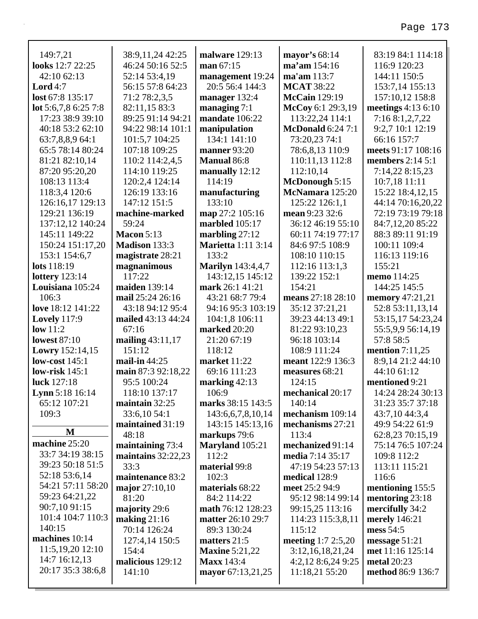| 149:7,21                 | 38:9,11,24 42:25           | <b>malware</b> 129:13     | mayor's 68:14                      | 83:19 84:1 114:18      |
|--------------------------|----------------------------|---------------------------|------------------------------------|------------------------|
| looks 12:7 22:25         | 46:24 50:16 52:5           | man 67:15                 | ma'am 154:16                       | 116:9 120:23           |
| 42:10 62:13              | 52:14 53:4,19              | management 19:24          | ma'am 113:7                        | 144:11 150:5           |
| Lord $4:7$               | 56:15 57:8 64:23           | 20:5 56:4 144:3           | <b>MCAT 38:22</b>                  | 153:7,14 155:13        |
| lost 67:8 135:17         | 71:2 78:2,3,5              | manager 132:4             | <b>McCain</b> 129:19               | 157:10,12 158:8        |
| lot 5:6,7,8 6:25 7:8     | 82:11,15 83:3              | managing $7:1$            | McCoy 6:1 29:3,19                  | meetings 4:13 6:10     |
| 17:23 38:9 39:10         | 89:25 91:14 94:21          | mandate 106:22            | 113:22,24 114:1                    | 7:16 8:1,2,7,22        |
| 40:18 53:2 62:10         | 94:22 98:14 101:1          | manipulation              | <b>McDonald 6:24 7:1</b>           | 9:2,7 10:1 12:19       |
| 63:7,8,8,9 64:1          | 101:5,7 104:25             | 134:1 141:10              | 73:20,23 74:1                      | 66:16 157:7            |
| 65:5 78:14 80:24         | 107:18 109:25              | manner 93:20              | 78:6,8,13 110:9                    | meets 91:17 108:16     |
| 81:21 82:10,14           | 110:2 114:2,4,5            | <b>Manual 86:8</b>        | 110:11,13 112:8                    | members $2:14\ 5:1$    |
| 87:20 95:20,20           | 114:10 119:25              | manually 12:12            | 112:10,14                          | 7:14,22 8:15,23        |
| 108:13 113:4             | 120:2,4 124:14             | 114:19                    | McDonough 5:15                     | 10:7,18 11:11          |
| 118:3,4 120:6            | 126:19 133:16              | manufacturing             | McNamara 125:20                    | 15:22 18:4,12,15       |
| 126:16,17 129:13         | 147:12 151:5               | 133:10                    | 125:22 126:1,1                     | 44:14 70:16,20,22      |
| 129:21 136:19            | machine-marked             | map 27:2 105:16           | mean 9:23 32:6                     | 72:19 73:19 79:18      |
| 137:12,12 140:24         | 59:24                      | marbled 105:17            | 36:12 46:19 55:10                  | 84:7,12,20 85:22       |
| 145:11 149:22            | <b>Macon 5:13</b>          | marbling $27:12$          | 60:11 74:19 77:17                  | 88:3 89:11 91:19       |
| 150:24 151:17,20         | Madison 133:3              | <b>Marietta</b> 1:11 3:14 | 84:6 97:5 108:9                    | 100:11 109:4           |
| 153:1 154:6,7            | magistrate 28:21           | 133:2                     | 108:10 110:15                      | 116:13 119:16          |
| lots 118:19              | magnanimous                | <b>Marilyn</b> 143:4,4,7  | 112:16 113:1,3                     | 155:21                 |
| <b>lottery</b> 123:14    | 117:22                     | 143:12,15 145:12          | 139:22 152:1                       | memo 114:25            |
| Louisiana 105:24         | maiden 139:14              | mark 26:1 41:21           | 154:21                             | 144:25 145:5           |
| 106:3                    | mail 25:24 26:16           | 43:21 68:7 79:4           | means 27:18 28:10                  | memory 47:21,21        |
| love 18:12 141:22        | 43:18 94:12 95:4           | 94:16 95:3 103:19         | 35:12 37:21,21                     | 52:8 53:11,13,14       |
| <b>Lovely</b> 117:9      | mailed 43:13 44:24         | 104:1,8 106:11            | 39:23 44:13 49:1                   | 53:15,17 54:23,24      |
| low 11:2                 | 67:16                      | marked 20:20              | 81:22 93:10,23                     | 55:5,9,9 56:14,19      |
| <b>lowest 87:10</b>      | mailing $43:11,17$         | 21:20 67:19               | 96:18 103:14                       | 57:8 58:5              |
| Lowry 152:14,15          | 151:12                     | 118:12                    | 108:9 111:24                       | mention $7:11,25$      |
| low-cost $145:1$         | mail-in 44:25              | market 11:22              | meant 122:9 136:3                  | 8:9,14 21:2 44:10      |
| low-risk $145:1$         | main 87:3 92:18,22         | 69:16 111:23              | measures 68:21                     | 44:10 61:12            |
| luck 127:18              | 95:5 100:24                | marking $42:13$           | 124:15                             | mentioned 9:21         |
| <b>Lynn</b> 5:18 $16:14$ | 118:10 137:17              | 106:9                     | mechanical 20:17                   | 14:24 28:24 30:13      |
| 65:12 107:21             | maintain $32:25$           | marks 38:15 143:5         | 140:14                             | 31:23 35:7 37:18       |
| 109:3                    | 33:6,10 54:1               | 143:6,6,7,8,10,14         | mechanism 109:14                   | 43:7,10 44:3,4         |
| M                        | maintained 31:19           | 143:15 145:13,16          | mechanisms 27:21                   | 49:9 54:22 61:9        |
| machine 25:20            | 48:18                      | markups 79:6              | 113:4                              | 62:8,23 70:15,19       |
| 33:7 34:19 38:15         | maintaining 73:4           | Maryland 105:21<br>112:2  | mechanized 91:14                   | 75:14 76:5 107:24      |
| 39:23 50:18 51:5         | maintains 32:22,23<br>33:3 | material 99:8             | media 7:14 35:17                   | 109:8 112:2            |
| 52:18 53:6,14            | maintenance 83:2           | 102:3                     | 47:19 54:23 57:13<br>medical 128:9 | 113:11 115:21<br>116:6 |
| 54:21 57:11 58:20        | major $27:10,10$           | materials 68:22           | meet 25:2 94:9                     | mentioning 155:5       |
| 59:23 64:21,22           | 81:20                      | 84:2 114:22               | 95:12 98:14 99:14                  | mentoring 23:18        |
| 90:7,10 91:15            | majority 29:6              | math 76:12 128:23         | 99:15,25 113:16                    | mercifully 34:2        |
| 101:4 104:7 110:3        | making $21:16$             | <b>matter</b> 26:10 29:7  | 114:23 115:3,8,11                  | merely 146:21          |
| 140:15                   | 70:14 126:24               | 89:3 130:24               | 115:12                             | mess 54:5              |
| machines 10:14           | 127:4.14 150:5             | matters $21:5$            | <b>meeting</b> $1:7$ $2:5.20$      | message $51:21$        |
|                          |                            |                           |                                    |                        |

**matters** 21:5 **Maxine** 5:21,22 **Maxx** 143:4

**mayor** 67:13,21,25

**meeting** 1:7 2:5,20 3:12,16,18,21,24 4:2,12 8:6,24 9:25 11:18,21 55:20

**message** 51:21 **met** 11:16 125:14 **metal** 20:23

**method** 86:9 136:7

11:5,19,20 12:10 14:7 16:12,13 20:17 35:3 38:6,8 127:4,14 150:5

**malicious** 129:12

154:4

141:10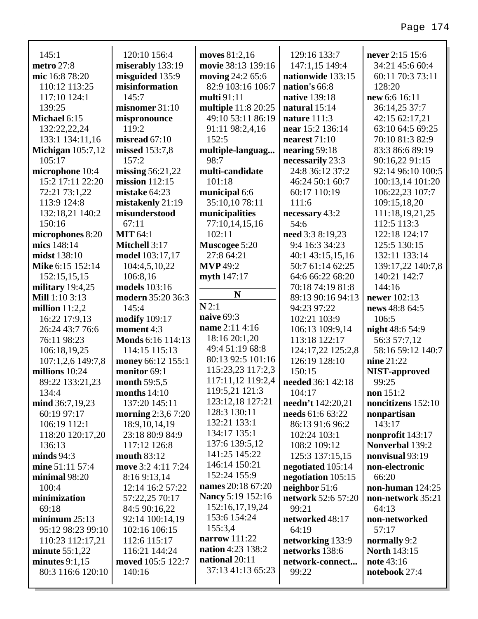| 145:1                                | 120:10 156:4                           | moves 81:2,16                   | 129:16 133:7                        | never 2:15 15:6                     |
|--------------------------------------|----------------------------------------|---------------------------------|-------------------------------------|-------------------------------------|
| metro 27:8                           | miserably 133:19                       | movie 38:13 139:16              | 147:1,15 149:4                      | 34:21 45:6 60:4                     |
| mic 16:8 78:20                       | misguided 135:9                        | moving 24:2 65:6                | nationwide 133:15                   | 60:11 70:3 73:11                    |
| 110:12 113:25                        | misinformation                         | 82:9 103:16 106:7               | nation's 66:8                       | 128:20                              |
| 117:10 124:1                         | 145:7                                  | multi 91:11                     | native 139:18                       | new 6:6 16:11                       |
| 139:25                               | misnomer 31:10                         | multiple 11:8 20:25             | natural 15:14                       | 36:14,25 37:7                       |
| Michael 6:15                         | mispronounce<br>119:2                  | 49:10 53:11 86:19               | nature $111:3$                      | 42:15 62:17,21                      |
| 132:22,22,24                         | misread 67:10                          | 91:11 98:2,4,16<br>152:5        | near 15:2 136:14<br>nearest $71:10$ | 63:10 64:5 69:25<br>70:10 81:3 82:9 |
| 133:1 134:11,16                      |                                        |                                 |                                     | 83:3 86:6 89:19                     |
| Michigan $105:7,12$<br>105:17        | missed 153:7,8<br>157:2                | multiple-languag<br>98:7        | nearing 59:18                       |                                     |
|                                      |                                        | multi-candidate                 | necessarily 23:3<br>24:8 36:12 37:2 | 90:16,22 91:15<br>92:14 96:10 100:5 |
| microphone 10:4<br>15:2 17:11 22:20  | missing $56:21,22$<br>mission $112:15$ | 101:18                          | 46:24 50:1 60:7                     |                                     |
|                                      | mistake 64:23                          |                                 | 60:17 110:19                        | 100:13,14 101:20                    |
| 72:21 73:1,22<br>113:9 124:8         | mistakenly 21:19                       | municipal 6:6<br>35:10,10 78:11 | 111:6                               | 106:22,23 107:7                     |
|                                      |                                        |                                 |                                     | 109:15,18,20                        |
| 132:18,21 140:2<br>150:16            | misunderstood<br>67:11                 | municipalities                  | necessary 43:2<br>54:6              | 111:18,19,21,25<br>112:5 113:3      |
|                                      | <b>MIT 64:1</b>                        | 77:10,14,15,16<br>102:11        |                                     | 122:18 124:17                       |
| microphones 8:20<br>mics 148:14      | Mitchell 3:17                          |                                 | need 3:3 8:19,23<br>9:4 16:3 34:23  | 125:5 130:15                        |
| midst 138:10                         |                                        | Muscogee 5:20<br>27:8 64:21     | 40:1 43:15,15,16                    | 132:11 133:14                       |
| Mike 6:15 152:14                     | model 103:17,17                        | <b>MVP</b> 49:2                 | 50:7 61:14 62:25                    |                                     |
|                                      | 104:4,5,10,22                          |                                 | 64:6 66:22 68:20                    | 139:17,22 140:7,8<br>140:21 142:7   |
| 152:15,15,15                         | 106:8,16<br>models 103:16              | myth 147:17                     | 70:18 74:19 81:8                    | 144:16                              |
| military $19:4,25$<br>Mill 1:10 3:13 | modern 35:20 36:3                      | N                               | 89:13 90:16 94:13                   | newer 102:13                        |
|                                      | 145:4                                  | N2:1                            |                                     |                                     |
| million $11:2,2$                     |                                        | naive 69:3                      | 94:23 97:22<br>102:21 103:9         | news 48:8 64:5<br>106:5             |
| 16:22 17:9,13<br>26:24 43:7 76:6     | <b>modify</b> 109:17<br>moment 4:3     | name 2:11 4:16                  |                                     |                                     |
| 76:11 98:23                          | Monds 6:16 114:13                      | 18:16 20:1,20                   | 106:13 109:9,14<br>113:18 122:17    | night 48:6 54:9                     |
| 106:18,19,25                         | 114:15 115:13                          | 49:4 51:19 68:8                 | 124:17,22 125:2,8                   | 56:3 57:7,12<br>58:16 59:12 140:7   |
| 107:1,2,6 149:7,8                    | money 66:12 155:1                      | 80:13 92:5 101:16               | 126:19 128:10                       | nine 21:22                          |
| millions 10:24                       | monitor 69:1                           | 115:23,23 117:2,3               | 150:15                              | <b>NIST-approved</b>                |
| 89:22 133:21,23                      | month 59:5,5                           | 117:11,12 119:2,4               | needed 36:1 42:18                   | 99:25                               |
| 134:4                                | months $14:10$                         | 119:5,21 121:3                  | 104:17                              | non $151:2$                         |
| mind 36:7,19,23                      | 137:20 145:11                          | 123:12,18 127:21                | needn't 142:20,21                   | noncitizens 152:10                  |
| 60:19 97:17                          | <b>morning</b> 2:3,6 7:20              | 128:3 130:11                    | <b>needs</b> 61:6 63:22             | nonpartisan                         |
| 106:19 112:1                         | 18:9, 10, 14, 19                       | 132:21 133:1                    | 86:13 91:6 96:2                     | 143:17                              |
| 118:20 120:17,20                     | 23:18 80:9 84:9                        | 134:17 135:1                    | 102:24 103:1                        | nonprofit 143:17                    |
| 136:13                               | 117:12 126:8                           | 137:6 139:5,12                  | 108:2 109:12                        | Nonverbal 139:2                     |
| minds $94:3$                         | mouth 83:12                            | 141:25 145:22                   | 125:3 137:15,15                     | nonvisual 93:19                     |
| mine 51:11 57:4                      | move 3:2 4:11 7:24                     | 146:14 150:21                   | negotiated 105:14                   | non-electronic                      |
| minimal 98:20                        | 8:16 9:13,14                           | 152:24 155:9                    | negotiation 105:15                  | 66:20                               |
| 100:4                                | 12:14 16:2 57:22                       | names 20:18 67:20               | neighbor 51:6                       | non-human $124:25$                  |
| minimization                         | 57:22,25 70:17                         | Nancy 5:19 152:16               | network 52:6 57:20                  | non-network 35:21                   |
| 69:18                                | 84:5 90:16,22                          | 152:16,17,19,24                 | 99:21                               | 64:13                               |
| minimum $25:13$                      | 92:14 100:14,19                        | 153:6 154:24                    | networked 48:17                     | non-networked                       |
| 95:12 98:23 99:10                    | 102:16 106:15                          | 155:3,4                         | 64:19                               | 57:17                               |
| 110:23 112:17,21                     | 112:6 115:17                           | narrow $111:22$                 | networking 133:9                    | normally 9:2                        |
| minute $55:1,22$                     | 116:21 144:24                          | nation 4:23 138:2               | networks 138:6                      | <b>North 143:15</b>                 |
| minutes $9:1,15$                     | moved 105:5 122:7                      | national 20:11                  | network-connect                     | note 43:16                          |
| 80:3 116:6 120:10                    | 140:16                                 | 37:13 41:13 65:23               | 99:22                               | notebook 27:4                       |
|                                      |                                        |                                 |                                     |                                     |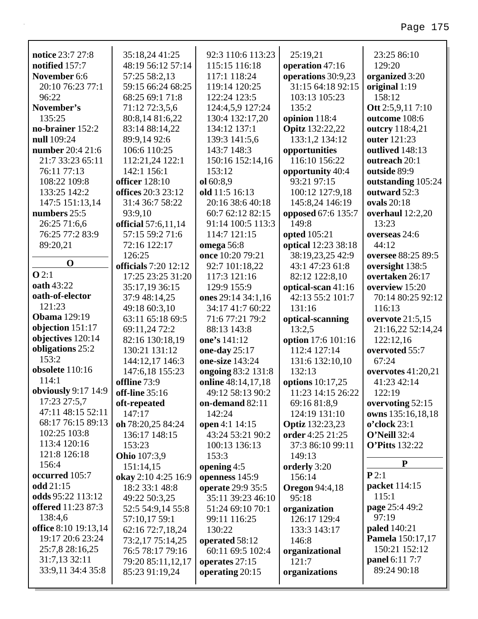| notice 23:7 27:8            | 35:18,24 41:25                        | 92:3 110:6 113:23                   | 25:19,21                        | 23:25 86:10             |
|-----------------------------|---------------------------------------|-------------------------------------|---------------------------------|-------------------------|
| notified 157:7              | 48:19 56:12 57:14                     | 115:15 116:18                       | operation 47:16                 | 129:20                  |
| November 6:6                | 57:25 58:2,13                         | 117:1 118:24                        | operations 30:9,23              | organized 3:20          |
| 20:10 76:23 77:1            | 59:15 66:24 68:25                     | 119:14 120:25                       | 31:15 64:18 92:15               | original 1:19           |
| 96:22                       | 68:25 69:1 71:8                       | 122:24 123:5                        | 103:13 105:23                   | 158:12                  |
| November's                  | 71:12 72:3,5,6                        | 124:4,5,9 127:24                    | 135:2                           | Ott 2:5,9,11 7:10       |
| 135:25                      | 80:8,14 81:6,22                       | 130:4 132:17,20                     | opinion 118:4                   | outcome 108:6           |
| no-brainer 152:2            | 83:14 88:14,22                        | 134:12 137:1                        | <b>Opitz</b> 132:22,22          | outcry 118:4,21         |
| null 109:24                 | 89:9,14 92:6                          | 139:3 141:5,6                       | 133:1,2 134:12                  | outer 121:23            |
| number 20:4 21:6            | 106:6 110:25                          | 143:7 148:3                         | opportunities                   | outlived 148:13         |
| 21:7 33:23 65:11            | 112:21,24 122:1                       | 150:16 152:14,16                    | 116:10 156:22                   | outreach 20:1           |
| 76:11 77:13                 | 142:1 156:1                           | 153:12                              | opportunity 40:4                | outside 89:9            |
| 108:22 109:8                | <b>officer</b> 128:10                 | ol 60:8,9                           | 93:21 97:15                     | outstanding 105:24      |
| 133:25 142:2                | offices 20:3 23:12                    | old 11:5 16:13                      | 100:12 127:9,18                 | outward 52:3            |
| 147:5 151:13,14             | 31:4 36:7 58:22                       | 20:16 38:6 40:18                    | 145:8,24 146:19                 | ovals 20:18             |
| numbers 25:5                | 93:9,10                               | 60:7 62:12 82:15                    | opposed 67:6 135:7              | overhaul 12:2,20        |
| 26:25 71:6,6                | official 57:6,11,14                   | 91:14 100:5 113:3                   | 149:8                           | 13:23                   |
| 76:25 77:2 83:9             | 57:15 59:2 71:6                       | 114:7 121:15                        | opted 105:21                    | overseas 24:6           |
| 89:20,21                    | 72:16 122:17                          | <b>omega</b> 56:8                   | optical 12:23 38:18             | 44:12                   |
| $\mathbf 0$                 | 126:25                                | once 10:20 79:21                    | 38:19,23,25 42:9                | oversee 88:25 89:5      |
| Q2:1                        | <b>officials</b> 7:20 12:12           | 92:7 101:18,22                      | 43:1 47:23 61:8                 | oversight 138:5         |
| oath 43:22                  | 17:25 23:25 31:20                     | 117:3 121:16                        | 82:12 122:8,10                  | overtaken 26:17         |
| oath-of-elector             | 35:17,19 36:15                        | 129:9 155:9                         | optical-scan 41:16              | overview 15:20          |
| 121:23                      | 37:9 48:14,25                         | ones 29:14 34:1,16                  | 42:13 55:2 101:7                | 70:14 80:25 92:12       |
| <b>Obama</b> 129:19         | 49:18 60:3,10                         | 34:17 41:7 60:22                    | 131:16                          | 116:13                  |
| objection 151:17            | 63:11 65:18 69:5                      | 71:6 77:21 79:2                     | optical-scanning                | overvote 21:5,15        |
| objectives 120:14           | 69:11,24 72:2                         | 88:13 143:8                         | 13:2,5                          | 21:16,22 52:14,24       |
| obligations 25:2            | 82:16 130:18,19                       | one's 141:12                        | option 17:6 101:16              | 122:12,16               |
| 153:2                       | 130:21 131:12                         | one-day 25:17                       | 112:4 127:14                    | overvoted 55:7          |
| obsolete 110:16             | 144:12,17 146:3                       | one-size 143:24                     | 131:6 132:10,10                 | 67:24                   |
| 114:1                       | 147:6,18 155:23                       | ongoing 83:2 131:8                  | 132:13                          | overvotes $41:20,21$    |
| obviously 9:17 14:9         | offline 73:9                          | online 48:14,17,18                  | options 10:17,25                | 41:23 42:14             |
| 17:23 27:5,7                | off-line 35:16                        | 49:12 58:13 90:2                    | 11:23 14:15 26:22               | 122:19                  |
| 47:11 48:15 52:11           | oft-repeated                          | on-demand 82:11                     | 69:16 81:8,9                    | overvoting 52:15        |
| 68:17 76:15 89:13           | 147:17                                | 142:24                              | 124:19 131:10                   | owns 135:16,18,18       |
| 102:25 103:8                | oh 78:20,25 84:24                     | open 4:1 14:15                      | <b>Optiz</b> 132:23,23          | $o$ 'clock 23:1         |
| 113:4 120:16                | 136:17 148:15                         | 43:24 53:21 90:2                    | order 4:25 21:25                | $O'$ Neill 32:4         |
| 121:8 126:18                | 153:23                                | 100:13 136:13                       | 37:3 86:10 99:11                | <b>O'Pitts</b> 132:22   |
| 156:4                       | <b>Ohio</b> 107:3,9                   | 153:3                               | 149:13                          | ${\bf P}$               |
| occurred 105:7              | 151:14,15                             | opening $4:5$                       | orderly 3:20                    | P2:1                    |
| odd 21:15                   | okay 2:10 4:25 16:9<br>18:2 33:1 48:8 | openness 145:9<br>operate 29:9 35:5 | 156:14<br><b>Oregon</b> 94:4,18 | packet 114:15           |
| odds 95:22 113:12           |                                       |                                     |                                 | 115:1                   |
| <b>offered</b> 11:23 87:3   | 49:22 50:3,25                         | 35:11 39:23 46:10                   | 95:18                           | page 25:4 49:2          |
| 138:4,6                     | 52:5 54:9,14 55:8                     | 51:24 69:10 70:1                    | organization                    | 97:19                   |
| <b>office</b> 8:10 19:13,14 | 57:10,17 59:1                         | 99:11 116:25                        | 126:17 129:4                    | <b>paled</b> 140:21     |
| 19:17 20:6 23:24            | 62:16 72:7,18,24                      | 130:22                              | 133:3 143:17                    | <b>Pamela</b> 150:17,17 |
| 25:7,8 28:16,25             | 73:2,17 75:14,25<br>76:5 78:17 79:16  | operated 58:12<br>60:11 69:5 102:4  | 146:8                           | 150:21 152:12           |
| 31:7,13 32:11               |                                       |                                     | organizational<br>121:7         | panel 6:11 7:7          |
| 33:9,11 34:4 35:8           | 79:20 85:11,12,17                     | operates 27:15                      |                                 | 89:24 90:18             |
|                             | 85:23 91:19,24                        | operating 20:15                     | organizations                   |                         |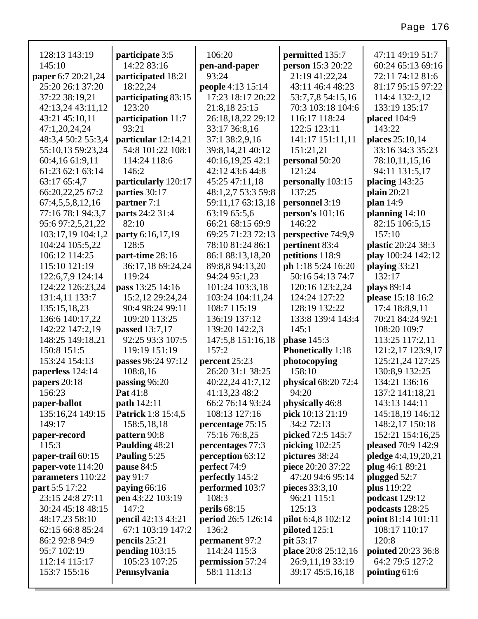| 128:13 143:19         | participate 3:5           | 106:20             | permitted 135:7            | 47:11 49:19 51:7          |
|-----------------------|---------------------------|--------------------|----------------------------|---------------------------|
| 145:10                | 14:22 83:16               | pen-and-paper      | person 15:3 20:22          | 60:24 65:13 69:16         |
| paper 6:7 20:21,24    | participated 18:21        | 93:24              | 21:19 41:22,24             | 72:11 74:12 81:6          |
| 25:20 26:1 37:20      | 18:22,24                  | people 4:13 15:14  | 43:11 46:4 48:23           | 81:17 95:15 97:22         |
| 37:22 38:19,21        | participating 83:15       | 17:23 18:17 20:22  | 53:7,7,8 54:15,16          | 114:4 132:2,12            |
| 42:13,24 43:11,12     | 123:20                    | 21:8,18 25:15      | 70:3 103:18 104:6          | 133:19 135:17             |
| 43:21 45:10,11        | participation 11:7        | 26:18,18,22 29:12  | 116:17 118:24              | placed 104:9              |
| 47:1,20,24,24         | 93:21                     | 33:17 36:8,16      | 122:5 123:11               | 143:22                    |
| 48:3,4 50:2 55:3,4    | particular 12:14,21       | 37:1 38:2,9,16     | 141:17 151:11,11           | places 25:10,14           |
| 55:10,13 59:23,24     | 54:8 101:22 108:1         | 39:8,14,21 40:12   | 151:21,21                  | 33:16 34:3 35:23          |
| 60:4,16 61:9,11       | 114:24 118:6              | 40:16,19,25 42:1   | personal 50:20             | 78:10,11,15,16            |
| 61:23 62:1 63:14      | 146:2                     | 42:12 43:6 44:8    | 121:24                     | 94:11 131:5,17            |
| 63:17 65:4,7          | particularly 120:17       | 45:25 47:11,18     | personally 103:15          | placing 143:25            |
| 66:20,22,25 67:2      | parties 30:17             | 48:1,2,7 53:3 59:8 | 137:25                     | plain $20:21$             |
| 67:4,5,5,8,12,16      | partner 7:1               | 59:11,17 63:13,18  | personnel 3:19             | plan 14:9                 |
| 77:16 78:1 94:3,7     | parts 24:2 31:4           | 63:19 65:5,6       | person's 101:16            | planning 14:10            |
| 95:6 97:2,5,21,22     | 82:10                     | 66:21 68:15 69:9   | 146:22                     | 82:15 106:5,15            |
| 103:17,19 104:1,2     | party 6:16,17,19          | 69:25 71:23 72:13  | perspective 74:9,9         | 157:10                    |
| 104:24 105:5,22       | 128:5                     | 78:10 81:24 86:1   | pertinent 83:4             | plastic 20:24 38:3        |
| 106:12 114:25         | part-time 28:16           | 86:1 88:13,18,20   | petitions 118:9            | play 100:24 142:12        |
| 115:10 121:19         | 36:17,18 69:24,24         | 89:8,8 94:13,20    | ph 1:18 5:24 16:20         | playing 33:21             |
| 122:6,7,9 124:14      | 119:24                    | 94:24 95:1,23      | 50:16 54:13 74:7           | 132:17                    |
| 124:22 126:23,24      | pass 13:25 14:16          | 101:24 103:3,18    | 120:16 123:2,24            | plays 89:14               |
| 131:4,11 133:7        | 15:2,12 29:24,24          | 103:24 104:11,24   | 124:24 127:22              | please 15:18 16:2         |
| 135:15,18,23          | 90:4 98:24 99:11          | 108:7 115:19       | 128:19 132:22              | 17:4 18:8,9,11            |
| 136:6 140:17,22       | 109:20 113:25             | 136:19 137:12      | 133:8 139:4 143:4          | 70:21 84:24 92:1          |
| 142:22 147:2,19       | passed 13:7,17            | 139:20 142:2,3     | 145:1                      | 108:20 109:7              |
| 148:25 149:18,21      | 92:25 93:3 107:5          | 147:5,8 151:16,18  | <b>phase</b> 145:3         | 113:25 117:2,11           |
| 150:8 151:5           | 119:19 151:19             | 157:2              | <b>Phonetically</b> 1:18   | 121:2,17 123:9,17         |
| 153:24 154:13         | passes 96:24 97:12        | percent 25:23      | photocopying               | 125:21,24 127:25          |
| paperless 124:14      | 108:8,16                  | 26:20 31:1 38:25   | 158:10                     | 130:8,9 132:25            |
| papers $20:18$        | passing 96:20             | 40:22,24 41:7,12   | <b>physical</b> 68:20 72:4 | 134:21 136:16             |
| 156:23                | Pat 41:8                  | 41:13,23 48:2      | 94:20                      | 137:2 141:18,21           |
| paper-ballot          | <b>path</b> 142:11        | 66:2 76:14 93:24   | physically 46:8            | 143:13 144:11             |
| 135:16,24 149:15      | <b>Patrick</b> 1:8 15:4,5 | 108:13 127:16      | pick 10:13 21:19           | 145:18,19 146:12          |
| 149:17                | 158:5,18,18               | percentage 75:15   | 34:2 72:13                 | 148:2,17 150:18           |
| paper-record          | pattern 90:8              | 75:16 76:8,25      | picked 72:5 145:7          | 152:21 154:16,25          |
| 115:3                 | Paulding 48:21            | percentages 77:3   | picking $102:25$           | <b>pleased</b> 70:9 142:9 |
| paper-trail 60:15     | Pauling 5:25              | perception 63:12   | pictures 38:24             | pledge 4:4,19,20,21       |
| paper-vote 114:20     | pause 84:5                | perfect 74:9       | piece 20:20 37:22          | plug 46:1 89:21           |
| parameters 110:22     | pay 91:7                  | perfectly 145:2    | 47:20 94:6 95:14           | plugged 52:7              |
| <b>part</b> 5:5 17:22 | paying 66:16              | performed 103:7    | pieces 33:3,10             | <b>plus</b> 119:22        |
| 23:15 24:8 27:11      | pen 43:22 103:19          | 108:3              | 96:21 115:1                | podcast 129:12            |
| 30:24 45:18 48:15     | 147:2                     | perils $68:15$     | 125:13                     | podcasts 128:25           |
| 48:17,23 58:10        | pencil 42:13 43:21        | period 26:5 126:14 | <b>pilot</b> 6:4,8 102:12  | point 81:14 101:11        |
| 62:15 66:8 85:24      | 67:1 103:19 147:2         | 136:2              | piloted $125:1$            | 108:17 110:17             |
| 86:2 92:8 94:9        | pencils 25:21             | permanent 97:2     | pit 53:17                  | 120:8                     |
| 95:7 102:19           | pending $103:15$          | 114:24 115:3       | place 20:8 25:12,16        | <b>pointed</b> 20:23 36:8 |
| 112:14 115:17         | 105:23 107:25             | permission 57:24   | 26:9,11,19 33:19           | 64:2 79:5 127:2           |
| 153:7 155:16          | Pennsylvania              | 58:1 113:13        | 39:17 45:5,16,18           | pointing 61:6             |
|                       |                           |                    |                            |                           |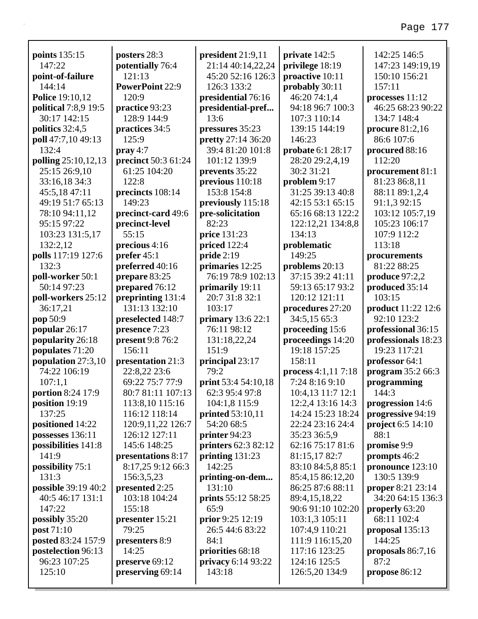| points 135:15                        | posters 28:3                    | president 21:9,11          | private 142:5                    | 142:25 146:5                         |
|--------------------------------------|---------------------------------|----------------------------|----------------------------------|--------------------------------------|
| 147:22                               | potentially 76:4                | 21:14 40:14,22,24          | privilege 18:19                  | 147:23 149:19,19                     |
| point-of-failure                     | 121:13                          | 45:20 52:16 126:3          | proactive 10:11                  | 150:10 156:21                        |
| 144:14<br><b>Police 19:10,12</b>     | <b>PowerPoint 22:9</b><br>120:9 | 126:3 133:2                | probably 30:11                   | 157:11                               |
|                                      |                                 | presidential 76:16         | 46:20 74:1,4<br>94:18 96:7 100:3 | processes 11:12<br>46:25 68:23 90:22 |
| political 7:8,9 19:5<br>30:17 142:15 | practice 93:23<br>128:9 144:9   | presidential-pref<br>13:6  |                                  |                                      |
| politics $32:4,5$                    | practices 34:5                  | pressures 35:23            | 107:3 110:14<br>139:15 144:19    | 134:7 148:4<br>procure 81:2,16       |
| poll 47:7,10 49:13                   | 125:9                           | pretty 27:14 36:20         | 146:23                           | 86:6 107:6                           |
| 132:4                                | $\mathbf{pray}\,4:7$            | 39:4 81:20 101:8           | probate 6:1 28:17                | procured 88:16                       |
| polling 25:10,12,13                  | precinct 50:3 61:24             | 101:12 139:9               | 28:20 29:2,4,19                  | 112:20                               |
| 25:15 26:9,10                        | 61:25 104:20                    | prevents 35:22             | 30:2 31:21                       | procurement 81:1                     |
| 33:16,18 34:3                        | 122:8                           | previous 110:18            | problem 9:17                     | 81:23 86:8,11                        |
| 45:5,18 47:11                        | precincts 108:14                | 153:8 154:8                | 31:25 39:13 40:8                 | 88:11 89:1,2,4                       |
| 49:19 51:7 65:13                     | 149:23                          | previously 115:18          | 42:15 53:1 65:15                 | 91:1,3 92:15                         |
| 78:10 94:11,12                       | precinct-card 49:6              | pre-solicitation           | 65:16 68:13 122:2                | 103:12 105:7,19                      |
| 95:15 97:22                          | precinct-level                  | 82:23                      | 122:12,21 134:8,8                | 105:23 106:17                        |
| 103:23 131:5,17                      | 55:15                           | price 131:23               | 134:13                           | 107:9 112:2                          |
| 132:2,12                             | precious 4:16                   | priced 122:4               | problematic                      | 113:18                               |
| polls 117:19 127:6                   | prefer 45:1                     | pride 2:19                 | 149:25                           | procurements                         |
| 132:3                                | preferred 40:16                 | primaries 12:25            | problems 20:13                   | 81:22 88:25                          |
| poll-worker 50:1                     | prepare 83:25                   | 76:19 78:9 102:13          | 37:15 39:2 41:11                 | produce $97:2,2$                     |
| 50:14 97:23                          | prepared 76:12                  | primarily 19:11            | 59:13 65:17 93:2                 | produced 35:14                       |
| poll-workers 25:12                   | preprinting 131:4               | 20:7 31:8 32:1             | 120:12 121:11                    | 103:15                               |
| 36:17,21                             | 131:13 132:10                   | 103:17                     | procedures 27:20                 | product 11:22 12:6                   |
| pop 50:9                             | preselected 148:7               | primary 13:6 22:1          | 34:5,15 65:3                     | 92:10 123:2                          |
| popular 26:17                        | presence 7:23                   | 76:11 98:12                | proceeding 15:6                  | professional 36:15                   |
| popularity 26:18                     | present 9:8 76:2                | 131:18,22,24               | proceedings 14:20                | professionals 18:23                  |
| populates 71:20                      | 156:11                          | 151:9                      | 19:18 157:25                     | 19:23 117:21                         |
| population 27:3,10                   | presentation 21:3               | principal 23:17            | 158:11                           | professor 64:1                       |
| 74:22 106:19                         | 22:8,22 23:6                    | 79:2                       | process $4:1,11$ 7:18            | program 35:2 66:3                    |
| 107:1,1                              | 69:22 75:7 77:9                 | <b>print</b> 53:4 54:10,18 | 7:24 8:16 9:10                   | programming                          |
| portion 8:24 17:9                    | 80:7 81:11 107:13               | 62:3 95:4 97:8             | 10:4,13 11:7 12:1                | 144:3                                |
| position 19:19                       | 113:8,10 115:16                 | 104:1,8 115:9              | 12:2,4 13:16 14:3                | progression 14:6                     |
| 137:25                               | 116:12 118:14                   | <b>printed</b> 53:10,11    | 14:24 15:23 18:24                | progressive 94:19                    |
| positioned 14:22                     | 120:9, 11, 22 126: 7            | 54:20 68:5                 | 22:24 23:16 24:4                 | project 6:5 14:10                    |
| possesses 136:11                     | 126:12 127:11                   | printer 94:23              | 35:23 36:5,9                     | 88:1                                 |
| possibilities 141:8                  | 145:6 148:25                    | printers 62:3 82:12        | 62:16 75:17 81:6                 | promise 9:9                          |
| 141:9                                | presentations 8:17              | printing $131:23$          | 81:15,1782:7                     | prompts 46:2                         |
| possibility 75:1                     | 8:17,25 9:12 66:3               | 142:25                     | 83:10 84:5,8 85:1                | pronounce 123:10                     |
| 131:3                                | 156:3,5,23                      | printing-on-dem            | 85:4,15 86:12,20                 | 130:5 139:9                          |
| possible 39:19 40:2                  | presented 2:25                  | 131:10                     | 86:25 87:6 88:11                 | <b>proper</b> 8:21 23:14             |
| 40:5 46:17 131:1                     | 103:18 104:24                   | <b>prints</b> 55:12 58:25  | 89:4,15,18,22                    | 34:20 64:15 136:3                    |
| 147:22                               | 155:18                          | 65:9                       | 90:6 91:10 102:20                | properly 63:20                       |
| possibly 35:20                       | presenter 15:21                 | prior $9:25$ 12:19         | 103:1,3 105:11                   | 68:11 102:4                          |
| post 71:10                           | 79:25                           | 26:5 44:6 83:22            | 107:4,9 110:21                   | proposal 135:13                      |
| posted 83:24 157:9                   | presenters 8:9                  | 84:1                       | 111:9 116:15,20                  | 144:25                               |
| postelection 96:13                   | 14:25                           | priorities 68:18           | 117:16 123:25                    | proposals $86:7,16$                  |
| 96:23 107:25                         | preserve 69:12                  | privacy 6:14 93:22         | 124:16 125:5                     | 87:2                                 |
| 125:10                               | preserving 69:14                | 143:18                     | 126:5,20 134:9                   | propose 86:12                        |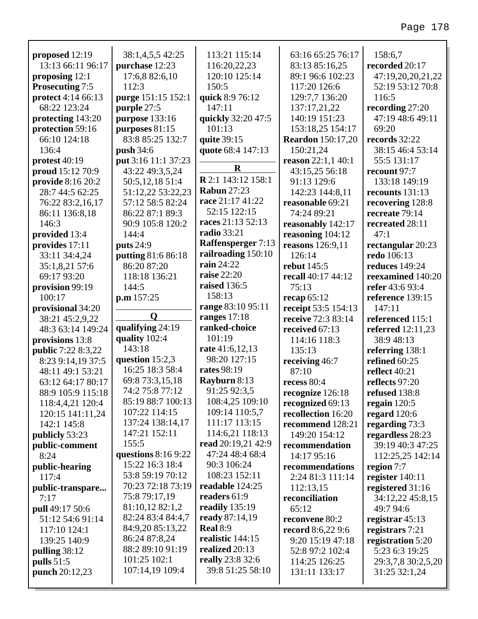| proposed 12:19                 | 38:1,4,5,5 42:25                | 113:21 115:14                        | 63:16 65:25 76:17              | 158:6,7                             |
|--------------------------------|---------------------------------|--------------------------------------|--------------------------------|-------------------------------------|
| 13:13 66:11 96:17              | purchase 12:23                  | 116:20,22,23                         | 83:13 85:16,25                 | recorded 20:17                      |
| proposing 12:1                 | 17:6,8 82:6,10                  | 120:10 125:14                        | 89:1 96:6 102:23               | 47:19,20,20,21,22                   |
| <b>Prosecuting 7:5</b>         | 112:3                           | 150:5                                | 117:20 126:6                   | 52:19 53:12 70:8                    |
| protect 4:14 66:13             | purge 151:15 152:1              | quick 8:9 76:12                      | 129:7,7 136:20                 | 116:5                               |
| 68:22 123:24                   | purple 27:5                     | 147:11                               | 137:17,21,22                   | recording 27:20                     |
| protecting 143:20              | purpose 133:16                  | quickly 32:20 47:5                   | 140:19 151:23                  | 47:19 48:6 49:11                    |
| protection 59:16               | purposes $81:15$                | 101:13                               | 153:18,25 154:17               | 69:20<br>records 32:22              |
| 66:10 124:18                   | 83:8 85:25 132:7                | quite 39:15                          | <b>Reardon</b> 150:17,20       |                                     |
| 136:4                          | <b>push</b> 34:6                | quote 68:4 147:13                    | 150:21,24                      | 38:15 46:4 53:14                    |
| protest 40:19                  | put 3:16 11:1 37:23             | $\mathbf R$                          | reason $22:1,140:1$            | 55:5 131:17                         |
| proud 15:12 70:9               | 43:22 49:3,5,24                 | R 2:1 143:12 158:1                   | 43:15,25 56:18                 | recount 97:7                        |
| provide 8:16 20:2              | 50:5,12,18 51:4                 | <b>Rabun 27:23</b>                   | 91:13 129:6                    | 133:18 149:19                       |
| 28:7 44:5 62:25                | 51:12,22 53:22,23               | race 21:17 41:22                     | 142:23 144:8,11                | recounts 131:13                     |
| 76:22 83:2,16,17               | 57:12 58:5 82:24                | 52:15 122:15                         | reasonable 69:21               | recovering 128:8                    |
| 86:11 136:8,18                 | 86:22 87:1 89:3                 | races 21:13 52:13                    | 74:24 89:21                    | recreate 79:14                      |
| 146:3                          | 90:9 105:8 120:2                | <b>radio</b> 33:21                   | reasonably 142:17              | recreated 28:11                     |
| provided 13:4                  | 144:4                           | Raffensperger 7:13                   | reasoning 104:12               | 47:1                                |
| provides 17:11                 | puts 24:9                       | railroading 150:10                   | reasons 126:9,11               | rectangular 20:23                   |
| 33:11 34:4,24                  | putting 81:6 86:18              | rain 24:22                           | 126:14<br><b>rebut</b> 145:5   | redo 106:13                         |
| 35:1,8,21 57:6                 | 86:20 87:20                     | <b>raise</b> 22:20                   |                                | <b>reduces</b> 149:24               |
| 69:17 93:20                    | 118:18 136:21                   | raised 136:5                         | recall 40:17 44:12<br>75:13    | reexamined 140:20                   |
| provision 99:19                | 144:5                           | 158:13                               |                                | refer 43:6 93:4                     |
| 100:17                         | p.m 157:25                      | range 83:10 95:11                    | recap $65:12$                  | reference 139:15<br>147:11          |
| provisional 34:20              | Q                               |                                      | receipt 53:5 154:13            |                                     |
|                                |                                 |                                      |                                |                                     |
| 38:21 45:2,9,22                |                                 | ranges 17:18                         | receive 72:3 83:14             | referenced 115:1                    |
| 48:3 63:14 149:24              | qualifying 24:19                | ranked-choice                        | received 67:13                 | referred 12:11,23                   |
| provisions 13:8                | quality 102:4                   | 101:19                               | 114:16 118:3                   | 38:9 48:13                          |
| <b>public</b> 7:22 8:3,22      | 143:18                          | rate 41:6,12,13                      | 135:13                         | referring 138:1                     |
| 8:23 9:14,19 37:5              | question 15:2,3                 | 98:20 127:15                         | receiving 46:7                 | refined 60:25                       |
| 48:11 49:1 53:21               | 16:25 18:3 58:4                 | rates 98:19                          | 87:10                          | <b>reflect</b> 40:21                |
| 63:12 64:17 80:17              | 69:8 73:3,15,18                 | Rayburn 8:13                         | recess 80:4                    | reflects 97:20                      |
| 88:9 105:9 115:18              | 74:2 75:8 77:12                 | 91:25 92:3,5                         | recognize 126:18               | refused 138:8                       |
| 118:4,4,21 120:4               | 85:19 88:7 100:13               | 108:4,25 109:10                      | recognized 69:13               | regain $120:5$                      |
| 120:15 141:11,24               | 107:22 114:15                   | 109:14 110:5,7                       | recollection 16:20             | regard $120:6$                      |
| 142:1 145:8                    | 137:24 138:14,17                | 111:17 113:15                        | recommend 128:21               | regarding 73:3                      |
| publicly 53:23                 | 147:21 152:11                   | 114:6,21 118:13                      | 149:20 154:12                  | regardless 28:23                    |
| public-comment                 | 155:5                           | read 20:19,21 42:9                   | recommendation                 | 39:19 40:3 47:25                    |
| 8:24                           | questions $8:169:22$            | 47:24 48:4 68:4                      | 14:17 95:16                    | 112:25,25 142:14                    |
| public-hearing                 | 15:22 16:3 18:4                 | 90:3 106:24                          | recommendations                | region 7:7                          |
| 117:4                          | 53:8 59:19 70:12                | 108:23 152:11                        | 2:24 81:3 111:14               | register 140:11                     |
| public-transpare               | 70:23 72:18 73:19               | readable 124:25                      | 112:13,15                      | registered 31:16                    |
| 7:17                           | 75:8 79:17,19                   | readers 61:9                         | reconciliation                 | 34:12,22 45:8,15                    |
| pull 49:17 50:6                | 81:10,12 82:1,2                 | readily 135:19                       | 65:12                          | 49:7 94:6                           |
| 51:12 54:6 91:14               | 82:24 83:4 84:4,7               | ready 87:14,19                       | reconvene 80:2                 | registrar $45:13$                   |
| 117:10 124:1                   | 84:9,20 85:13,22                | <b>Real 8:9</b>                      | <b>record</b> 8:6,22 9:6       | registrars 7:21                     |
| 139:25 140:9                   | 86:24 87:8,24                   | realistic 144:15                     | 9:20 15:19 47:18               | registration 5:20                   |
| pulling 38:12                  | 88:2 89:10 91:19                | realized 20:13                       | 52:8 97:2 102:4                | 5:23 6:3 19:25                      |
| pulls $51:5$<br>punch 20:12,23 | 101:25 102:1<br>107:14,19 109:4 | really 23:8 32:6<br>39:8 51:25 58:10 | 114:25 126:25<br>131:11 133:17 | 29:3,7,8 30:2,5,20<br>31:25 32:1,24 |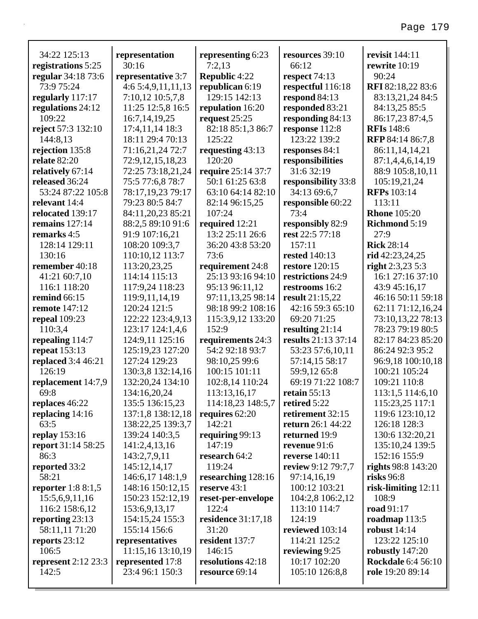| 34:22 125:13              | representation     | representing 6:23         | resources 39:10          | revisit 144:11            |
|---------------------------|--------------------|---------------------------|--------------------------|---------------------------|
| registrations 5:25        | 30:16              | 7:2,13                    | 66:12                    | rewrite 10:19             |
| regular 34:18 73:6        | representative 3:7 | <b>Republic 4:22</b>      | respect 74:13            | 90:24                     |
| 73:9 75:24                | 4:65:4,9,11,11,13  | republican 6:19           | respectful 116:18        | RFI 82:18,22 83:6         |
| regularly 117:17          | 7:10,12 10:5,7,8   | 129:15 142:13             | respond 84:13            | 83:13,21,24 84:5          |
| regulations 24:12         | 11:25 12:5,8 16:5  | repulation 16:20          | responded 83:21          | 84:13,25 85:5             |
| 109:22                    | 16:7, 14, 19, 25   | request $25:25$           | responding 84:13         | 86:17,23 87:4,5           |
| reject 57:3 132:10        | 17:4,11,14 18:3    | 82:18 85:1,3 86:7         | response 112:8           | <b>RFIs</b> 148:6         |
| 144:8,13                  | 18:11 29:4 70:13   | 125:22                    | 123:22 139:2             | RFP 84:14 86:7,8          |
| rejection 135:8           | 71:16,21,24 72:7   | requesting $43:13$        | responses 84:1           | 86:11,14,14,21            |
| relate 82:20              | 72:9,12,15,18,23   | 120:20                    | responsibilities         | 87:1,4,4,6,14,19          |
| relatively 67:14          | 72:25 73:18,21,24  | require 25:14 37:7        | 31:6 32:19               | 88:9 105:8,10,11          |
| released 36:24            | 75:5 77:6,8 78:7   | 50:1 61:25 63:8           | responsibility 33:8      | 105:19,21,24              |
| 53:24 87:22 105:8         | 78:17,19,23 79:17  | 63:10 64:14 82:10         | 34:13 69:6,7             | <b>RFPs</b> 103:14        |
| relevant 14:4             | 79:23 80:5 84:7    | 82:14 96:15,25            | responsible 60:22        | 113:11                    |
| relocated 139:17          | 84:11,20,23 85:21  | 107:24                    | 73:4                     | <b>Rhone</b> 105:20       |
| remains $127:14$          | 88:2,5 89:10 91:6  | required 12:21            | responsibly 82:9         | <b>Richmond 5:19</b>      |
| remarks 4:5               | 91:9 107:16,21     | 13:2 25:11 26:6           | rest 22:5 77:18          | 27:9                      |
| 128:14 129:11             | 108:20 109:3,7     | 36:20 43:8 53:20          | 157:11                   | <b>Rick 28:14</b>         |
| 130:16                    | 110:10,12 113:7    | 73:6                      | <b>rested</b> 140:13     | rid 42:23,24,25           |
| remember 40:18            | 113:20,23,25       | requirement 24:8          | <b>restore</b> 120:15    | right $2:3,23,5:3$        |
| 41:21 60:7,10             | 114:14 115:13      | 25:13 93:16 94:10         | restrictions 24:9        | 16:1 27:16 37:10          |
| 116:1 118:20              | 117:9,24 118:23    | 95:13 96:11,12            | restrooms 16:2           | 43:9 45:16,17             |
| remind 66:15              | 119:9, 11, 14, 19  | 97:11,13,25 98:14         | <b>result</b> 21:15,22   | 46:16 50:11 59:18         |
| remote 147:12             | 120:24 121:5       | 98:18 99:2 108:16         | 42:16 59:3 65:10         | 62:11 71:12,16,24         |
| repeal 109:23             | 122:22 123:4,9,13  | 115:3,9,12 133:20         | 69:20 71:25              | 73:10,13,22 78:13         |
| 110:3,4                   | 123:17 124:1,4,6   | 152:9                     | resulting $21:14$        | 78:23 79:19 80:5          |
| repealing 114:7           | 124:9,11 125:16    | requirements 24:3         | results 21:13 37:14      | 82:17 84:23 85:20         |
| repeat 153:13             | 125:19,23 127:20   | 54:2 92:18 93:7           | 53:23 57:6,10,11         | 86:24 92:3 95:2           |
| replaced 3:4 46:21        | 127:24 129:23      | 98:10,25 99:6             | 57:14,15 58:17           | 96:9,18 100:10,18         |
| 126:19                    | 130:3,8 132:14,16  | 100:15 101:11             | 59:9,12 65:8             | 100:21 105:24             |
| replacement 14:7,9        | 132:20,24 134:10   | 102:8,14 110:24           | 69:19 71:22 108:7        | 109:21 110:8              |
| 69:8                      | 134:16,20,24       | 113:13,16,17              | retain $55:13$           | 113:1,5 114:6,10          |
| replaces 46:22            | 135:5 136:15,23    | 114:18,23 148:5,7         | retired 5:22             | 115:23,25 117:1           |
| replacing $14:16$         | 137:1,8 138:12,18  | requires 62:20            | retirement 32:15         | 119:6 123:10,12           |
| 63:5                      | 138:22,25 139:3,7  | 142:21                    | <b>return</b> 26:1 44:22 | 126:18 128:3              |
| replay $153:16$           | 139:24 140:3,5     | requiring $99:13$         | returned 19:9            | 130:6 132:20,21           |
| <b>report</b> 31:14 58:25 | 141:2,4,13,16      | 147:19                    | revenue 91:6             | 135:10,24 139:5           |
| 86:3                      | 143:2,7,9,11       | research 64:2             | <b>reverse</b> 140:11    | 152:16 155:9              |
| reported 33:2             | 145:12,14,17       | 119:24                    | review 9:12 79:7,7       | <b>rights</b> 98:8 143:20 |
| 58:21                     | 146:6,17 148:1,9   | researching 128:16        | 97:14,16,19              | risks $96:8$              |
| reporter $1:88:1,5$       | 148:16 150:12,15   | reserve 43:1              | 100:12 103:21            | risk-limiting $12:11$     |
| 15:5,6,9,11,16            | 150:23 152:12,19   | reset-per-envelope        | 104:2,8 106:2,12         | 108:9                     |
| 116:2 158:6,12            | 153:6,9,13,17      | 122:4                     | 113:10 114:7             | road 91:17                |
| reporting 23:13           | 154:15,24 155:3    | <b>residence</b> 31:17,18 | 124:19                   | roadmap $113:5$           |
| 58:11,11 71:20            | 155:14 156:6       | 31:20                     | reviewed 103:14          | robust $14:14$            |
| reports $23:12$           | representatives    | resident 137:7            | 114:21 125:2             | 123:22 125:10             |
| 106:5                     | 11:15,16 13:10,19  | 146:15                    | reviewing 9:25           | robustly $147:20$         |
| represent 2:12 23:3       | represented 17:8   | resolutions 42:18         | 10:17 102:20             | <b>Rockdale</b> 6:4 56:10 |
| 142:5                     | 23:4 96:1 150:3    | resource 69:14            | 105:10 126:8,8           | role 19:20 89:14          |
|                           |                    |                           |                          |                           |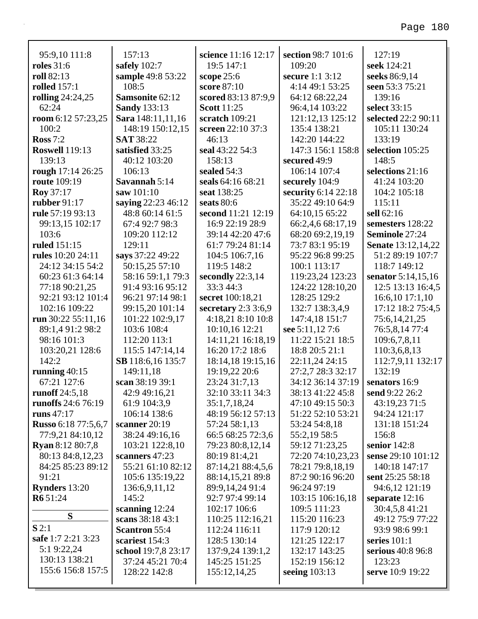| 95:9,10 111:8              | 157:13                  | science 11:16 12:17  | section 98:7 101:6     | 127:19                      |
|----------------------------|-------------------------|----------------------|------------------------|-----------------------------|
| <b>roles</b> 31:6          | safely 102:7            | 19:5 147:1           | 109:20                 | seek 124:21                 |
| roll 82:13                 | sample 49:8 53:22       | scope $25:6$         | <b>secure</b> 1:1 3:12 | seeks 86:9,14               |
| <b>rolled</b> 157:1        | 108:5                   | score 87:10          | 4:14 49:1 53:25        | seen 53:3 75:21             |
| rolling 24:24,25           | Samsonite 62:12         | scored 83:13 87:9,9  | 64:12 68:22,24         | 139:16                      |
| 62:24                      | <b>Sandy 133:13</b>     | <b>Scott</b> 11:25   | 96:4,14 103:22         | select 33:15                |
| room 6:12 57:23,25         | Sara 148:11,11,16       | scratch 109:21       | 121:12,13 125:12       | selected 22:2 90:11         |
| 100:2                      | 148:19 150:12,15        | screen 22:10 37:3    | 135:4 138:21           | 105:11 130:24               |
| Ross $7:2$                 | <b>SAT 38:22</b>        | 46:13                | 142:20 144:22          | 133:19                      |
| <b>Roswell</b> 119:13      | satisfied 33:25         | seal 43:22 54:3      | 147:3 156:1 158:8      | selection 105:25            |
| 139:13                     | 40:12 103:20            | 158:13               | secured 49:9           | 148:5                       |
| rough 17:14 26:25          | 106:13                  | sealed 54:3          | 106:14 107:4           | selections 21:16            |
| <b>route</b> 109:19        | Savannah 5:14           | seals 64:16 68:21    | securely 104:9         | 41:24 103:20                |
| <b>Roy</b> 37:17           | saw 101:10              | seat 138:25          | security 6:14 22:18    | 104:2 105:18                |
| rubber 91:17               | saying 22:23 46:12      | seats 80:6           | 35:22 49:10 64:9       | 115:11                      |
| rule 57:19 93:13           | 48:8 60:14 61:5         | second 11:21 12:19   | 64:10,15 65:22         | sell 62:16                  |
| 99:13,15 102:17            | 67:4 92:7 98:3          | 16:9 22:19 28:9      | 66:2,4,6 68:17,19      | semesters 128:22            |
| 103:6                      | 109:20 112:12<br>129:11 | 39:14 42:20 47:6     | 68:20 69:2,19,19       | <b>Seminole 27:24</b>       |
| ruled 151:15               |                         | 61:7 79:24 81:14     | 73:7 83:1 95:19        | <b>Senate</b> 13:12, 14, 22 |
| <b>rules</b> 10:20 24:11   | says 37:22 49:22        | 104:5 106:7,16       | 95:22 96:8 99:25       | 51:2 89:19 107:7            |
| 24:12 34:15 54:2           | 50:15,25 57:10          | 119:5 148:2          | 100:1 113:17           | 118:7 149:12                |
| 60:23 61:3 64:14           | 58:16 59:1,1 79:3       | secondly $22:3,14$   | 119:23,24 123:23       | senator 5:14,15,16          |
| 77:18 90:21,25             | 91:4 93:16 95:12        | 33:3 44:3            | 124:22 128:10,20       | 12:5 13:13 16:4,5           |
| 92:21 93:12 101:4          | 96:21 97:14 98:1        | secret 100:18,21     | 128:25 129:2           | 16:6,10 17:1,10             |
| 102:16 109:22              | 99:15,20 101:14         | secretary $2:33:6,9$ | 132:7 138:3,4,9        | 17:12 18:2 75:4,5           |
| run 30:22 55:11,16         | 101:22 102:9,17         | 4:18,21 8:10 10:8    | 147:4,18 151:7         | 75:6, 14, 21, 25            |
| 89:1,4 91:2 98:2           | 103:6 108:4             | 10:10,16 12:21       | see 5:11,12 7:6        | 76:5,8,14 77:4              |
| 98:16 101:3                | 112:20 113:1            | 14:11,21 16:18,19    | 11:22 15:21 18:5       | 109:6,7,8,11                |
| 103:20,21 128:6            | 115:5 147:14,14         | 16:20 17:2 18:6      | 18:8 20:5 21:1         | 110:3,6,8,13                |
| 142:2                      | SB 118:6,16 135:7       | 18:14,18 19:15,16    | 22:11,24 24:15         | 112:7,9,11 132:17           |
| running $40:15$            | 149:11,18               | 19:19,22 20:6        | 27:2,7 28:3 32:17      | 132:19                      |
| 67:21 127:6                | scan 38:19 39:1         | 23:24 31:7,13        | 34:12 36:14 37:19      | senators 16:9               |
| runoff 24:5,18             | 42:9 49:16,21           | 32:10 33:11 34:3     | 38:13 41:22 45:8       | send 9:22 26:2              |
| runoffs 24:6 76:19         | 61:9 104:3,9            | 35:1,7,18,24         | 47:10 49:15 50:3       | 43:19,23 71:5               |
| runs 47:17                 | 106:14 138:6            | 48:19 56:12 57:13    | 51:22 52:10 53:21      | 94:24 121:17                |
| <b>Russo</b> 6:18 77:5,6,7 | scanner $20:19$         | 57:24 58:1,13        | 53:24 54:8,18          | 131:18 151:24               |
| 77:9,21 84:10,12           | 38:24 49:16,16          | 66:5 68:25 72:3,6    | 55:2,19 58:5           | 156:8                       |
| <b>Ryan</b> 8:12 80:7,8    | 103:21 122:8,10         | 79:23 80:8,12,14     | 59:12 71:23,25         | senior $142:8$              |
| 80:13 84:8,12,23           | scanners 47:23          | 80:19 81:4,21        | 72:20 74:10,23,23      | sense 29:10 101:12          |
| 84:25 85:23 89:12          | 55:21 61:10 82:12       | 87:14,21 88:4,5,6    | 78:21 79:8,18,19       | 140:18 147:17               |
| 91:21                      | 105:6 135:19,22         | 88:14,15,21 89:8     | 87:2 90:16 96:20       | sent 25:25 58:18            |
| <b>Rynders</b> 13:20       | 136:6,9,11,12           | 89:9,14,24 91:4      | 96:24 97:19            | 94:6,12 121:19              |
| R6 51:24                   | 145:2                   | 92:7 97:4 99:14      | 103:15 106:16,18       | separate $12:16$            |
| S                          | scanning 12:24          | 102:17 106:6         | 109:5 111:23           | 30:4,5,8 41:21              |
|                            | scans 38:18 43:1        | 110:25 112:16,21     | 115:20 116:23          | 49:12 75:9 77:22            |
| S2:1                       | <b>Scantron 55:4</b>    | 112:24 116:11        | 117:9 120:12           | 93:9 98:6 99:1              |
| safe 1:7 2:21 3:23         | scariest 154:3          | 128:5 130:14         | 121:25 122:17          | series $101:1$              |
| 5:1 9:22,24                | school 19:7,8 23:17     | 137:9,24 139:1,2     | 132:17 143:25          | serious 40:8 96:8           |
| 130:13 138:21              | 37:24 45:21 70:4        | 145:25 151:25        | 152:19 156:12          | 123:23                      |
| 155:6 156:8 157:5          | 128:22 142:8            | 155:12,14,25         | seeing $103:13$        | serve 10:9 19:22            |
|                            |                         |                      |                        |                             |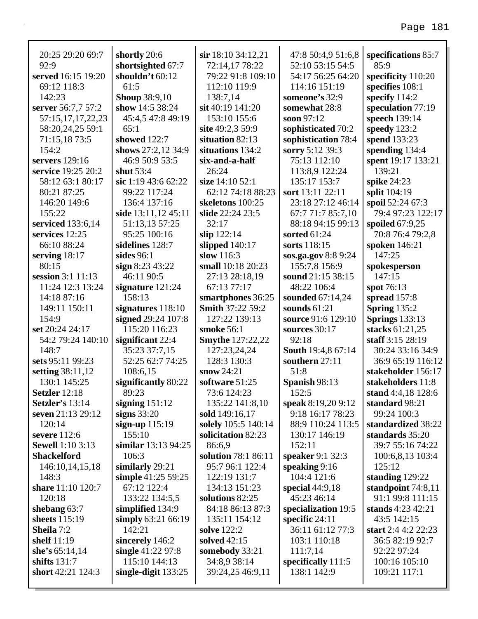| 20:25 29:20 69:7                 | shortly 20:6                    | sir 18:10 34:12,21                        | 47:8 50:4,9 51:6,8                     | specifications 85:7                   |
|----------------------------------|---------------------------------|-------------------------------------------|----------------------------------------|---------------------------------------|
| 92:9                             | shortsighted 67:7               | 72:14,17 78:22                            | 52:10 53:15 54:5                       | 85:9                                  |
| served 16:15 19:20               | shouldn't 60:12                 | 79:22 91:8 109:10                         | 54:17 56:25 64:20                      | specificity 110:20                    |
| 69:12 118:3                      | 61:5                            | 112:10 119:9                              | 114:16 151:19                          | specifies 108:1                       |
| 142:23                           | <b>Shoup 38:9,10</b>            | 138:7,14                                  | someone's 32:9                         | specify 114:2                         |
| server 56:7,7 57:2               | show 14:5 38:24                 | sit 40:19 141:20                          | somewhat 28:8                          | speculation 77:19                     |
| 57:15,17,17,22,23                | 45:4,5 47:8 49:19               | 153:10 155:6                              | soon 97:12                             | speech 139:14                         |
| 58:20,24,25 59:1                 | 65:1                            | site 49:2,3 59:9                          | sophisticated 70:2                     | speedy 123:2                          |
| 71:15,18 73:5                    | showed 122:7                    | situation 82:13                           | sophistication 78:4                    | spend 133:23                          |
| 154:2                            | shows 27:2,12 34:9              | situations 134:2                          | sorry 5:12 39:3                        | spending 134:4                        |
| servers 129:16                   | 46:9 50:9 53:5                  | six-and-a-half                            | 75:13 112:10                           | spent 19:17 133:21                    |
| service 19:25 20:2               | shut $53:4$                     | 26:24                                     | 113:8,9 122:24                         | 139:21                                |
| 58:12 63:1 80:17                 | sic 1:19 43:6 62:22             | size 14:10 52:1                           | 135:17 153:7                           | spike 24:23                           |
| 80:21 87:25                      | 99:22 117:24                    | 62:12 74:18 88:23                         | sort 13:11 22:11                       | split 104:19                          |
| 146:20 149:6                     | 136:4 137:16                    | skeletons 100:25                          | 23:18 27:12 46:14                      | spoil 52:24 67:3                      |
| 155:22                           | side 13:11,12 45:11             | slide 22:24 23:5                          | 67:7 71:7 85:7,10                      | 79:4 97:23 122:17                     |
| serviced 133:6,14                | 51:13,13 57:25                  | 32:17                                     | 88:18 94:15 99:13                      | spoiled 67:9,25                       |
| services 12:25                   | 95:25 100:16                    | slip $122:14$                             | sorted $61:24$                         | 70:8 76:4 79:2,8                      |
| 66:10 88:24                      | sidelines 128:7                 | slipped $140:17$                          | sorts 118:15                           | spoken 146:21                         |
| serving $18:17$<br>80:15         | sides $96:1$                    | slow 116:3                                | sos.ga.gov 8:8 9:24                    | 147:25                                |
|                                  | sign $8:2343:22$                | small 10:18 20:23                         | 155:7,8 156:9                          | spokesperson                          |
| session 3:1 11:13                | 46:11 90:5                      | 27:13 28:18,19                            | sound 21:15 38:15                      | 147:15                                |
| 11:24 12:3 13:24                 | signature 121:24<br>158:13      | 67:13 77:17                               | 48:22 106:4                            | spot 76:13                            |
| 14:18 87:16                      |                                 | smartphones 36:25                         | sounded 67:14,24                       | spread 157:8                          |
| 149:11 150:11                    | signatures 118:10               | <b>Smith 37:22 59:2</b>                   | sounds $61:21$                         | <b>Spring 135:2</b>                   |
| 154:9                            | signed 29:24 107:8              | 127:22 139:13                             | source 91:6 129:10                     | <b>Springs</b> 133:13                 |
| set 20:24 24:17                  | 115:20 116:23                   | smoke 56:1                                | sources 30:17                          | stacks 61:21,25                       |
| 54:2 79:24 140:10                | significant 22:4                | <b>Smythe 127:22,22</b>                   | 92:18                                  | staff 3:15 28:19                      |
| 148:7<br>sets 95:11 99:23        | 35:23 37:7,15                   | 127:23,24,24                              | <b>South 19:4,8 67:14</b>              | 30:24 33:16 34:9                      |
|                                  | 52:25 62:7 74:25                | 128:3 130:3<br>snow $24:21$               | southern 27:11                         | 36:9 65:19 116:12                     |
| setting 38:11,12<br>130:1 145:25 | 108:6,15<br>significantly 80:22 | software 51:25                            | 51:8                                   | stakeholder 156:17                    |
| <b>Setzler</b> 12:18             | 89:23                           |                                           | Spanish 98:13                          | stakeholders 11:8                     |
| Setzler's 13:14                  |                                 | 73:6 124:23                               | 152:5                                  | stand 4:4,18 128:6                    |
| seven 21:13 29:12                | signing $151:12$                | 135:22 141:8,10                           | speak 8:19,20 9:12<br>9:18 16:17 78:23 | standard 98:21<br>99:24 100:3         |
|                                  | signs $33:20$                   | sold 149:16,17                            | 88:9 110:24 113:5                      |                                       |
| 120:14<br>severe 112:6           | sign-up $115:19$<br>155:10      | solely 105:5 140:14<br>solicitation 82:23 | 130:17 146:19                          | standardized 38:22<br>standards 35:20 |
| <b>Sewell</b> 1:10 3:13          | similar $13:1394:25$            | 86:6.9                                    | 152:11                                 | 39:7 55:16 74:22                      |
| <b>Shackelford</b>               | 106:3                           | solution 78:1 86:11                       | speaker 9:1 32:3                       | 100:6,8,13 103:4                      |
| 146:10,14,15,18                  | similarly 29:21                 | 95:7 96:1 122:4                           | speaking $9:16$                        | 125:12                                |
| 148:3                            | simple 41:25 59:25              | 122:19 131:7                              | 104:4 121:6                            | standing 129:22                       |
| share 11:10 120:7                | 67:12 122:4                     | 134:13 151:23                             | special $44:9,18$                      | standpoint $74:8,11$                  |
| 120:18                           | 133:22 134:5,5                  | solutions 82:25                           | 45:23 46:14                            | 91:1 99:8 111:15                      |
| shebang 63:7                     | simplified 134:9                | 84:18 86:13 87:3                          | specialization 19:5                    | stands 4:23 42:21                     |
| sheets 115:19                    | simply 63:21 66:19              | 135:11 154:12                             | specific $24:11$                       | 43:5 142:15                           |
| Sheila 7:2                       | 142:21                          | <b>solve</b> 122:2                        | 36:11 61:12 77:3                       | start 2:4 4:2 22:23                   |
| shelf 11:19                      | sincerely 146:2                 | solved $42:15$                            | 103:1 110:18                           | 36:5 82:19 92:7                       |
| she's $65:14,14$                 | single $41:2297:8$              | somebody 33:21                            | 111:7,14                               | 92:22 97:24                           |
| shifts $131:7$                   | 115:10 144:13                   | 34:8,9 38:14                              | specifically 111:5                     | 100:16 105:10                         |
| short 42:21 124:3                | single-digit $133:25$           | 39:24,25 46:9,11                          | 138:1 142:9                            | 109:21 117:1                          |
|                                  |                                 |                                           |                                        |                                       |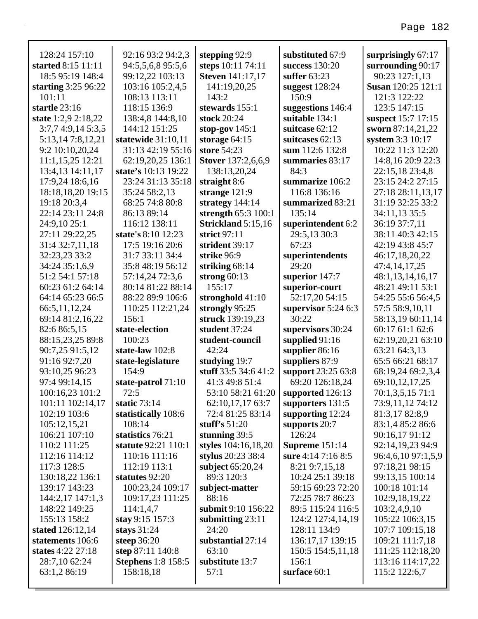| 128:24 157:10                     | 92:16 93:2 94:2,3              | stepping 92:9                  | substituted 67:9                      | surprisingly $67:17$             |
|-----------------------------------|--------------------------------|--------------------------------|---------------------------------------|----------------------------------|
| started 8:15 11:11                | 94:5,5,6,8 95:5,6              | steps 10:11 74:11              | success 130:20                        | surrounding 90:17                |
| 18:5 95:19 148:4                  | 99:12,22 103:13                | <b>Steven</b> 141:17,17        | suffer $63:23$                        | 90:23 127:1,13                   |
| starting $3:2596:22$              | 103:16 105:2,4,5               | 141:19,20,25                   | suggest $128:24$                      | <b>Susan</b> 120:25 121:1        |
| 101:11                            | 108:13 113:11                  | 143:2                          | 150:9                                 | 121:3 122:22                     |
| startle 23:16                     | 118:15 136:9                   | stewards 155:1                 | suggestions 146:4                     | 123:5 147:15                     |
| state 1:2,9 2:18,22               | 138:4,8 144:8,10               | stock 20:24                    | suitable 134:1                        | suspect 15:7 17:15               |
| 3:7,74:9,145:3,5                  | 144:12 151:25                  | stop-gov $145:1$               | suitcase 62:12                        | sworn 87:14,21,22                |
| 5:13,147:8,12,21                  | statewide $31:10,11$           | storage $64:15$                | suitcases 62:13                       | system 3:3 10:17                 |
| 9:2 10:10,20,24                   | 31:13 42:19 55:16              | store 54:23                    | sum 112:6 132:8                       | 10:22 11:3 12:20                 |
| 11:1,15,25 12:21                  | 62:19,20,25 136:1              | <b>Stover</b> 137:2,6,6,9      | summaries 83:17                       | 14:8,16 20:9 22:3                |
| 13:4,13 14:11,17                  | state's 10:13 19:22            | 138:13,20,24                   | 84:3                                  | 22:15,18 23:4,8                  |
| 17:9,24 18:6,16                   | 23:24 31:13 35:18              | straight 8:6                   | summarize 106:2                       | 23:15 24:2 27:15                 |
| 18:18,18,20 19:15                 | 35:24 58:2,13                  | strange $121:9$                | 116:8 136:16                          | 27:18 28:11,13,17                |
| 19:18 20:3,4                      | 68:25 74:8 80:8                | strategy $144:14$              | summarized 83:21                      | 31:19 32:25 33:2                 |
| 22:14 23:11 24:8                  | 86:13 89:14                    | strength 65:3 100:1            | 135:14                                | 34:11,13 35:5                    |
| 24:9,10 25:1                      | 116:12 138:11                  | Strickland 5:15,16             | superintendent 6:2                    | 36:19 37:7,11                    |
| 27:11 29:22,25                    | state's 8:10 12:23             | strict $97:11$                 | 29:5,13 30:3                          | 38:11 40:3 42:15                 |
| 31:4 32:7,11,18                   | 17:5 19:16 20:6                | strident 39:17                 | 67:23                                 | 42:19 43:8 45:7                  |
| 32:23,23 33:2                     | 31:7 33:11 34:4                | strike 96:9                    | superintendents                       | 46:17,18,20,22                   |
| 34:24 35:1,6,9                    | 35:8 48:19 56:12               | striking $68:14$               | 29:20                                 | 47:4,14,17,25                    |
| 51:2 54:1 57:18                   | 57:14,24 72:3,6                | strong $60:13$                 | superior 147:7                        | 48:1,13,14,16,17                 |
| 60:23 61:2 64:14                  | 80:14 81:22 88:14              | 155:17                         | superior-court                        | 48:21 49:11 53:1                 |
| 64:14 65:23 66:5                  | 88:22 89:9 106:6               | stronghold 41:10               | 52:17,20 54:15                        | 54:25 55:6 56:4,5                |
| 66:5,11,12,24                     | 110:25 112:21,24               | strongly 95:25                 | supervisor $5:24$ 6:3                 | 57:5 58:9,10,11                  |
| 69:14 81:2,16,22                  | 156:1                          | struck 139:19,23               | 30:22                                 | 58:13,19 60:11,14                |
| 82:6 86:5,15                      | state-election                 | student 37:24                  | supervisors 30:24                     | 60:17 61:1 62:6                  |
| 88:15,23,25 89:8                  | 100:23                         | student-council                | supplied $91:16$                      | 62:19,20,21 63:10                |
| 90:7,25 91:5,12                   | state-law 102:8                | 42:24                          | supplier 86:16                        | 63:21 64:3,13                    |
| 91:16 92:7,20                     | state-legislature              | studying 19:7                  | suppliers 87:9                        | 65:5 66:21 68:17                 |
| 93:10,25 96:23                    | 154:9                          | stuff 33:5 34:6 41:2           | support 23:25 63:8                    | 68:19,24 69:2,3,4                |
| 97:4 99:14,15                     | state-patrol 71:10             | 41:3 49:8 51:4                 | 69:20 126:18,24                       | 69:10,12,17,25                   |
| 100:16,23 101:2                   | 72:5                           | 53:10 58:21 61:20              | supported 126:13                      | 70:1,3,5,15 71:1                 |
| 101:11 102:14,17                  | static $73:14$                 | 62:10,17,17 63:7               | supporters 131:5                      | 73:9,11,12 74:12                 |
| 102:19 103:6                      | statistically 108:6            | 72:4 81:25 83:14               | supporting $12:24$                    | 81:3,17 82:8,9                   |
| 105:12,15,21                      | 108:14                         | stuff's $51:20$                | supports 20:7                         | 83:1,4 85:2 86:6                 |
| 106:21 107:10                     | statistics 76:21               | stunning $39:5$                | 126:24                                | 90:16,17 91:12                   |
| 110:2 111:25                      | statute 92:21 110:1            | styles 104:16,18,20            | Supreme $151:14$                      | 92:14,19,23 94:9                 |
| 112:16 114:12                     | 110:16 111:16                  | stylus 20:23 38:4              | sure 4:14 7:16 8:5                    | 96:4,6,10 97:1,5,9               |
| 117:3 128:5                       | 112:19 113:1<br>statutes 92:20 | subject 65:20,24<br>89:3 120:3 | 8:21 9:7,15,18                        | 97:18,21 98:15                   |
| 130:18,22 136:1                   | 100:23,24 109:17               |                                | 10:24 25:1 39:18                      | 99:13,15 100:14<br>100:18 101:14 |
| 139:17 143:23                     |                                | subject-matter<br>88:16        | 59:15 69:23 72:20<br>72:25 78:7 86:23 |                                  |
| 144:2,17 147:1,3<br>148:22 149:25 | 109:17,23 111:25<br>114:1,4,7  | submit 9:10 156:22             | 89:5 115:24 116:5                     | 102:9,18,19,22                   |
| 155:13 158:2                      | stay 9:15 157:3                |                                | 124:2 127:4,14,19                     | 103:2,4,9,10<br>105:22 106:3,15  |
| stated 126:12,14                  | stays $31:24$                  | submitting $23:11$<br>24:20    | 128:11 134:9                          | 107:7 109:15,18                  |
| statements 106:6                  | steep 36:20                    | substantial 27:14              | 136:17,17 139:15                      | 109:21 111:7,18                  |
| states 4:22 27:18                 | step 87:11 140:8               | 63:10                          | 150:5 154:5,11,18                     | 111:25 112:18,20                 |
| 28:7,10 62:24                     | <b>Stephens</b> 1:8 158:5      | substitute 13:7                | 156:1                                 | 113:16 114:17,22                 |
| 63:1,2 86:19                      | 158:18,18                      | 57:1                           | surface 60:1                          | 115:2 122:6,7                    |
|                                   |                                |                                |                                       |                                  |
|                                   |                                |                                |                                       |                                  |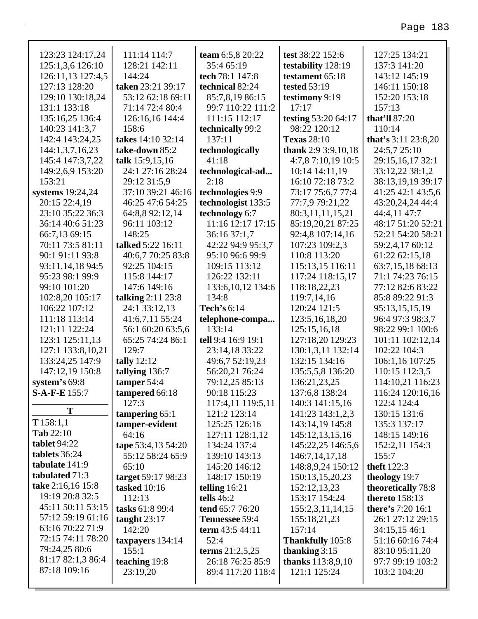| 123:23 124:17,24                  | 111:14 114:7                 | team 6:5,8 20:22               | test 38:22 152:6                 | 127:25 134:21                        |
|-----------------------------------|------------------------------|--------------------------------|----------------------------------|--------------------------------------|
| 125:1,3,6 126:10                  | 128:21 142:11                | 35:4 65:19                     | testability 128:19               | 137:3 141:20                         |
| 126:11,13 127:4,5                 | 144:24                       | tech 78:1 147:8                | testament 65:18                  | 143:12 145:19                        |
| 127:13 128:20                     | taken 23:21 39:17            | technical 82:24                | <b>tested 53:19</b>              | 146:11 150:18                        |
| 129:10 130:18,24                  | 53:12 62:18 69:11            | 85:7,8,19 86:15                | testimony 9:19                   | 152:20 153:18                        |
| 131:1 133:18                      | 71:14 72:4 80:4              | 99:7 110:22 111:2              | 17:17                            | 157:13                               |
| 135:16,25 136:4                   | 126:16,16 144:4              | 111:15 112:17                  | testing 53:20 64:17              | that'll 87:20                        |
| 140:23 141:3,7                    | 158:6                        | technically 99:2               | 98:22 120:12                     | 110:14                               |
| 142:4 143:24,25                   | takes 14:10 32:14            | 137:11                         | <b>Texas</b> 28:10               | that's $3:11\,23:8,20$               |
| 144:1,3,7,16,23                   | take-down 85:2               | technologically                | thank 2:9 3:9, $10,18$           | 24:5,7 25:10                         |
| 145:4 147:3,7,22                  | talk 15:9,15,16              | 41:18                          | 4:7,8 7:10,19 10:5               | 29:15,16,17 32:1                     |
| 149:2,6,9 153:20                  | 24:1 27:16 28:24             | technological-ad               | 10:14 14:11,19                   | 33:12,22 38:1,2                      |
| 153:21                            | 29:12 31:5,9                 | 2:18                           | 16:10 72:18 73:2                 | 38:13,19,19 39:17                    |
| systems 19:24,24                  | 37:10 39:21 46:16            | technologies 9:9               | 73:17 75:6,7 77:4                | 41:25 42:1 43:5,6                    |
| 20:15 22:4,19                     | 46:25 47:6 54:25             | technologist 133:5             | 77:7,9 79:21,22                  | 43:20,24,24 44:4                     |
| 23:10 35:22 36:3                  | 64:8,8 92:12,14              | technology 6:7                 | 80:3,11,11,15,21                 | 44:4,11 47:7                         |
| 36:14 40:6 51:23                  | 96:11 103:12                 | 11:16 12:17 17:15              | 85:19,20,21 87:25                | 48:17 51:20 52:21                    |
| 66:7,13 69:15<br>70:11 73:5 81:11 | 148:25                       | 36:16 37:1,7                   | 92:4,8 107:14,16                 | 52:21 54:20 58:21                    |
|                                   | talked 5:22 16:11            | 42:22 94:9 95:3,7              | 107:23 109:2,3                   | 59:2,4,17 60:12<br>61:22 62:15,18    |
| 90:1 91:11 93:8                   | 40:6,7 70:25 83:8            | 95:10 96:6 99:9                | 110:8 113:20<br>115:13,15 116:11 |                                      |
| 93:11,14,18 94:5                  | 92:25 104:15<br>115:8 144:17 | 109:15 113:12<br>126:22 132:11 |                                  | 63:7,15,18 68:13<br>71:1 74:23 76:15 |
| 95:23 98:1 99:9<br>99:10 101:20   | 147:6 149:16                 | 133:6, 10, 12 134:6            | 117:24 118:15,17<br>118:18,22,23 | 77:12 82:6 83:22                     |
| 102:8,20 105:17                   | talking $2:11$ $23:8$        | 134:8                          | 119:7,14,16                      | 85:8 89:22 91:3                      |
| 106:22 107:12                     | 24:1 33:12,13                | Tech's 6:14                    | 120:24 121:5                     | 95:13,15,15,19                       |
| 111:18 113:14                     | 41:6,7,11 55:24              | telephone-compa                | 123:5, 16, 18, 20                | 96:4 97:3 98:3,7                     |
| 121:11 122:24                     | 56:1 60:20 63:5,6            | 133:14                         | 125:15,16,18                     | 98:22 99:1 100:6                     |
| 123:1 125:11,13                   | 65:25 74:24 86:1             | tell 9:4 16:9 19:1             | 127:18,20 129:23                 | 101:11 102:12,14                     |
| 127:1 133:8,10,21                 | 129:7                        | 23:14,18 33:22                 | 130:1,3,11 132:14                | 102:22 104:3                         |
| 133:24,25 147:9                   | tally $12:12$                | 49:6,7 52:19,23                | 132:15 134:16                    | 106:1,16 107:25                      |
| 147:12,19 150:8                   | tallying 136:7               | 56:20,21 76:24                 | 135:5,5,8 136:20                 | 110:15 112:3,5                       |
| system's 69:8                     | tamper 54:4                  | 79:12,25 85:13                 | 136:21,23,25                     | 114:10,21 116:23                     |
| S-A-F-E 155:7                     | tampered 66:18               | 90:18 115:23                   | 137:6,8 138:24                   | 116:24 120:16,16                     |
|                                   | 127:3                        | 117:4,11 119:5,11              | 140:3 141:15,16                  | 122:4 124:4                          |
| T                                 | tampering $65:1$             | 121:2 123:14                   | 141:23 143:1,2,3                 | 130:15 131:6                         |
| T158:1,1                          | tamper-evident               | 125:25 126:16                  | 143:14,19 145:8                  | 135:3 137:17                         |
| $\mathbf{Tab}$ 22:10              | 64:16                        | 127:11 128:1,12                | 145:12,13,15,16                  | 148:15 149:16                        |
| tablet $94:22$                    | tape 53:4,13 54:20           | 134:24 137:4                   | 145:22,25 146:5,6                | 152:2,11 154:3                       |
| tablets 36:24                     | 55:12 58:24 65:9             | 139:10 143:13                  | 146:7, 14, 17, 18                | 155:7                                |
| tabulate 141:9                    | 65:10                        | 145:20 146:12                  | 148:8,9,24 150:12                | <b>theft</b> 122:3                   |
| tabulated 71:3                    | target 59:17 98:23           | 148:17 150:19                  | 150:13,15,20,23                  | theology 19:7                        |
| take 2:16,16 15:8                 | <b>tasked</b> 10:16          | telling $16:21$                | 152:12,13,23                     | theoretically 78:8                   |
| 19:19 20:8 32:5                   | 112:13                       | tells $46:2$                   | 153:17 154:24                    | <b>thereto</b> 158:13                |
| 45:11 50:11 53:15                 | tasks 61:8 99:4              | tend 65:7 76:20                | 155:2,3,11,14,15                 | there's 7:20 16:1                    |
| 57:12 59:19 61:16                 | taught $23:17$               | Tennessee 59:4                 | 155:18,21,23                     | 26:1 27:12 29:15                     |
| 63:16 70:22 71:9                  | 142:20                       | term $43:544:11$               | 157:14                           | 34:15,15 46:1                        |
| 72:15 74:11 78:20                 | taxpayers 134:14             | 52:4                           | <b>Thankfully</b> 105:8          | 51:16 60:16 74:4                     |
| 79:24,25 80:6                     | 155:1                        | terms $21:2,5,25$              | thanking $3:15$                  | 83:10 95:11,20                       |
| 81:17 82:1,3 86:4                 | teaching 19:8                | 26:18 76:25 85:9               | <b>thanks</b> 113:8,9,10         | 97:7 99:19 103:2                     |
| 87:18 109:16                      | 23:19,20                     | 89:4 117:20 118:4              | 121:1 125:24                     | 103:2 104:20                         |
|                                   |                              |                                |                                  |                                      |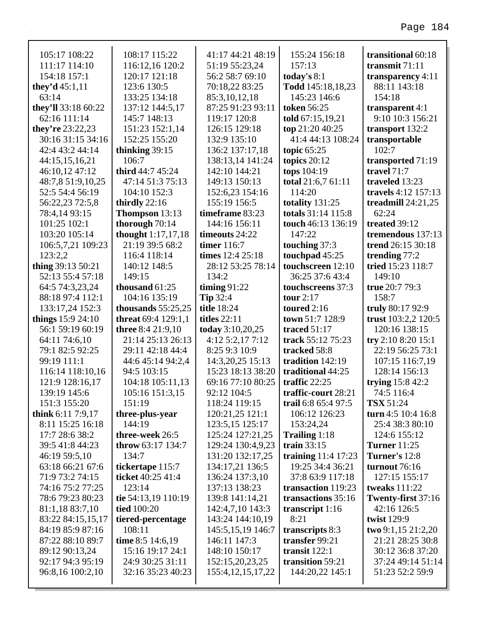| 105:17 108:22                        | 108:17 115:22                         | 41:17 44:21 48:19                        | 155:24 156:18                       | transitional 60:18                   |
|--------------------------------------|---------------------------------------|------------------------------------------|-------------------------------------|--------------------------------------|
| 111:17 114:10                        | 116:12,16 120:2                       | 51:19 55:23,24                           | 157:13                              | transmit $71:11$                     |
| 154:18 157:1                         | 120:17 121:18                         | 56:2 58:7 69:10                          | today's $8:1$                       | transparency $4:11$                  |
| they'd $45:1,11$                     | 123:6 130:5                           | 70:18,22 83:25                           | Todd 145:18,18,23                   | 88:11 143:18                         |
| 63:14                                | 133:25 134:18                         | 85:3,10,12,18                            | 145:23 146:6                        | 154:18                               |
| they'll 33:18 60:22                  | 137:12 144:5,17                       | 87:25 91:23 93:11                        | <b>token</b> 56:25                  | transparent 4:1                      |
| 62:16 111:14                         | 145:7 148:13                          | 119:17 120:8                             | told 67:15,19,21                    | 9:10 10:3 156:21                     |
| they're $23:22,23$                   | 151:23 152:1,14                       | 126:15 129:18                            | top 21:20 40:25                     | transport 132:2                      |
| 30:16 31:15 34:16                    | 152:25 155:20                         | 132:9 135:10                             | 41:4 44:13 108:24                   | transportable                        |
| 42:4 43:2 44:14                      | thinking $39:15$                      | 136:2 137:17,18                          | topic $65:25$                       | 102:7                                |
| 44:15,15,16,21                       | 106:7                                 | 138:13,14 141:24                         | topics $20:12$                      | transported 71:19                    |
| 46:10,12 47:12                       | third 44:7 45:24                      | 142:10 144:21                            | tops 104:19                         | travel $71:7$                        |
| 48:7,8 51:9,10,25                    | 47:14 51:3 75:13                      | 149:13 150:13                            | total 21:6,7 61:11                  | traveled 13:23                       |
| 52:5 54:4 56:19                      | 104:10 152:3                          | 152:6,23 154:16                          | 114:20                              | travels 4:12 157:13                  |
| 56:22,23 72:5,8                      | thirdly $22:16$                       | 155:19 156:5                             | totality 131:25                     | treadmill $24:21,25$                 |
| 78:4,14 93:15                        | Thompson 13:13                        | timeframe 83:23                          | totals 31:14 115:8                  | 62:24                                |
| 101:25 102:1                         | thorough 70:14                        | 144:16 156:11                            | touch 46:13 136:19                  | treated 39:12                        |
| 103:20 105:14                        | <b>thought</b> 1:17,17,18             | timeouts 24:22                           | 147:22                              | tremendous 137:13                    |
| 106:5,7,21 109:23                    | 21:19 39:5 68:2                       | timer 116:7                              | touching 37:3                       | trend 26:15 30:18                    |
| 123:2.2                              | 116:4 118:14                          | times $12:4 25:18$                       | touchpad 45:25                      | trending $77:2$                      |
| thing 39:13 50:21                    | 140:12 148:5                          | 28:12 53:25 78:14                        | touchscreen 12:10                   | tried 15:23 118:7                    |
| 52:13 55:4 57:18                     | 149:15                                | 134:2                                    | 36:25 37:6 43:4                     | 149:10                               |
| 64:5 74:3,23,24                      | thousand $61:25$                      | timing $91:22$                           | touchscreens 37:3                   | true 20:7 79:3                       |
| 88:18 97:4 112:1                     | 104:16 135:19                         | <b>Tip 32:4</b>                          | tour $2:17$                         | 158:7                                |
| 133:17,24 152:3                      | thousands $55:25,25$                  | <b>title</b> 18:24                       | toured $2:16$                       | truly 80:17 92:9                     |
|                                      |                                       |                                          |                                     |                                      |
| things $15:9 24:10$                  | <b>threat</b> 69:4 129:1,1            | <b>titles</b> 22:11                      | town 51:7 128:9                     | trust 103:2,2 120:5                  |
| 56:1 59:19 60:19                     | <b>three</b> 8:4 21:9,10              | today 3:10,20,25                         | traced $51:17$                      | 120:16 138:15                        |
| 64:11 74:6,10                        | 21:14 25:13 26:13                     | 4:12 5:2,17 7:12                         | track 55:12 75:23                   | try $2:108:2015:1$                   |
| 79:1 82:5 92:25                      | 29:11 42:18 44:4                      | 8:25 9:3 10:9                            | tracked 58:8                        | 22:19 56:25 73:1                     |
| 99:19 111:1                          | 44:6 45:14 94:2,4                     | 14:3,20,25 15:13                         | tradition 142:19                    | 107:15 116:7,19                      |
| 116:14 118:10,16                     | 94:5 103:15                           | 15:23 18:13 38:20                        | traditional 44:25                   | 128:14 156:13                        |
| 121:9 128:16,17                      | 104:18 105:11,13                      | 69:16 77:10 80:25                        | traffic $22:25$                     | trying $15:842:2$                    |
| 139:19 145:6                         | 105:16 151:3,15                       | 92:12 104:5                              | traffic-court 28:21                 | 74:5 116:4                           |
| 151:3 155:20                         | 151:19                                | 118:24 119:15                            | trail 6:8 65:4 97:5                 | <b>TSX</b> 51:24                     |
| think $6:117:9,17$                   | three-plus-year                       | 120:21,25 121:1                          | 106:12 126:23                       | turn 4:5 10:4 16:8                   |
| 8:11 15:25 16:18                     | 144:19                                | 123:5,15 125:17                          | 153:24,24                           | 25:4 38:3 80:10                      |
| 17:7 28:6 38:2                       | three-week 26:5                       | 125:24 127:21,25                         | Trailing 1:18                       | 124:6 155:12                         |
| 39:5 41:8 44:23                      | throw 63:17 134:7                     | 129:24 130:4,9,23                        | train $33:15$                       | <b>Turner</b> 11:25                  |
| 46:19 59:5,10                        | 134:7                                 | 131:20 132:17,25                         | training $11:4$ 17:23               | Turner's 12:8                        |
| 63:18 66:21 67:6                     | tickertape 115:7                      | 134:17,21 136:5                          | 19:25 34:4 36:21                    | turnout 76:16                        |
| 71:9 73:2 74:15                      | ticket 40:25 41:4                     | 136:24 137:3,10                          | 37:8 63:9 117:18                    | 127:15 155:17                        |
| 74:16 75:2 77:25                     | 123:14                                | 137:13 138:23                            | transaction 119:23                  | tweaks $111:22$                      |
| 78:6 79:23 80:23                     | tie 54:13,19 110:19                   | 139:8 141:14,21                          | transactions 35:16                  | Twenty-first 37:16                   |
| 81:1,18 83:7,10                      | tied 100:20                           | 142:4,7,10 143:3                         | transcript $1:16$                   | 42:16 126:5                          |
| 83:22 84:15,15,17                    | tiered-percentage                     | 143:24 144:10,19                         | 8:21                                | twist 129:9                          |
| 84:19 85:9 87:16                     | 108:11                                | 145:5, 15, 19 146: 7                     | transcripts 8:3                     | two 9:1,15 21:2,20                   |
| 87:22 88:10 89:7                     | time 8:5 14:6,19                      | 146:11 147:3                             | transfer 99:21                      | 21:21 28:25 30:8                     |
| 89:12 90:13,24                       | 15:16 19:17 24:1                      | 148:10 150:17                            | transit $122:1$                     | 30:12 36:8 37:20                     |
| 92:17 94:3 95:19<br>96:8,16 100:2,10 | 24:9 30:25 31:11<br>32:16 35:23 40:23 | 152:15,20,23,25<br>155:4, 12, 15, 17, 22 | transition 59:21<br>144:20,22 145:1 | 37:24 49:14 51:14<br>51:23 52:2 59:9 |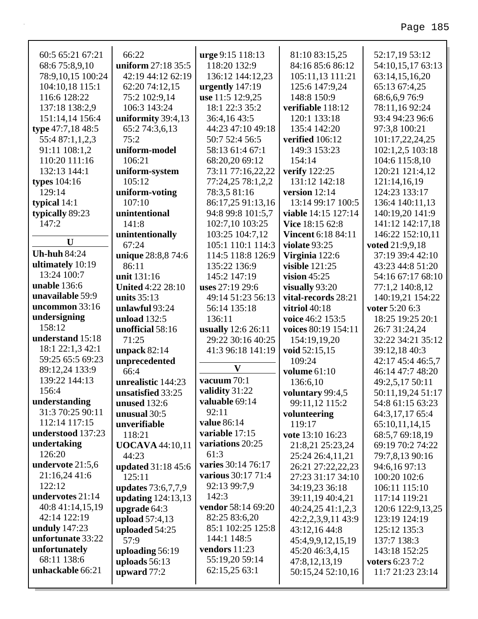| 60:5 65:21 67:21    | 66:22                     | urge 9:15 118:13   | 81:10 83:15,25            | 52:17,19 53:12         |
|---------------------|---------------------------|--------------------|---------------------------|------------------------|
| 68:675:8,9,10       | uniform 27:18 35:5        | 118:20 132:9       | 84:16 85:6 86:12          | 54:10,15,17 63:13      |
| 78:9,10,15 100:24   | 42:19 44:12 62:19         | 136:12 144:12,23   | 105:11,13 111:21          | 63:14,15,16,20         |
| 104:10,18 115:1     | 62:20 74:12,15            | urgently 147:19    | 125:6 147:9,24            | 65:13 67:4,25          |
| 116:6 128:22        | 75:2 102:9,14             | use 11:5 12:9,25   | 148:8 150:9               | 68:6,6,976:9           |
| 137:18 138:2,9      | 106:3 143:24              | 18:1 22:3 35:2     | verifiable 118:12         | 78:11,1692:24          |
| 151:14,14 156:4     | uniformity 39:4,13        | 36:4,1643:5        | 120:1 133:18              | 93:4 94:23 96:6        |
| type 47:7,18 48:5   | 65:2 74:3,6,13            | 44:23 47:10 49:18  | 135:4 142:20              | 97:3,8 100:21          |
| 55:4 87:1,1,2,3     | 75:2                      | 50:7 52:4 56:5     | verified 106:12           | 101:17,22,24,25        |
| 91:11 108:1,2       | uniform-model             | 58:13 61:4 67:1    | 149:3 153:23              | 102:1,2,5 103:18       |
| 110:20 111:16       | 106:21                    | 68:20,20 69:12     | 154:14                    | 104:6 115:8,10         |
| 132:13 144:1        | uniform-system            | 73:11 77:16,22,22  | verify 122:25             | 120:21 121:4,12        |
| types $104:16$      | 105:12                    | 77:24,25 78:1,2,2  | 131:12 142:18             | 121:14,16,19           |
| 129:14              | uniform-voting            | 78:3,5 81:16       | version 12:14             | 124:23 133:17          |
| typical $14:1$      | 107:10                    | 86:17,25 91:13,16  | 13:14 99:17 100:5         | 136:4 140:11,13        |
| typically 89:23     | unintentional             | 94:8 99:8 101:5,7  | viable 14:15 127:14       | 140:19,20 141:9        |
| 147:2               | 141:8                     | 102:7,10 103:25    | Vice 18:15 62:8           | 141:12 142:17,18       |
| $\mathbf{U}$        | unintentionally           | 103:25 104:7,12    | <b>Vincent 6:18 84:11</b> | 146:22 152:10,11       |
|                     | 67:24                     | 105:1 110:1 114:3  | violate 93:25             | voted 21:9,9,18        |
| <b>Uh-huh 84:24</b> | unique 28:8,8 74:6        | 114:5 118:8 126:9  | Virginia 122:6            | 37:19 39:4 42:10       |
| ultimately 10:19    | 86:11                     | 135:22 136:9       | <b>visible</b> 121:25     | 43:23 44:8 51:20       |
| 13:24 100:7         | unit 131:16               | 145:2 147:19       | vision $45:25$            | 54:16 67:17 68:10      |
| unable 136:6        | <b>United 4:22 28:10</b>  | uses 27:19 29:6    | visually 93:20            | 77:1,2 140:8,12        |
| unavailable 59:9    | units $35:13$             | 49:14 51:23 56:13  | vital-records 28:21       | 140:19,21 154:22       |
| uncommon 33:16      | unlawful 93:24            | 56:14 135:18       | vitriol 40:18             | voter 5:20 6:3         |
| undersigning        | unload 132:5              | 136:11             | voice 46:2 153:5          | 18:25 19:25 20:1       |
| 158:12              | unofficial 58:16          | usually 12:6 26:11 | voices 80:19 154:11       | 26:7 31:24,24          |
| understand 15:18    | 71:25                     | 29:22 30:16 40:25  | 154:19,19,20              | 32:22 34:21 35:12      |
| 18:1 22:1,3 42:1    | unpack 82:14              | 41:3 96:18 141:19  | void 52:15,15             | 39:12,18 40:3          |
| 59:25 65:5 69:23    | unprecedented             | $\mathbf{V}$       | 109:24                    | 42:17 45:4 46:5,7      |
| 89:12,24 133:9      | 66:4                      |                    | volume 61:10              | 46:14 47:7 48:20       |
| 139:22 144:13       | unrealistic 144:23        | vacuum 70:1        | 136:6,10                  | 49:2,5,17 50:11        |
| 156:4               | unsatisfied 33:25         | validity 31:22     | voluntary 99:4,5          | 50:11,19,24 51:17      |
| understanding       | <b>unused</b> 132:6       | valuable 69:14     | 99:11,12 115:2            | 54:8 61:15 63:23       |
| 31:3 70:25 90:11    | unusual 30:5              | 92:11              | volunteering              | 64:3,17,17 65:4        |
| 112:14 117:15       | unverifiable              | value 86:14        | 119:17                    | 65:10,11,14,15         |
| understood 137:23   | 118:21                    | variable 17:15     | vote 13:10 16:23          | 68:5,7 69:18,19        |
| undertaking         | <b>UOCAVA</b> 44:10,11    | variations 20:25   | 21:8,21 25:23,24          | 69:19 70:2 74:22       |
| 126:20              | 44:23                     | 61:3               | 25:24 26:4,11,21          | 79:7,8,13 90:16        |
| undervote 21:5,6    | <b>updated</b> 31:18 45:6 | varies 30:14 76:17 | 26:21 27:22,22,23         | 94:6,16 97:13          |
| 21:16,24 41:6       | 125:11                    | various 30:17 71:4 | 27:23 31:17 34:10         | 100:20 102:6           |
| 122:12              | updates 73:6,7,7,9        | 92:13 99:7,9       | 34:19,23 36:18            | 106:11 115:10          |
| undervotes 21:14    | updating 124:13,13        | 142:3              | 39:11,19 40:4,21          | 117:14 119:21          |
| 40:8 41:14,15,19    | upgrade 64:3              | vendor 58:14 69:20 | 40:24,25 41:1,2,3         | 120:6 122:9,13,25      |
| 42:14 122:19        | upload 57:4,13            | 82:25 83:6,20      | 42:2,2,3,9,11 43:9        | 123:19 124:19          |
| unduly $147:23$     | uploaded 54:25            | 85:1 102:25 125:8  | 43:12,16 44:8             | 125:12 135:3           |
| unfortunate 33:22   | 57:9                      | 144:1 148:5        | 45:4,9,9,12,15,19         | 137:7 138:3            |
| unfortunately       | uploading 56:19           | vendors 11:23      | 45:20 46:3,4,15           | 143:18 152:25          |
| 68:11 138:6         | uploads 56:13             | 55:19,20 59:14     | 47:8,12,13,19             | <b>voters 6:23 7:2</b> |
|                     |                           |                    |                           |                        |
| unhackable 66:21    | upward 77:2               | 62:15,25 63:1      | 50:15,24 52:10,16         | 11:7 21:23 23:14       |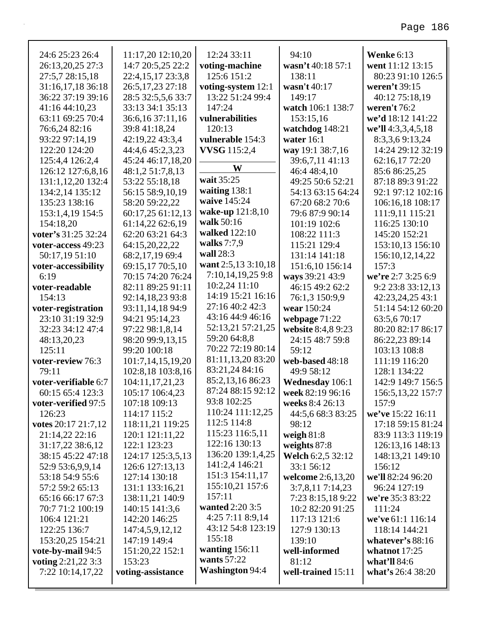| 24:6 25:23 26:4      | 11:17,20 12:10,20  | 12:24 33:11            | 94:10              | <b>Wenke 6:13</b>  |
|----------------------|--------------------|------------------------|--------------------|--------------------|
| 26:13,20,25 27:3     | 14:7 20:5,25 22:2  | voting-machine         | wasn't 40:18 57:1  | went 11:12 13:15   |
| 27:5,7 28:15,18      | 22:4,15,17 23:3,8  | 125:6 151:2            | 138:11             | 80:23 91:10 126:5  |
| 31:16,17,18 36:18    | 26:5,17,23 27:18   | voting-system 12:1     | wasn't 40:17       | weren't 39:15      |
| 36:22 37:19 39:16    | 28:5 32:5,5,6 33:7 | 13:22 51:24 99:4       | 149:17             | 40:12 75:18,19     |
| 41:16 44:10,23       | 33:13 34:1 35:13   | 147:24                 | watch 106:1 138:7  | weren't $76:2$     |
| 63:11 69:25 70:4     | 36:6,16 37:11,16   | vulnerabilities        | 153:15,16          | we'd 18:12 141:22  |
| 76:6,24 82:16        | 39:8 41:18,24      | 120:13                 | watchdog 148:21    | we'll 4:3,3,4,5,18 |
| 93:22 97:14,19       | 42:19,22 43:3,4    | vulnerable 154:3       | water $16:1$       | 8:3,3,69:13,24     |
| 122:20 124:20        | 44:4,6 45:2,3,23   | <b>VVSG</b> 115:2,4    | way 19:1 38:7,16   | 14:24 29:12 32:19  |
| 125:4,4 126:2,4      | 45:24 46:17,18,20  |                        | 39:6,7,11 41:13    | 62:16,17 72:20     |
| 126:12 127:6,8,16    | 48:1,2 51:7,8,13   | W                      | 46:4 48:4,10       | 85:6 86:25,25      |
| 131:1,12,20 132:4    | 53:22 55:18,18     | wait 35:25             | 49:25 50:6 52:21   | 87:18 89:3 91:22   |
| 134:2,14 135:12      | 56:15 58:9,10,19   | waiting 138:1          | 54:13 63:15 64:24  | 92:1 97:12 102:16  |
| 135:23 138:16        | 58:20 59:22,22     | waive 145:24           | 67:20 68:2 70:6    | 106:16,18 108:17   |
| 153:1,4,19 154:5     | 60:17,25 61:12,13  | wake-up 121:8,10       | 79:6 87:9 90:14    | 111:9,11 115:21    |
| 154:18,20            | 61:14,22 62:6,19   | walk 50:16             | 101:19 102:6       | 116:25 130:10      |
| voter's 31:25 32:24  | 62:20 63:21 64:3   | walked 122:10          | 108:22 111:3       | 145:20 152:21      |
| voter-access 49:23   | 64:15,20,22,22     | walks $7:7,9$          | 115:21 129:4       | 153:10,13 156:10   |
| 50:17,19 51:10       | 68:2,17,19 69:4    | wall 28:3              | 131:14 141:18      | 156:10,12,14,22    |
| voter-accessibility  | 69:15,17 70:5,10   | want 2:5,13 3:10,18    | 151:6,10 156:14    | 157:3              |
| 6:19                 | 70:15 74:20 76:24  | 7:10,14,19,25 9:8      | ways 39:21 43:9    | we're 2:7 3:25 6:9 |
| voter-readable       | 82:11 89:25 91:11  | $10:2,24$ 11:10        | 46:15 49:2 62:2    | 9:2 23:8 33:12,13  |
| 154:13               | 92:14,18,23 93:8   | 14:19 15:21 16:16      | 76:1,3 150:9,9     | 42:23,24,25 43:1   |
| voter-registration   | 93:11,14,18 94:9   | 27:16 40:2 42:3        | wear 150:24        | 51:14 54:12 60:20  |
| 23:10 31:19 32:9     | 94:21 95:14,23     | 43:16 44:9 46:16       | webpage 71:22      | 63:5,670:17        |
| 32:23 34:12 47:4     | 97:22 98:1,8,14    | 52:13,21 57:21,25      | website 8:4,8 9:23 | 80:20 82:17 86:17  |
| 48:13,20,23          | 98:20 99:9,13,15   | 59:20 64:8,8           | 24:15 48:7 59:8    | 86:22,23 89:14     |
| 125:11               | 99:20 100:18       | 70:22 72:19 80:14      | 59:12              | 103:13 108:8       |
| voter-review 76:3    | 101:7,14,15,19,20  | 81:11,13,20 83:20      | web-based 48:18    | 111:19 116:20      |
| 79:11                | 102:8,18 103:8,16  | 83:21,24 84:16         | 49:9 58:12         | 128:1 134:22       |
| voter-verifiable 6:7 | 104:11,17,21,23    | 85:2,13,16 86:23       | Wednesday 106:1    | 142:9 149:7 156:5  |
| 60:15 65:4 123:3     | 105:17 106:4,23    | 87:24 88:15 92:12      | week 82:19 96:16   | 156:5,13,22 157:7  |
| voter-verified 97:5  | 107:18 109:13      | 93:8 102:25            | weeks 8:4 26:13    | 157:9              |
| 126:23               | 114:17 115:2       | 110:24 111:12,25       | 44:5,6 68:3 83:25  | we've 15:22 16:11  |
| votes 20:17 21:7,12  | 118:11,21 119:25   | 112:5 114:8            | 98:12              | 17:18 59:15 81:24  |
| 21:14,22 22:16       | 120:1 121:11,22    | 115:23 116:5,11        | weigh $81:8$       | 83:9 113:3 119:19  |
| 31:17,22 38:6,12     | 122:1 123:23       | 122:16 130:13          | weights $87:8$     | 126:13,16 148:13   |
| 38:15 45:22 47:18    | 124:17 125:3,5,13  | 136:20 139:1,4,25      | Welch 6:2,5 32:12  | 148:13,21 149:10   |
| 52:9 53:6,9,9,14     | 126:6 127:13,13    | 141:2,4 146:21         | 33:1 56:12         | 156:12             |
| 53:18 54:9 55:6      | 127:14 130:18      | 151:3 154:11,17        | welcome 2:6,13,20  | we'll 82:24 96:20  |
| 57:2 59:2 65:13      | 131:1 133:16,21    | 155:10,21 157:6        | 3:7,8,117:14,23    | 96:24 127:19       |
| 65:16 66:17 67:3     | 138:11,21 140:9    | 157:11                 | 7:23 8:15,18 9:22  | we're 35:3 83:22   |
| 70:7 71:2 100:19     | 140:15 141:3,6     | wanted 2:20 3:5        | 10:2 82:20 91:25   | 111:24             |
| 106:4 121:21         | 142:20 146:25      | 4:25 7:11 8:9,14       | 117:13 121:6       | we've 61:1 116:14  |
| 122:25 136:7         | 147:4,5,9,12,12    | 43:12 54:8 123:19      | 127:9 130:13       | 118:14 144:21      |
| 153:20,25 154:21     | 147:19 149:4       | 155:18                 | 139:10             | whatever's $88:16$ |
| vote-by-mail 94:5    | 151:20,22 152:1    | wanting 156:11         | well-informed      | what not $17:25$   |
| voting 2:21,22 3:3   | 153:23             | wants $57:22$          | 81:12              | what'll $84:6$     |
| 7:22 10:14,17,22     | voting-assistance  | <b>Washington 94:4</b> | well-trained 15:11 | what's 26:4 38:20  |
|                      |                    |                        |                    |                    |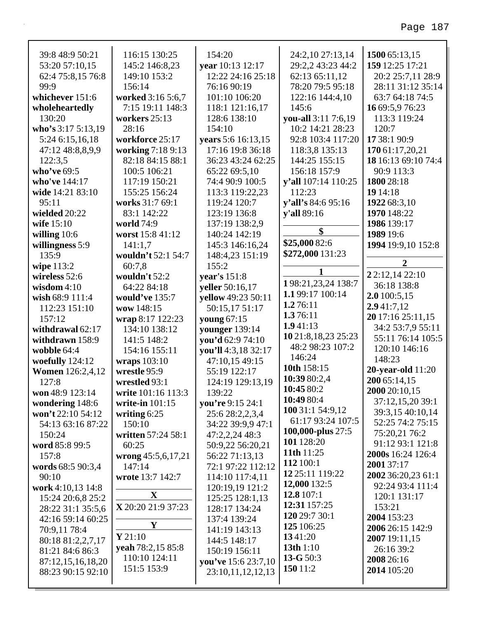| 39:8 48:9 50:21          | 116:15 130:25          | 154:20                              | 24:2,10 27:13,14         | 1500 65:13,15                  |
|--------------------------|------------------------|-------------------------------------|--------------------------|--------------------------------|
| 53:20 57:10,15           | 145:2 146:8,23         | year 10:13 12:17                    | 29:2,2 43:23 44:2        | 159 12:25 17:21                |
| 62:4 75:8,15 76:8        | 149:10 153:2           | 12:22 24:16 25:18                   | 62:13 65:11,12           | 20:2 25:7,11 28:9              |
| 99:9                     | 156:14                 | 76:16 90:19                         | 78:20 79:5 95:18         | 28:11 31:12 35:14              |
| whichever 151:6          | worked 3:16 5:6,7      | 101:10 106:20                       | 122:16 144:4,10          | 63:7 64:18 74:5                |
| wholeheartedly           | 7:15 19:11 148:3       | 118:1 121:16,17                     | 145:6                    | 16 69:5,9 76:23                |
| 130:20                   | workers 25:13          | 128:6 138:10                        | you-all 3:11 7:6,19      | 113:3 119:24                   |
| who's $3:175:13,19$      | 28:16                  | 154:10                              | 10:2 14:21 28:23         | 120:7                          |
| 5:24 6:15,16,18          | workforce 25:17        | years 5:6 16:13,15                  | 92:8 103:4 117:20        | 17 38:1 90:9                   |
| 47:12 48:8,8,9,9         | working 7:18 9:13      | 17:16 19:8 36:18                    | 118:3,8 135:13           | 170 61:17,20,21                |
| 122:3,5                  | 82:18 84:15 88:1       | 36:23 43:24 62:25                   | 144:25 155:15            | 18 16:13 69:10 74:4            |
| who've 69:5              | 100:5 106:21           | 65:22 69:5,10                       | 156:18 157:9             | 90:9 113:3                     |
| who've 144:17            | 117:19 150:21          | 74:4 90:9 100:5                     | y'all 107:14 110:25      | 1800 28:18                     |
| wide 14:21 83:10         | 155:25 156:24          | 113:3 119:22,23                     | 112:23                   | 19 14:18                       |
| 95:11                    | works 31:7 69:1        | 119:24 120:7                        | y'all's 84:6 95:16       | 1922 68:3,10                   |
| wielded 20:22            | 83:1 142:22            | 123:19 136:8                        | y'all 89:16              | 1970 148:22                    |
| wife 15:10               | world 74:9             | 137:19 138:2,9                      | \$                       | 1986 139:17                    |
| willing $10:6$           | worst 15:8 41:12       | 140:24 142:19                       |                          | 1989 19:6                      |
| willingness 5:9          | 141:1,7                | 145:3 146:16,24                     | \$25,000 82:6            | 1994 19:9,10 152:8             |
| 135:9                    | wouldn't 52:1 54:7     | 148:4,23 151:19                     | \$272,000 131:23         | $\overline{2}$                 |
| wipe 113:2               | 60:7,8                 | 155:2                               | 1                        |                                |
| wireless $52:6$          | wouldn't 52:2          | year's 151:8                        | 198:21,23,24 138:7       | 2 2:12,14 22:10<br>36:18 138:8 |
| wisdom $4:10$            | 64:22 84:18            | yeller 50:16,17                     | 1.199:17 100:14          |                                |
| wish 68:9 111:4          | would've 135:7         | yellow 49:23 50:11                  | 1.276:11                 | 2.0 100:5,15<br>2.941:7,12     |
| 112:23 151:10            | wow 148:15             | 50:15,17 51:17                      | 1.376:11                 | 20 17:16 25:11,15              |
| 157:12                   | wrap 8:17 122:23       | young 67:15                         | 1.941:13                 | 34:2 53:7,9 55:11              |
| withdrawal 62:17         | 134:10 138:12          | younger 139:14                      | 10 21:8, 18, 23 25: 23   | 55:11 76:14 105:5              |
| withdrawn 158:9          | 141:5 148:2            | you'd 62:9 74:10                    | 48:2 98:23 107:2         | 120:10 146:16                  |
| wobble 64:4              | 154:16 155:11          | you'll 4:3,18 32:17                 | 146:24                   | 148:23                         |
| woefully 124:12          | wraps 103:10           | 47:10,15 49:15                      | 10th 158:15              | <b>20-year-old</b> 11:20       |
| <b>Women</b> 126:2,4,12  | wrestle 95:9           | 55:19 122:17                        | 10:39 80:2,4             | 200 65:14,15                   |
| 127:8                    | wrestled 93:1          | 124:19 129:13,19                    | 10:45 80:2               | 2000 20:10,15                  |
| won 48:9 123:14          | write 101:16 113:3     | 139:22                              | 10:49 80:4               | 37:12,15,20 39:1               |
| wondering 148:6          | write-in 101:15        | you're 9:15 24:1                    | 100 31:1 54:9,12         | 39:3,15 40:10,14               |
| won't 22:10 54:12        | writing 6:25<br>150:10 | 25:6 28:2,2,3,4                     | 61:17 93:24 107:5        | 52:25 74:2 75:15               |
| 54:13 63:16 87:22        | written 57:24 58:1     | 34:22 39:9,9 47:1<br>47:2,2,24 48:3 | <b>100,000-plus</b> 27:5 | 75:20,21 76:2                  |
| 150:24<br>word 85:8 99:5 | 60:25                  | 50:9,22 56:20,21                    | 101 128:20               | 91:12 93:1 121:8               |
| 157:8                    | wrong 45:5,6,17,21     | 56:22 71:13,13                      | 11th 11:25               | <b>2000s</b> 16:24 126:4       |
| words 68:5 90:3,4        | 147:14                 | 72:1 97:22 112:12                   | 112 100:1                | 2001 37:17                     |
| 90:10                    | wrote 13:7 142:7       | 114:10 117:4,11                     | 12 25:11 119:22          | 2002 36:20,23 61:1             |
| work 4:10,13 14:8        |                        | 120:19,19 121:2                     | 12,000 132:5             | 92:24 93:4 111:4               |
| 15:24 20:6,8 25:2        | $\mathbf{X}$           | 125:25 128:1,13                     | 12.8 107:1               | 120:1 131:17                   |
| 28:22 31:1 35:5,6        | X 20:20 21:9 37:23     | 128:17 134:24                       | 12:31 157:25             | 153:21                         |
| 42:16 59:14 60:25        |                        | 137:4 139:24                        | 120 29:7 30:1            | 2004 153:23                    |
| 70:9,11 78:4             | Y                      | 141:19 143:13                       | 125 106:25               | 2006 26:15 142:9               |
| 80:18 81:2,2,7,17        | Y21:10                 | 144:5 148:17                        | 1341:20                  | 2007 19:11,15                  |
| 81:21 84:6 86:3          | yeah 78:2,15 85:8      | 150:19 156:11                       | 13th 1:10                | 26:16 39:2                     |
| 87:12,15,16,18,20        | 110:10 124:11          | you've 15:6 23:7,10                 | 13- $G$ 50:3             | 2008 26:16                     |
| 88:23 90:15 92:10        | 151:5 153:9            | 23:10,11,12,12,13                   | 150 11:2                 | 2014 105:20                    |
|                          |                        |                                     |                          |                                |